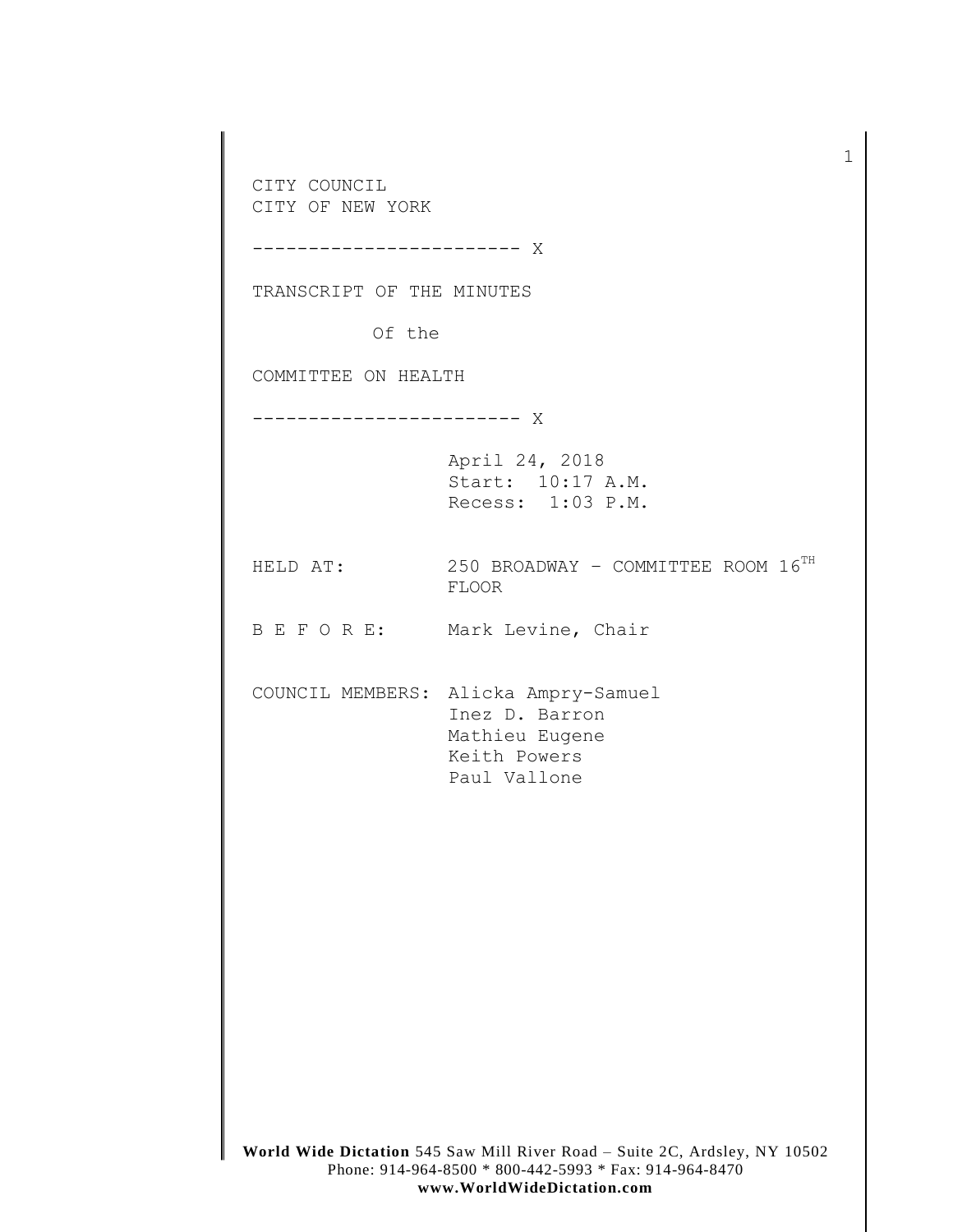**World Wide Dictation** 545 Saw Mill River Road – Suite 2C, Ardsley, NY 10502 Phone: 914-964-8500 \* 800-442-5993 \* Fax: 914-964-8470 CITY COUNCIL CITY OF NEW YORK ------------------------ X TRANSCRIPT OF THE MINUTES Of the COMMITTEE ON HEALTH ------------------------ X April 24, 2018 Start: 10:17 A.M. Recess: 1:03 P.M. HELD AT:  $250$  BROADWAY - COMMITTEE ROOM  $16^{TH}$ FLOOR B E F O R E: Mark Levine, Chair COUNCIL MEMBERS: Alicka Ampry-Samuel Inez D. Barron Mathieu Eugene Keith Powers Paul Vallone

1

**www.WorldWideDictation.com**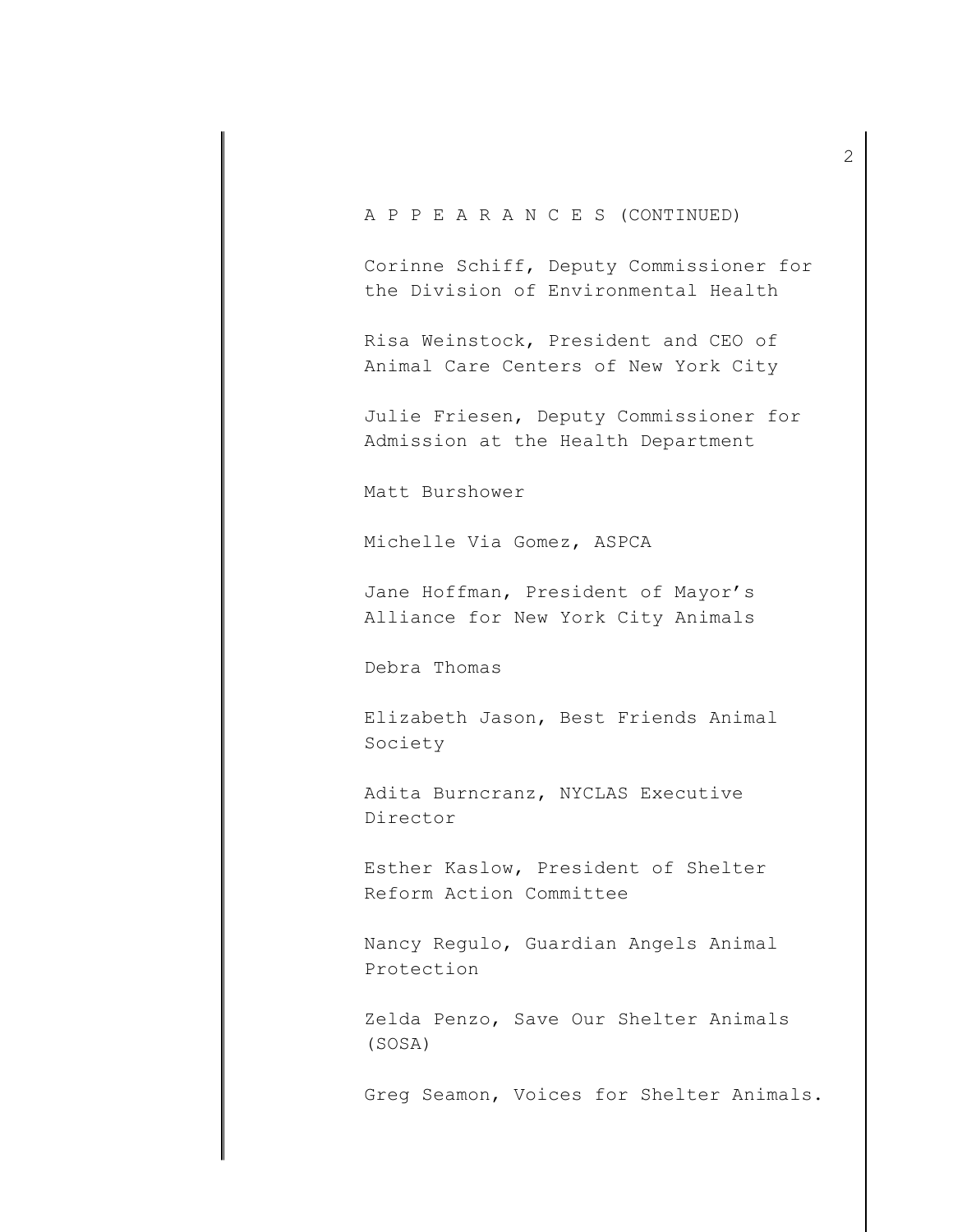# A P P E A R A N C E S (CONTINUED)

Corinne Schiff, Deputy Commissioner for the Division of Environmental Health

Risa Weinstock, President and CEO of Animal Care Centers of New York City

Julie Friesen, Deputy Commissioner for Admission at the Health Department

Matt Burshower

Michelle Via Gomez, ASPCA

Jane Hoffman, President of Mayor's Alliance for New York City Animals

Debra Thomas

Elizabeth Jason, Best Friends Animal Society

Adita Burncranz, NYCLAS Executive Director

Esther Kaslow, President of Shelter Reform Action Committee

Nancy Regulo, Guardian Angels Animal Protection

Zelda Penzo, Save Our Shelter Animals (SOSA)

Greg Seamon, Voices for Shelter Animals.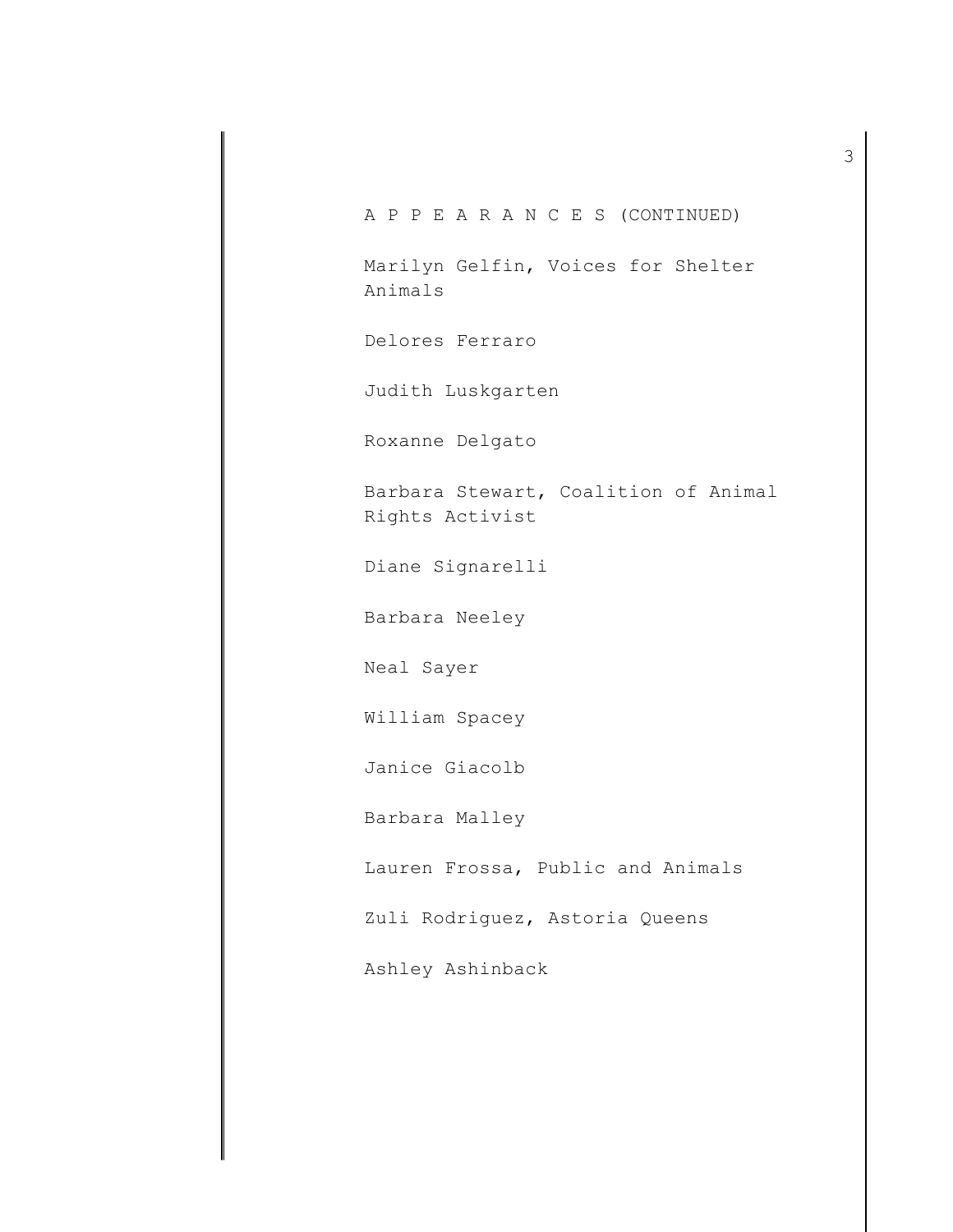A P P E A R A N C E S (CONTINUED) Marilyn Gelfin, Voices for Shelter Animals Delores Ferraro Judith Luskgarten Roxanne Delgato Barbara Stewart, Coalition of Animal Rights Activist Diane Signarelli Barbara Neeley Neal Sayer William Spacey Janice Giacolb Barbara Malley Lauren Frossa, Public and Animals Zuli Rodriguez, Astoria Queens Ashley Ashinback

3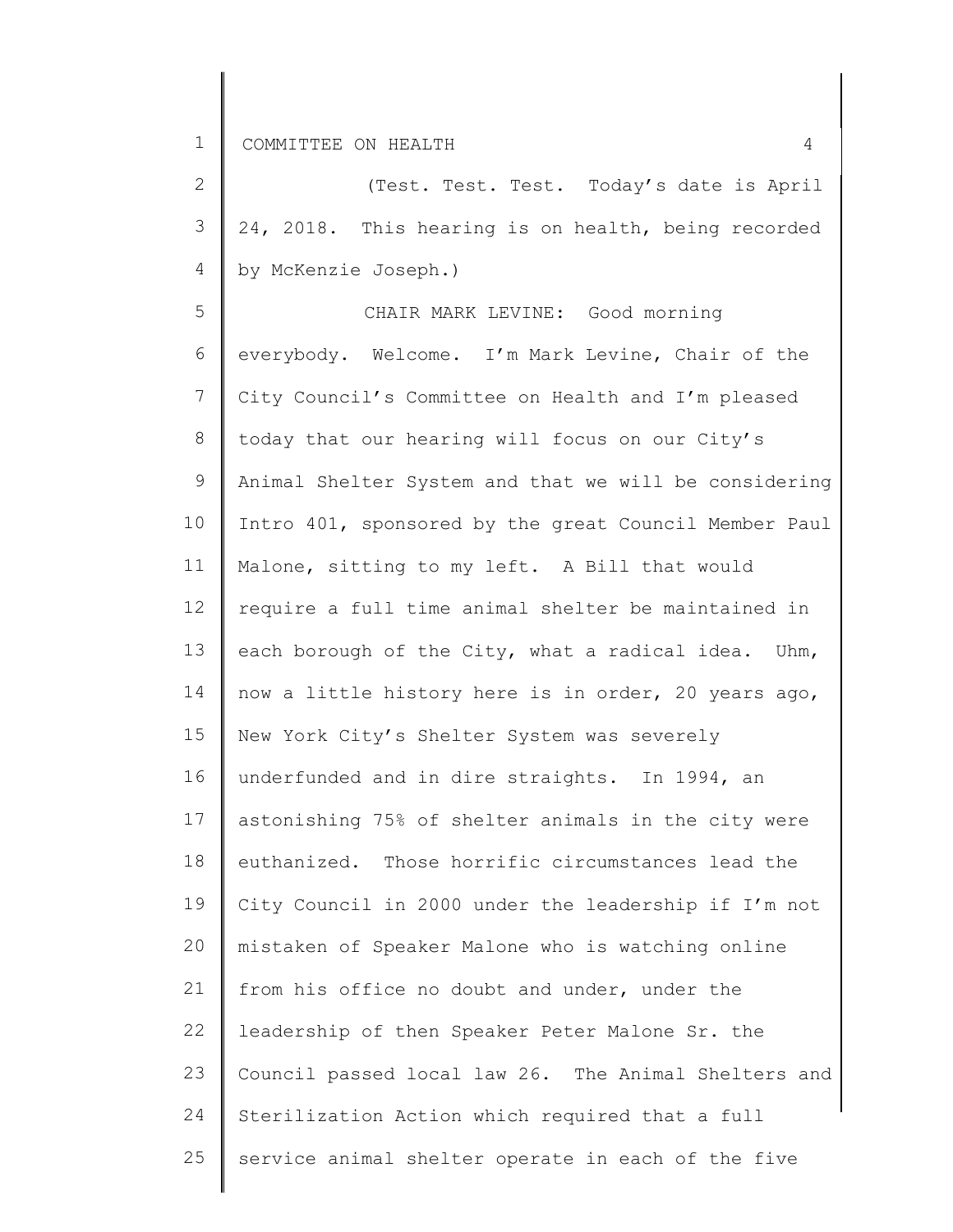2 3 4 by McKenzie Joseph.) (Test. Test. Test. Today's date is April 24, 2018. This hearing is on health, being recorded

5 6 7 8 9 10 11 12 13 14 15 16 17 18 19 20 21 22 23 24 25 CHAIR MARK LEVINE: Good morning everybody. Welcome. I'm Mark Levine, Chair of the City Council's Committee on Health and I'm pleased today that our hearing will focus on our City's Animal Shelter System and that we will be considering Intro 401, sponsored by the great Council Member Paul Malone, sitting to my left. A Bill that would require a full time animal shelter be maintained in each borough of the City, what a radical idea. Uhm, now a little history here is in order, 20 years ago, New York City's Shelter System was severely underfunded and in dire straights. In 1994, an astonishing 75% of shelter animals in the city were euthanized. Those horrific circumstances lead the City Council in 2000 under the leadership if I'm not mistaken of Speaker Malone who is watching online from his office no doubt and under, under the leadership of then Speaker Peter Malone Sr. the Council passed local law 26. The Animal Shelters and Sterilization Action which required that a full service animal shelter operate in each of the five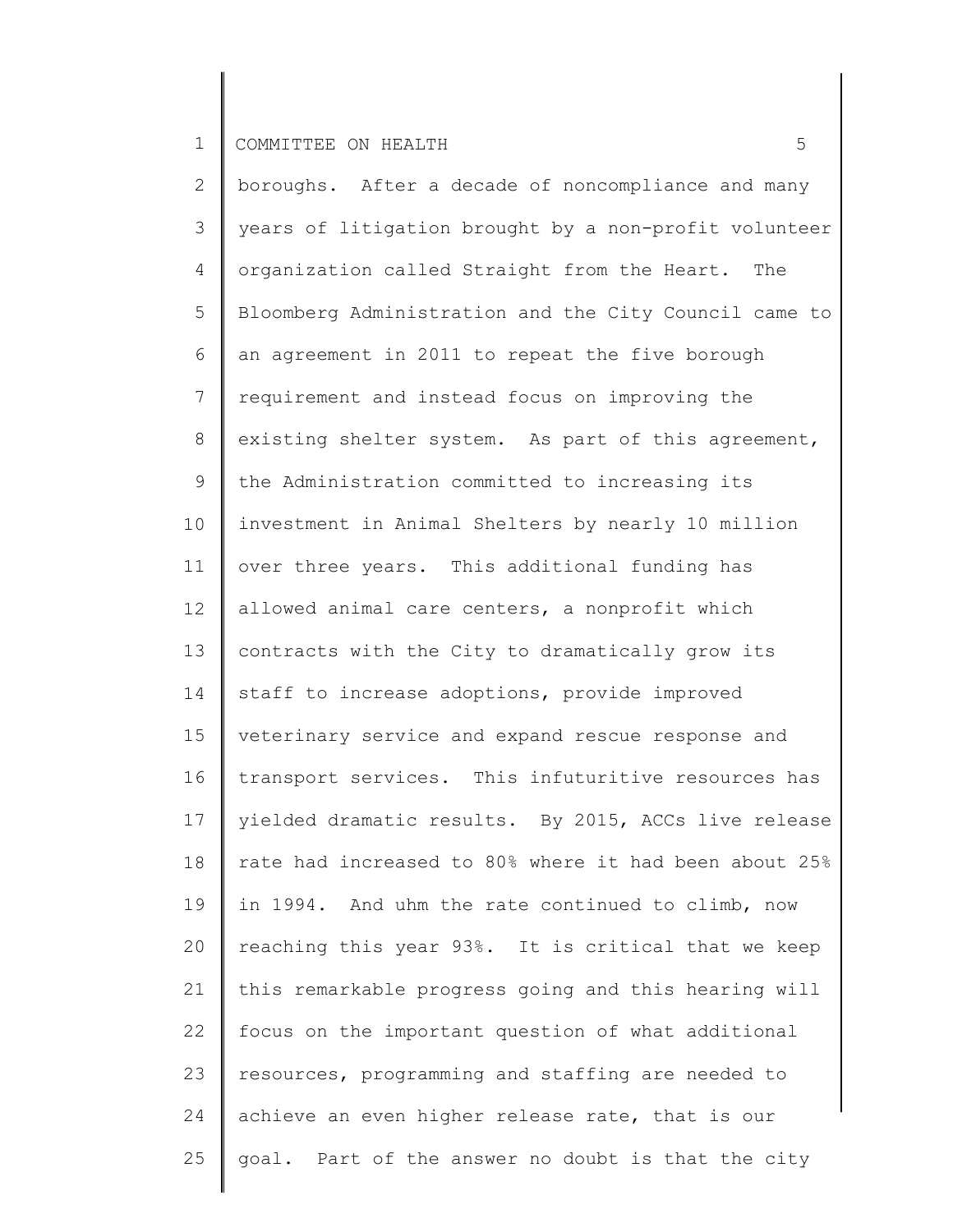2 3 4 5 6 7 8 9 10 11 12 13 14 15 16 17 18 19 20 21 22 23 24 25 boroughs. After a decade of noncompliance and many years of litigation brought by a non-profit volunteer organization called Straight from the Heart. The Bloomberg Administration and the City Council came to an agreement in 2011 to repeat the five borough requirement and instead focus on improving the existing shelter system. As part of this agreement, the Administration committed to increasing its investment in Animal Shelters by nearly 10 million over three years. This additional funding has allowed animal care centers, a nonprofit which contracts with the City to dramatically grow its staff to increase adoptions, provide improved veterinary service and expand rescue response and transport services. This infuturitive resources has yielded dramatic results. By 2015, ACCs live release rate had increased to 80% where it had been about 25% in 1994. And uhm the rate continued to climb, now reaching this year 93%. It is critical that we keep this remarkable progress going and this hearing will focus on the important question of what additional resources, programming and staffing are needed to achieve an even higher release rate, that is our goal. Part of the answer no doubt is that the city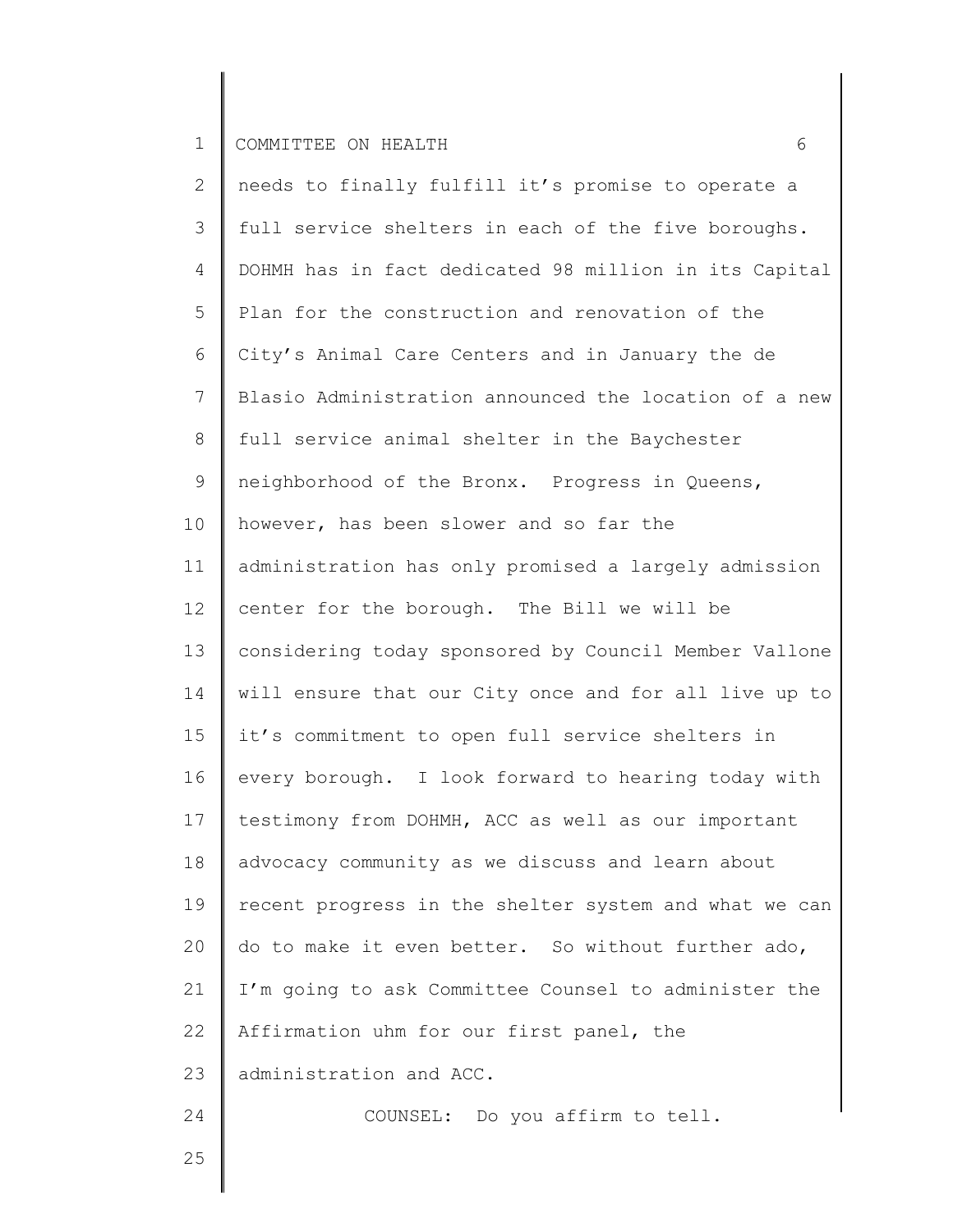| $\mathbf{2}^{\prime}$ | needs to finally fulfill it's promise to operate a    |
|-----------------------|-------------------------------------------------------|
| 3                     | full service shelters in each of the five boroughs.   |
| 4                     | DOHMH has in fact dedicated 98 million in its Capital |
| 5                     | Plan for the construction and renovation of the       |
| 6                     | City's Animal Care Centers and in January the de      |
| 7                     | Blasio Administration announced the location of a new |
| 8                     | full service animal shelter in the Baychester         |
| 9                     | neighborhood of the Bronx. Progress in Queens,        |
| 10                    | however, has been slower and so far the               |
| 11                    | administration has only promised a largely admission  |
| 12                    | center for the borough. The Bill we will be           |
| 13                    | considering today sponsored by Council Member Vallone |
| 14                    | will ensure that our City once and for all live up to |
| 15                    | it's commitment to open full service shelters in      |
| 16                    | every borough. I look forward to hearing today with   |
| 17                    | testimony from DOHMH, ACC as well as our important    |
| $1\,8$                | advocacy community as we discuss and learn about      |
| 19                    | recent progress in the shelter system and what we can |
| 20                    | do to make it even better. So without further ado,    |
| 21                    | I'm going to ask Committee Counsel to administer the  |
| 22                    | Affirmation uhm for our first panel, the              |
| 23                    | administration and ACC.                               |
| 24                    | COUNSEL: Do you affirm to tell.                       |
| 25                    |                                                       |

25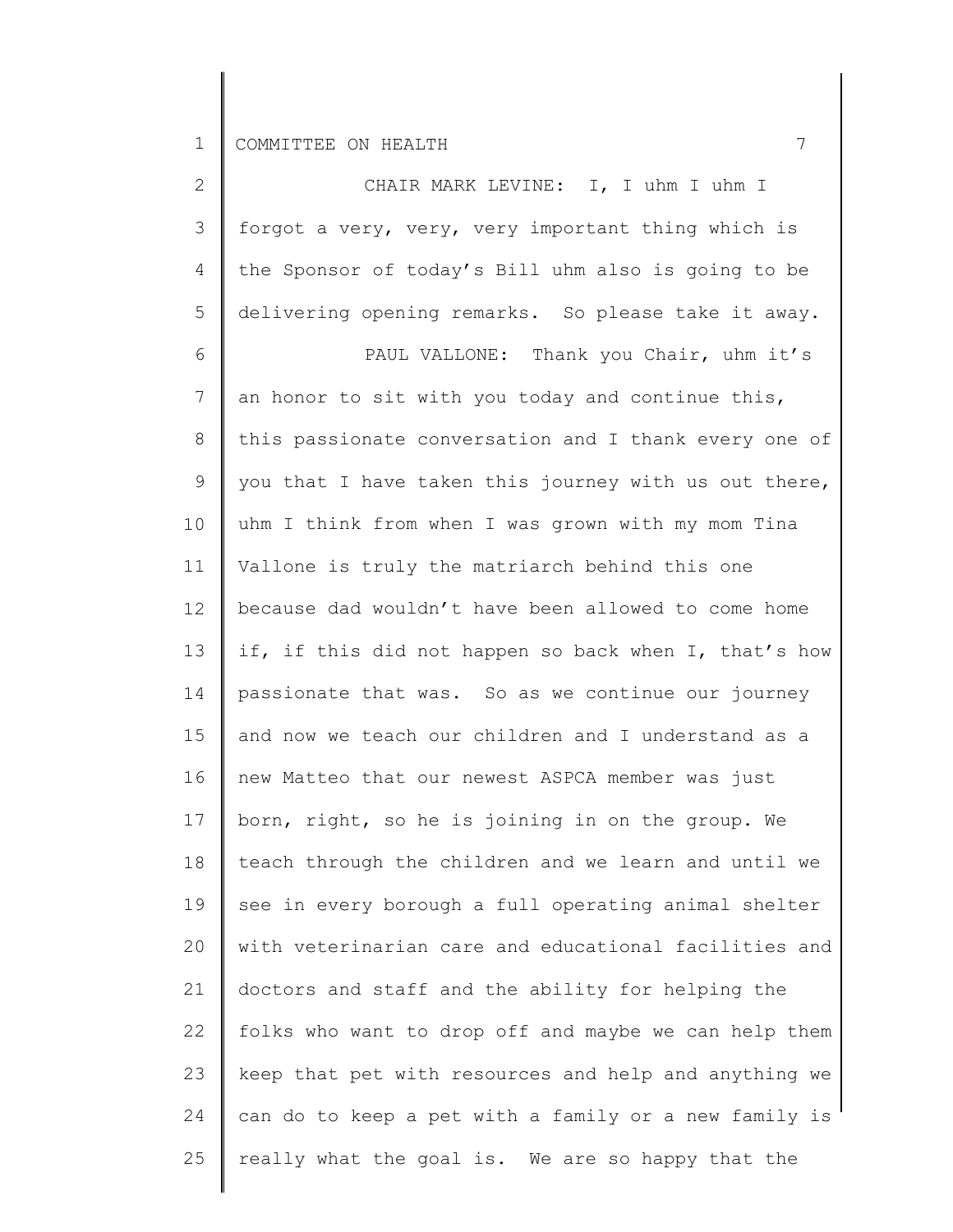2 3 4 5 6 7 8 9 10 11 12 13 14 15 16 17 18 19 20 21 22 23 24 25 CHAIR MARK LEVINE: I, I uhm I uhm I forgot a very, very, very important thing which is the Sponsor of today's Bill uhm also is going to be delivering opening remarks. So please take it away. PAUL VALLONE: Thank you Chair, uhm it's an honor to sit with you today and continue this, this passionate conversation and I thank every one of you that I have taken this journey with us out there, uhm I think from when I was grown with my mom Tina Vallone is truly the matriarch behind this one because dad wouldn't have been allowed to come home if, if this did not happen so back when I, that's how passionate that was. So as we continue our journey and now we teach our children and I understand as a new Matteo that our newest ASPCA member was just born, right, so he is joining in on the group. We teach through the children and we learn and until we see in every borough a full operating animal shelter with veterinarian care and educational facilities and doctors and staff and the ability for helping the folks who want to drop off and maybe we can help them keep that pet with resources and help and anything we can do to keep a pet with a family or a new family is really what the goal is. We are so happy that the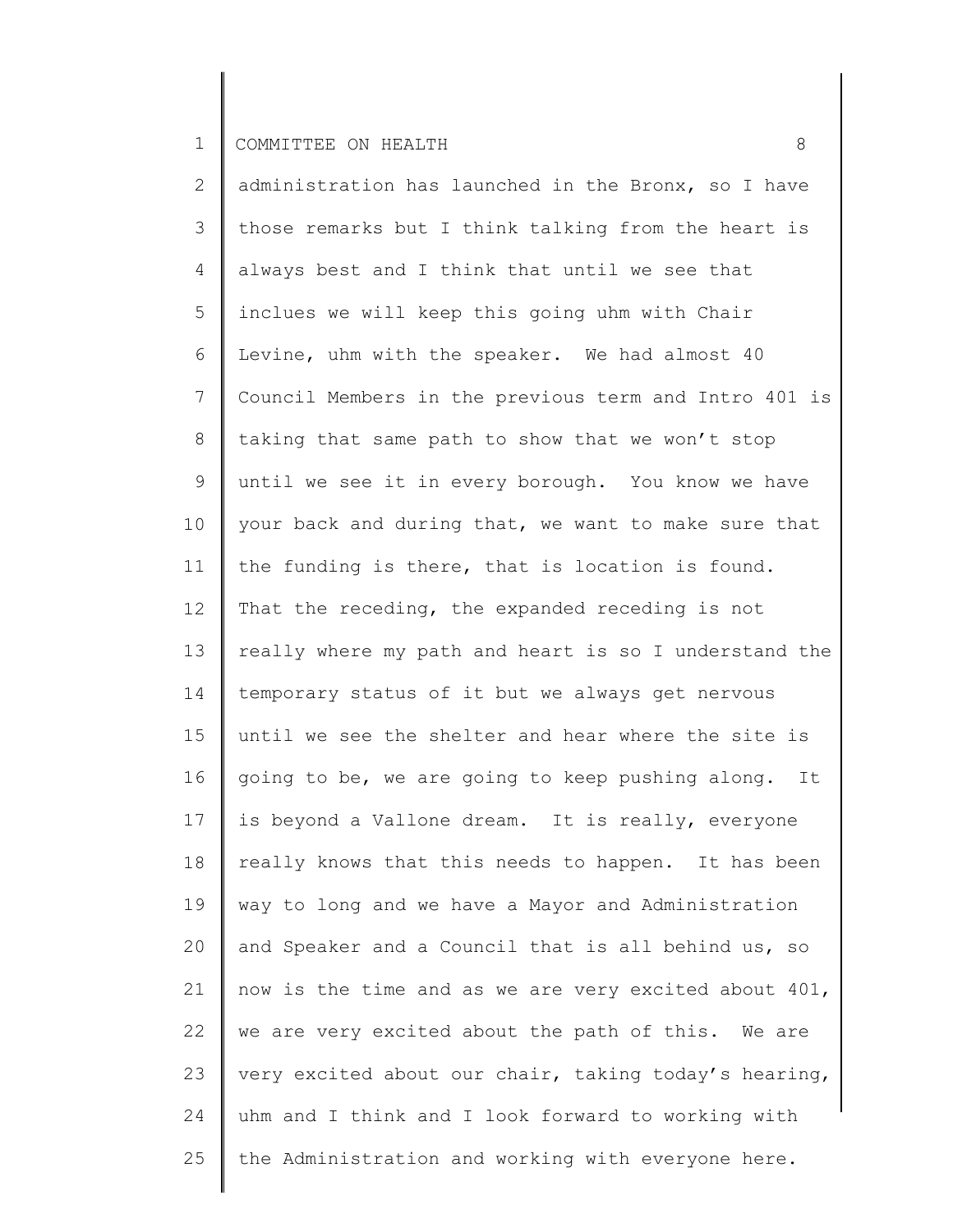2 3 4 5 6 7 8 9 10 11 12 13 14 15 16 17 18 19 20 21 22 23 24 25 administration has launched in the Bronx, so I have those remarks but I think talking from the heart is always best and I think that until we see that inclues we will keep this going uhm with Chair Levine, uhm with the speaker. We had almost 40 Council Members in the previous term and Intro 401 is taking that same path to show that we won't stop until we see it in every borough. You know we have your back and during that, we want to make sure that the funding is there, that is location is found. That the receding, the expanded receding is not really where my path and heart is so I understand the temporary status of it but we always get nervous until we see the shelter and hear where the site is going to be, we are going to keep pushing along. It is beyond a Vallone dream. It is really, everyone really knows that this needs to happen. It has been way to long and we have a Mayor and Administration and Speaker and a Council that is all behind us, so now is the time and as we are very excited about 401, we are very excited about the path of this. We are very excited about our chair, taking today's hearing, uhm and I think and I look forward to working with the Administration and working with everyone here.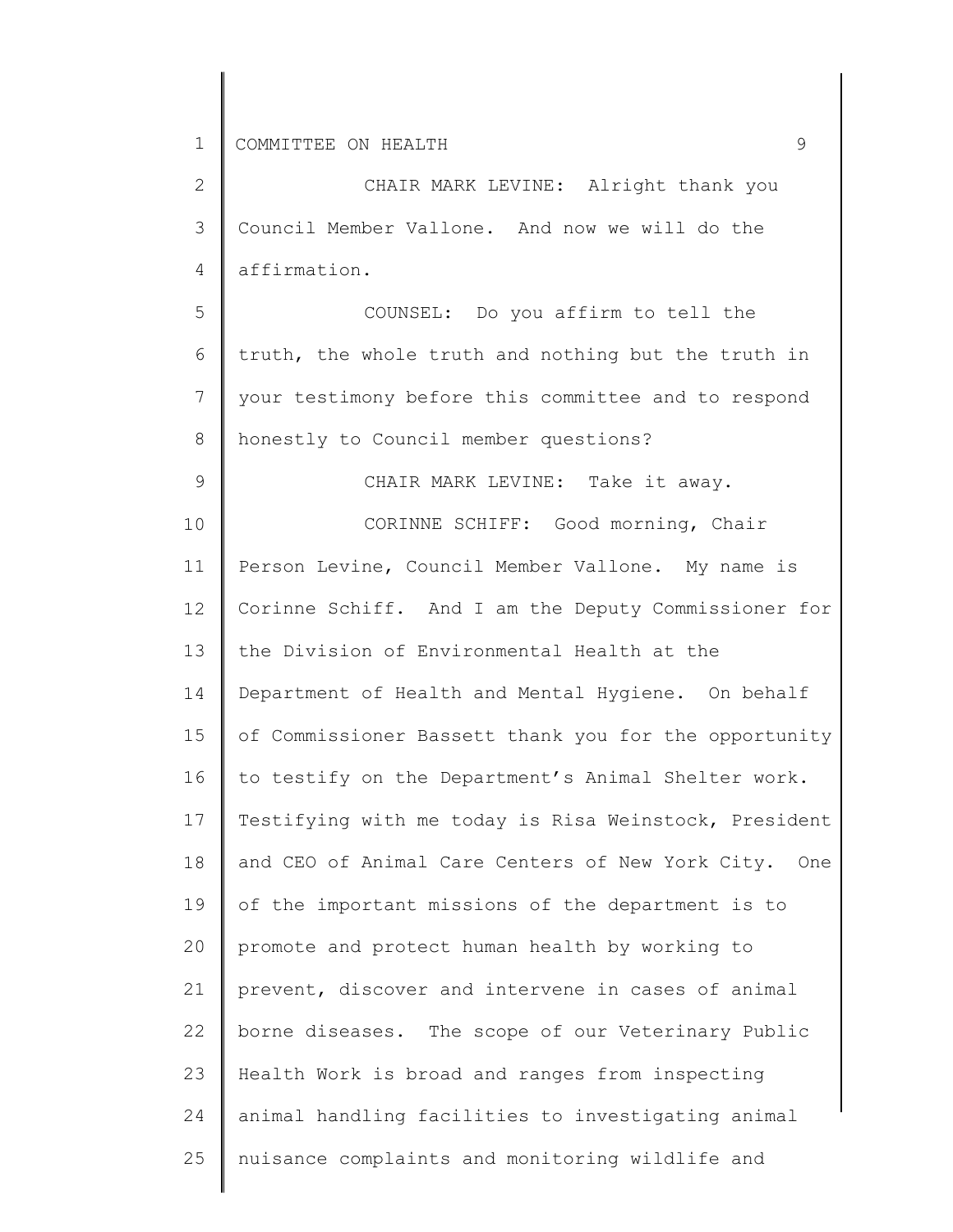9

2 3 4 CHAIR MARK LEVINE: Alright thank you Council Member Vallone. And now we will do the affirmation.

5 6 7 8 COUNSEL: Do you affirm to tell the truth, the whole truth and nothing but the truth in your testimony before this committee and to respond honestly to Council member questions?

CHAIR MARK LEVINE: Take it away.

10 11 12 13 14 15 16 17 18 19 20 21 22 23 24 25 CORINNE SCHIFF: Good morning, Chair Person Levine, Council Member Vallone. My name is Corinne Schiff. And I am the Deputy Commissioner for the Division of Environmental Health at the Department of Health and Mental Hygiene. On behalf of Commissioner Bassett thank you for the opportunity to testify on the Department's Animal Shelter work. Testifying with me today is Risa Weinstock, President and CEO of Animal Care Centers of New York City. One of the important missions of the department is to promote and protect human health by working to prevent, discover and intervene in cases of animal borne diseases. The scope of our Veterinary Public Health Work is broad and ranges from inspecting animal handling facilities to investigating animal nuisance complaints and monitoring wildlife and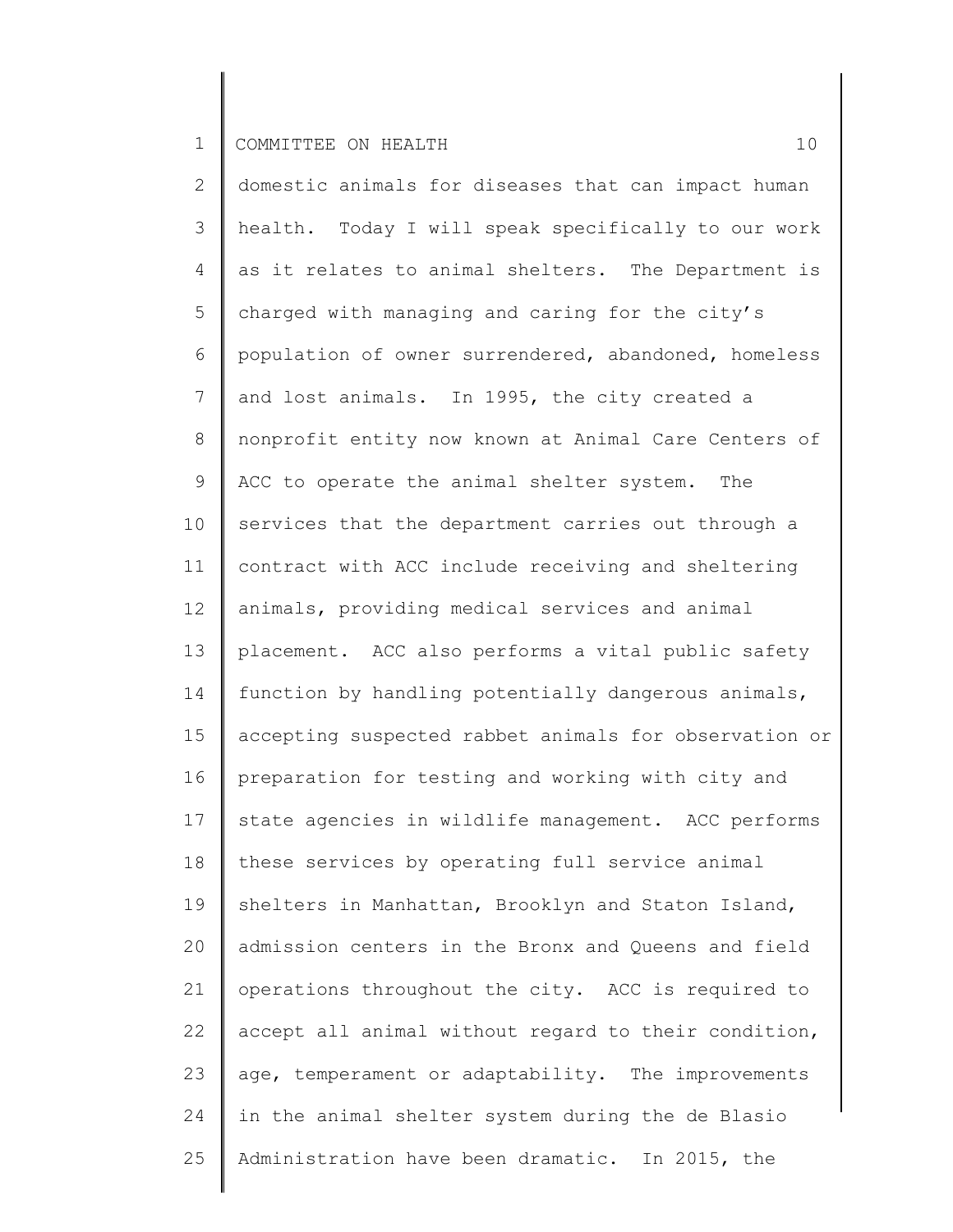| $\mathbf{2}$    | domestic animals for diseases that can impact human   |
|-----------------|-------------------------------------------------------|
| 3               | health. Today I will speak specifically to our work   |
| 4               | as it relates to animal shelters. The Department is   |
| 5               | charged with managing and caring for the city's       |
| 6               | population of owner surrendered, abandoned, homeless  |
| $7\phantom{.0}$ | and lost animals. In 1995, the city created a         |
| 8               | nonprofit entity now known at Animal Care Centers of  |
| 9               | ACC to operate the animal shelter system. The         |
| 10              | services that the department carries out through a    |
| 11              | contract with ACC include receiving and sheltering    |
| 12              | animals, providing medical services and animal        |
| 13              | placement. ACC also performs a vital public safety    |
| 14              | function by handling potentially dangerous animals,   |
| 15              | accepting suspected rabbet animals for observation or |
| 16              | preparation for testing and working with city and     |
| 17              | state agencies in wildlife management. ACC performs   |
| 18              | these services by operating full service animal       |
| 19              | shelters in Manhattan, Brooklyn and Staton Island,    |
| 20              | admission centers in the Bronx and Queens and field   |
| 21              | operations throughout the city. ACC is required to    |
| 22              | accept all animal without regard to their condition,  |
| 23              | age, temperament or adaptability. The improvements    |
| 24              | in the animal shelter system during the de Blasio     |
| 25              | Administration have been dramatic. In 2015, the       |
|                 |                                                       |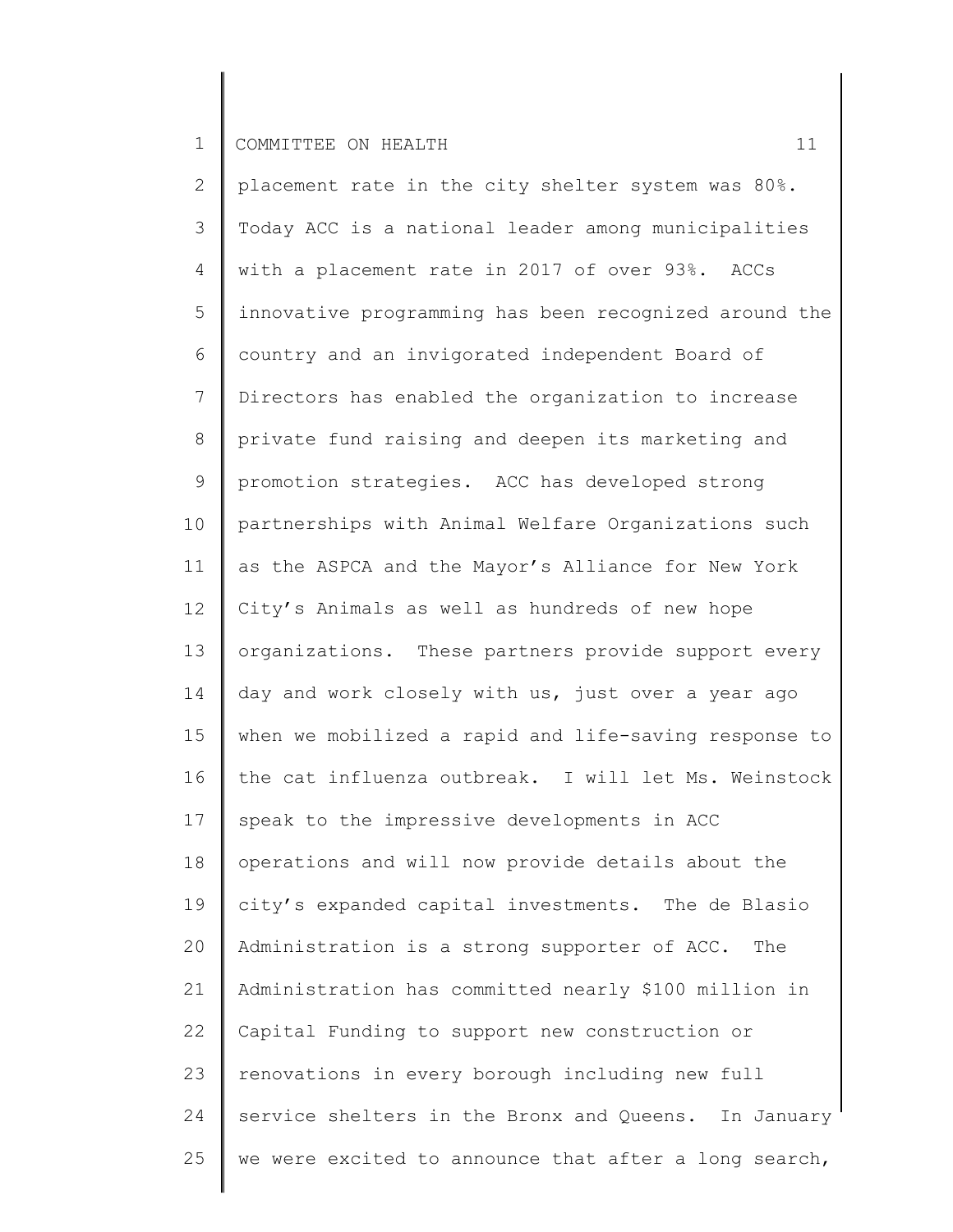2 3 4 5 6 7 8 9 10 11 12 13 14 15 16 17 18 19 20 21 22 23 24 25 placement rate in the city shelter system was 80%. Today ACC is a national leader among municipalities with a placement rate in 2017 of over 93%. ACCs innovative programming has been recognized around the country and an invigorated independent Board of Directors has enabled the organization to increase private fund raising and deepen its marketing and promotion strategies. ACC has developed strong partnerships with Animal Welfare Organizations such as the ASPCA and the Mayor's Alliance for New York City's Animals as well as hundreds of new hope organizations. These partners provide support every day and work closely with us, just over a year ago when we mobilized a rapid and life-saving response to the cat influenza outbreak. I will let Ms. Weinstock speak to the impressive developments in ACC operations and will now provide details about the city's expanded capital investments. The de Blasio Administration is a strong supporter of ACC. The Administration has committed nearly \$100 million in Capital Funding to support new construction or renovations in every borough including new full service shelters in the Bronx and Queens. In January we were excited to announce that after a long search,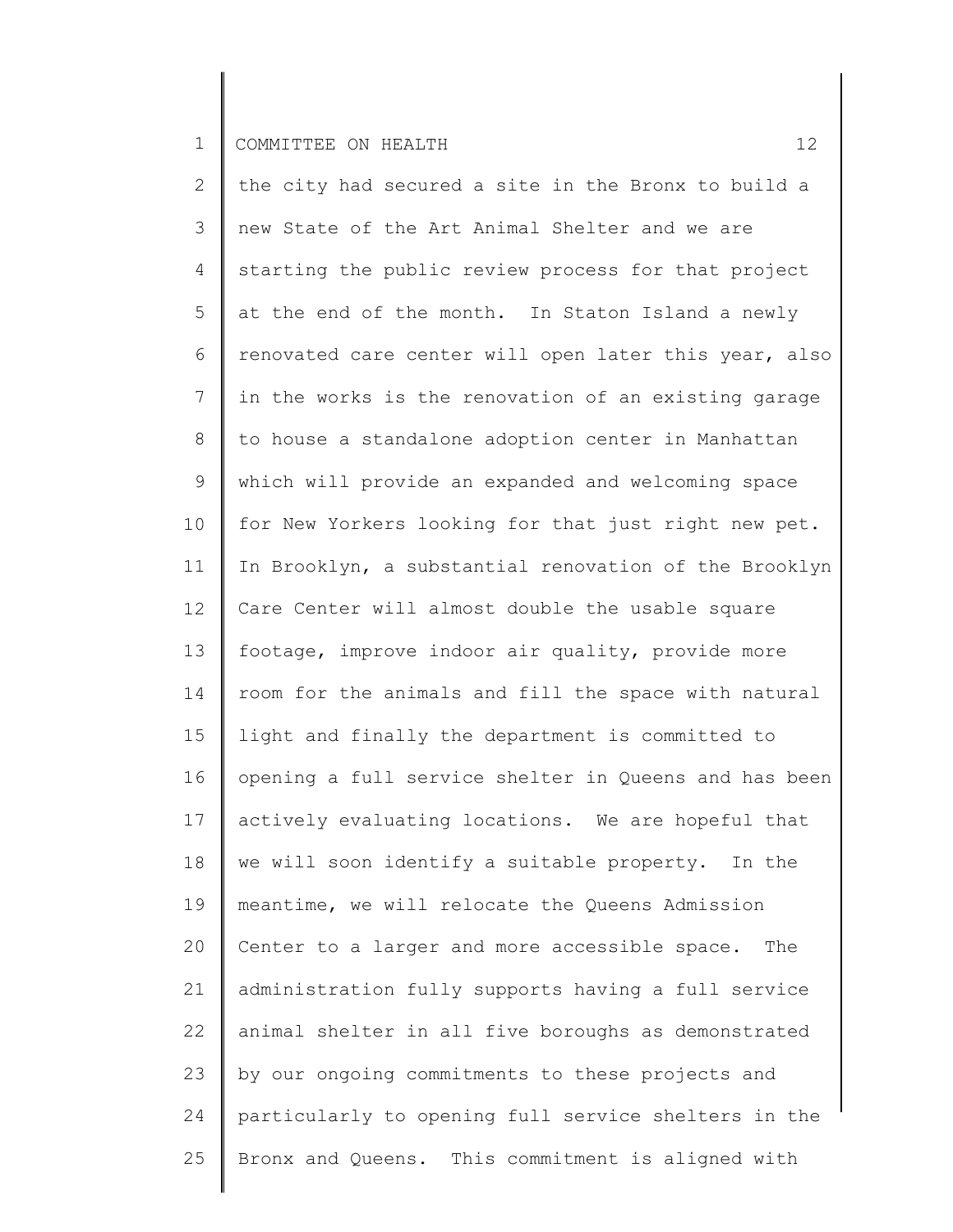2 3 4 5 6 7 8 9 10 11 12 13 14 15 16 17 18 19 20 21 22 23 24 25 the city had secured a site in the Bronx to build a new State of the Art Animal Shelter and we are starting the public review process for that project at the end of the month. In Staton Island a newly renovated care center will open later this year, also in the works is the renovation of an existing garage to house a standalone adoption center in Manhattan which will provide an expanded and welcoming space for New Yorkers looking for that just right new pet. In Brooklyn, a substantial renovation of the Brooklyn Care Center will almost double the usable square footage, improve indoor air quality, provide more room for the animals and fill the space with natural light and finally the department is committed to opening a full service shelter in Queens and has been actively evaluating locations. We are hopeful that we will soon identify a suitable property. In the meantime, we will relocate the Queens Admission Center to a larger and more accessible space. The administration fully supports having a full service animal shelter in all five boroughs as demonstrated by our ongoing commitments to these projects and particularly to opening full service shelters in the Bronx and Queens. This commitment is aligned with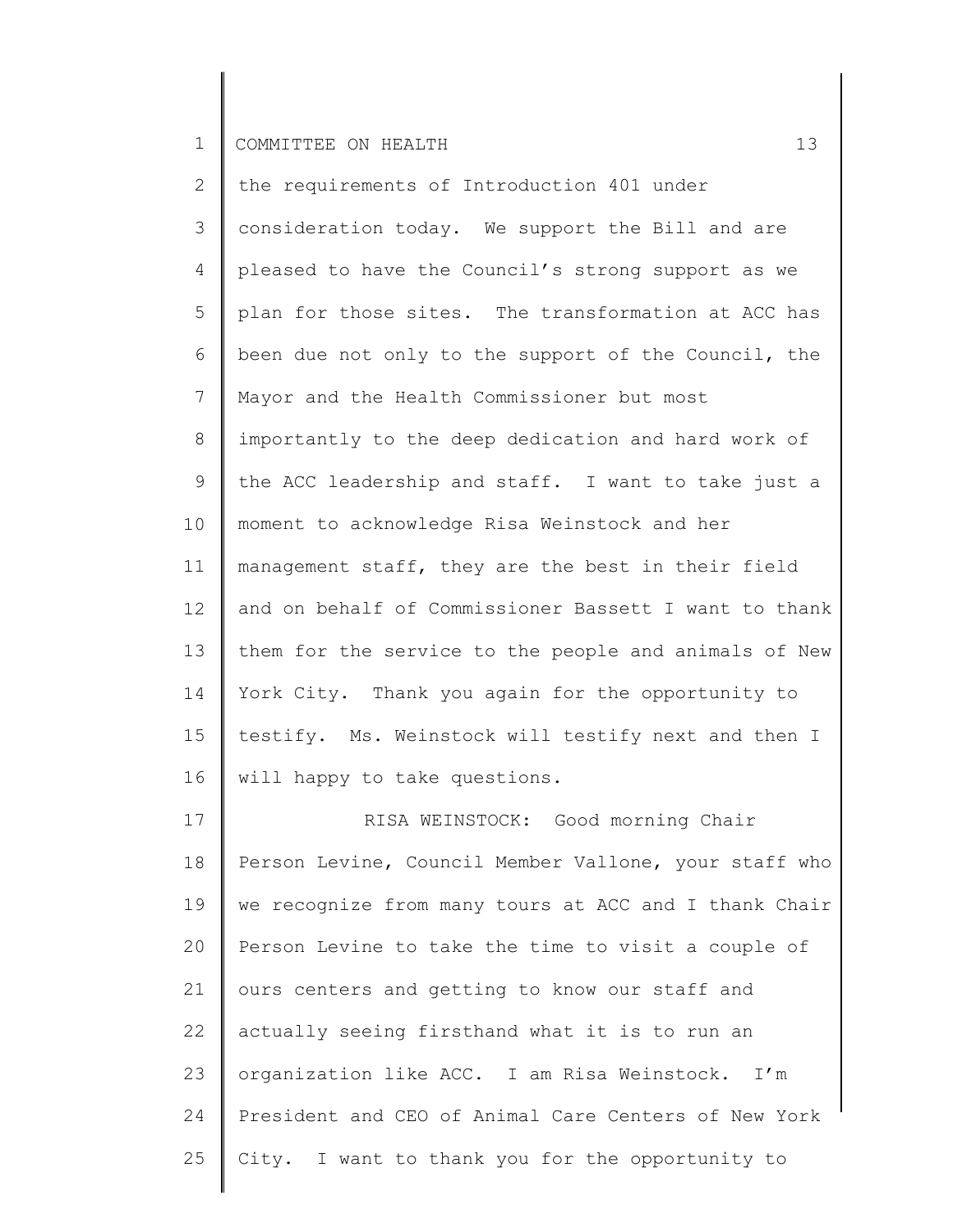2 3 4 5 6 7 8 9 10 11 12 13 14 15 16 the requirements of Introduction 401 under consideration today. We support the Bill and are pleased to have the Council's strong support as we plan for those sites. The transformation at ACC has been due not only to the support of the Council, the Mayor and the Health Commissioner but most importantly to the deep dedication and hard work of the ACC leadership and staff. I want to take just a moment to acknowledge Risa Weinstock and her management staff, they are the best in their field and on behalf of Commissioner Bassett I want to thank them for the service to the people and animals of New York City. Thank you again for the opportunity to testify. Ms. Weinstock will testify next and then I will happy to take questions.

17 18 19 20 21 22 23 24 25 RISA WEINSTOCK: Good morning Chair Person Levine, Council Member Vallone, your staff who we recognize from many tours at ACC and I thank Chair Person Levine to take the time to visit a couple of ours centers and getting to know our staff and actually seeing firsthand what it is to run an organization like ACC. I am Risa Weinstock. I'm President and CEO of Animal Care Centers of New York City. I want to thank you for the opportunity to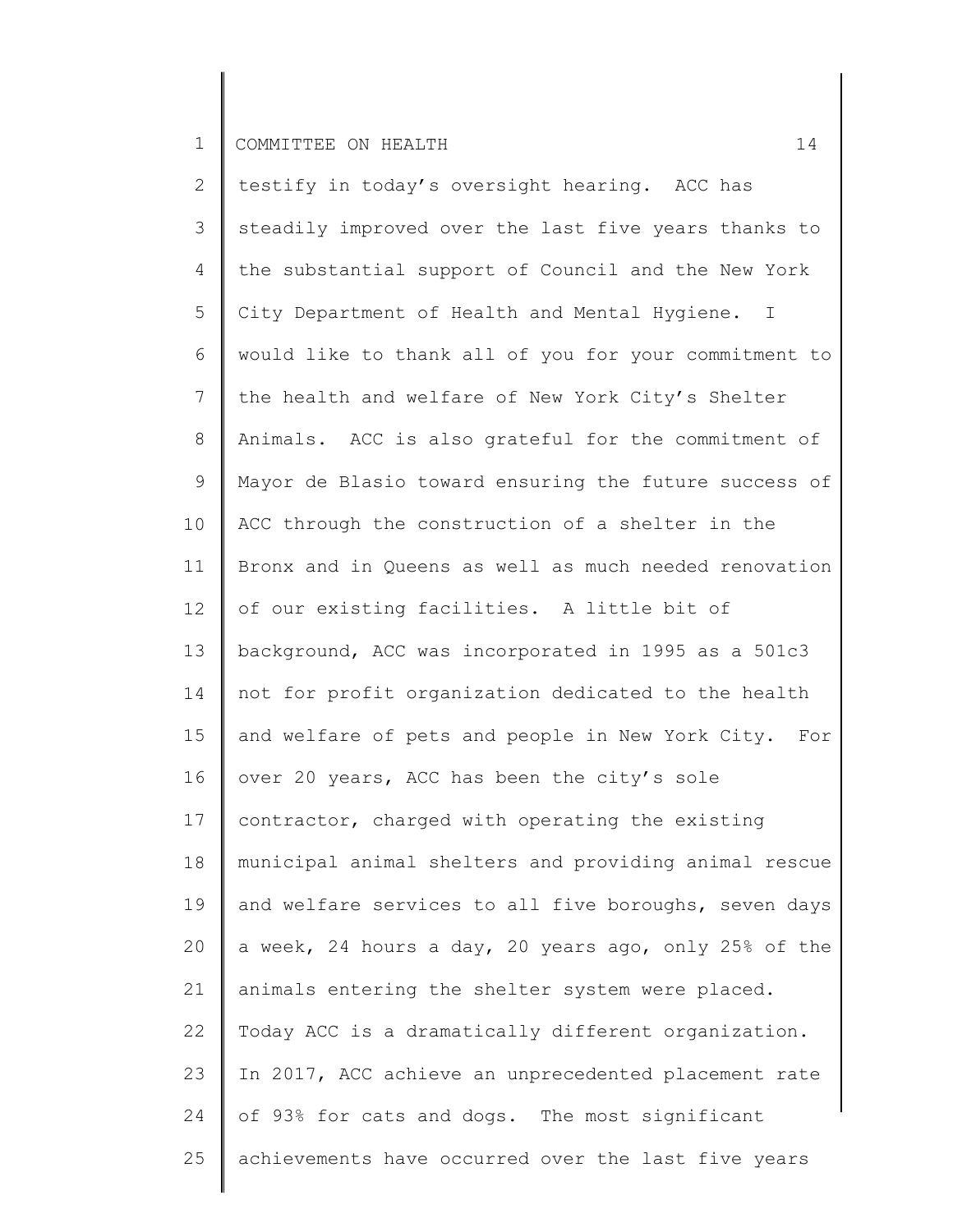2 3 4 5 6 7 8 9 10 11 12 13 14 15 16 17 18 19 20 21 22 23 24 25 testify in today's oversight hearing. ACC has steadily improved over the last five years thanks to the substantial support of Council and the New York City Department of Health and Mental Hygiene. I would like to thank all of you for your commitment to the health and welfare of New York City's Shelter Animals. ACC is also grateful for the commitment of Mayor de Blasio toward ensuring the future success of ACC through the construction of a shelter in the Bronx and in Queens as well as much needed renovation of our existing facilities. A little bit of background, ACC was incorporated in 1995 as a 501c3 not for profit organization dedicated to the health and welfare of pets and people in New York City. For over 20 years, ACC has been the city's sole contractor, charged with operating the existing municipal animal shelters and providing animal rescue and welfare services to all five boroughs, seven days a week, 24 hours a day, 20 years ago, only 25% of the animals entering the shelter system were placed. Today ACC is a dramatically different organization. In 2017, ACC achieve an unprecedented placement rate of 93% for cats and dogs. The most significant achievements have occurred over the last five years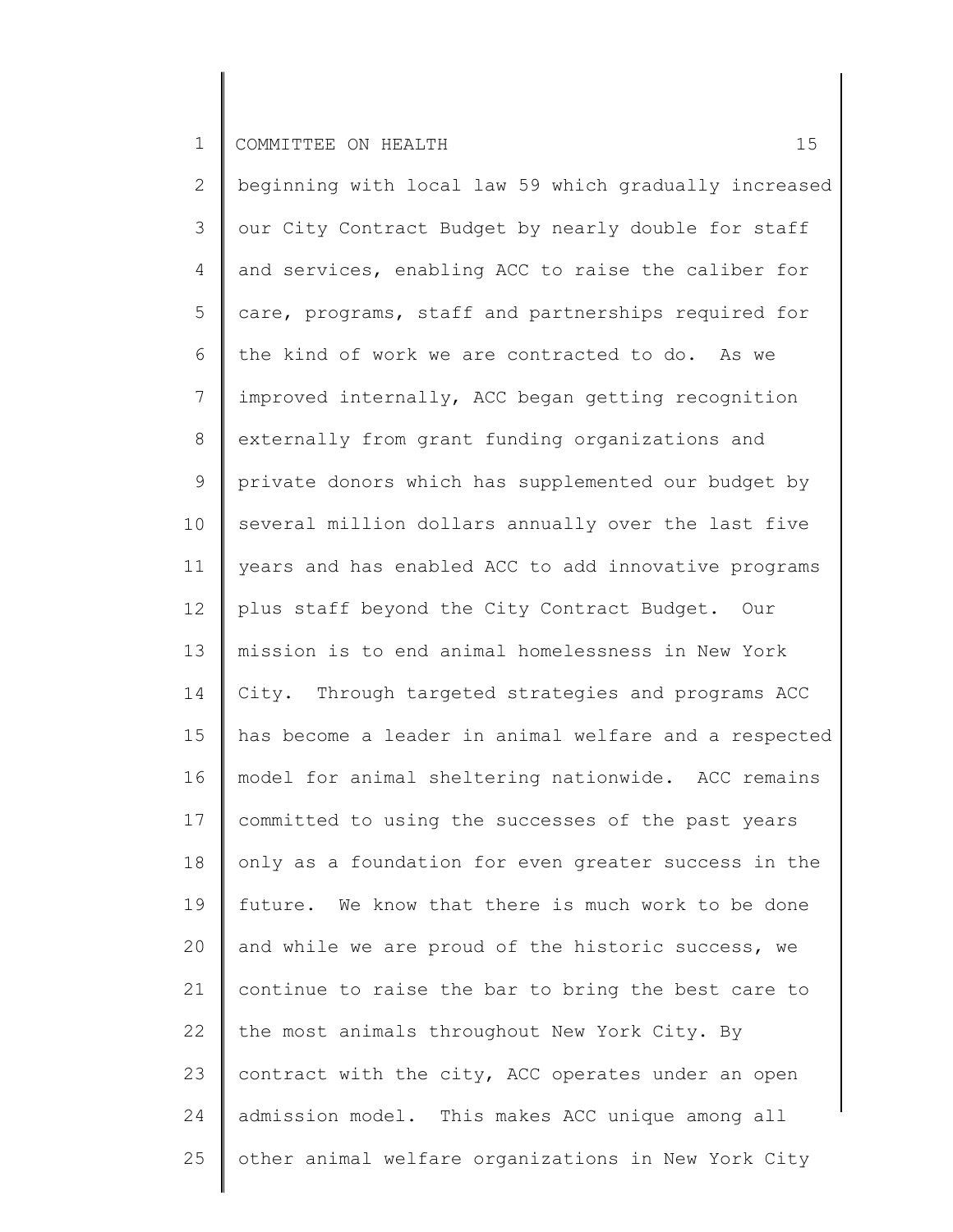2 3 4 5 6 7 8 9 10 11 12 13 14 15 16 17 18 19 20 21 22 23 24 25 beginning with local law 59 which gradually increased our City Contract Budget by nearly double for staff and services, enabling ACC to raise the caliber for care, programs, staff and partnerships required for the kind of work we are contracted to do. As we improved internally, ACC began getting recognition externally from grant funding organizations and private donors which has supplemented our budget by several million dollars annually over the last five years and has enabled ACC to add innovative programs plus staff beyond the City Contract Budget. Our mission is to end animal homelessness in New York City. Through targeted strategies and programs ACC has become a leader in animal welfare and a respected model for animal sheltering nationwide. ACC remains committed to using the successes of the past years only as a foundation for even greater success in the future. We know that there is much work to be done and while we are proud of the historic success, we continue to raise the bar to bring the best care to the most animals throughout New York City. By contract with the city, ACC operates under an open admission model. This makes ACC unique among all other animal welfare organizations in New York City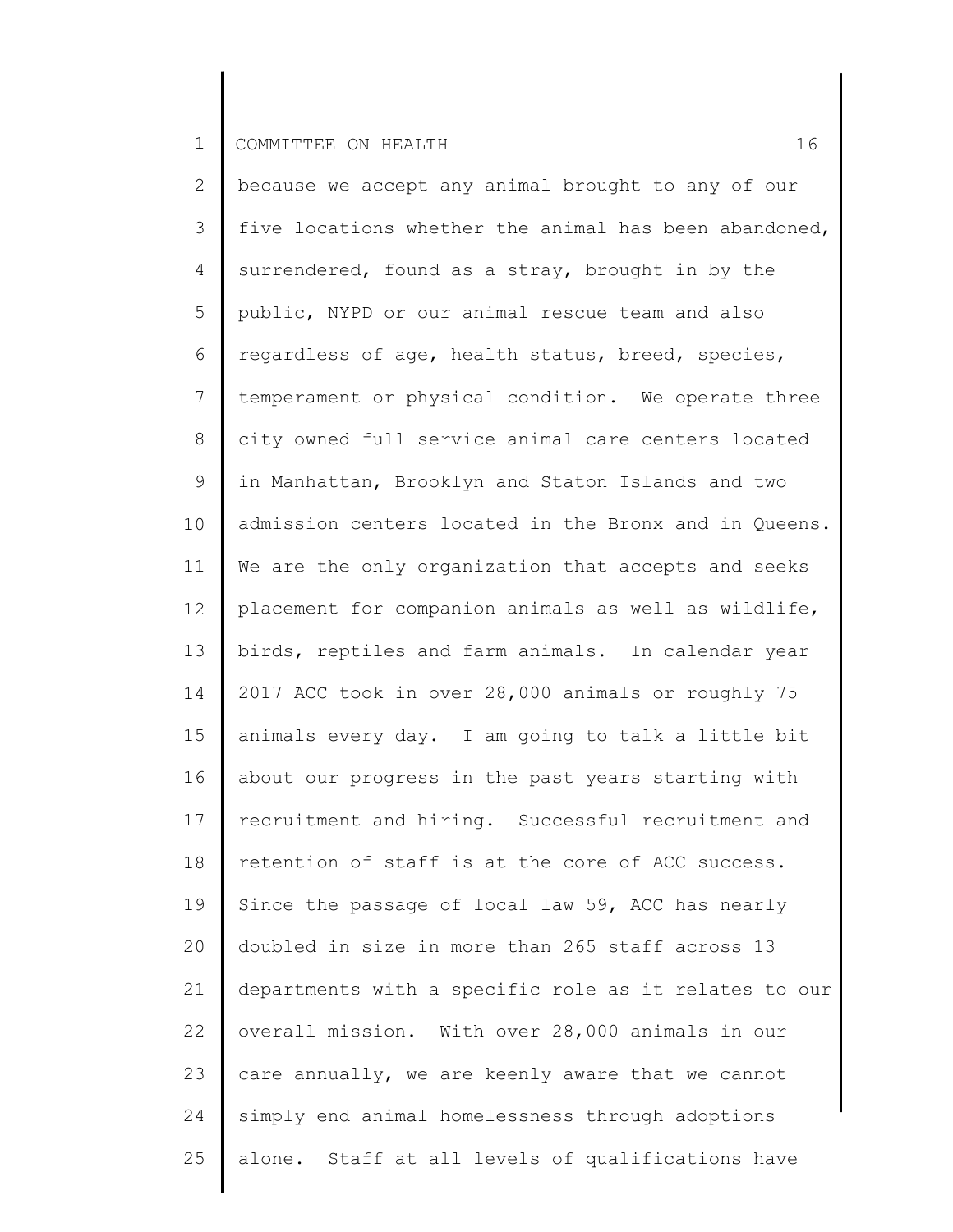2 3 4 5 6 7 8 9 10 11 12 13 14 15 16 17 18 19 20 21 22 23 24 25 because we accept any animal brought to any of our five locations whether the animal has been abandoned, surrendered, found as a stray, brought in by the public, NYPD or our animal rescue team and also regardless of age, health status, breed, species, temperament or physical condition. We operate three city owned full service animal care centers located in Manhattan, Brooklyn and Staton Islands and two admission centers located in the Bronx and in Queens. We are the only organization that accepts and seeks placement for companion animals as well as wildlife, birds, reptiles and farm animals. In calendar year 2017 ACC took in over 28,000 animals or roughly 75 animals every day. I am going to talk a little bit about our progress in the past years starting with recruitment and hiring. Successful recruitment and retention of staff is at the core of ACC success. Since the passage of local law 59, ACC has nearly doubled in size in more than 265 staff across 13 departments with a specific role as it relates to our overall mission. With over 28,000 animals in our care annually, we are keenly aware that we cannot simply end animal homelessness through adoptions alone. Staff at all levels of qualifications have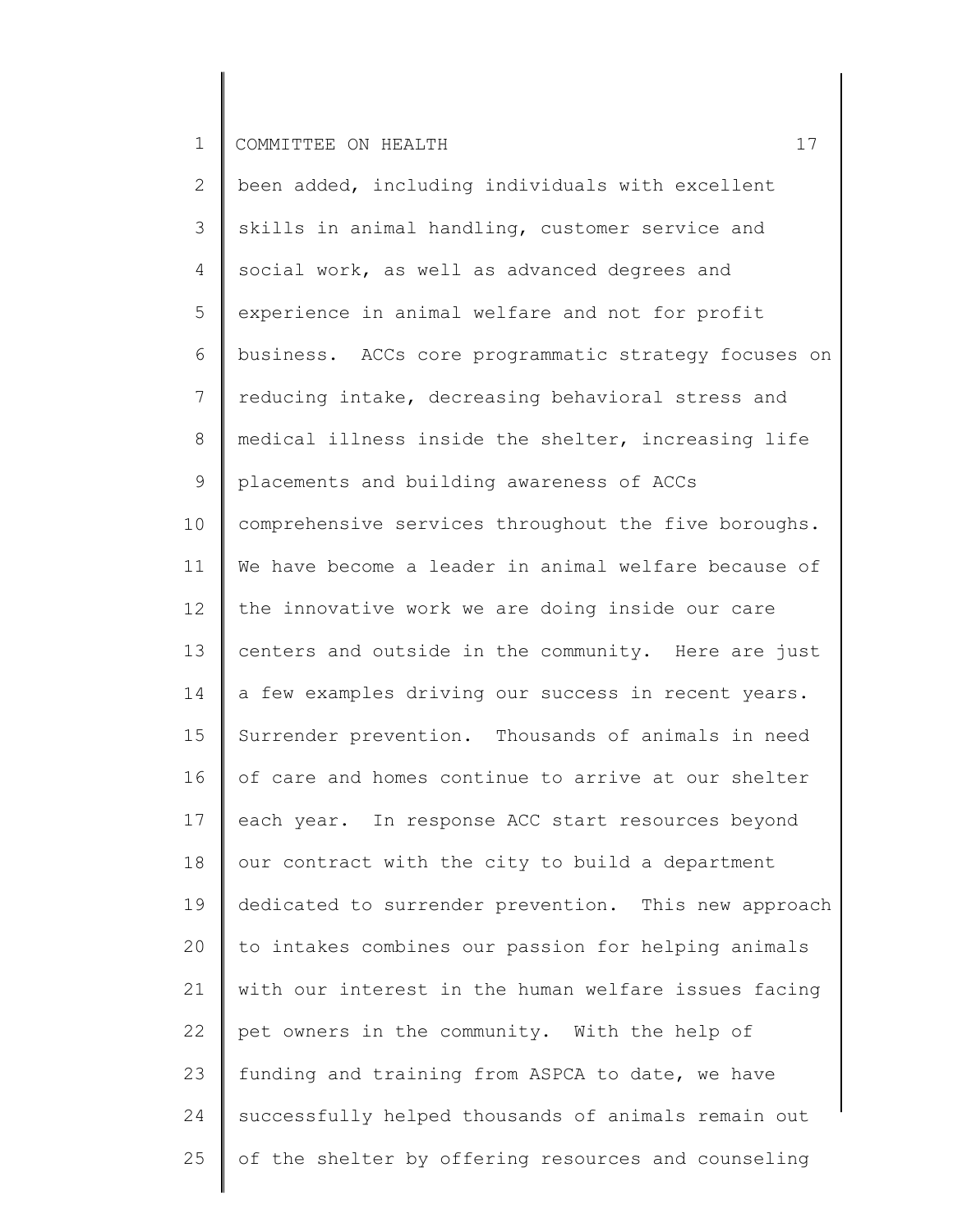2 3 4 5 6 7 8 9 10 11 12 13 14 15 16 17 18 19 20 21 22 23 24 25 been added, including individuals with excellent skills in animal handling, customer service and social work, as well as advanced degrees and experience in animal welfare and not for profit business. ACCs core programmatic strategy focuses on reducing intake, decreasing behavioral stress and medical illness inside the shelter, increasing life placements and building awareness of ACCs comprehensive services throughout the five boroughs. We have become a leader in animal welfare because of the innovative work we are doing inside our care centers and outside in the community. Here are just a few examples driving our success in recent years. Surrender prevention. Thousands of animals in need of care and homes continue to arrive at our shelter each year. In response ACC start resources beyond our contract with the city to build a department dedicated to surrender prevention. This new approach to intakes combines our passion for helping animals with our interest in the human welfare issues facing pet owners in the community. With the help of funding and training from ASPCA to date, we have successfully helped thousands of animals remain out of the shelter by offering resources and counseling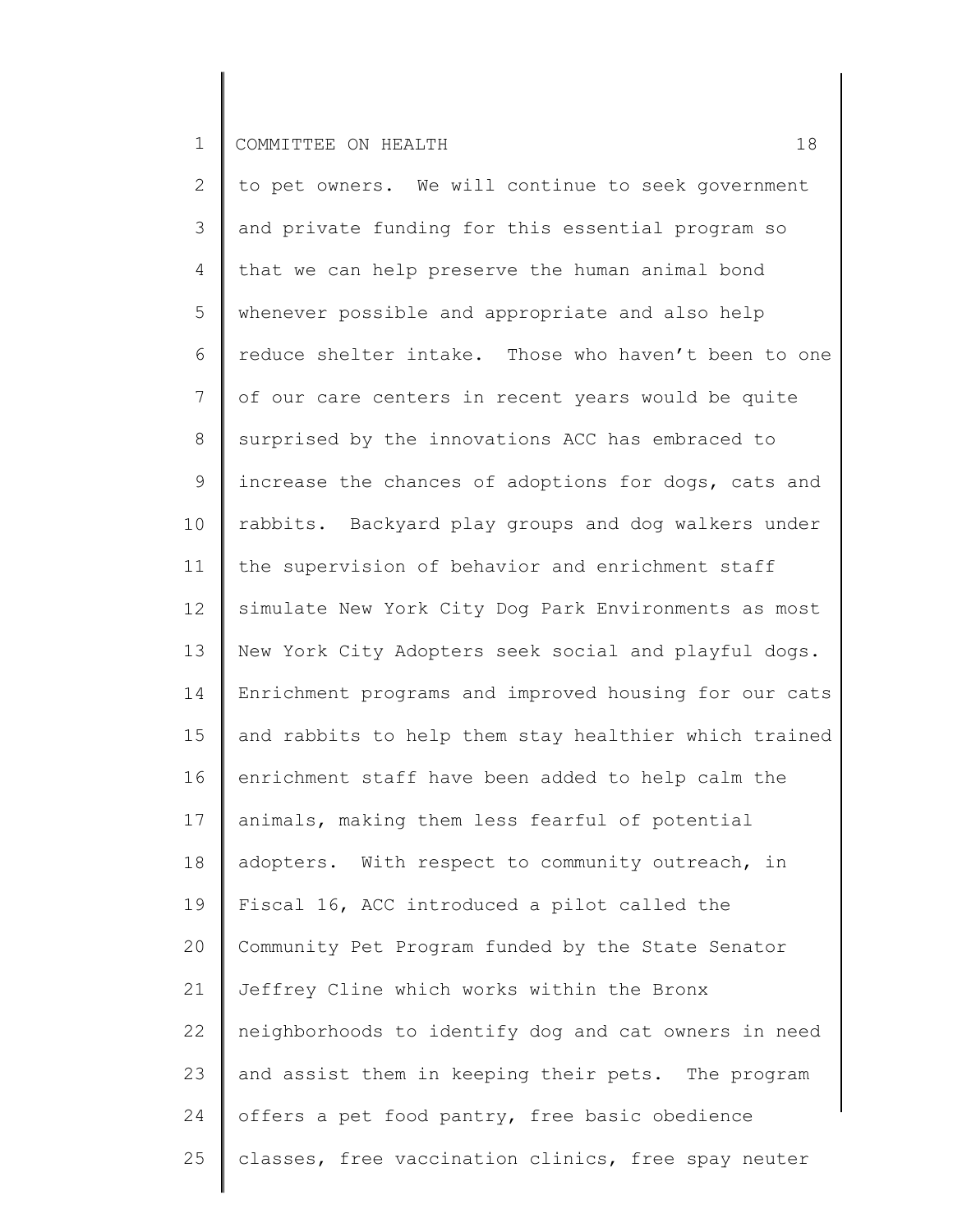2 3 4 5 6 7 8 9 10 11 12 13 14 15 16 17 18 19 20 21 22 23 24 25 to pet owners. We will continue to seek government and private funding for this essential program so that we can help preserve the human animal bond whenever possible and appropriate and also help reduce shelter intake. Those who haven't been to one of our care centers in recent years would be quite surprised by the innovations ACC has embraced to increase the chances of adoptions for dogs, cats and rabbits. Backyard play groups and dog walkers under the supervision of behavior and enrichment staff simulate New York City Dog Park Environments as most New York City Adopters seek social and playful dogs. Enrichment programs and improved housing for our cats and rabbits to help them stay healthier which trained enrichment staff have been added to help calm the animals, making them less fearful of potential adopters. With respect to community outreach, in Fiscal 16, ACC introduced a pilot called the Community Pet Program funded by the State Senator Jeffrey Cline which works within the Bronx neighborhoods to identify dog and cat owners in need and assist them in keeping their pets. The program offers a pet food pantry, free basic obedience classes, free vaccination clinics, free spay neuter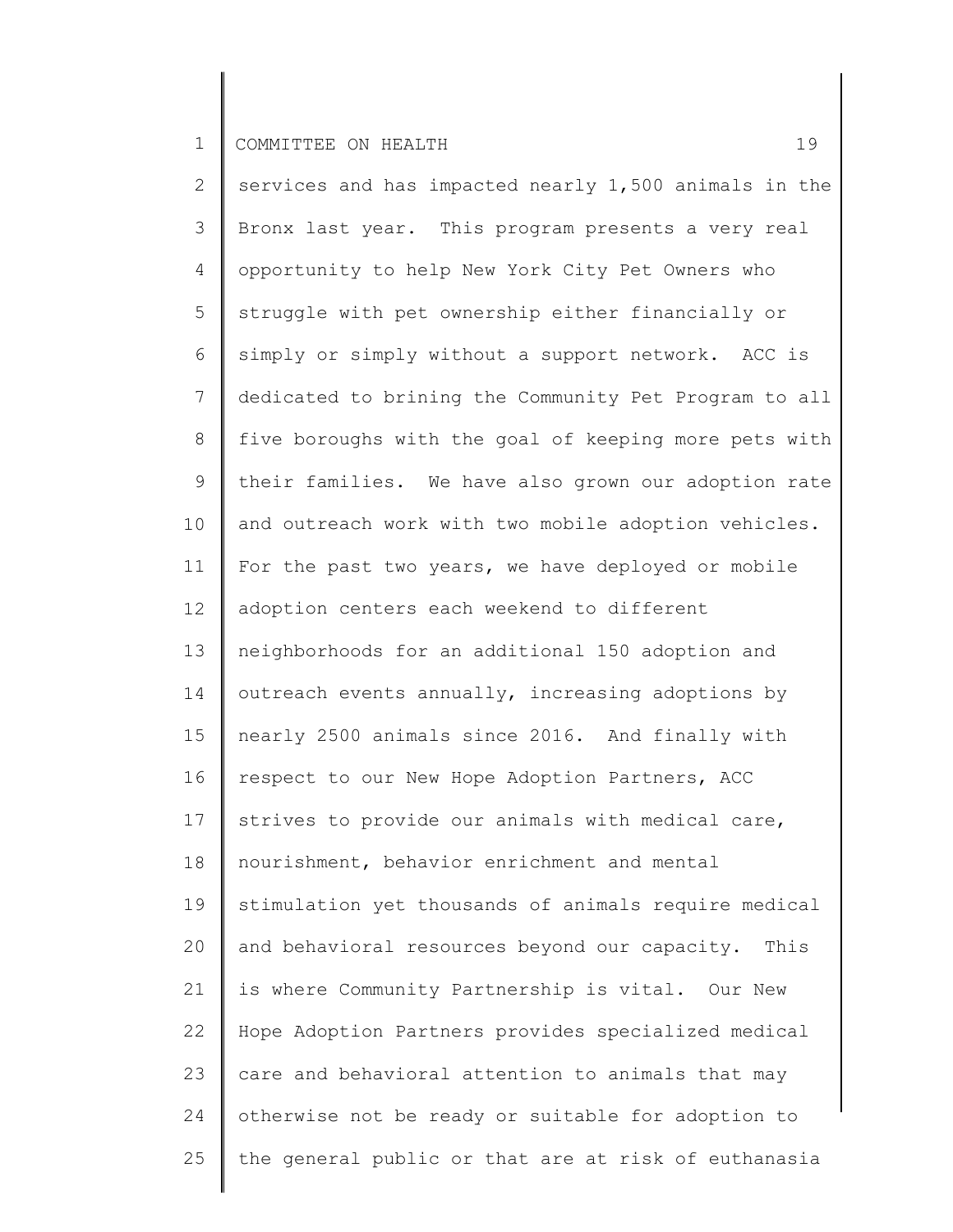2 3 4 5 6 7 8 9 10 11 12 13 14 15 16 17 18 19 20 21 22 23 24 25 services and has impacted nearly 1,500 animals in the Bronx last year. This program presents a very real opportunity to help New York City Pet Owners who struggle with pet ownership either financially or simply or simply without a support network. ACC is dedicated to brining the Community Pet Program to all five boroughs with the goal of keeping more pets with their families. We have also grown our adoption rate and outreach work with two mobile adoption vehicles. For the past two years, we have deployed or mobile adoption centers each weekend to different neighborhoods for an additional 150 adoption and outreach events annually, increasing adoptions by nearly 2500 animals since 2016. And finally with respect to our New Hope Adoption Partners, ACC strives to provide our animals with medical care, nourishment, behavior enrichment and mental stimulation yet thousands of animals require medical and behavioral resources beyond our capacity. This is where Community Partnership is vital. Our New Hope Adoption Partners provides specialized medical care and behavioral attention to animals that may otherwise not be ready or suitable for adoption to the general public or that are at risk of euthanasia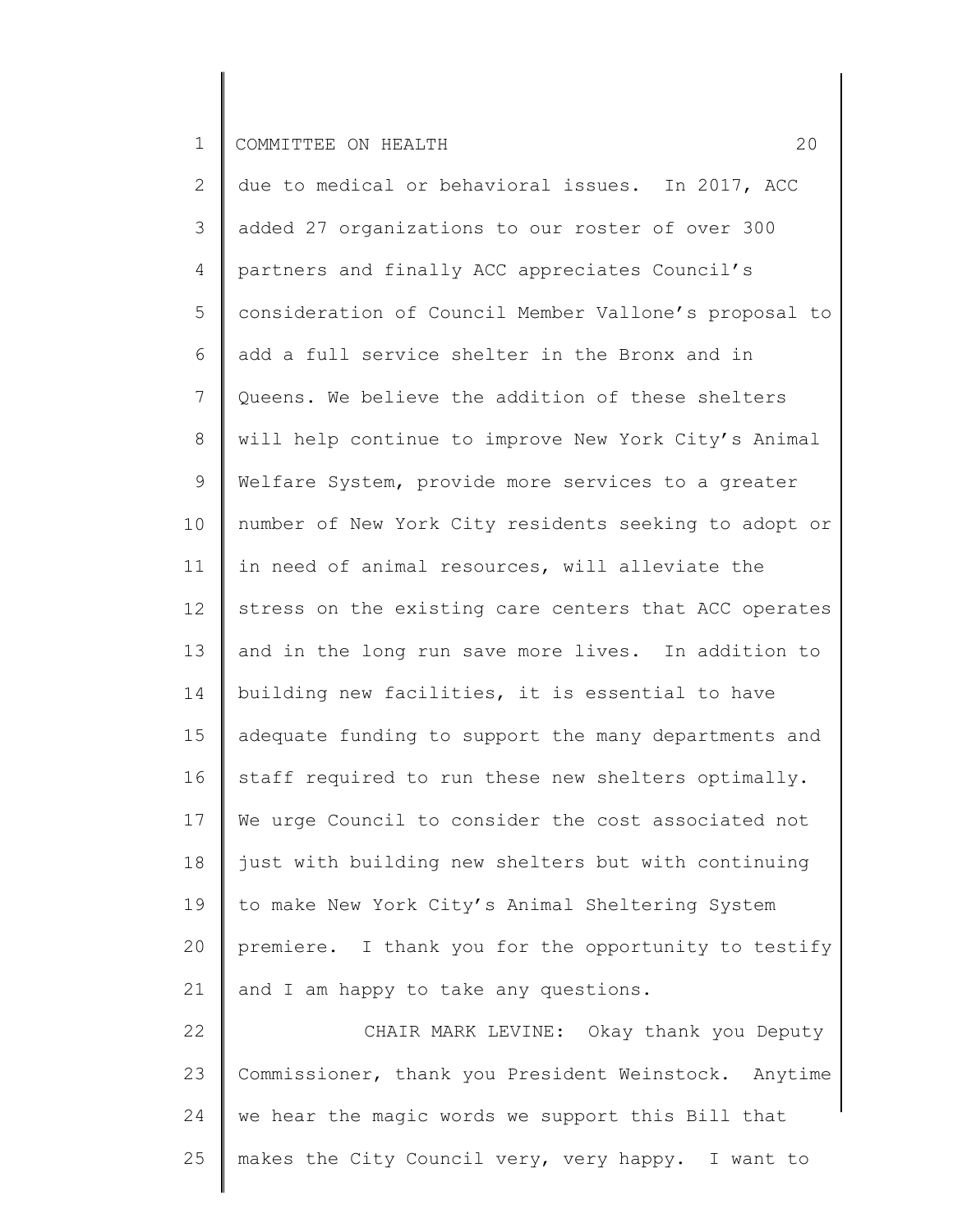25

2 3 4 5 6 7 8 9 10 11 12 13 14 15 16 17 18 19 20 21 22 23 24 due to medical or behavioral issues. In 2017, ACC added 27 organizations to our roster of over 300 partners and finally ACC appreciates Council's consideration of Council Member Vallone's proposal to add a full service shelter in the Bronx and in Queens. We believe the addition of these shelters will help continue to improve New York City's Animal Welfare System, provide more services to a greater number of New York City residents seeking to adopt or in need of animal resources, will alleviate the stress on the existing care centers that ACC operates and in the long run save more lives. In addition to building new facilities, it is essential to have adequate funding to support the many departments and staff required to run these new shelters optimally. We urge Council to consider the cost associated not just with building new shelters but with continuing to make New York City's Animal Sheltering System premiere. I thank you for the opportunity to testify and I am happy to take any questions. CHAIR MARK LEVINE: Okay thank you Deputy Commissioner, thank you President Weinstock. Anytime we hear the magic words we support this Bill that

makes the City Council very, very happy. I want to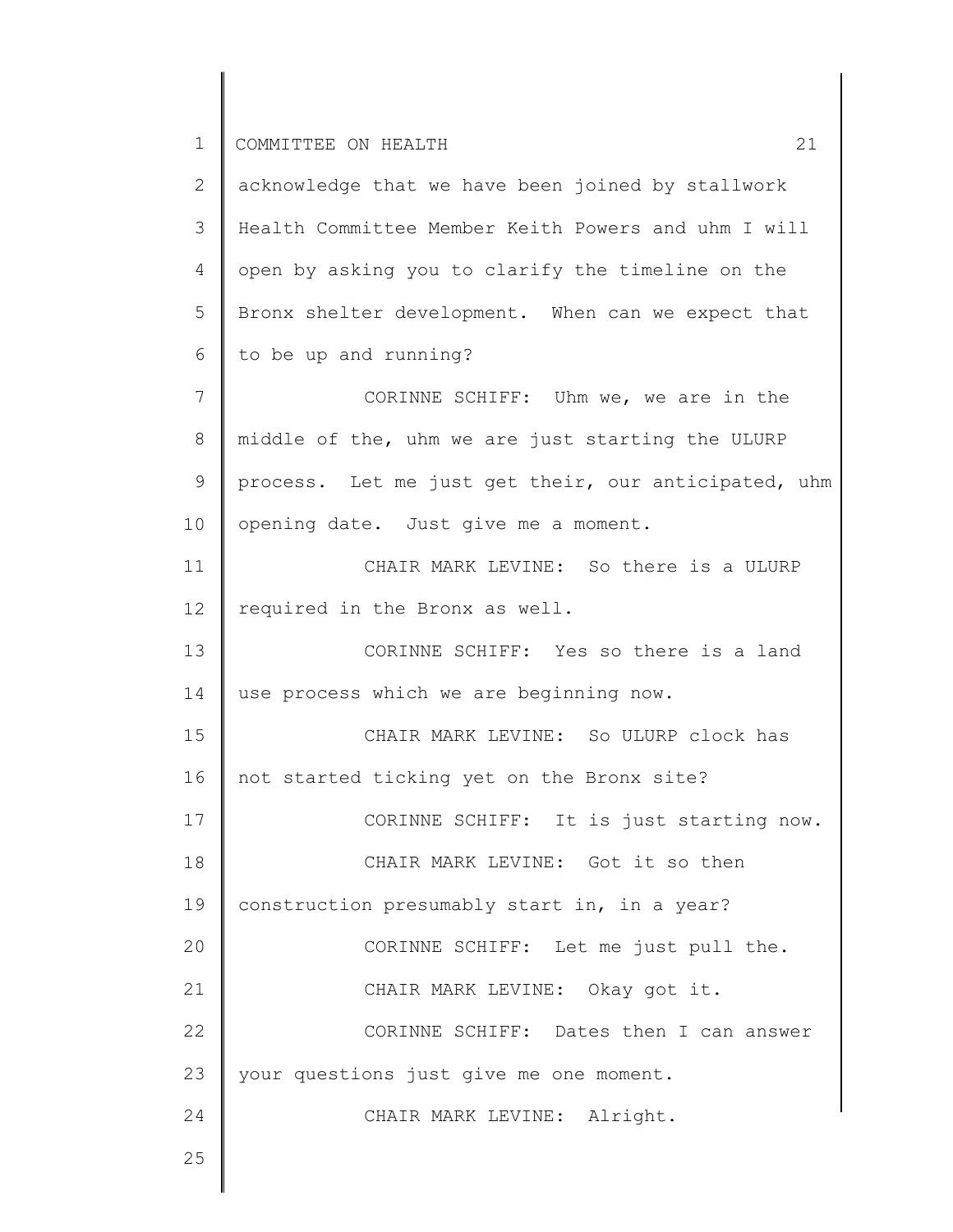2 3 4 5 6 7 8 9 10 11 12 13 14 15 16 17 18 19 20 21 22 23 24 25 acknowledge that we have been joined by stallwork Health Committee Member Keith Powers and uhm I will open by asking you to clarify the timeline on the Bronx shelter development. When can we expect that to be up and running? CORINNE SCHIFF: Uhm we, we are in the middle of the, uhm we are just starting the ULURP process. Let me just get their, our anticipated, uhm opening date. Just give me a moment. CHAIR MARK LEVINE: So there is a ULURP required in the Bronx as well. CORINNE SCHIFF: Yes so there is a land use process which we are beginning now. CHAIR MARK LEVINE: So ULURP clock has not started ticking yet on the Bronx site? CORINNE SCHIFF: It is just starting now. CHAIR MARK LEVINE: Got it so then construction presumably start in, in a year? CORINNE SCHIFF: Let me just pull the. CHAIR MARK LEVINE: Okay got it. CORINNE SCHIFF: Dates then I can answer your questions just give me one moment. CHAIR MARK LEVINE: Alright.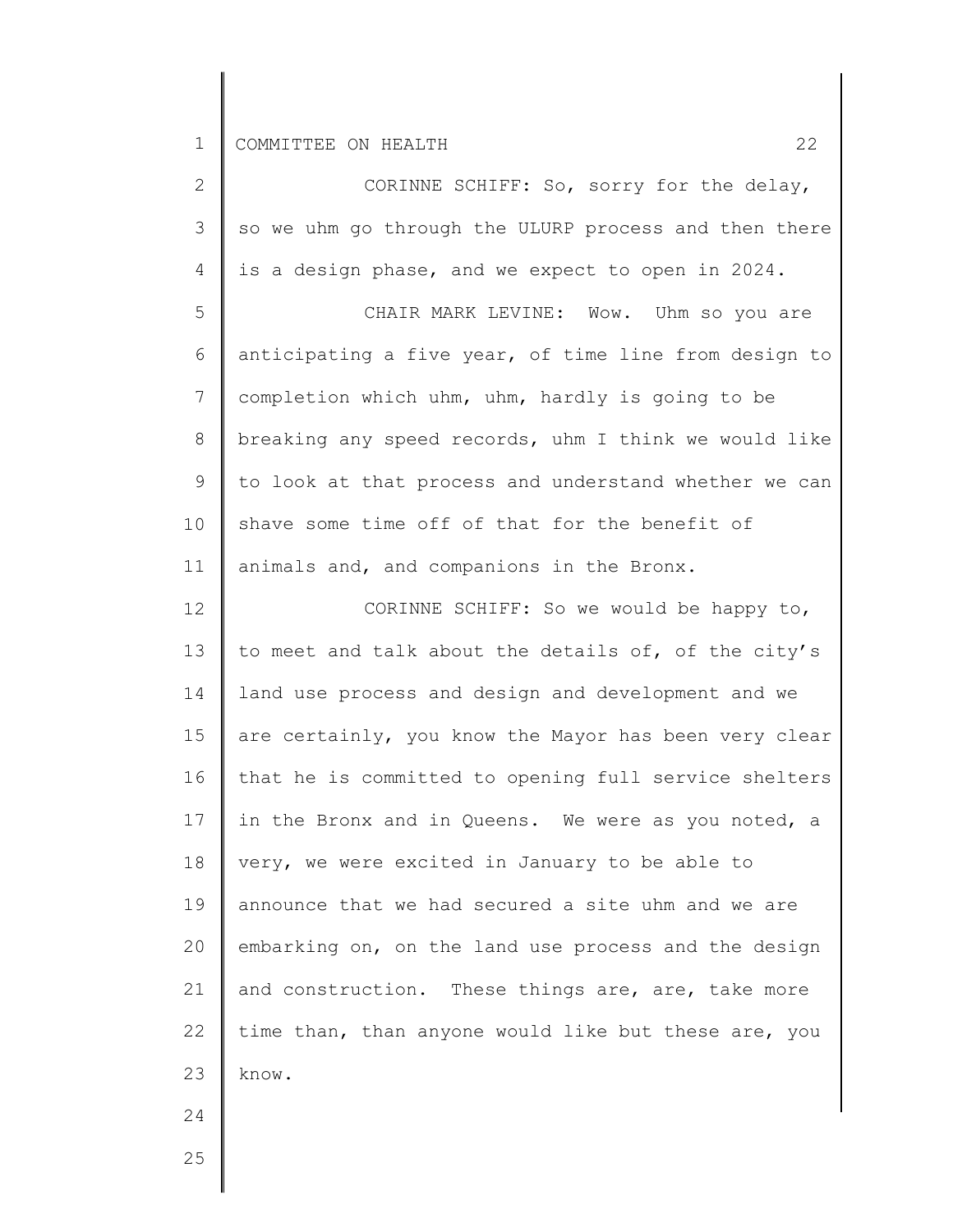∥

| $\overline{2}$ | CORINNE SCHIFF: So, sorry for the delay,              |
|----------------|-------------------------------------------------------|
| 3              | so we uhm go through the ULURP process and then there |
| 4              | is a design phase, and we expect to open in 2024.     |
| 5              | CHAIR MARK LEVINE: Wow. Uhm so you are                |
| 6              | anticipating a five year, of time line from design to |
| 7              | completion which uhm, uhm, hardly is going to be      |
| $8\,$          | breaking any speed records, uhm I think we would like |
| 9              | to look at that process and understand whether we can |
| 10             | shave some time off of that for the benefit of        |
| 11             | animals and, and companions in the Bronx.             |
| 12             | CORINNE SCHIFF: So we would be happy to,              |
| 13             | to meet and talk about the details of, of the city's  |
| 14             | land use process and design and development and we    |
| 15             | are certainly, you know the Mayor has been very clear |
| 16             | that he is committed to opening full service shelters |
| 17             | in the Bronx and in Queens. We were as you noted, a   |
| 18             | very, we were excited in January to be able to        |
| 19             | announce that we had secured a site uhm and we are    |
| 20             | embarking on, on the land use process and the design  |
| 21             | and construction. These things are, are, take more    |
| 22             | time than, than anyone would like but these are, you  |
| 23             | know.                                                 |
| 24             |                                                       |
| 25             |                                                       |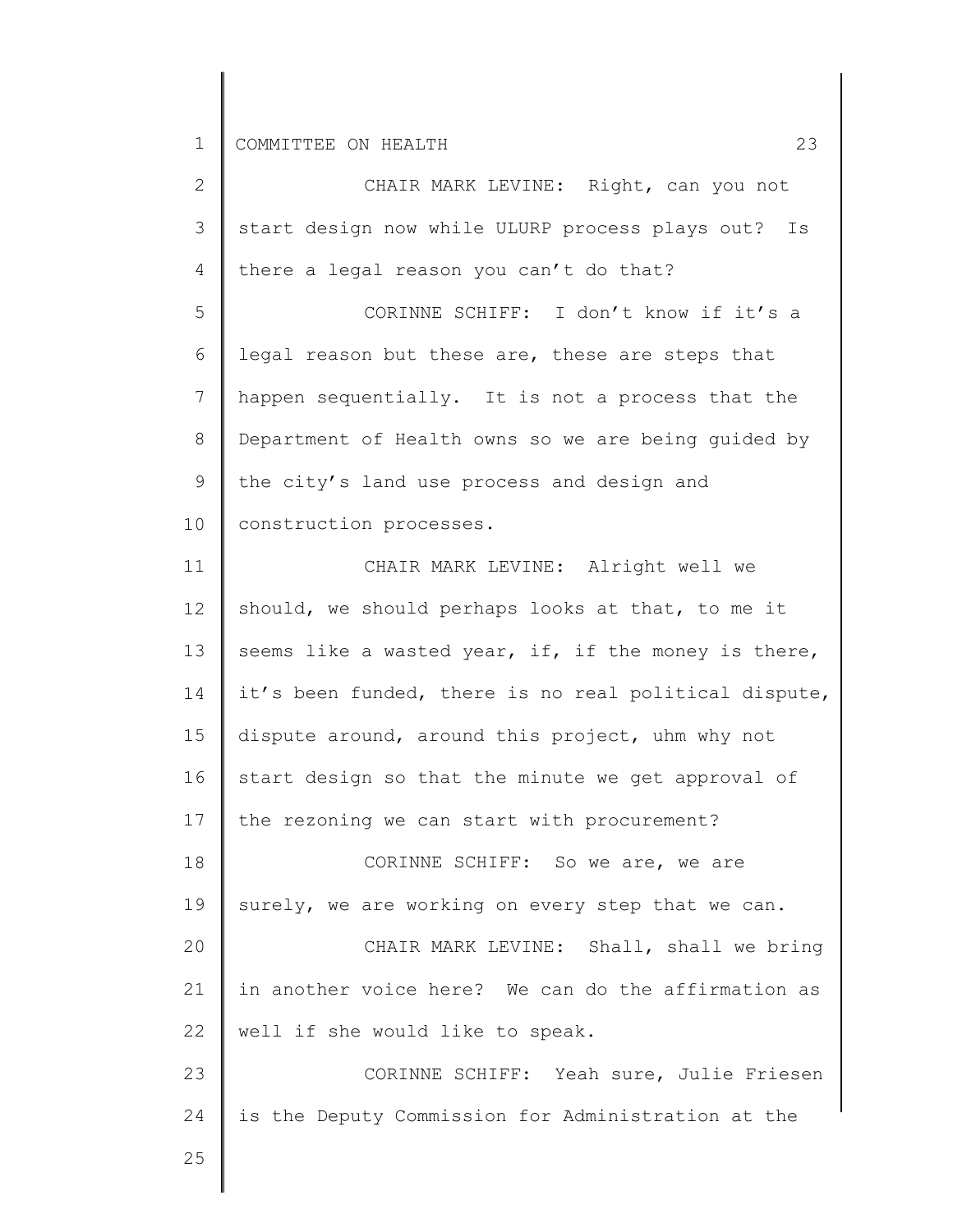| 2               | CHAIR MARK LEVINE: Right, can you not                 |
|-----------------|-------------------------------------------------------|
| 3               | start design now while ULURP process plays out? Is    |
| 4               | there a legal reason you can't do that?               |
| 5               | CORINNE SCHIFF: I don't know if it's a                |
| 6               | legal reason but these are, these are steps that      |
| $7\phantom{.0}$ | happen sequentially. It is not a process that the     |
| 8               | Department of Health owns so we are being guided by   |
| 9               | the city's land use process and design and            |
| 10 <sub>o</sub> | construction processes.                               |
| 11              | CHAIR MARK LEVINE: Alright well we                    |
| 12              | should, we should perhaps looks at that, to me it     |
| 13              | seems like a wasted year, if, if the money is there,  |
| 14              | it's been funded, there is no real political dispute, |
| 15              | dispute around, around this project, uhm why not      |
| 16              | start design so that the minute we get approval of    |
| 17              | the rezoning we can start with procurement?           |
| 18              | CORINNE SCHIFF: So we are, we are                     |
| 19              | surely, we are working on every step that we can.     |
| 20              | CHAIR MARK LEVINE: Shall, shall we bring              |
| 21              | in another voice here? We can do the affirmation as   |
| 22              | well if she would like to speak.                      |
| 23              | CORINNE SCHIFF: Yeah sure, Julie Friesen              |
| 24              | is the Deputy Commission for Administration at the    |
| 25              |                                                       |
|                 |                                                       |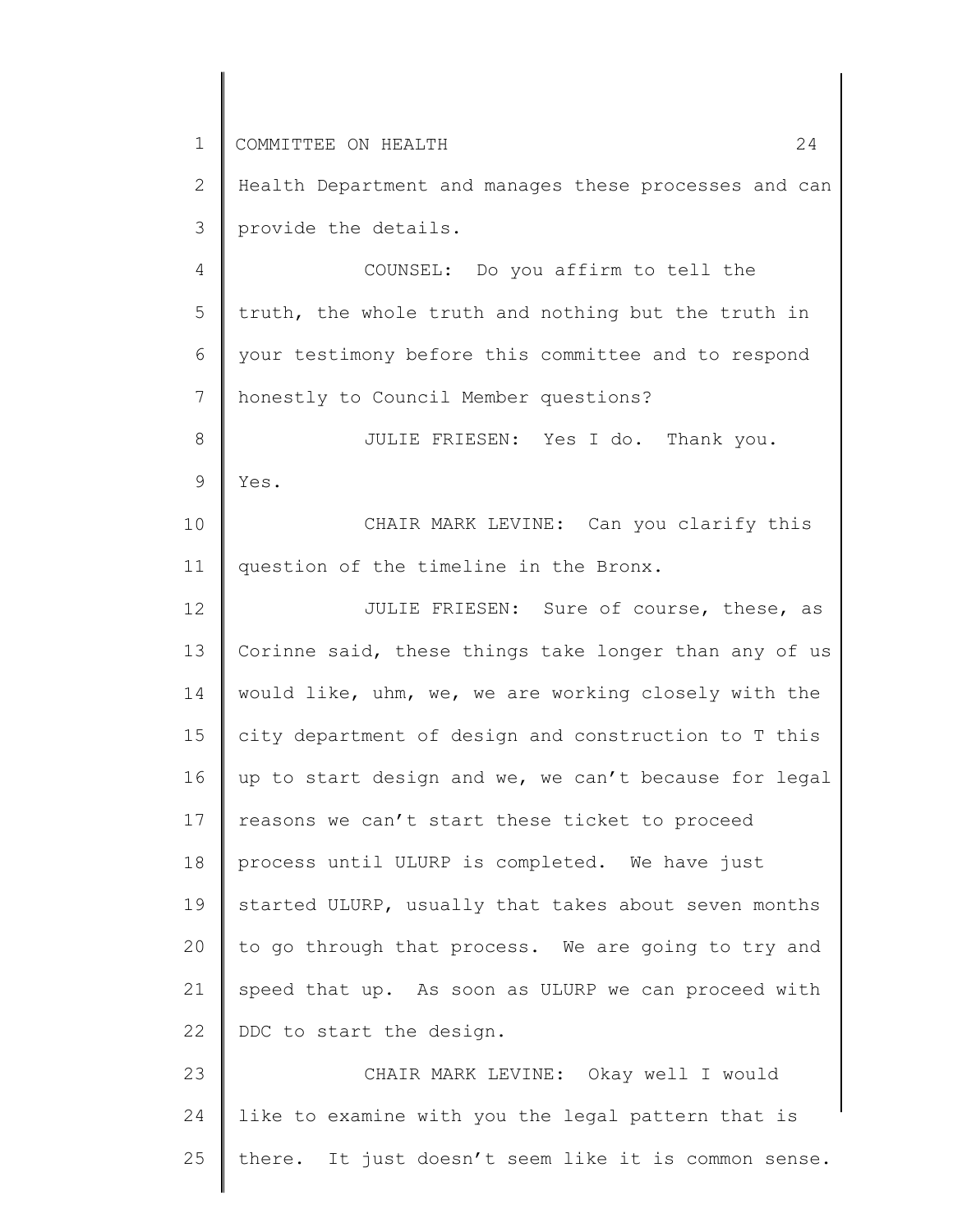1 2 3 4 5 6 7 8 9 10 11 12 13 14 15 16 17 18 19 20 21 22 23 24 25 COMMITTEE ON HEALTH 24 Health Department and manages these processes and can provide the details. COUNSEL: Do you affirm to tell the truth, the whole truth and nothing but the truth in your testimony before this committee and to respond honestly to Council Member questions? JULIE FRIESEN: Yes I do. Thank you. Yes. CHAIR MARK LEVINE: Can you clarify this question of the timeline in the Bronx. JULIE FRIESEN: Sure of course, these, as Corinne said, these things take longer than any of us would like, uhm, we, we are working closely with the city department of design and construction to T this up to start design and we, we can't because for legal reasons we can't start these ticket to proceed process until ULURP is completed. We have just started ULURP, usually that takes about seven months to go through that process. We are going to try and speed that up. As soon as ULURP we can proceed with DDC to start the design. CHAIR MARK LEVINE: Okay well I would like to examine with you the legal pattern that is there. It just doesn't seem like it is common sense.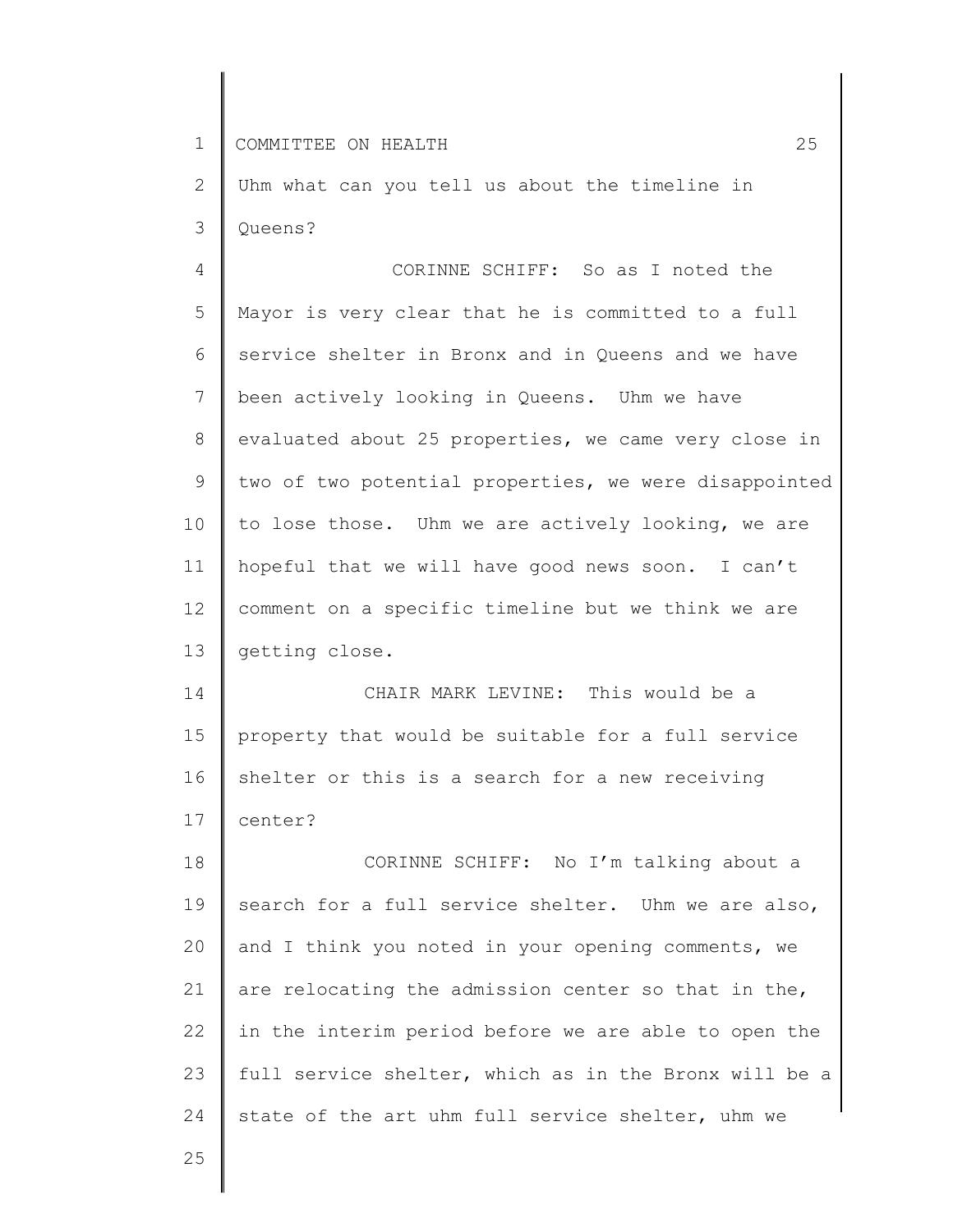25

2 3 Uhm what can you tell us about the timeline in Queens?

4 5 6 7 8 9 10 11 12 13 CORINNE SCHIFF: So as I noted the Mayor is very clear that he is committed to a full service shelter in Bronx and in Queens and we have been actively looking in Queens. Uhm we have evaluated about 25 properties, we came very close in two of two potential properties, we were disappointed to lose those. Uhm we are actively looking, we are hopeful that we will have good news soon. I can't comment on a specific timeline but we think we are getting close.

14 15 16 17 CHAIR MARK LEVINE: This would be a property that would be suitable for a full service shelter or this is a search for a new receiving center?

18 19 20 21 22 23 24 CORINNE SCHIFF: No I'm talking about a search for a full service shelter. Uhm we are also, and I think you noted in your opening comments, we are relocating the admission center so that in the, in the interim period before we are able to open the full service shelter, which as in the Bronx will be a state of the art uhm full service shelter, uhm we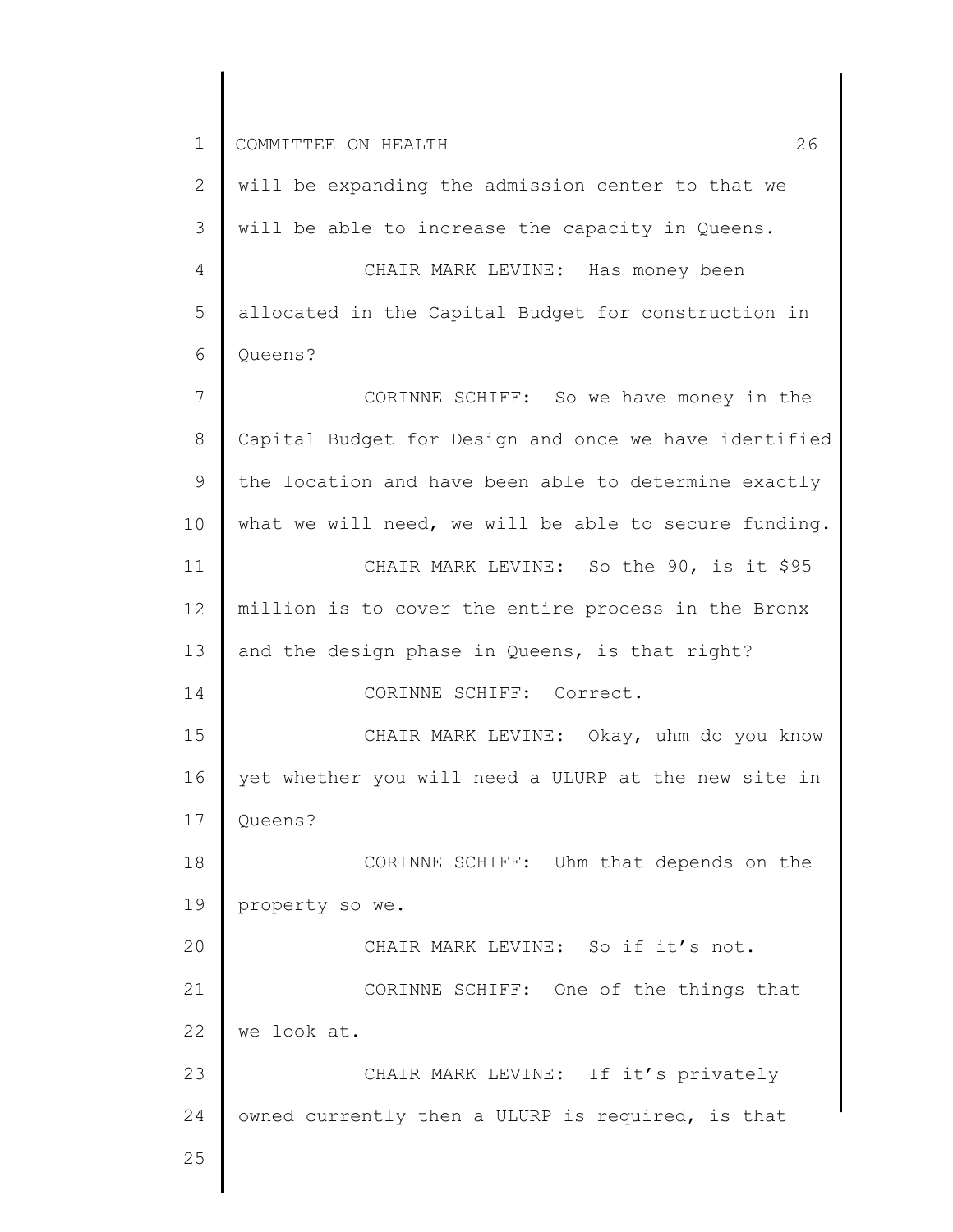| $\mathbf{2}$   | will be expanding the admission center to that we     |
|----------------|-------------------------------------------------------|
| 3              | will be able to increase the capacity in Queens.      |
| $\overline{4}$ | CHAIR MARK LEVINE: Has money been                     |
| 5              | allocated in the Capital Budget for construction in   |
| 6              | Queens?                                               |
| 7              | CORINNE SCHIFF: So we have money in the               |
| $\,8\,$        | Capital Budget for Design and once we have identified |
| 9              | the location and have been able to determine exactly  |
| 10             | what we will need, we will be able to secure funding. |
| 11             | CHAIR MARK LEVINE: So the 90, is it \$95              |
| 12             | million is to cover the entire process in the Bronx   |
| 13             | and the design phase in Queens, is that right?        |
| 14             | CORINNE SCHIFF: Correct.                              |
| 15             | CHAIR MARK LEVINE: Okay, uhm do you know              |
| 16             | yet whether you will need a ULURP at the new site in  |
| 17             | Queens?                                               |
| 18             | CORINNE SCHIFF: Uhm that depends on the               |
| 19             | property so we.                                       |
| 20             | CHAIR MARK LEVINE: So if it's not.                    |
| 21             | CORINNE SCHIFF: One of the things that                |
| 22             | we look at.                                           |
| 23             | CHAIR MARK LEVINE: If it's privately                  |
| 24             | owned currently then a ULURP is required, is that     |
| 25             |                                                       |
|                |                                                       |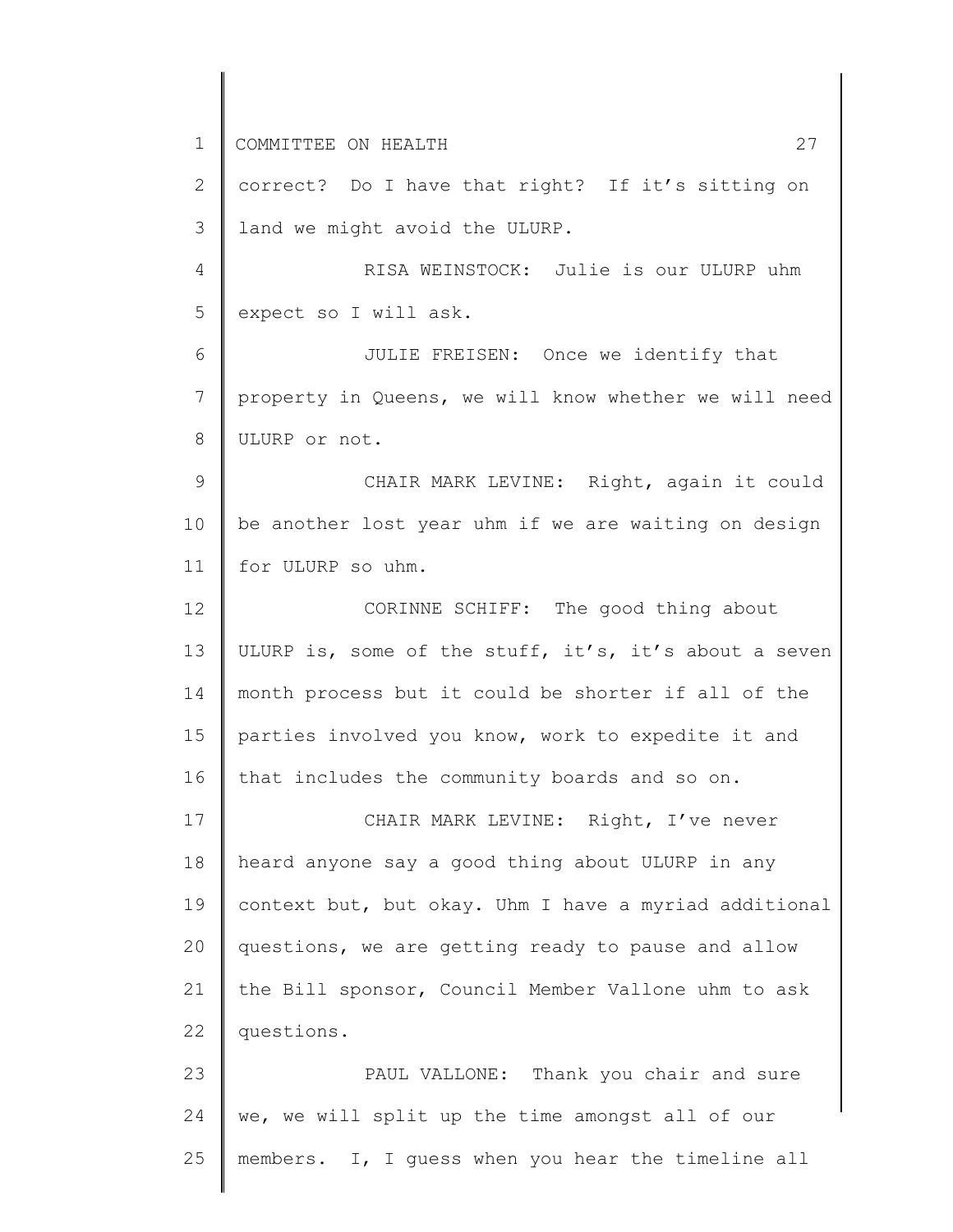1 2 3 4 5 6 7 8 9 10 11 12 13 14 15 16 17 18 19 20 21 22 23 24 25 COMMITTEE ON HEALTH 27 correct? Do I have that right? If it's sitting on land we might avoid the ULURP. RISA WEINSTOCK: Julie is our ULURP uhm expect so I will ask. JULIE FREISEN: Once we identify that property in Queens, we will know whether we will need ULURP or not. CHAIR MARK LEVINE: Right, again it could be another lost year uhm if we are waiting on design for ULURP so uhm. CORINNE SCHIFF: The good thing about ULURP is, some of the stuff, it's, it's about a seven month process but it could be shorter if all of the parties involved you know, work to expedite it and that includes the community boards and so on. CHAIR MARK LEVINE: Right, I've never heard anyone say a good thing about ULURP in any context but, but okay. Uhm I have a myriad additional questions, we are getting ready to pause and allow the Bill sponsor, Council Member Vallone uhm to ask questions. PAUL VALLONE: Thank you chair and sure we, we will split up the time amongst all of our members. I, I guess when you hear the timeline all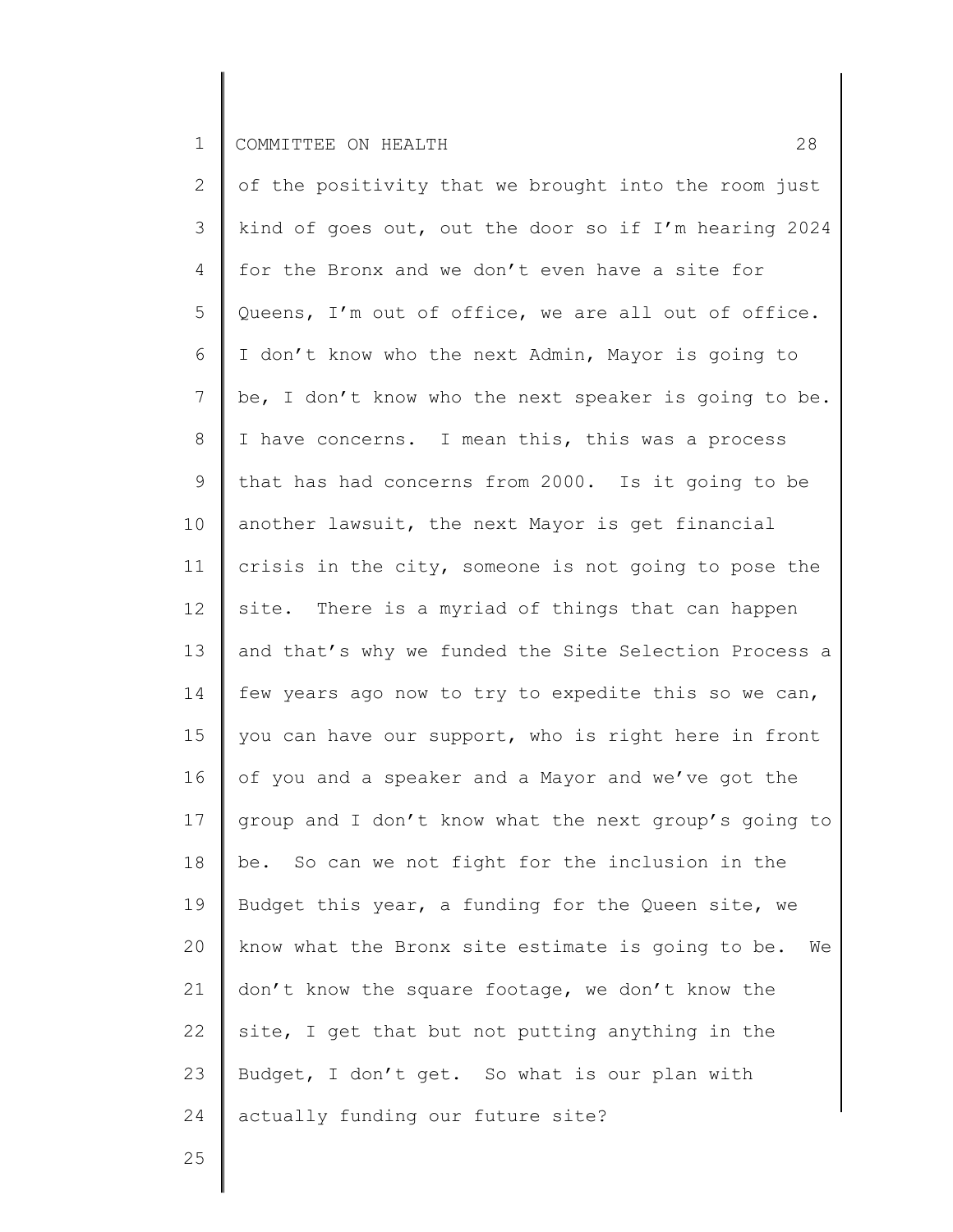2 3 4 5 6 7 8 9 10 11 12 13 14 15 16 17 18 19 20 21 22 23 24 of the positivity that we brought into the room just kind of goes out, out the door so if I'm hearing 2024 for the Bronx and we don't even have a site for Queens, I'm out of office, we are all out of office. I don't know who the next Admin, Mayor is going to be, I don't know who the next speaker is going to be. I have concerns. I mean this, this was a process that has had concerns from 2000. Is it going to be another lawsuit, the next Mayor is get financial crisis in the city, someone is not going to pose the site. There is a myriad of things that can happen and that's why we funded the Site Selection Process a few years ago now to try to expedite this so we can, you can have our support, who is right here in front of you and a speaker and a Mayor and we've got the group and I don't know what the next group's going to be. So can we not fight for the inclusion in the Budget this year, a funding for the Queen site, we know what the Bronx site estimate is going to be. We don't know the square footage, we don't know the site, I get that but not putting anything in the Budget, I don't get. So what is our plan with actually funding our future site?

25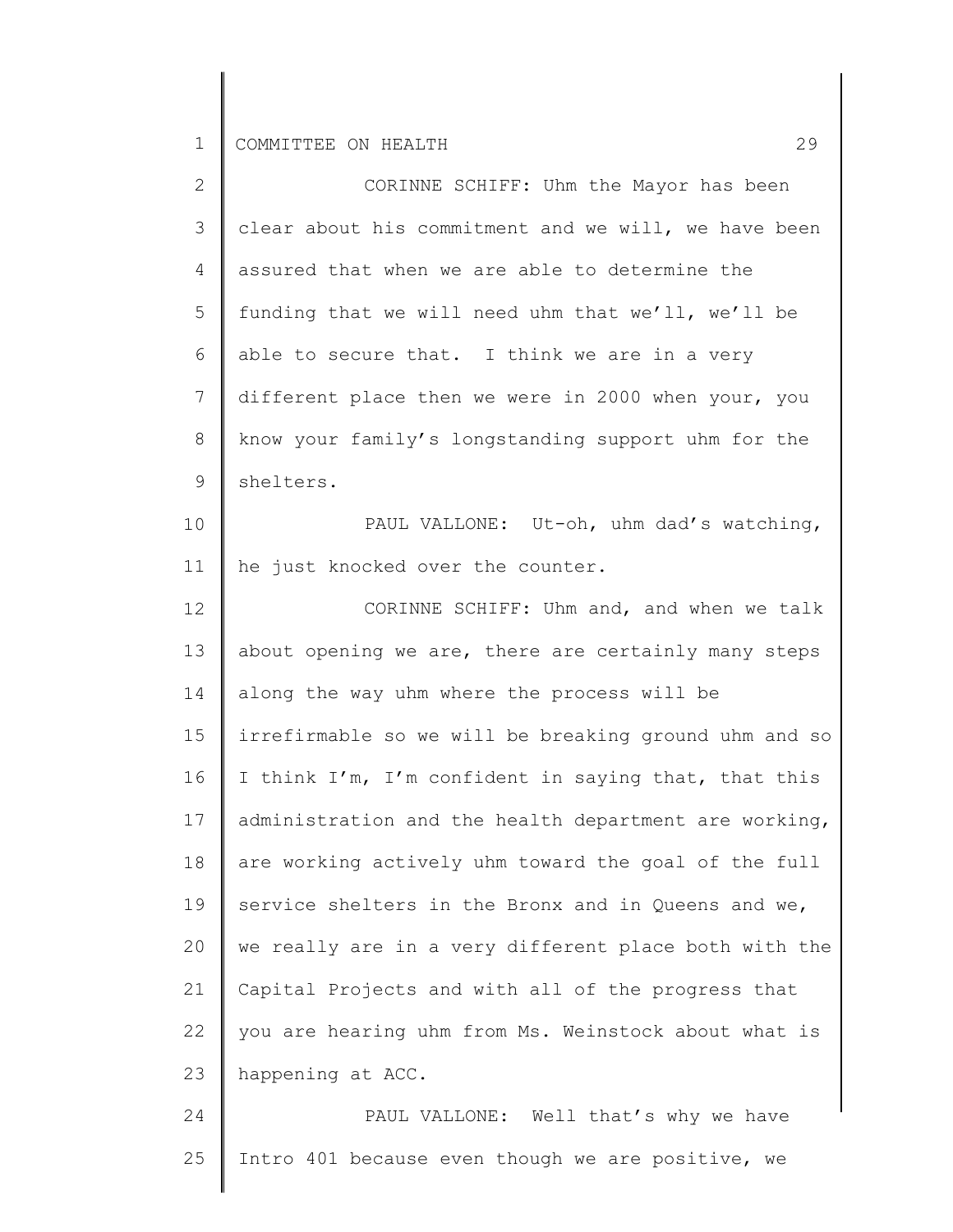25

| $\mathbf{2}^{\prime}$ | CORINNE SCHIFF: Uhm the Mayor has been                |
|-----------------------|-------------------------------------------------------|
| 3                     | clear about his commitment and we will, we have been  |
| 4                     | assured that when we are able to determine the        |
| 5                     | funding that we will need uhm that we'll, we'll be    |
| 6                     | able to secure that. I think we are in a very         |
| $7\phantom{.0}$       | different place then we were in 2000 when your, you   |
| 8                     | know your family's longstanding support uhm for the   |
| 9                     | shelters.                                             |
| 10                    | PAUL VALLONE: Ut-oh, uhm dad's watching,              |
| 11                    | he just knocked over the counter.                     |
| 12                    | CORINNE SCHIFF: Uhm and, and when we talk             |
| 13                    | about opening we are, there are certainly many steps  |
| 14                    | along the way uhm where the process will be           |
| 15                    | irrefirmable so we will be breaking ground uhm and so |
| 16                    | I think I'm, I'm confident in saying that, that this  |
| 17                    | administration and the health department are working, |
| 18                    | are working actively uhm toward the goal of the full  |
| 19                    | service shelters in the Bronx and in Queens and we,   |
| 20                    | we really are in a very different place both with the |
| 21                    | Capital Projects and with all of the progress that    |
| 22                    | you are hearing uhm from Ms. Weinstock about what is  |
| 23                    | happening at ACC.                                     |
| 24                    | PAUL VALLONE: Well that's why we have                 |

Intro 401 because even though we are positive, we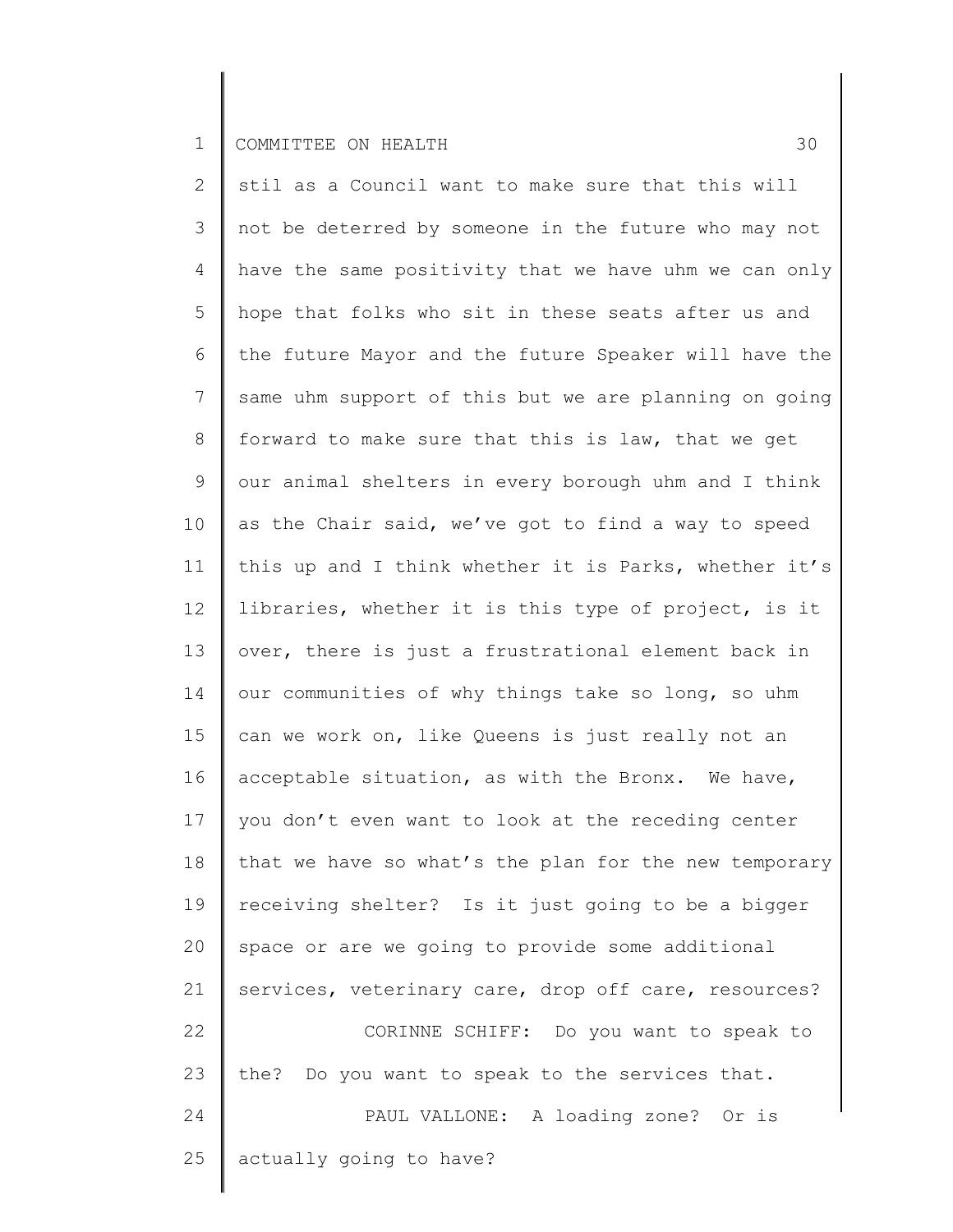2 3 4 5 6 7 8 9 10 11 12 13 14 15 16 17 18 19 20 21 22 23 24 25 stil as a Council want to make sure that this will not be deterred by someone in the future who may not have the same positivity that we have uhm we can only hope that folks who sit in these seats after us and the future Mayor and the future Speaker will have the same uhm support of this but we are planning on going forward to make sure that this is law, that we get our animal shelters in every borough uhm and I think as the Chair said, we've got to find a way to speed this up and I think whether it is Parks, whether it's libraries, whether it is this type of project, is it over, there is just a frustrational element back in our communities of why things take so long, so uhm can we work on, like Queens is just really not an acceptable situation, as with the Bronx. We have, you don't even want to look at the receding center that we have so what's the plan for the new temporary receiving shelter? Is it just going to be a bigger space or are we going to provide some additional services, veterinary care, drop off care, resources? CORINNE SCHIFF: Do you want to speak to the? Do you want to speak to the services that. PAUL VALLONE: A loading zone? Or is actually going to have?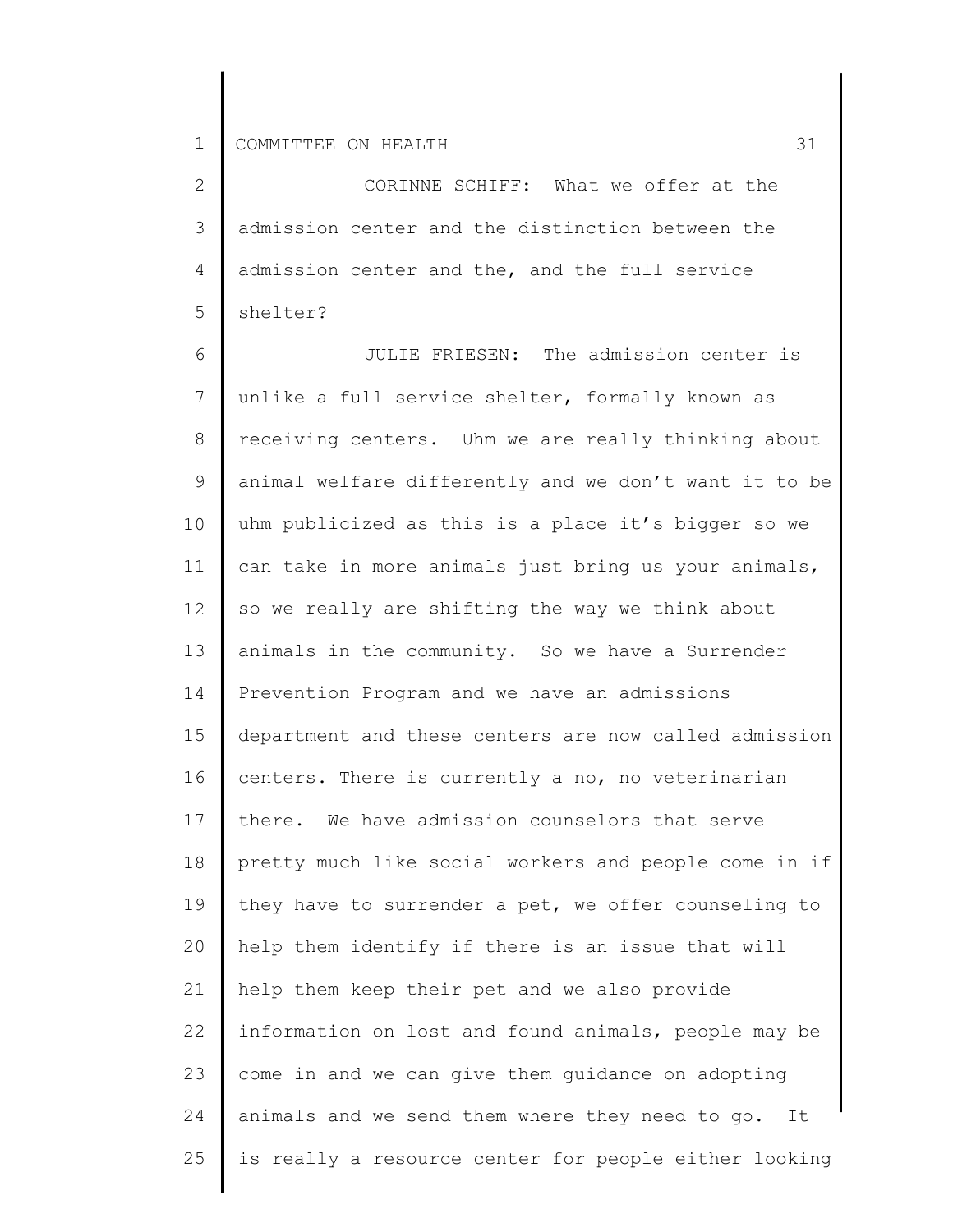2 3 4 5 CORINNE SCHIFF: What we offer at the admission center and the distinction between the admission center and the, and the full service shelter?

6 7 8 9 10 11 12 13 14 15 16 17 18 19 20 21 22 23 24 25 JULIE FRIESEN: The admission center is unlike a full service shelter, formally known as receiving centers. Uhm we are really thinking about animal welfare differently and we don't want it to be uhm publicized as this is a place it's bigger so we can take in more animals just bring us your animals, so we really are shifting the way we think about animals in the community. So we have a Surrender Prevention Program and we have an admissions department and these centers are now called admission centers. There is currently a no, no veterinarian there. We have admission counselors that serve pretty much like social workers and people come in if they have to surrender a pet, we offer counseling to help them identify if there is an issue that will help them keep their pet and we also provide information on lost and found animals, people may be come in and we can give them guidance on adopting animals and we send them where they need to go. It is really a resource center for people either looking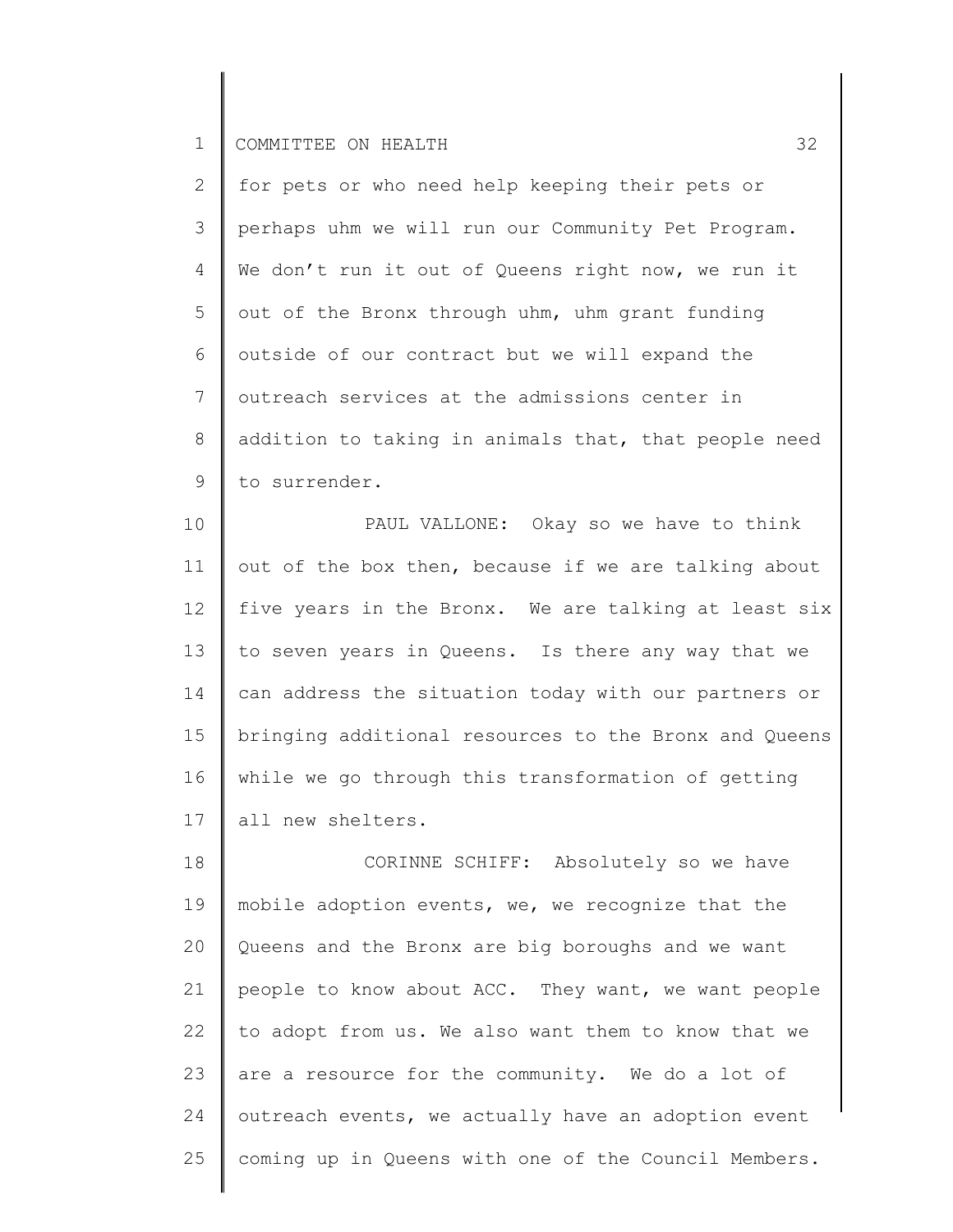2 3 4 5 6 7 8 9 for pets or who need help keeping their pets or perhaps uhm we will run our Community Pet Program. We don't run it out of Queens right now, we run it out of the Bronx through uhm, uhm grant funding outside of our contract but we will expand the outreach services at the admissions center in addition to taking in animals that, that people need to surrender.

10 11 12 13 14 15 16 17 PAUL VALLONE: Okay so we have to think out of the box then, because if we are talking about five years in the Bronx. We are talking at least six to seven years in Queens. Is there any way that we can address the situation today with our partners or bringing additional resources to the Bronx and Queens while we go through this transformation of getting all new shelters.

18 19 20 21 22 23 24 25 CORINNE SCHIFF: Absolutely so we have mobile adoption events, we, we recognize that the Queens and the Bronx are big boroughs and we want people to know about ACC. They want, we want people to adopt from us. We also want them to know that we are a resource for the community. We do a lot of outreach events, we actually have an adoption event coming up in Queens with one of the Council Members.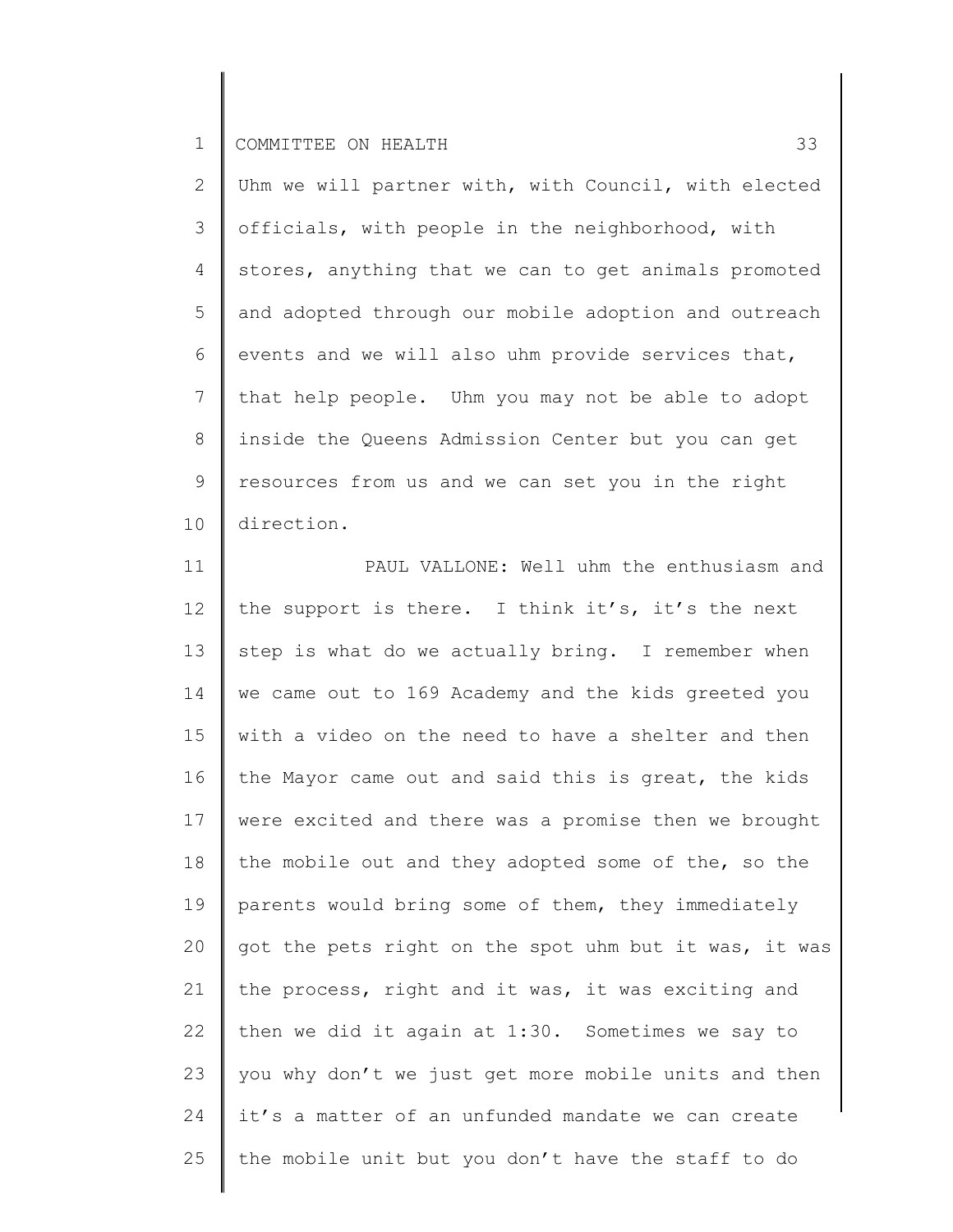2 3 4 5 6 7 8 9 10 Uhm we will partner with, with Council, with elected officials, with people in the neighborhood, with stores, anything that we can to get animals promoted and adopted through our mobile adoption and outreach events and we will also uhm provide services that, that help people. Uhm you may not be able to adopt inside the Queens Admission Center but you can get resources from us and we can set you in the right direction.

11 12 13 14 15 16 17 18 19 20 21 22 23 24 25 PAUL VALLONE: Well uhm the enthusiasm and the support is there. I think it's, it's the next step is what do we actually bring. I remember when we came out to 169 Academy and the kids greeted you with a video on the need to have a shelter and then the Mayor came out and said this is great, the kids were excited and there was a promise then we brought the mobile out and they adopted some of the, so the parents would bring some of them, they immediately got the pets right on the spot uhm but it was, it was the process, right and it was, it was exciting and then we did it again at 1:30. Sometimes we say to you why don't we just get more mobile units and then it's a matter of an unfunded mandate we can create the mobile unit but you don't have the staff to do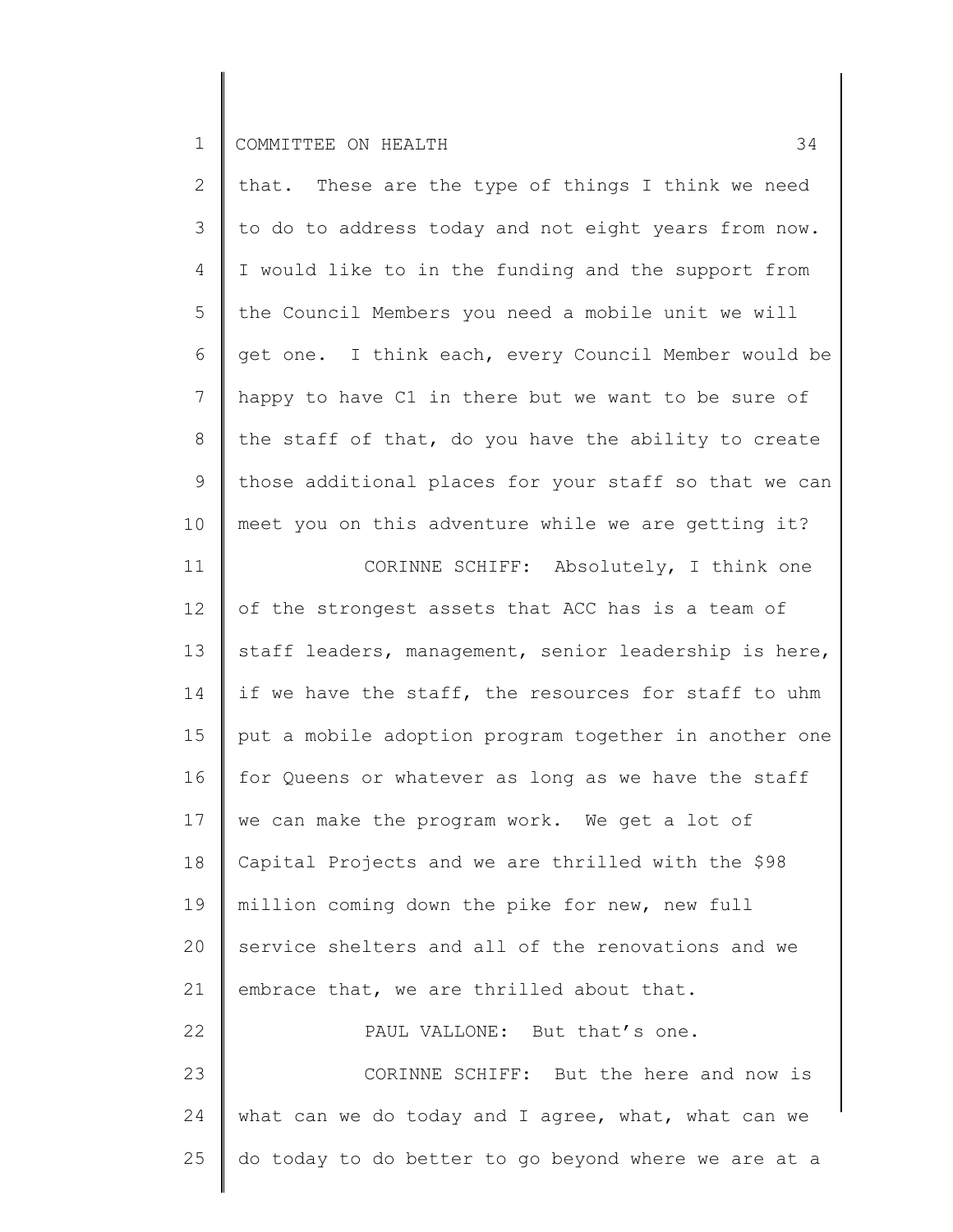11

2 3 4 5 6 7 8 9 10 that. These are the type of things I think we need to do to address today and not eight years from now. I would like to in the funding and the support from the Council Members you need a mobile unit we will get one. I think each, every Council Member would be happy to have C1 in there but we want to be sure of the staff of that, do you have the ability to create those additional places for your staff so that we can meet you on this adventure while we are getting it?

CORINNE SCHIFF: Absolutely, I think one

12 13 14 15 16 17 18 19 20 21 22 23 of the strongest assets that ACC has is a team of staff leaders, management, senior leadership is here, if we have the staff, the resources for staff to uhm put a mobile adoption program together in another one for Queens or whatever as long as we have the staff we can make the program work. We get a lot of Capital Projects and we are thrilled with the \$98 million coming down the pike for new, new full service shelters and all of the renovations and we embrace that, we are thrilled about that. PAUL VALLONE: But that's one. CORINNE SCHIFF: But the here and now is

24 25 what can we do today and I agree, what, what can we do today to do better to go beyond where we are at a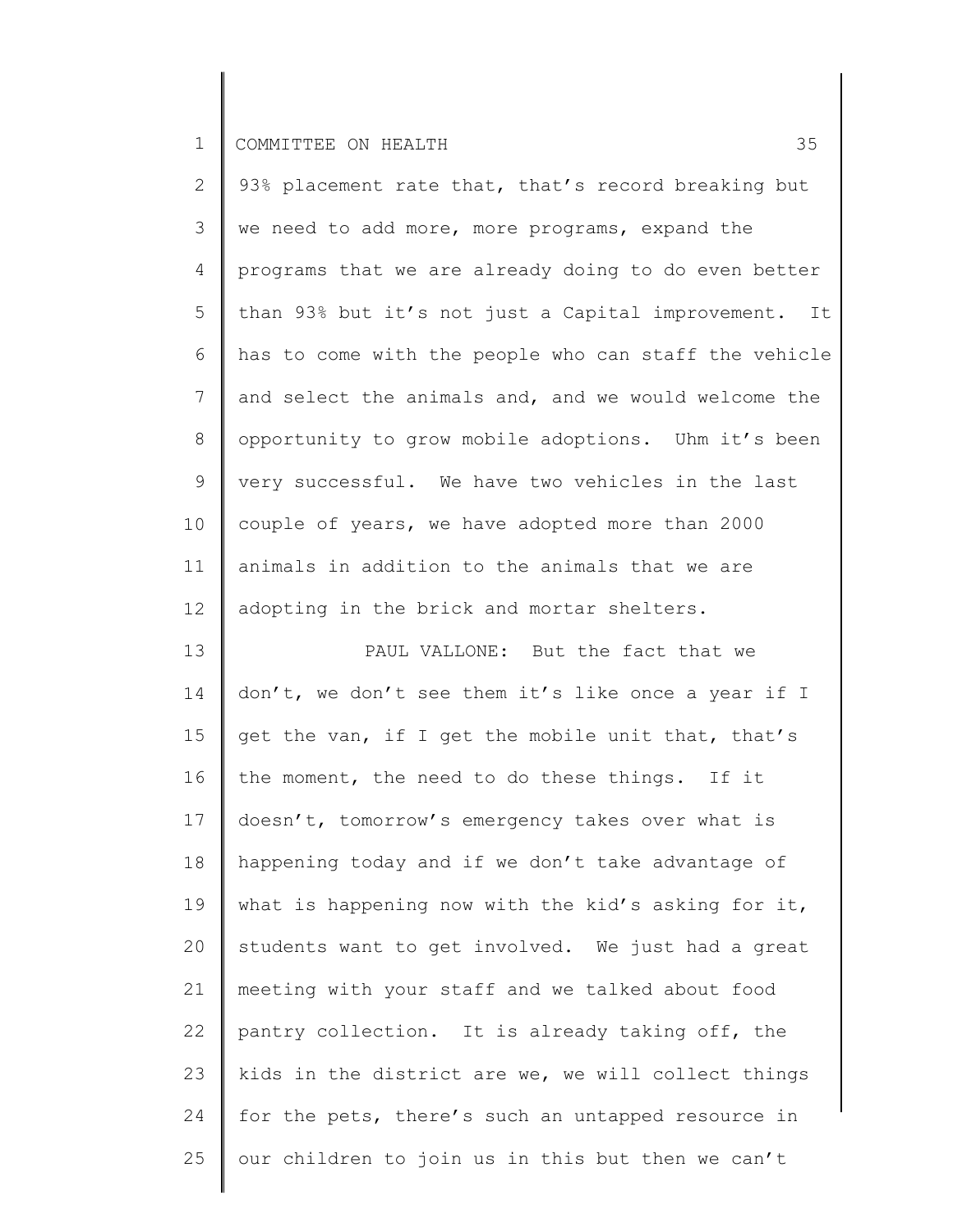2 3 4 5 6 7 8 9 10 11 12 93% placement rate that, that's record breaking but we need to add more, more programs, expand the programs that we are already doing to do even better than 93% but it's not just a Capital improvement. It has to come with the people who can staff the vehicle and select the animals and, and we would welcome the opportunity to grow mobile adoptions. Uhm it's been very successful. We have two vehicles in the last couple of years, we have adopted more than 2000 animals in addition to the animals that we are adopting in the brick and mortar shelters.

13 14 15 16 17 18 19 20 21 22 23 24 25 PAUL VALLONE: But the fact that we don't, we don't see them it's like once a year if I get the van, if I get the mobile unit that, that's the moment, the need to do these things. If it doesn't, tomorrow's emergency takes over what is happening today and if we don't take advantage of what is happening now with the kid's asking for it, students want to get involved. We just had a great meeting with your staff and we talked about food pantry collection. It is already taking off, the kids in the district are we, we will collect things for the pets, there's such an untapped resource in our children to join us in this but then we can't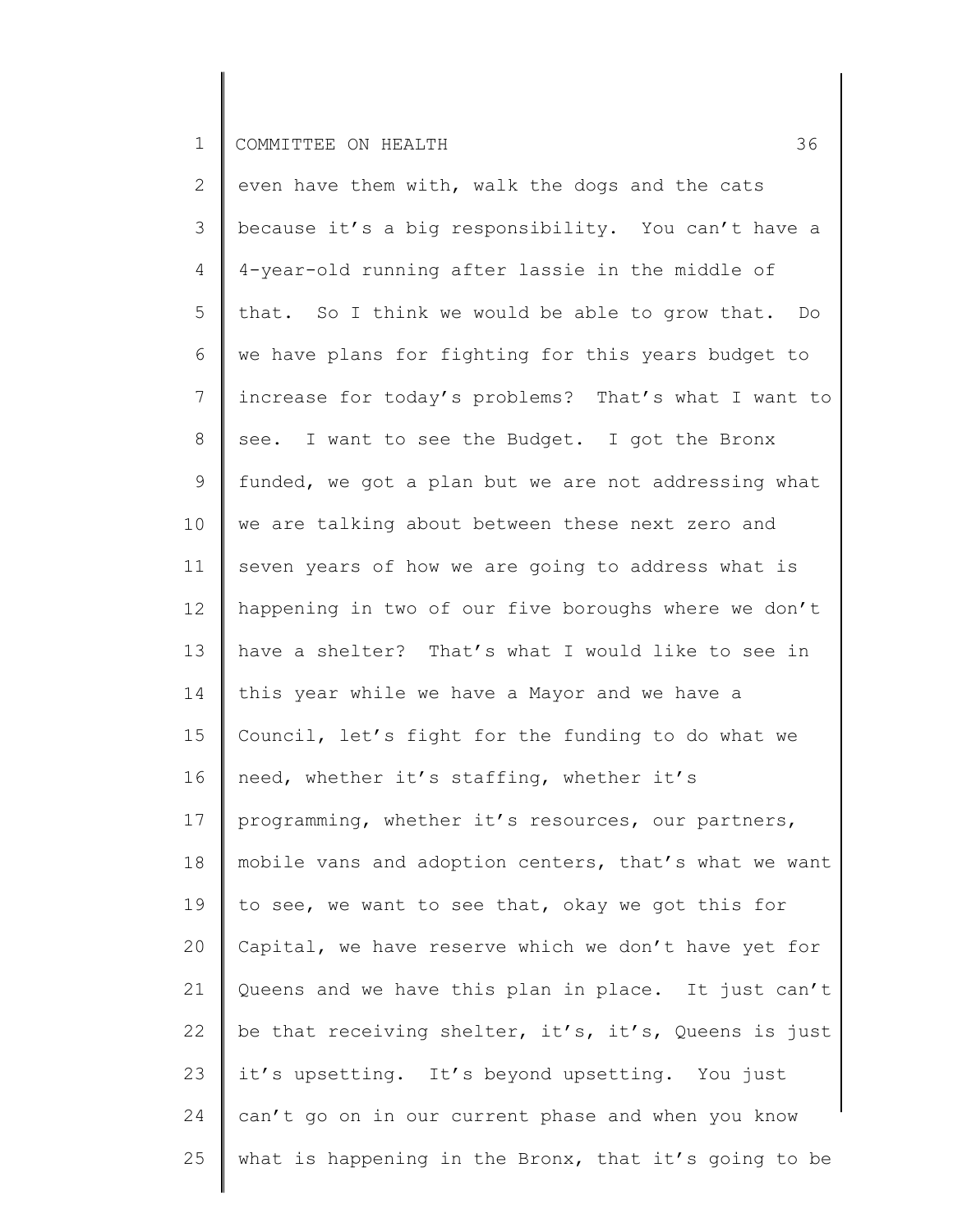2 3 4 5 6 7 8 9 10 11 12 13 14 15 16 17 18 19 20 21 22 23 24 25 even have them with, walk the dogs and the cats because it's a big responsibility. You can't have a 4-year-old running after lassie in the middle of that. So I think we would be able to grow that. Do we have plans for fighting for this years budget to increase for today's problems? That's what I want to see. I want to see the Budget. I got the Bronx funded, we got a plan but we are not addressing what we are talking about between these next zero and seven years of how we are going to address what is happening in two of our five boroughs where we don't have a shelter? That's what I would like to see in this year while we have a Mayor and we have a Council, let's fight for the funding to do what we need, whether it's staffing, whether it's programming, whether it's resources, our partners, mobile vans and adoption centers, that's what we want to see, we want to see that, okay we got this for Capital, we have reserve which we don't have yet for Queens and we have this plan in place. It just can't be that receiving shelter, it's, it's, Queens is just it's upsetting. It's beyond upsetting. You just can't go on in our current phase and when you know what is happening in the Bronx, that it's going to be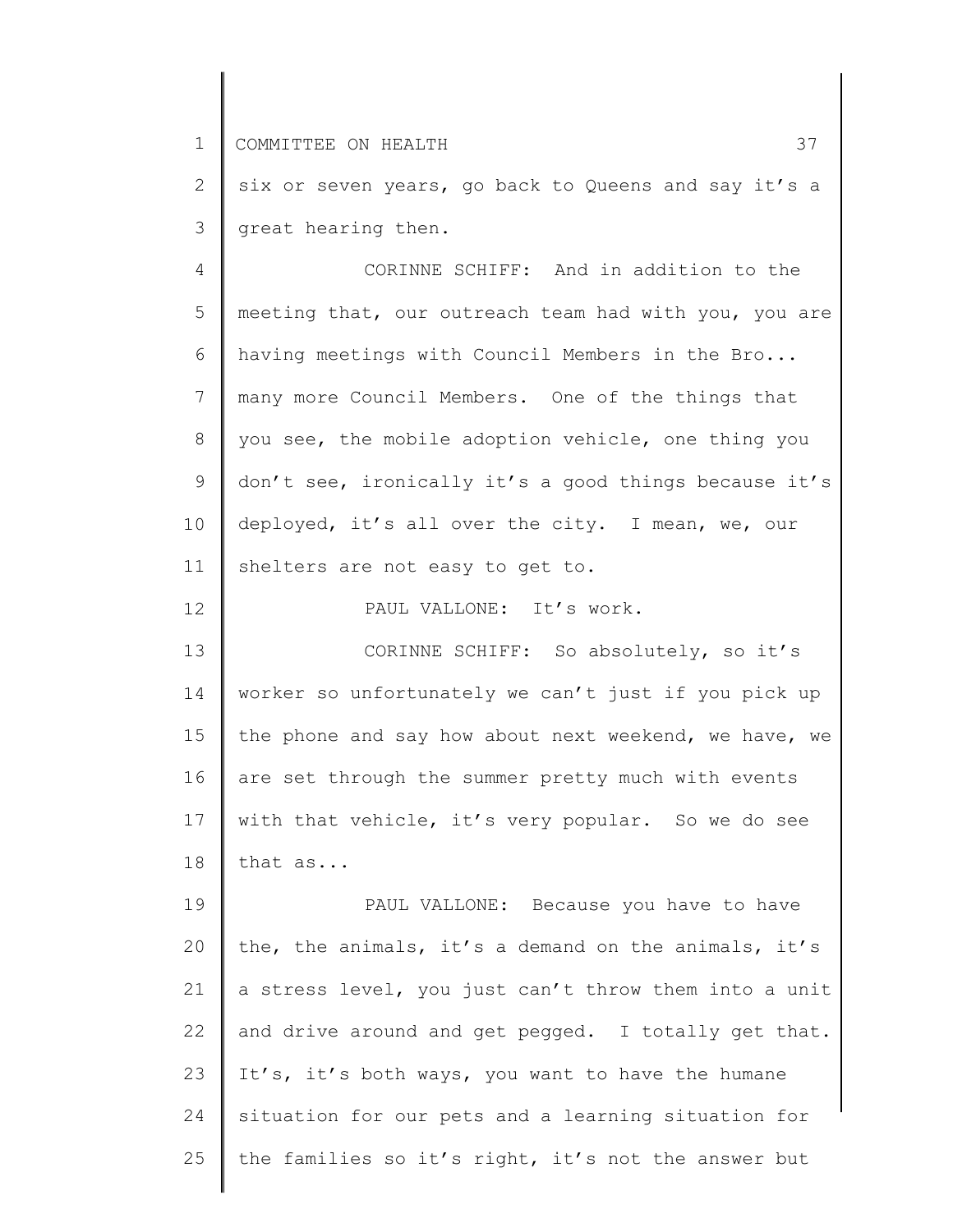12

2 3 six or seven years, go back to Queens and say it's a great hearing then.

4 5 6 7 8 9 10 11 CORINNE SCHIFF: And in addition to the meeting that, our outreach team had with you, you are having meetings with Council Members in the Bro... many more Council Members. One of the things that you see, the mobile adoption vehicle, one thing you don't see, ironically it's a good things because it's deployed, it's all over the city. I mean, we, our shelters are not easy to get to.

PAUL VALLONE: It's work.

13 14 15 16 17 18 CORINNE SCHIFF: So absolutely, so it's worker so unfortunately we can't just if you pick up the phone and say how about next weekend, we have, we are set through the summer pretty much with events with that vehicle, it's very popular. So we do see that as...

19 20 21 22 23 24 25 PAUL VALLONE: Because you have to have the, the animals, it's a demand on the animals, it's a stress level, you just can't throw them into a unit and drive around and get pegged. I totally get that. It's, it's both ways, you want to have the humane situation for our pets and a learning situation for the families so it's right, it's not the answer but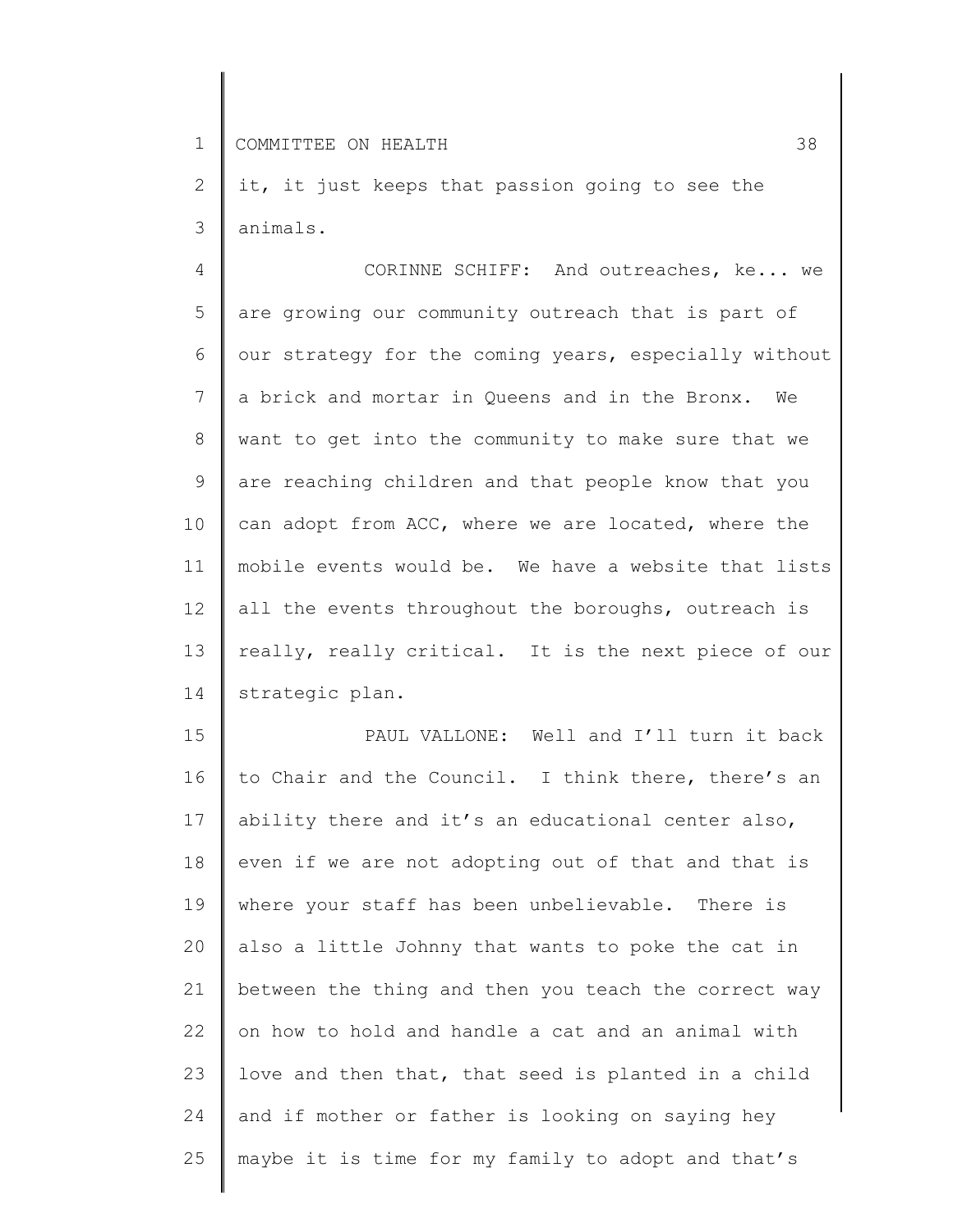2 3 it, it just keeps that passion going to see the animals.

4 5 6 7 8 9 10 11 12 13 14 CORINNE SCHIFF: And outreaches, ke... we are growing our community outreach that is part of our strategy for the coming years, especially without a brick and mortar in Queens and in the Bronx. We want to get into the community to make sure that we are reaching children and that people know that you can adopt from ACC, where we are located, where the mobile events would be. We have a website that lists all the events throughout the boroughs, outreach is really, really critical. It is the next piece of our strategic plan.

15 16 17 18 19 20 21 22 23 24 25 PAUL VALLONE: Well and I'll turn it back to Chair and the Council. I think there, there's an ability there and it's an educational center also, even if we are not adopting out of that and that is where your staff has been unbelievable. There is also a little Johnny that wants to poke the cat in between the thing and then you teach the correct way on how to hold and handle a cat and an animal with love and then that, that seed is planted in a child and if mother or father is looking on saying hey maybe it is time for my family to adopt and that's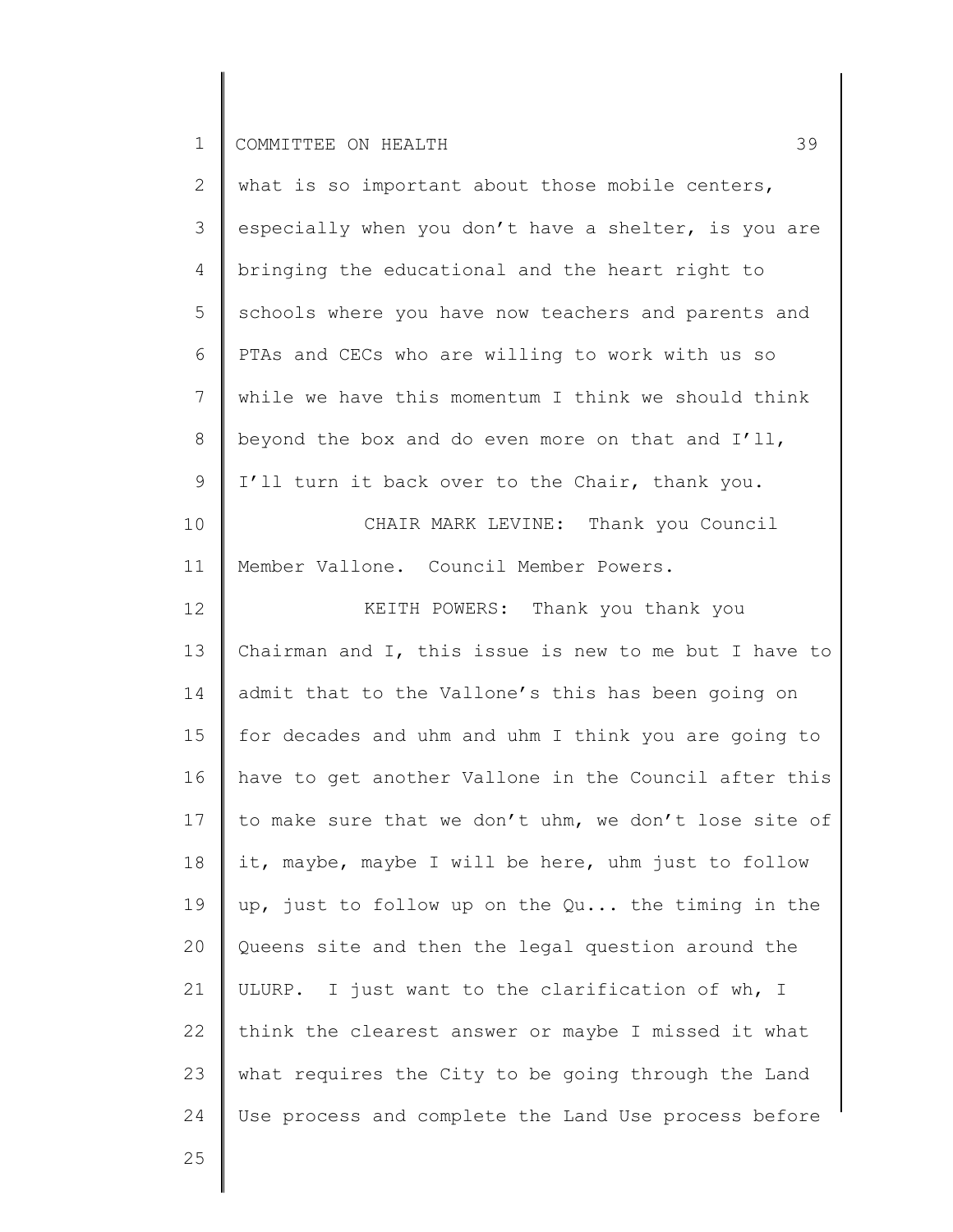| $\mathbf{2}^{\prime}$ | what is so important about those mobile centers,      |
|-----------------------|-------------------------------------------------------|
| 3                     | especially when you don't have a shelter, is you are  |
| 4                     | bringing the educational and the heart right to       |
| 5                     | schools where you have now teachers and parents and   |
| 6                     | PTAs and CECs who are willing to work with us so      |
| $7\phantom{.0}$       | while we have this momentum I think we should think   |
| 8                     | beyond the box and do even more on that and I'll,     |
| 9                     | I'll turn it back over to the Chair, thank you.       |
| 10                    | CHAIR MARK LEVINE: Thank you Council                  |
| 11                    | Member Vallone. Council Member Powers.                |
| 12                    | KEITH POWERS: Thank you thank you                     |
| 13                    | Chairman and I, this issue is new to me but I have to |
| 14                    | admit that to the Vallone's this has been going on    |
| 15                    | for decades and uhm and uhm I think you are going to  |
| 16                    | have to get another Vallone in the Council after this |
| 17                    | to make sure that we don't uhm, we don't lose site of |
| 18                    | it, maybe, maybe I will be here, uhm just to follow   |
| 19                    | up, just to follow up on the Qu the timing in the     |
| 20                    | Queens site and then the legal question around the    |
| 21                    | ULURP. I just want to the clarification of wh, I      |
| 22                    | think the clearest answer or maybe I missed it what   |
| 23                    | what requires the City to be going through the Land   |
| 24                    | Use process and complete the Land Use process before  |
|                       |                                                       |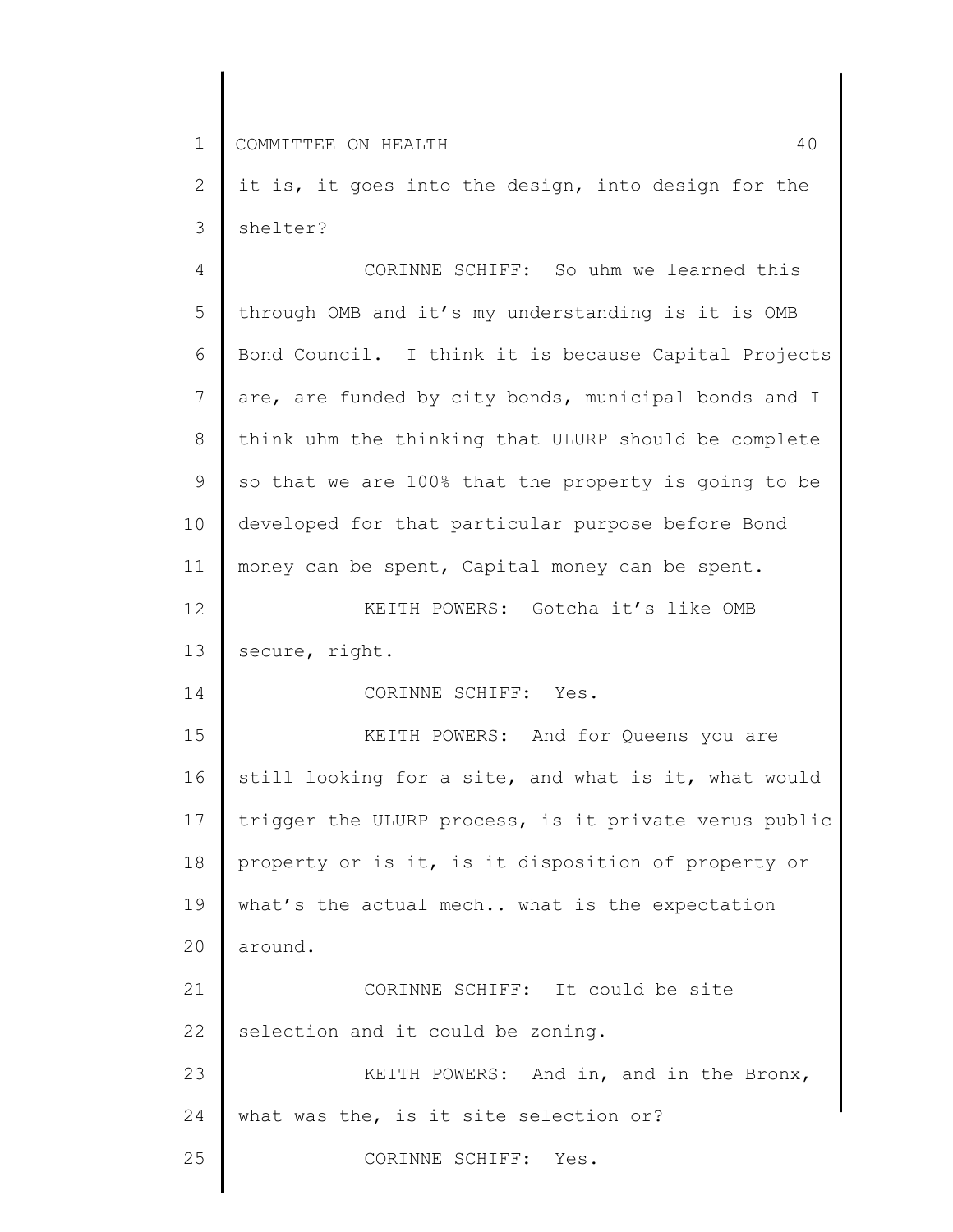2 3 it is, it goes into the design, into design for the shelter?

4 5 6 7 8 9 10 11 12 13 14 15 16 17 18 19 20 21 22 23 24 25 CORINNE SCHIFF: So uhm we learned this through OMB and it's my understanding is it is OMB Bond Council. I think it is because Capital Projects are, are funded by city bonds, municipal bonds and I think uhm the thinking that ULURP should be complete so that we are 100% that the property is going to be developed for that particular purpose before Bond money can be spent, Capital money can be spent. KEITH POWERS: Gotcha it's like OMB secure, right. CORINNE SCHIFF: Yes. KEITH POWERS: And for Queens you are still looking for a site, and what is it, what would trigger the ULURP process, is it private verus public property or is it, is it disposition of property or what's the actual mech.. what is the expectation around. CORINNE SCHIFF: It could be site selection and it could be zoning. KEITH POWERS: And in, and in the Bronx, what was the, is it site selection or? CORINNE SCHIFF: Yes.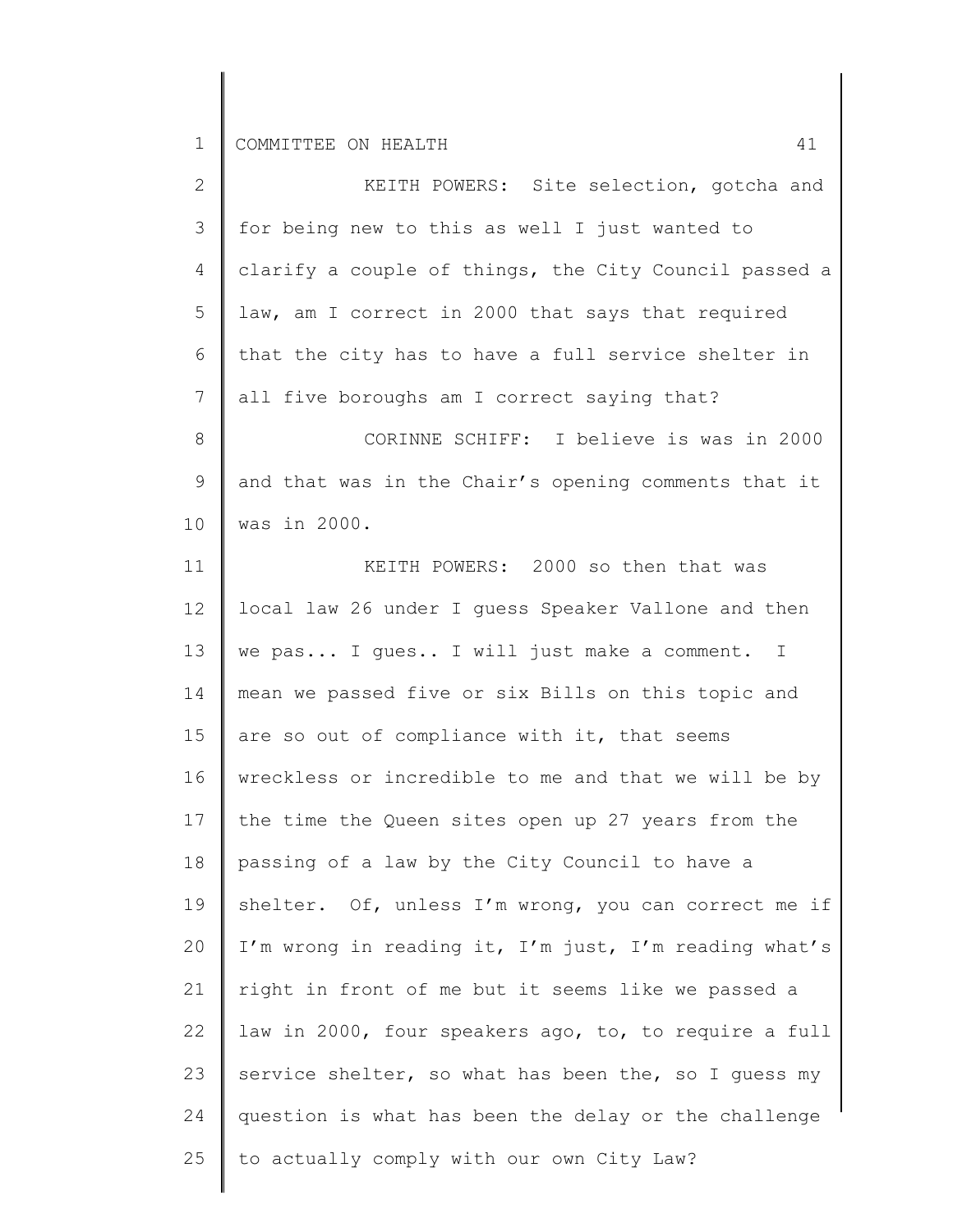| $\mathbf{2}$   | KEITH POWERS: Site selection, gotcha and              |
|----------------|-------------------------------------------------------|
| 3              | for being new to this as well I just wanted to        |
| 4              | clarify a couple of things, the City Council passed a |
| 5              | law, am I correct in 2000 that says that required     |
| 6              | that the city has to have a full service shelter in   |
| $7\phantom{.}$ | all five boroughs am I correct saying that?           |
| 8              | CORINNE SCHIFF: I believe is was in 2000              |
| 9              | and that was in the Chair's opening comments that it  |
| 10             | was in 2000.                                          |
| 11             | KEITH POWERS: 2000 so then that was                   |
| 12             | local law 26 under I guess Speaker Vallone and then   |
| 13             | we pas I gues I will just make a comment. I           |
| 14             | mean we passed five or six Bills on this topic and    |
| 15             | are so out of compliance with it, that seems          |
| 16             | wreckless or incredible to me and that we will be by  |
| 17             | the time the Queen sites open up 27 years from the    |
| 18             | passing of a law by the City Council to have a        |
| 19             | shelter. Of, unless I'm wrong, you can correct me if  |
| 20             | I'm wrong in reading it, I'm just, I'm reading what's |
| 21             | right in front of me but it seems like we passed a    |
| 22             | law in 2000, four speakers ago, to, to require a full |
| 23             | service shelter, so what has been the, so I guess my  |
| 24             | question is what has been the delay or the challenge  |
| 25             | to actually comply with our own City Law?             |
|                |                                                       |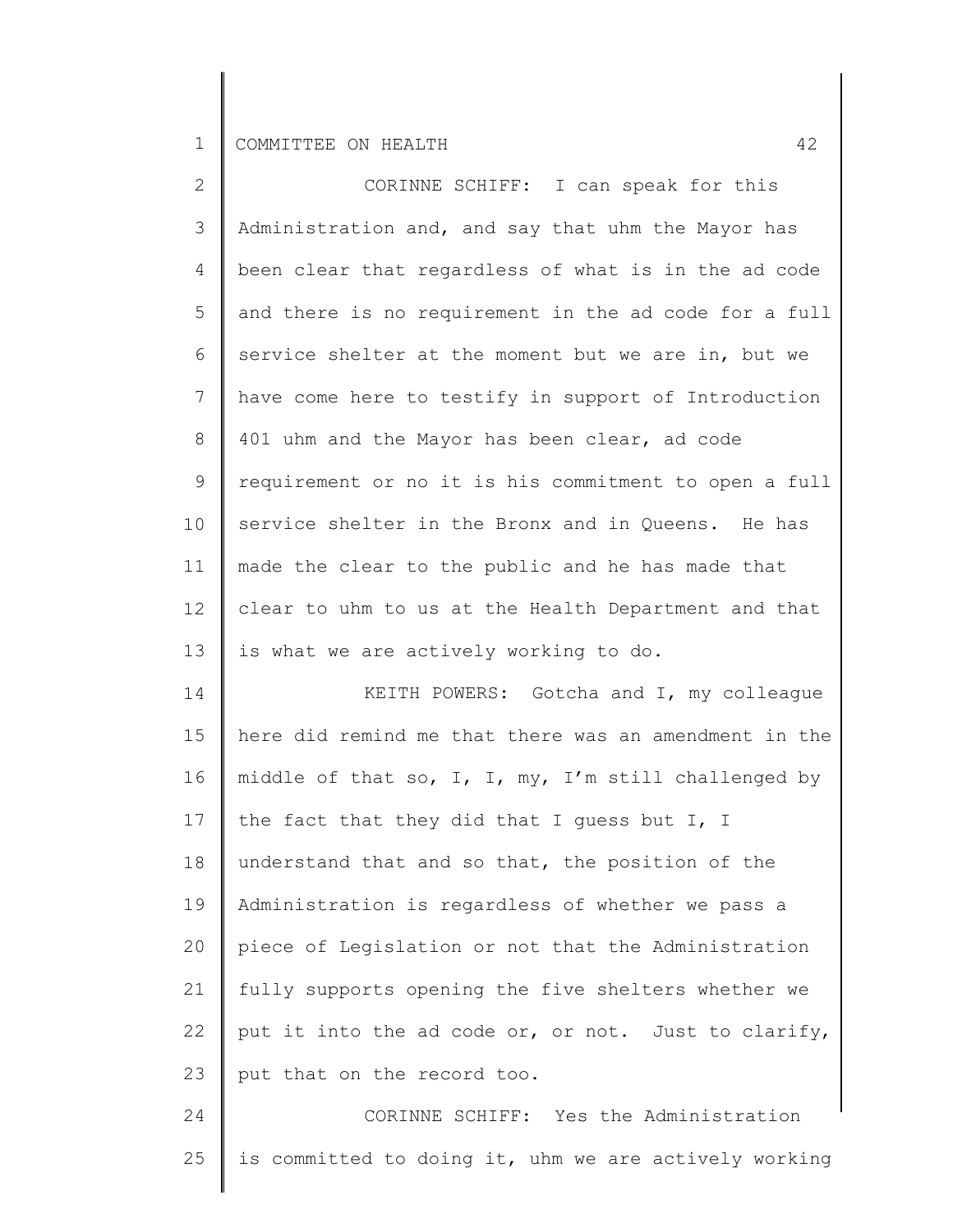| $\mathbf{2}$    | CORINNE SCHIFF: I can speak for this                  |
|-----------------|-------------------------------------------------------|
| 3               | Administration and, and say that uhm the Mayor has    |
| 4               | been clear that regardless of what is in the ad code  |
| 5               | and there is no requirement in the ad code for a full |
| 6               | service shelter at the moment but we are in, but we   |
| $7\phantom{.0}$ | have come here to testify in support of Introduction  |
| 8               | 401 uhm and the Mayor has been clear, ad code         |
| 9               | requirement or no it is his commitment to open a full |
| 10              | service shelter in the Bronx and in Queens. He has    |
| 11              | made the clear to the public and he has made that     |
| 12 <sup>°</sup> | clear to uhm to us at the Health Department and that  |
| 13              | is what we are actively working to do.                |
| 14              | KEITH POWERS: Gotcha and I, my colleague              |
| 15              | here did remind me that there was an amendment in the |
| 16              | middle of that so, I, I, my, I'm still challenged by  |
| 17              | the fact that they did that I guess but I, I          |
| 18              | understand that and so that, the position of the      |
| 19              | Administration is regardless of whether we pass a     |
| 20              | piece of Legislation or not that the Administration   |
| 21              | fully supports opening the five shelters whether we   |
| 22              | put it into the ad code or, or not. Just to clarify,  |
| 23              | put that on the record too.                           |
| 24              | CORINNE SCHIFF: Yes the Administration                |

25 | is committed to doing it, uhm we are actively working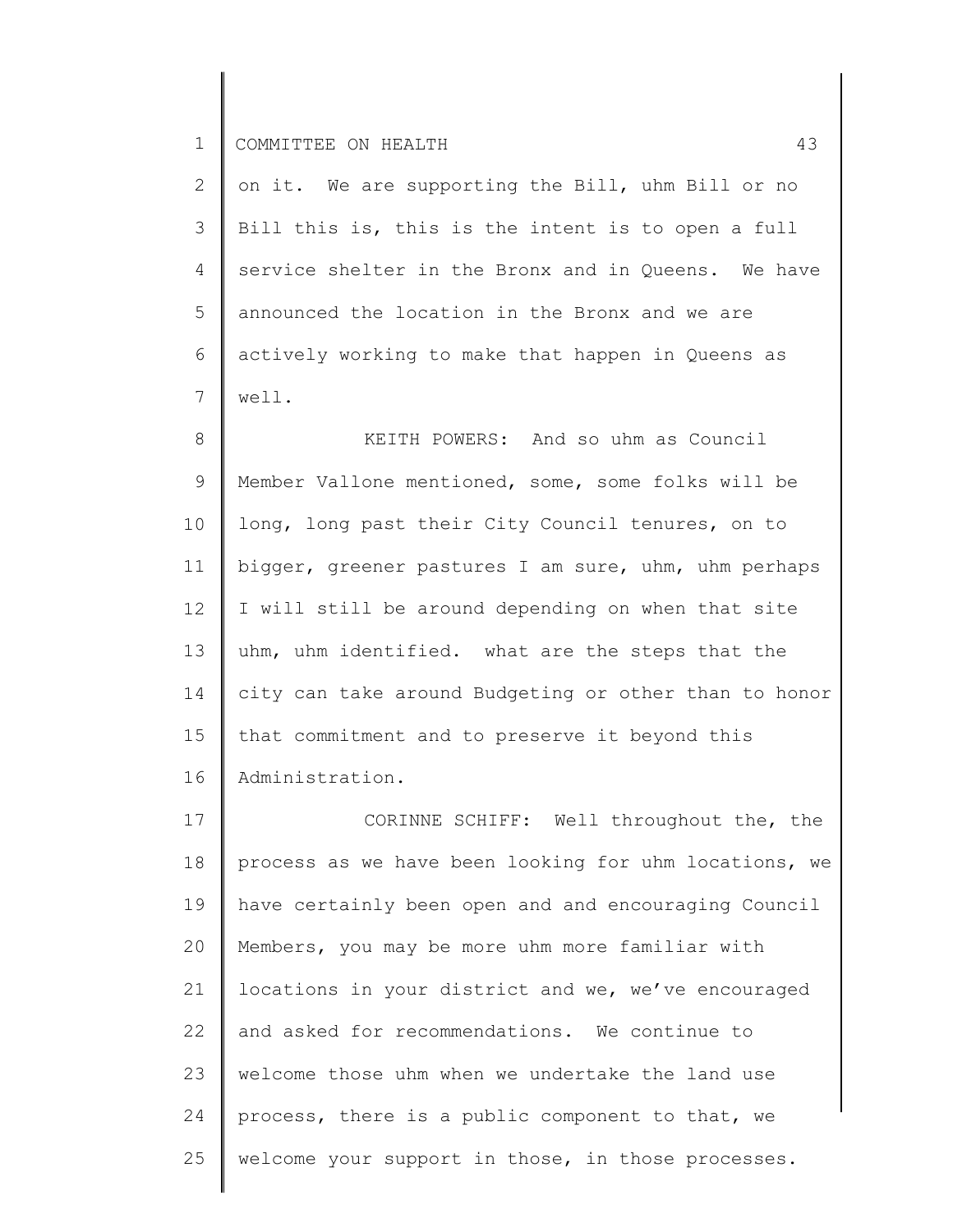2 3 4 5 6 7 on it. We are supporting the Bill, uhm Bill or no Bill this is, this is the intent is to open a full service shelter in the Bronx and in Queens. We have announced the location in the Bronx and we are actively working to make that happen in Queens as well.

8 9 10 11 12 13 14 15 16 KEITH POWERS: And so uhm as Council Member Vallone mentioned, some, some folks will be long, long past their City Council tenures, on to bigger, greener pastures I am sure, uhm, uhm perhaps I will still be around depending on when that site uhm, uhm identified. what are the steps that the city can take around Budgeting or other than to honor that commitment and to preserve it beyond this Administration.

17 18 19 20 21 22 23 24 25 CORINNE SCHIFF: Well throughout the, the process as we have been looking for uhm locations, we have certainly been open and and encouraging Council Members, you may be more uhm more familiar with locations in your district and we, we've encouraged and asked for recommendations. We continue to welcome those uhm when we undertake the land use process, there is a public component to that, we welcome your support in those, in those processes.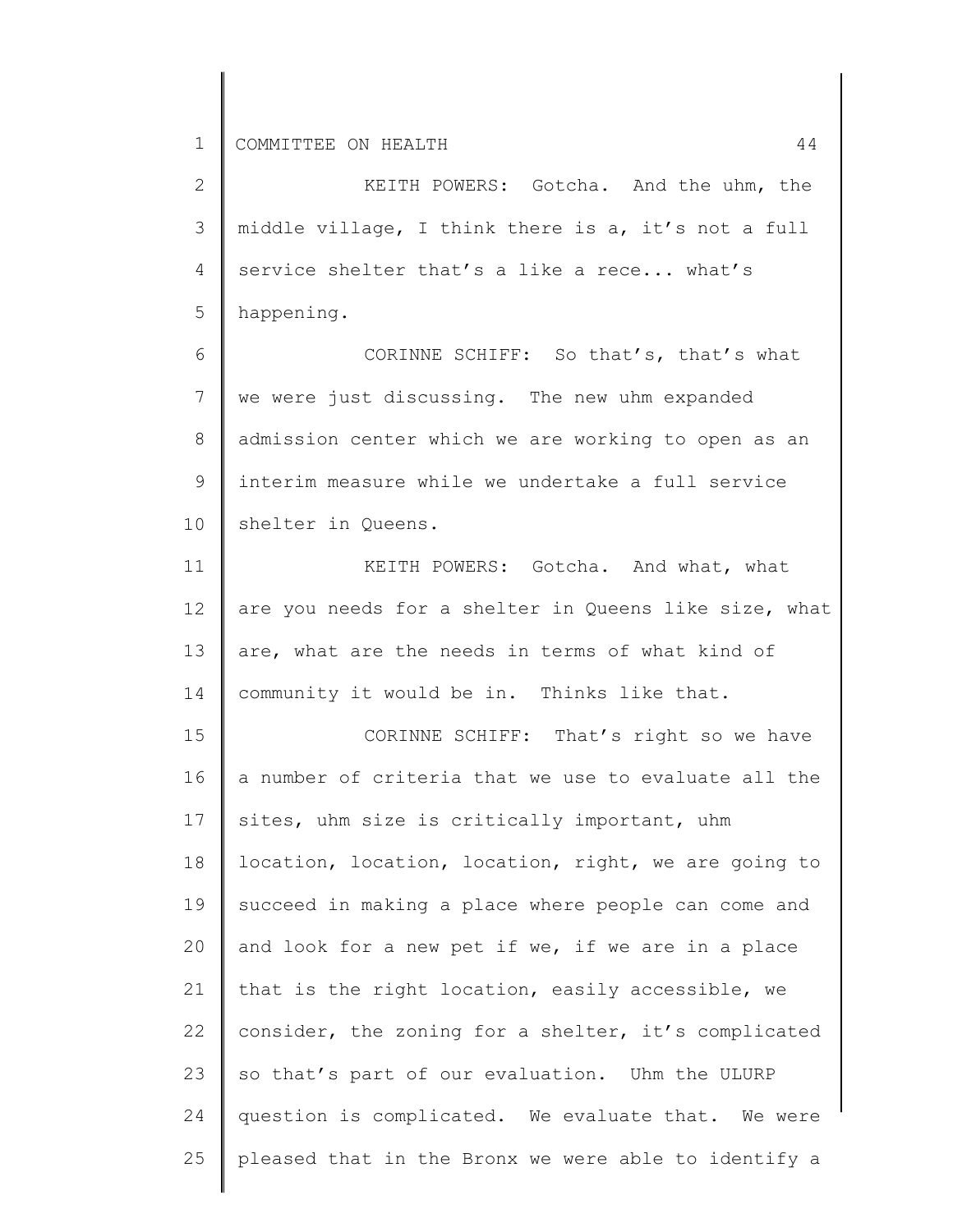2 3 4 5 6 7 KEITH POWERS: Gotcha. And the uhm, the middle village, I think there is a, it's not a full service shelter that's a like a rece... what's happening. CORINNE SCHIFF: So that's, that's what we were just discussing. The new uhm expanded

8 9 10 admission center which we are working to open as an interim measure while we undertake a full service shelter in Queens.

11 12 13 14 KEITH POWERS: Gotcha. And what, what are you needs for a shelter in Queens like size, what are, what are the needs in terms of what kind of community it would be in. Thinks like that.

15 16 17 18 19 20 21 22 23 24 25 CORINNE SCHIFF: That's right so we have a number of criteria that we use to evaluate all the sites, uhm size is critically important, uhm location, location, location, right, we are going to succeed in making a place where people can come and and look for a new pet if we, if we are in a place that is the right location, easily accessible, we consider, the zoning for a shelter, it's complicated so that's part of our evaluation. Uhm the ULURP question is complicated. We evaluate that. We were pleased that in the Bronx we were able to identify a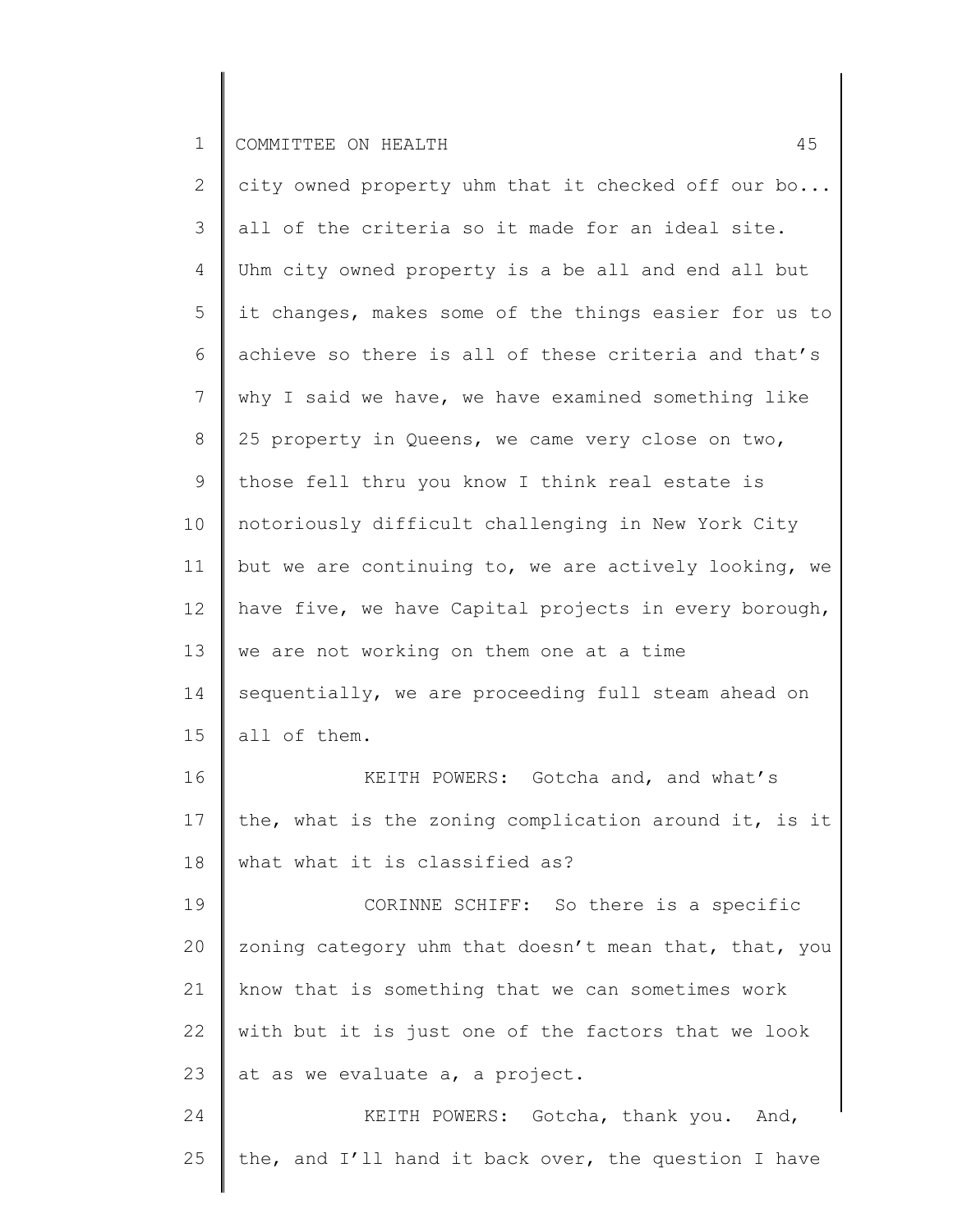| $\overline{2}$ | city owned property uhm that it checked off our bo    |
|----------------|-------------------------------------------------------|
| 3              | all of the criteria so it made for an ideal site.     |
| 4              | Uhm city owned property is a be all and end all but   |
| 5              | it changes, makes some of the things easier for us to |
| 6              | achieve so there is all of these criteria and that's  |
| 7              | why I said we have, we have examined something like   |
| 8              | 25 property in Queens, we came very close on two,     |
| 9              | those fell thru you know I think real estate is       |
| 10             | notoriously difficult challenging in New York City    |
| 11             | but we are continuing to, we are actively looking, we |
| 12             | have five, we have Capital projects in every borough, |
| 13             | we are not working on them one at a time              |
| 14             | sequentially, we are proceeding full steam ahead on   |
| 15             | all of them.                                          |
| 16             | KEITH POWERS: Gotcha and, and what's                  |
| 17             | the, what is the zoning complication around it, is it |
| 18             | what what it is classified as?                        |
| 19             | CORINNE SCHIFF: So there is a specific                |
| 20             | zoning category uhm that doesn't mean that, that, you |
| 21             | know that is something that we can sometimes work     |
| 22             | with but it is just one of the factors that we look   |
| 23             | at as we evaluate a, a project.                       |
| 24             | KEITH POWERS: Gotcha, thank you. And,                 |
| 25             | the, and I'll hand it back over, the question I have  |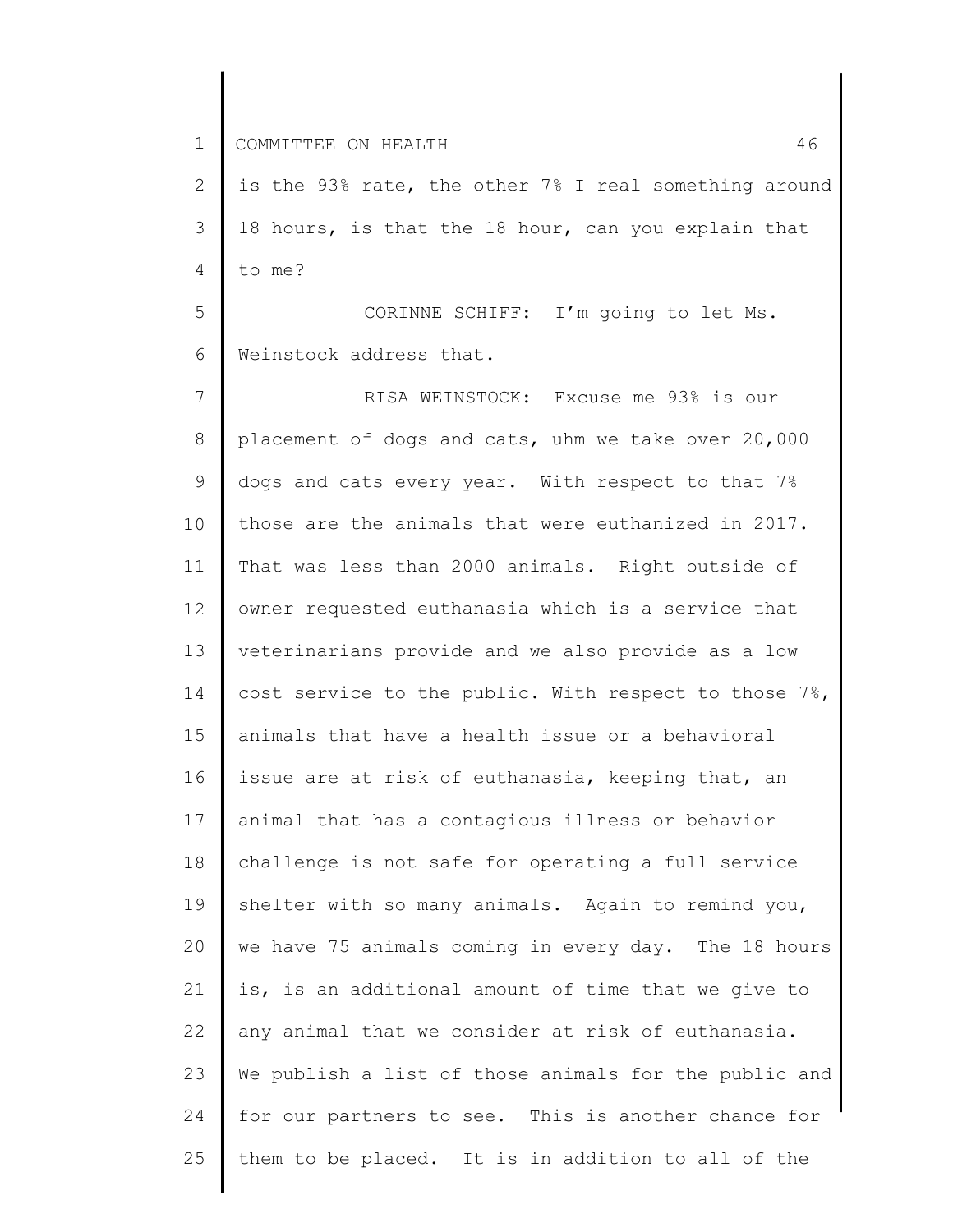1 COMMITTEE ON HEALTH 36 and 200 million and 200 million and 46 and 46 and 46 and 46 and 46 and 46 and 46 and 46

2 3 4 is the 93% rate, the other 7% I real something around 18 hours, is that the 18 hour, can you explain that to me?

5 6 CORINNE SCHIFF: I'm going to let Ms. Weinstock address that.

7 8 9 10 11 12 13 14 15 16 17 18 19 20 21 22 23 24 25 RISA WEINSTOCK: Excuse me 93% is our placement of dogs and cats, uhm we take over 20,000 dogs and cats every year. With respect to that 7% those are the animals that were euthanized in 2017. That was less than 2000 animals. Right outside of owner requested euthanasia which is a service that veterinarians provide and we also provide as a low cost service to the public. With respect to those 7%, animals that have a health issue or a behavioral issue are at risk of euthanasia, keeping that, an animal that has a contagious illness or behavior challenge is not safe for operating a full service shelter with so many animals. Again to remind you, we have 75 animals coming in every day. The 18 hours is, is an additional amount of time that we give to any animal that we consider at risk of euthanasia. We publish a list of those animals for the public and for our partners to see. This is another chance for them to be placed. It is in addition to all of the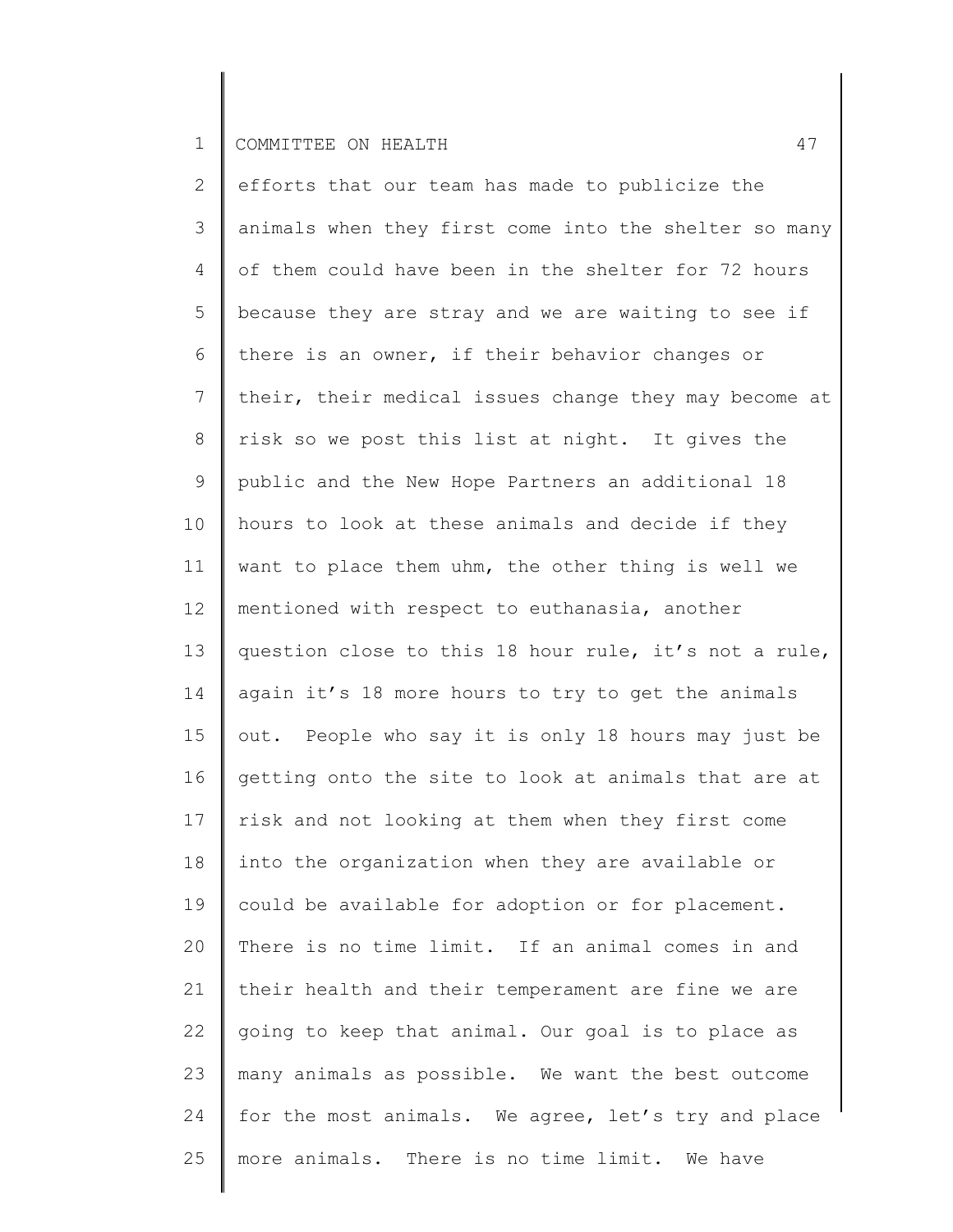2 3 4 5 6 7 8 9 10 11 12 13 14 15 16 17 18 19 20 21 22 23 24 25 efforts that our team has made to publicize the animals when they first come into the shelter so many of them could have been in the shelter for 72 hours because they are stray and we are waiting to see if there is an owner, if their behavior changes or their, their medical issues change they may become at risk so we post this list at night. It gives the public and the New Hope Partners an additional 18 hours to look at these animals and decide if they want to place them uhm, the other thing is well we mentioned with respect to euthanasia, another question close to this 18 hour rule, it's not a rule, again it's 18 more hours to try to get the animals out. People who say it is only 18 hours may just be getting onto the site to look at animals that are at risk and not looking at them when they first come into the organization when they are available or could be available for adoption or for placement. There is no time limit. If an animal comes in and their health and their temperament are fine we are going to keep that animal. Our goal is to place as many animals as possible. We want the best outcome for the most animals. We agree, let's try and place more animals. There is no time limit. We have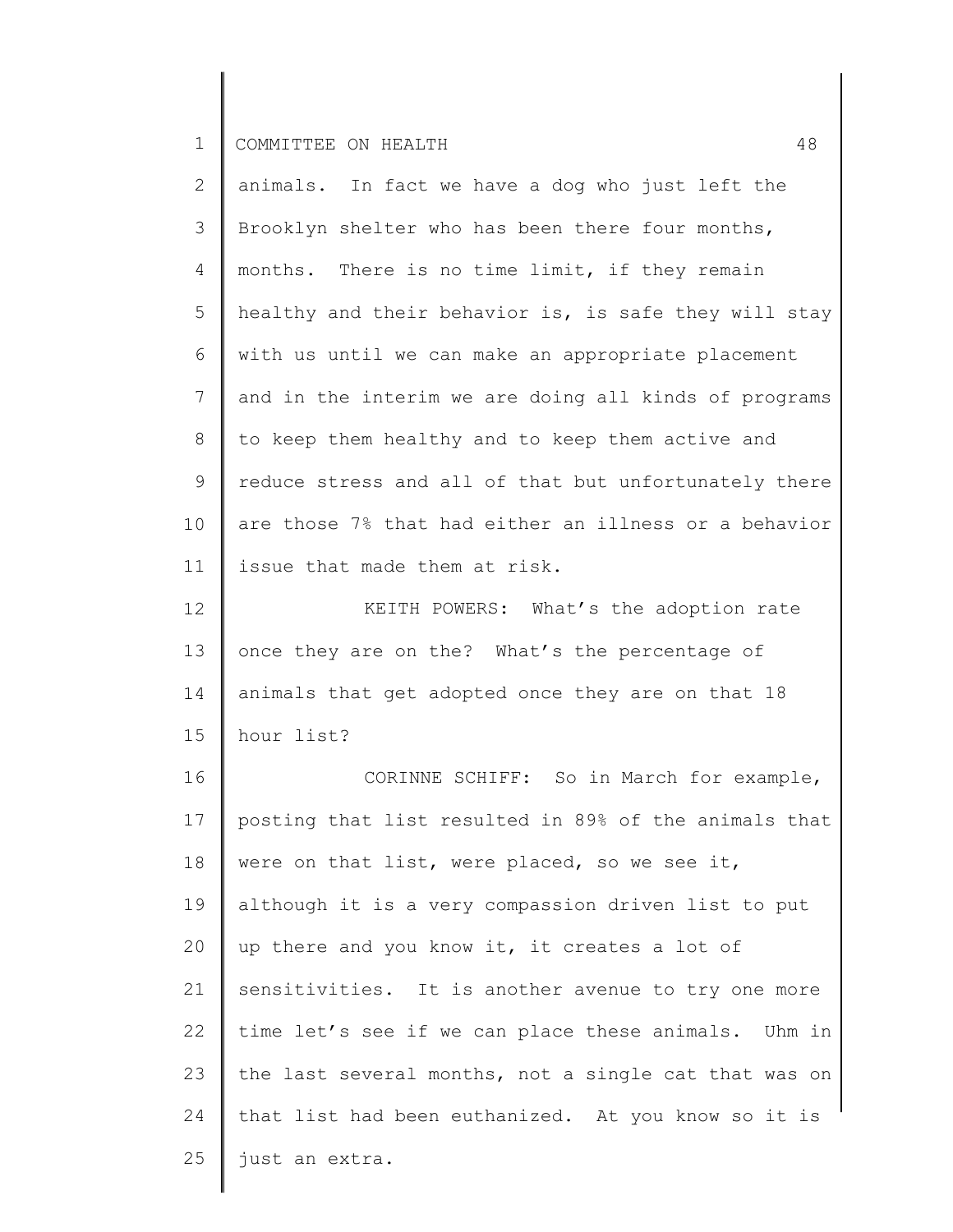| $\mathbf{2}$   | animals. In fact we have a dog who just left the      |
|----------------|-------------------------------------------------------|
| 3              | Brooklyn shelter who has been there four months,      |
| $\overline{4}$ | months. There is no time limit, if they remain        |
| 5              | healthy and their behavior is, is safe they will stay |
| 6              | with us until we can make an appropriate placement    |
| 7              | and in the interim we are doing all kinds of programs |
| 8              | to keep them healthy and to keep them active and      |
| 9              | reduce stress and all of that but unfortunately there |
| 10             | are those 7% that had either an illness or a behavior |
| 11             | issue that made them at risk.                         |
| 12             | KEITH POWERS: What's the adoption rate                |
| 13             | once they are on the? What's the percentage of        |
| 14             | animals that get adopted once they are on that 18     |
| 15             | hour list?                                            |
| 16             | CORINNE SCHIFF: So in March for example,              |
| 17             | posting that list resulted in 89% of the animals that |
| 18             | were on that list, were placed, so we see it,         |
| 19             | although it is a very compassion driven list to put   |
| 20             | up there and you know it, it creates a lot of         |
| 21             | sensitivities. It is another avenue to try one more   |
| 22             | time let's see if we can place these animals. Uhm in  |
| 23             | the last several months, not a single cat that was on |
| 24             | that list had been euthanized. At you know so it is   |
| 25             | just an extra.                                        |
|                |                                                       |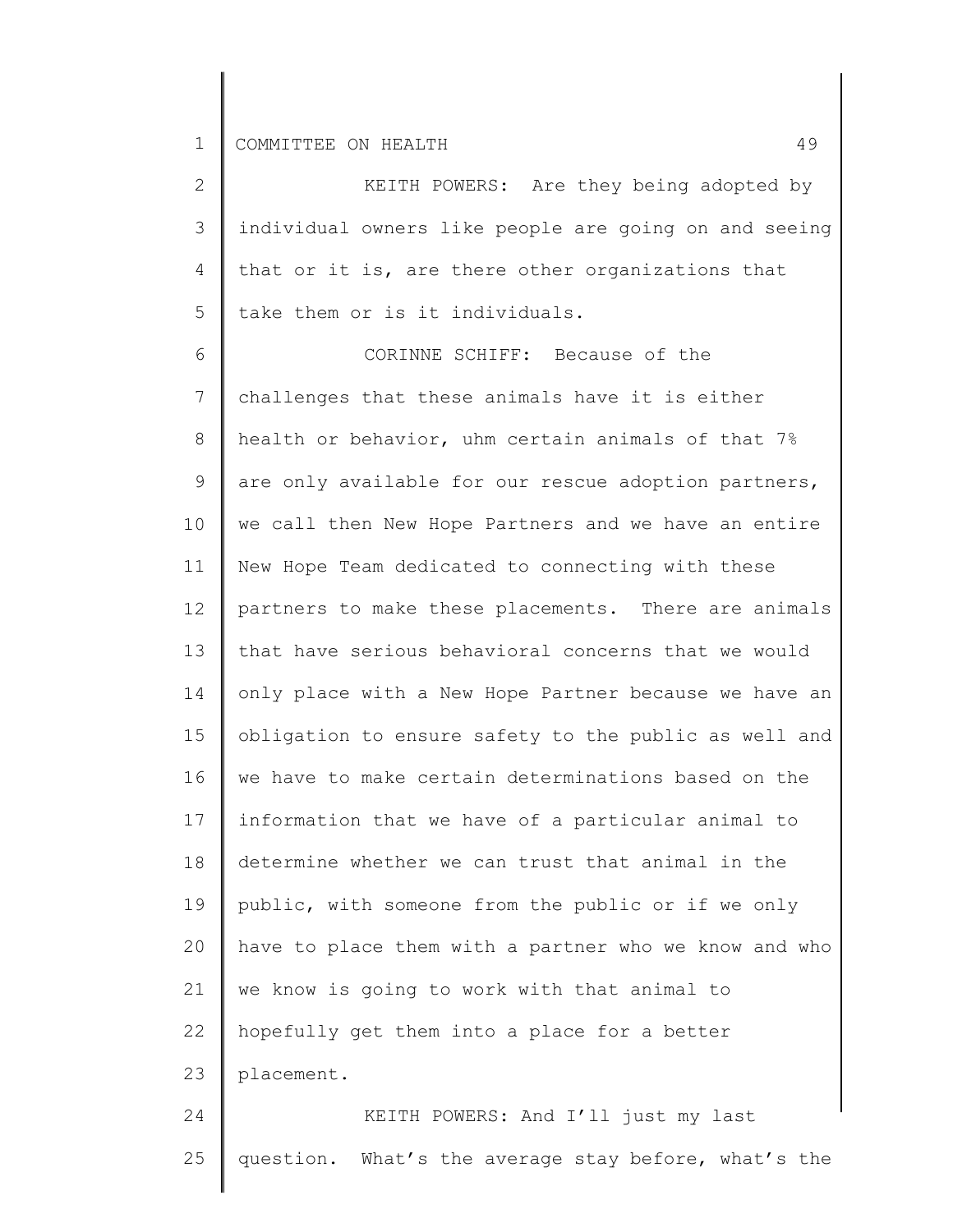| 2              | KEITH POWERS: Are they being adopted by               |
|----------------|-------------------------------------------------------|
| 3              | individual owners like people are going on and seeing |
| 4              | that or it is, are there other organizations that     |
| 5              | take them or is it individuals.                       |
| 6              | CORINNE SCHIFF: Because of the                        |
| $7\phantom{.}$ | challenges that these animals have it is either       |
| 8              | health or behavior, uhm certain animals of that 7%    |
| 9              | are only available for our rescue adoption partners,  |
| 10             | we call then New Hope Partners and we have an entire  |
| 11             | New Hope Team dedicated to connecting with these      |
| 12             | partners to make these placements. There are animals  |
| 13             | that have serious behavioral concerns that we would   |
| 14             | only place with a New Hope Partner because we have an |
| 15             | obligation to ensure safety to the public as well and |
| 16             | we have to make certain determinations based on the   |
| 17             | information that we have of a particular animal to    |
| 18             | determine whether we can trust that animal in the     |
| 19             | public, with someone from the public or if we only    |
| 20             | have to place them with a partner who we know and who |
| 21             | we know is going to work with that animal to          |
| 22             | hopefully get them into a place for a better          |
| 23             | placement.                                            |
|                |                                                       |

 $\mathcal{L} \subset \mathcal{L}$ KEITH POWERS: And I'll just my last 24 question. What's the average stay before, what's the 25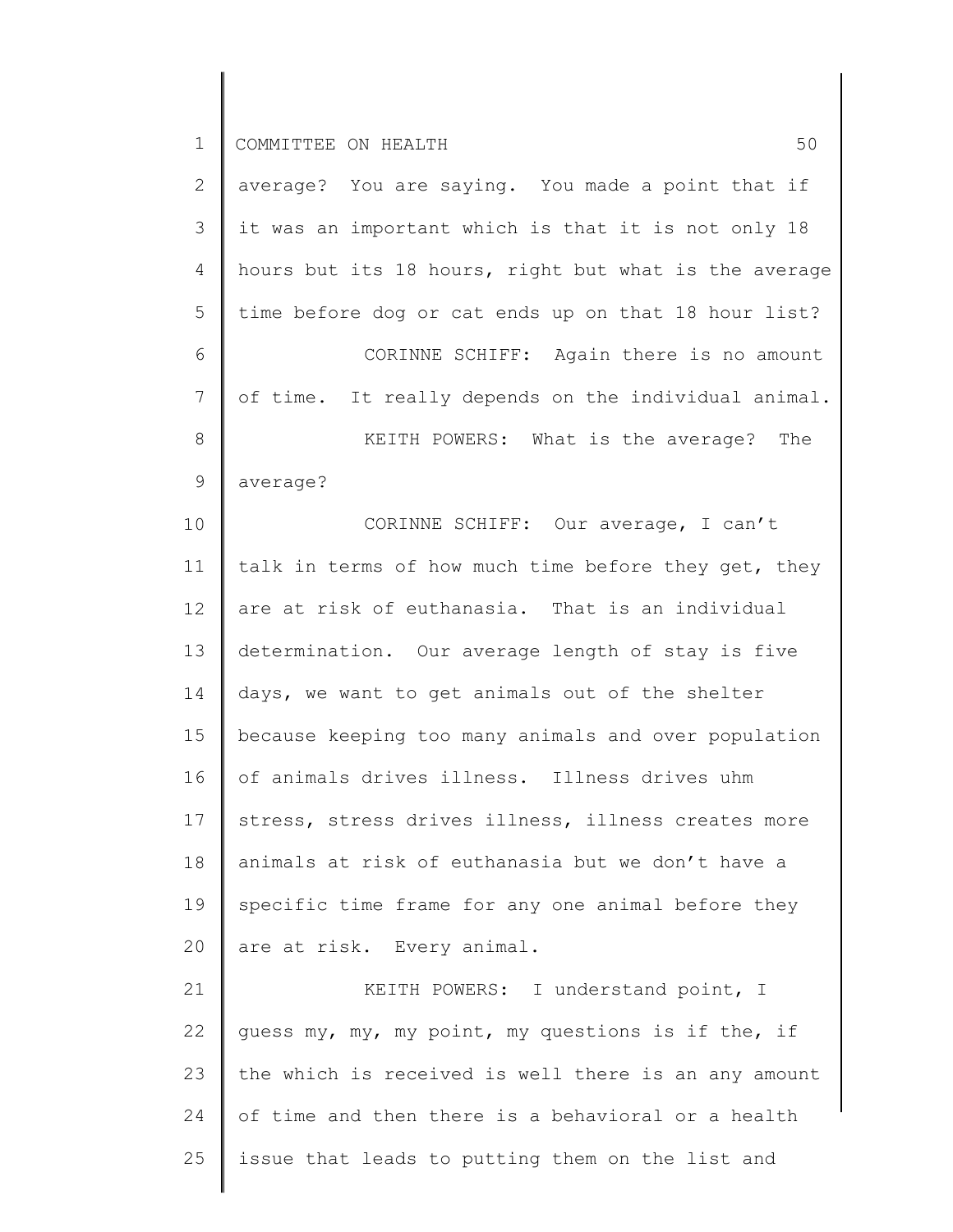∥

| $\mathbf{2}^{\mathsf{I}}$ | average? You are saying. You made a point that if     |
|---------------------------|-------------------------------------------------------|
| 3                         | it was an important which is that it is not only 18   |
| 4                         | hours but its 18 hours, right but what is the average |
| 5                         | time before dog or cat ends up on that 18 hour list?  |
| 6                         | CORINNE SCHIFF: Again there is no amount              |
| 7                         | of time. It really depends on the individual animal.  |
| 8                         | KEITH POWERS: What is the average? The                |
| 9                         | average?                                              |
| 10                        | CORINNE SCHIFF: Our average, I can't                  |
| 11                        | talk in terms of how much time before they get, they  |
| 12                        | are at risk of euthanasia. That is an individual      |
| 13                        | determination. Our average length of stay is five     |
| 14                        | days, we want to get animals out of the shelter       |
| 15                        | because keeping too many animals and over population  |
| 16                        | of animals drives illness. Illness drives uhm         |
| 17                        | stress, stress drives illness, illness creates more   |
| 18                        | animals at risk of euthanasia but we don't have a     |
| 19                        | specific time frame for any one animal before they    |
| 20                        | are at risk. Every animal.                            |
| 21                        | KEITH POWERS: I understand point, I                   |
| 22                        | guess my, my, my point, my questions is if the, if    |
| 23                        | the which is received is well there is an any amount  |
| 24                        | of time and then there is a behavioral or a health    |
| 25                        | issue that leads to putting them on the list and      |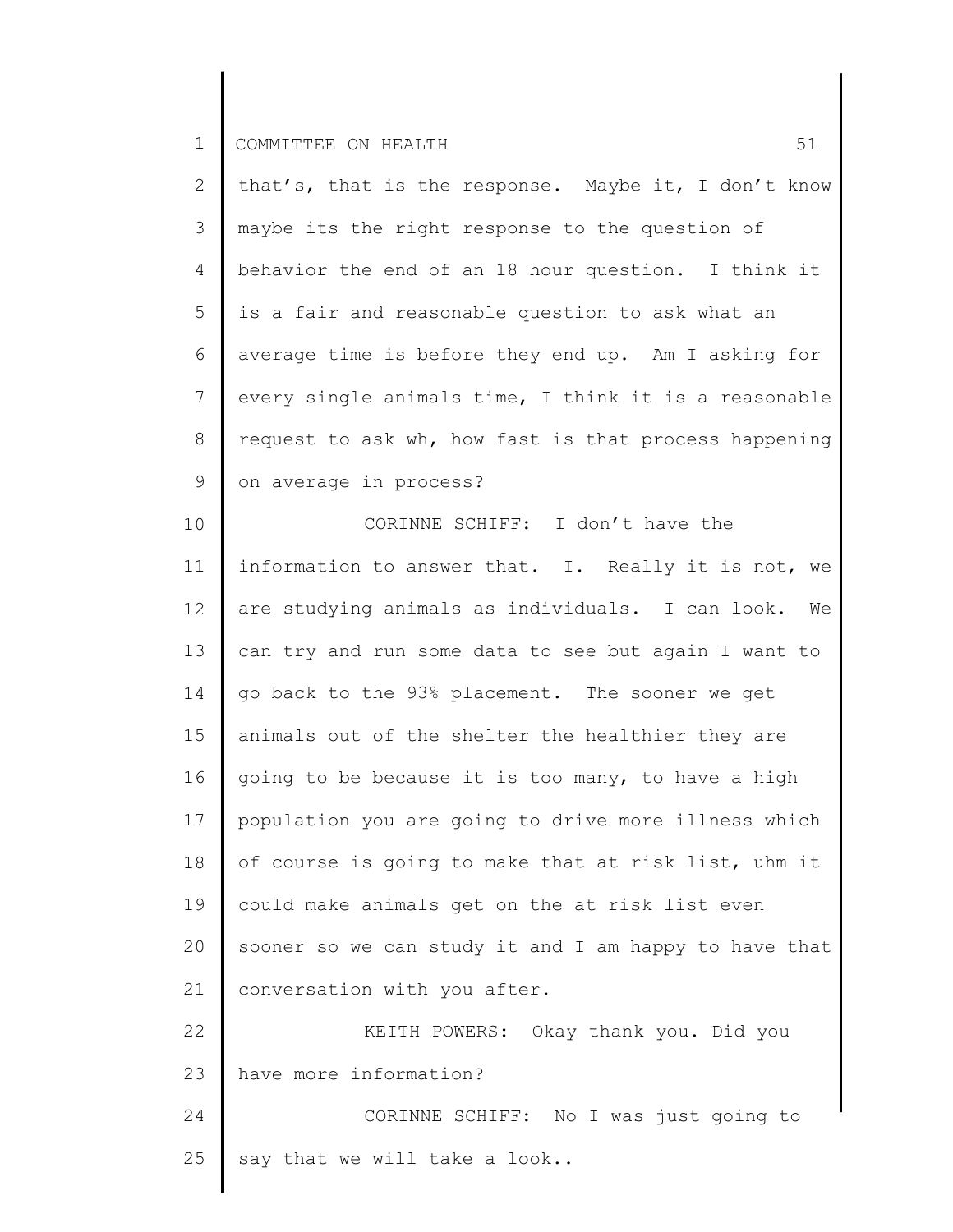2 3 4 5 6 7 8 9 that's, that is the response. Maybe it, I don't know maybe its the right response to the question of behavior the end of an 18 hour question. I think it is a fair and reasonable question to ask what an average time is before they end up. Am I asking for every single animals time, I think it is a reasonable request to ask wh, how fast is that process happening on average in process?

10 11 12 13 14 15 16 17 18 19 20 21 22 23 CORINNE SCHIFF: I don't have the information to answer that. I. Really it is not, we are studying animals as individuals. I can look. We can try and run some data to see but again I want to go back to the 93% placement. The sooner we get animals out of the shelter the healthier they are going to be because it is too many, to have a high population you are going to drive more illness which of course is going to make that at risk list, uhm it could make animals get on the at risk list even sooner so we can study it and I am happy to have that conversation with you after. KEITH POWERS: Okay thank you. Did you have more information?

24 25 CORINNE SCHIFF: No I was just going to say that we will take a look..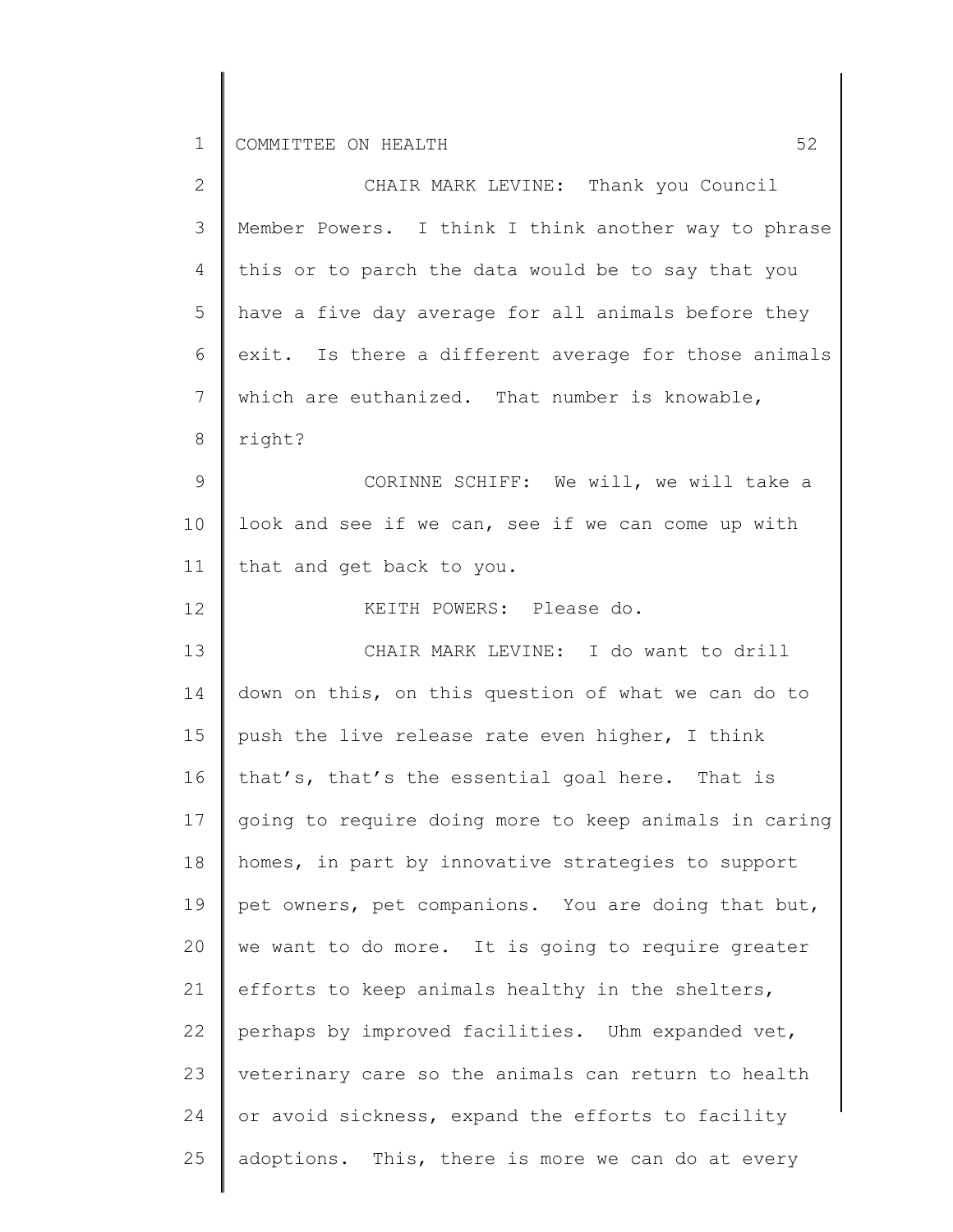| $\mathbf{2}$   | CHAIR MARK LEVINE: Thank you Council                  |
|----------------|-------------------------------------------------------|
| 3              | Member Powers. I think I think another way to phrase  |
| $\overline{4}$ | this or to parch the data would be to say that you    |
| 5              | have a five day average for all animals before they   |
| 6              | exit. Is there a different average for those animals  |
| 7              | which are euthanized. That number is knowable,        |
| 8              | right?                                                |
| 9              | CORINNE SCHIFF: We will, we will take a               |
| 10             | look and see if we can, see if we can come up with    |
| 11             | that and get back to you.                             |
| 12             | KEITH POWERS: Please do.                              |
| 13             | CHAIR MARK LEVINE: I do want to drill                 |
| 14             | down on this, on this question of what we can do to   |
| 15             | push the live release rate even higher, I think       |
| 16             | that's, that's the essential goal here. That is       |
| 17             | going to require doing more to keep animals in caring |
| 18             | homes, in part by innovative strategies to support    |
| 19             | pet owners, pet companions. You are doing that but,   |
| 20             | we want to do more. It is going to require greater    |
| 21             | efforts to keep animals healthy in the shelters,      |
| 22             | perhaps by improved facilities. Uhm expanded vet,     |
| 23             | veterinary care so the animals can return to health   |
| 24             | or avoid sickness, expand the efforts to facility     |
| 25             | adoptions. This, there is more we can do at every     |
|                |                                                       |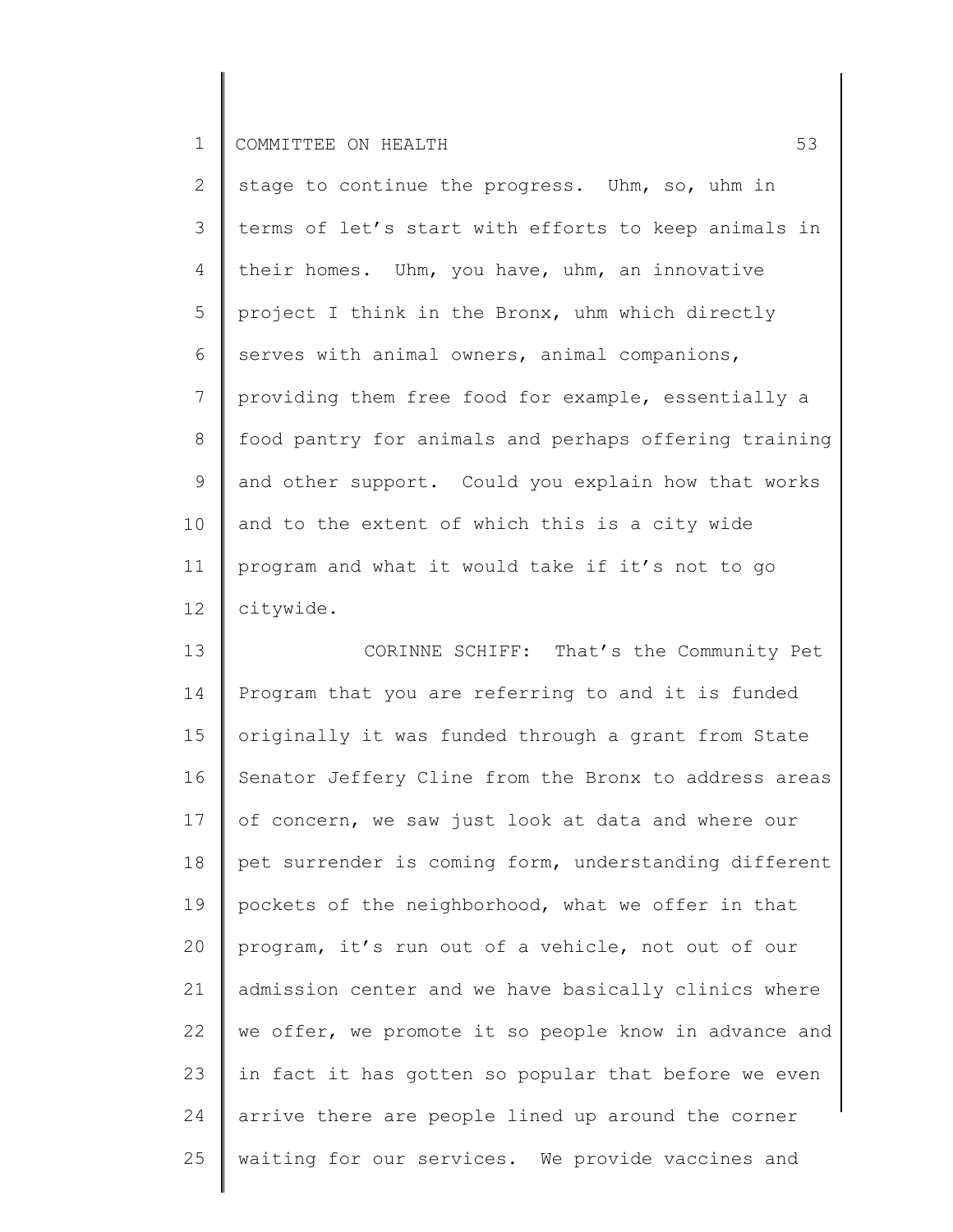| $\mathbf{2}$    | stage to continue the progress. Uhm, so, uhm in       |
|-----------------|-------------------------------------------------------|
| 3               | terms of let's start with efforts to keep animals in  |
| $\overline{4}$  | their homes. Uhm, you have, uhm, an innovative        |
| 5               | project I think in the Bronx, uhm which directly      |
| 6               | serves with animal owners, animal companions,         |
| $7\overline{ }$ | providing them free food for example, essentially a   |
| 8               | food pantry for animals and perhaps offering training |
| 9               | and other support. Could you explain how that works   |
| 10 <sub>o</sub> | and to the extent of which this is a city wide        |
| 11              | program and what it would take if it's not to go      |
| 12 <sup>°</sup> | citywide.                                             |

13 14 15 16 17 18 19 20 21 22 23 24 25 CORINNE SCHIFF: That's the Community Pet Program that you are referring to and it is funded originally it was funded through a grant from State Senator Jeffery Cline from the Bronx to address areas of concern, we saw just look at data and where our pet surrender is coming form, understanding different pockets of the neighborhood, what we offer in that program, it's run out of a vehicle, not out of our admission center and we have basically clinics where we offer, we promote it so people know in advance and in fact it has gotten so popular that before we even arrive there are people lined up around the corner waiting for our services. We provide vaccines and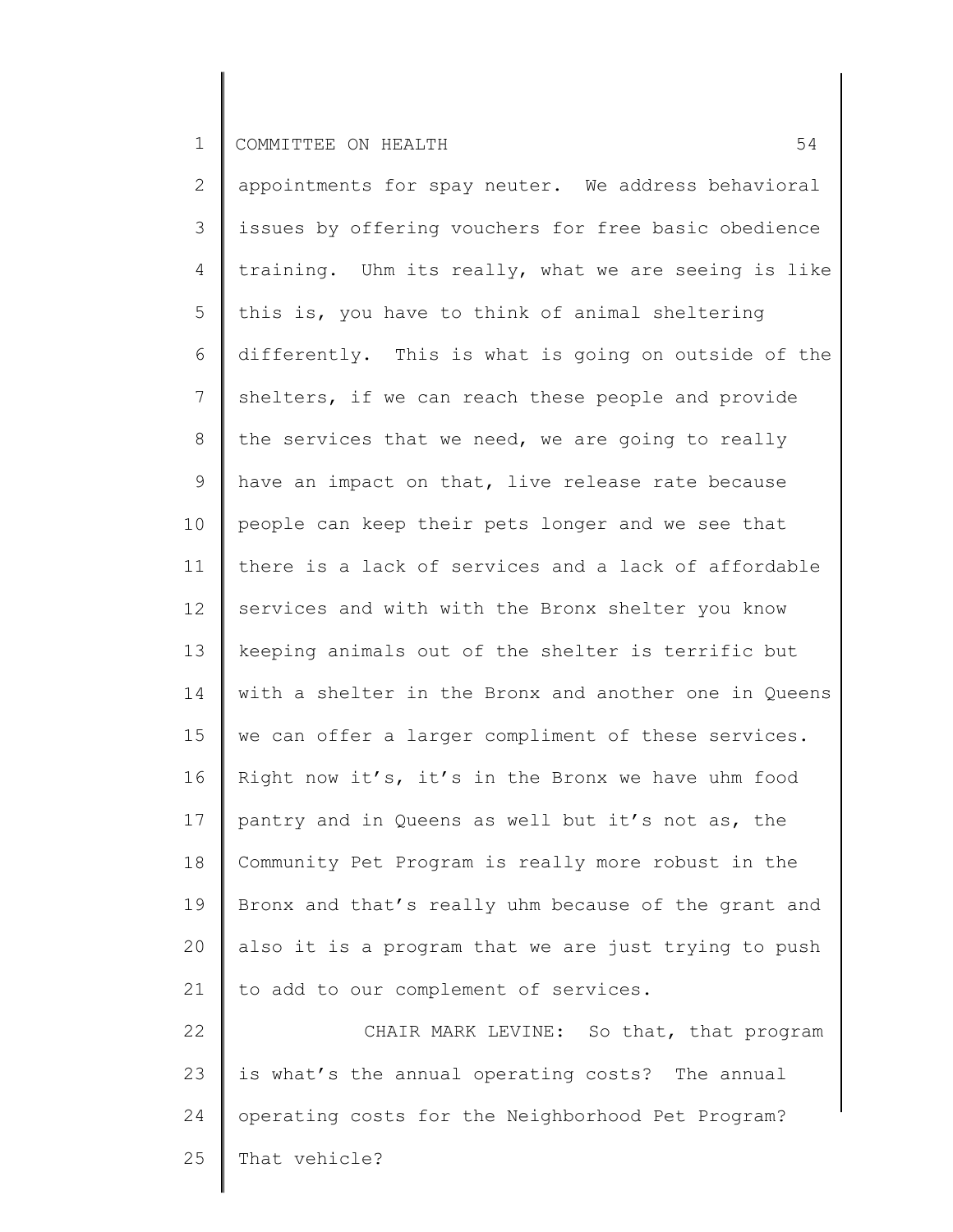2 3 4 5 6 7 8 9 10 11 12 13 14 15 16 17 18 19 20 21 22 23 24 appointments for spay neuter. We address behavioral issues by offering vouchers for free basic obedience training. Uhm its really, what we are seeing is like this is, you have to think of animal sheltering differently. This is what is going on outside of the shelters, if we can reach these people and provide the services that we need, we are going to really have an impact on that, live release rate because people can keep their pets longer and we see that there is a lack of services and a lack of affordable services and with with the Bronx shelter you know keeping animals out of the shelter is terrific but with a shelter in the Bronx and another one in Queens we can offer a larger compliment of these services. Right now it's, it's in the Bronx we have uhm food pantry and in Queens as well but it's not as, the Community Pet Program is really more robust in the Bronx and that's really uhm because of the grant and also it is a program that we are just trying to push to add to our complement of services. CHAIR MARK LEVINE: So that, that program is what's the annual operating costs? The annual operating costs for the Neighborhood Pet Program?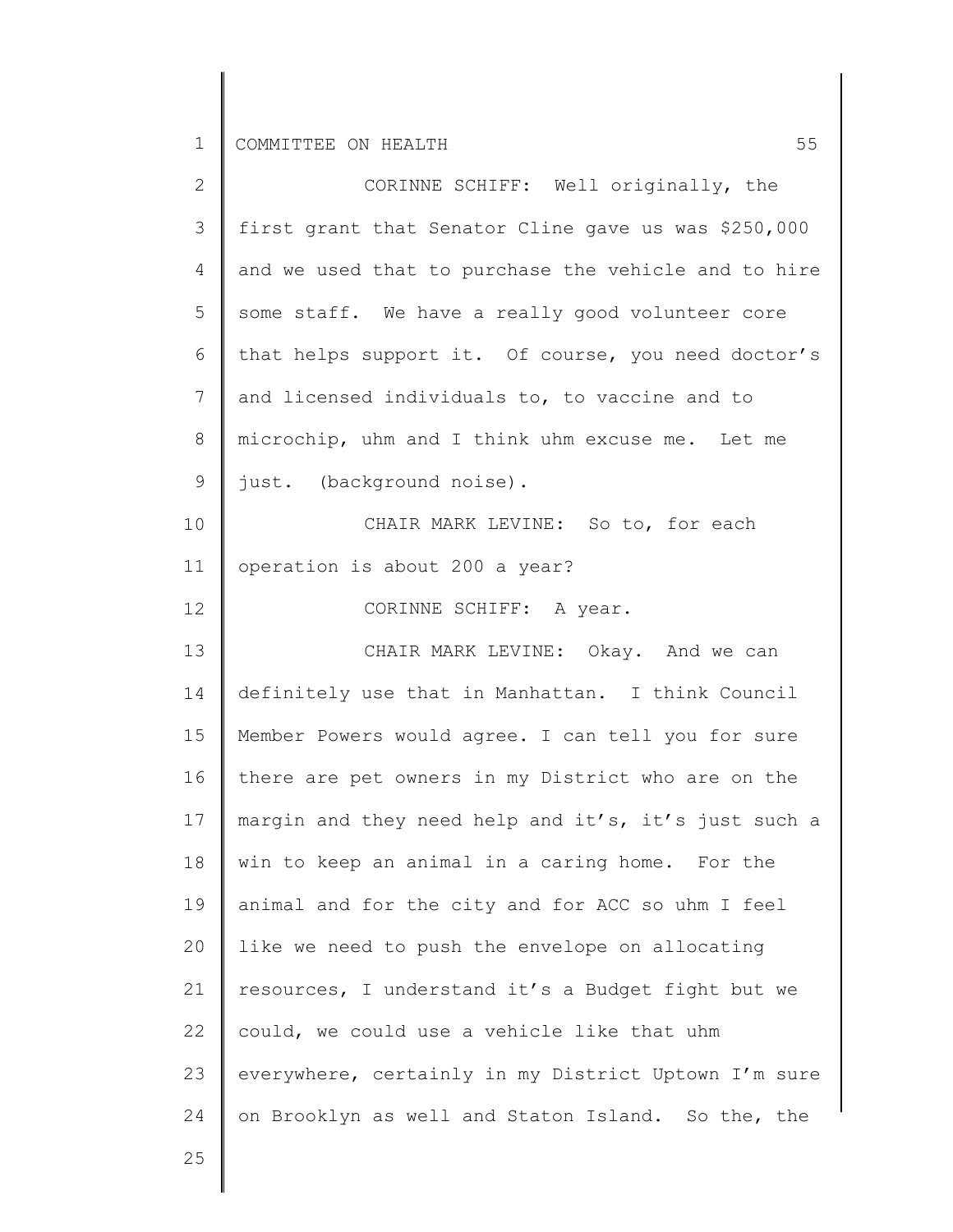| $\overline{2}$ | CORINNE SCHIFF: Well originally, the                 |
|----------------|------------------------------------------------------|
| $\mathcal{S}$  | first grant that Senator Cline gave us was \$250,000 |
| 4              | and we used that to purchase the vehicle and to hire |
| 5              | some staff. We have a really good volunteer core     |
| 6              | that helps support it. Of course, you need doctor's  |
| 7              | and licensed individuals to, to vaccine and to       |
| 8              | microchip, uhm and I think uhm excuse me. Let me     |
| $\mathsf 9$    | just. (background noise).                            |
| 10             | CHAIR MARK LEVINE: So to, for each                   |
| 11             | operation is about 200 a year?                       |
| 12             | CORINNE SCHIFF: A year.                              |
| 13             | CHAIR MARK LEVINE: Okay. And we can                  |
| 14             | definitely use that in Manhattan. I think Council    |
| 15             | Member Powers would agree. I can tell you for sure   |
| 16             | there are pet owners in my District who are on the   |
| 17             | margin and they need help and it's, it's just such a |
| 18             | win to keep an animal in a caring home. For the      |
| 19             | animal and for the city and for ACC so uhm I feel    |
| 20             | like we need to push the envelope on allocating      |
| 21             | resources, I understand it's a Budget fight but we   |
| 22             | could, we could use a vehicle like that uhm          |
| 23             | everywhere, certainly in my District Uptown I'm sure |
| 24             | on Brooklyn as well and Staton Island. So the, the   |
|                |                                                      |

Π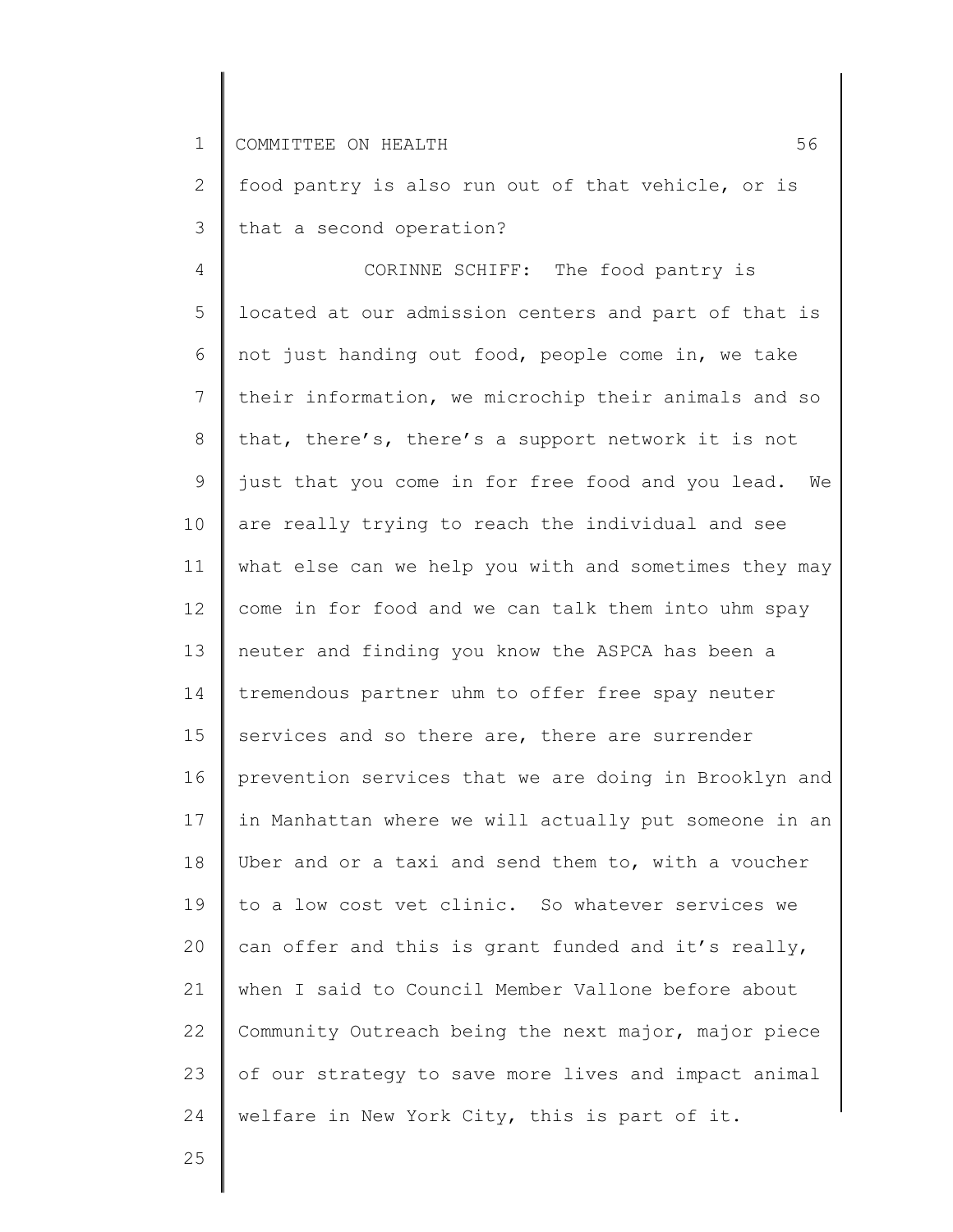2 3 food pantry is also run out of that vehicle, or is that a second operation?

4 5 6 7 8 9 10 11 12 13 14 15 16 17 18 19 20 21 22 23 24 CORINNE SCHIFF: The food pantry is located at our admission centers and part of that is not just handing out food, people come in, we take their information, we microchip their animals and so that, there's, there's a support network it is not just that you come in for free food and you lead. We are really trying to reach the individual and see what else can we help you with and sometimes they may come in for food and we can talk them into uhm spay neuter and finding you know the ASPCA has been a tremendous partner uhm to offer free spay neuter services and so there are, there are surrender prevention services that we are doing in Brooklyn and in Manhattan where we will actually put someone in an Uber and or a taxi and send them to, with a voucher to a low cost vet clinic. So whatever services we can offer and this is grant funded and it's really, when I said to Council Member Vallone before about Community Outreach being the next major, major piece of our strategy to save more lives and impact animal welfare in New York City, this is part of it.

25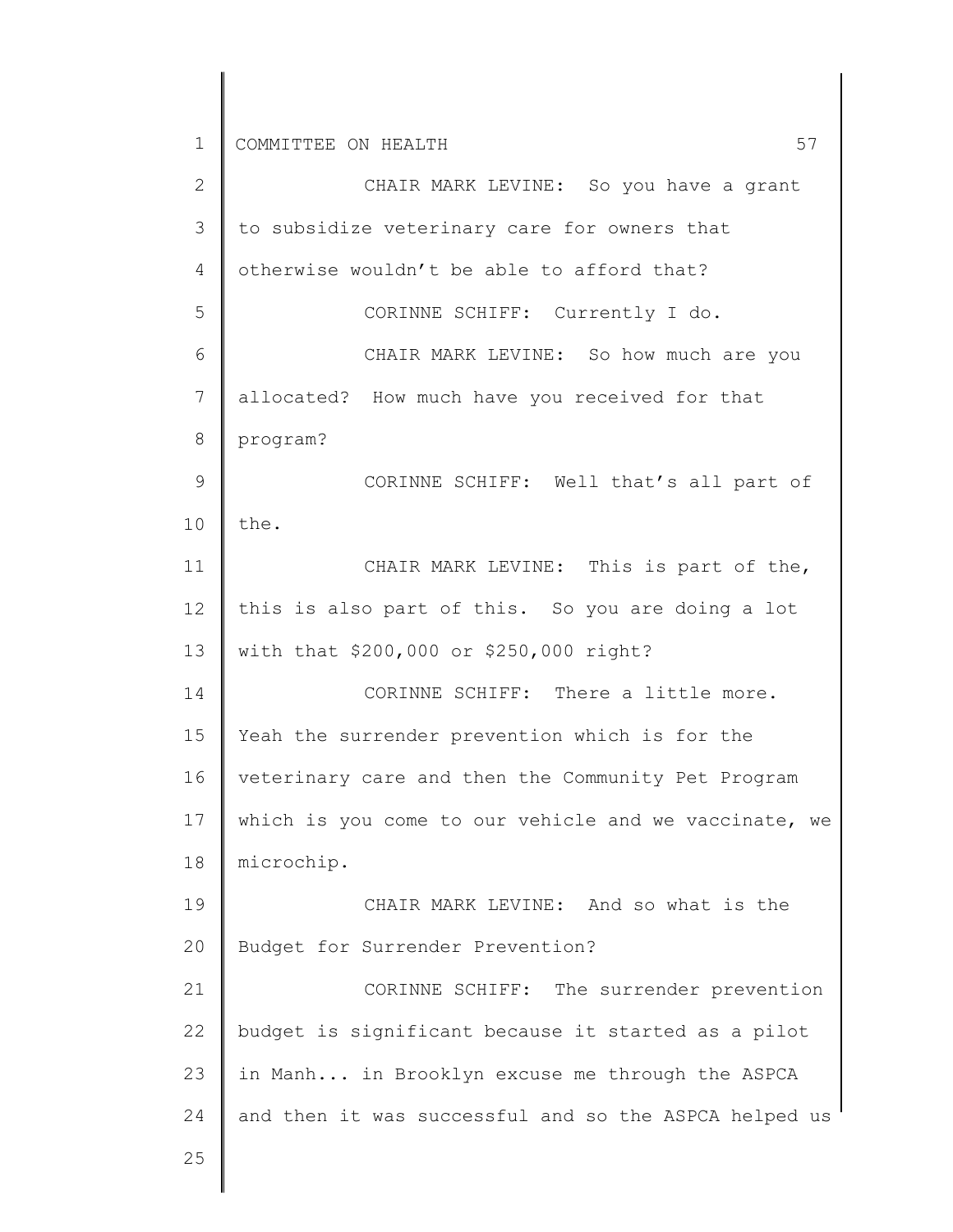2 3 4 5 6 7 8 9 10 11 12 13 14 15 16 17 18 19 20 21 22 23 24 CHAIR MARK LEVINE: So you have a grant to subsidize veterinary care for owners that otherwise wouldn't be able to afford that? CORINNE SCHIFF: Currently I do. CHAIR MARK LEVINE: So how much are you allocated? How much have you received for that program? CORINNE SCHIFF: Well that's all part of the. CHAIR MARK LEVINE: This is part of the, this is also part of this. So you are doing a lot with that \$200,000 or \$250,000 right? CORINNE SCHIFF: There a little more. Yeah the surrender prevention which is for the veterinary care and then the Community Pet Program which is you come to our vehicle and we vaccinate, we microchip. CHAIR MARK LEVINE: And so what is the Budget for Surrender Prevention? CORINNE SCHIFF: The surrender prevention budget is significant because it started as a pilot in Manh... in Brooklyn excuse me through the ASPCA and then it was successful and so the ASPCA helped us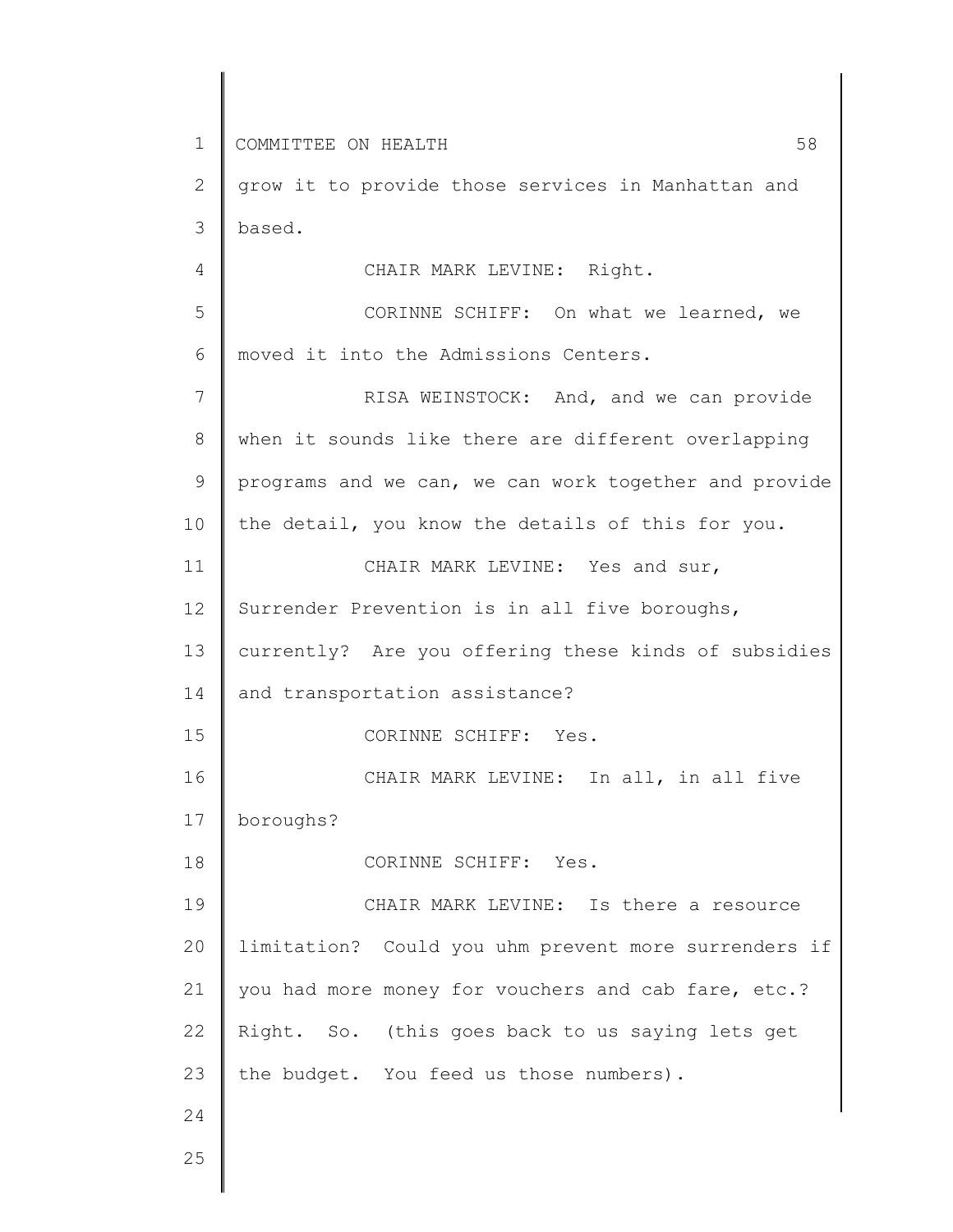1 2 3 4 5 6 7 8 9 10 11 12 13 14 15 16 17 18 19 20 21 22 23 24 25 COMMITTEE ON HEALTH 58 grow it to provide those services in Manhattan and based. CHAIR MARK LEVINE: Right. CORINNE SCHIFF: On what we learned, we moved it into the Admissions Centers. RISA WEINSTOCK: And, and we can provide when it sounds like there are different overlapping programs and we can, we can work together and provide the detail, you know the details of this for you. CHAIR MARK LEVINE: Yes and sur, Surrender Prevention is in all five boroughs, currently? Are you offering these kinds of subsidies and transportation assistance? CORINNE SCHIFF: Yes. CHAIR MARK LEVINE: In all, in all five boroughs? CORINNE SCHIFF: Yes. CHAIR MARK LEVINE: Is there a resource limitation? Could you uhm prevent more surrenders if you had more money for vouchers and cab fare, etc.? Right. So. (this goes back to us saying lets get the budget. You feed us those numbers).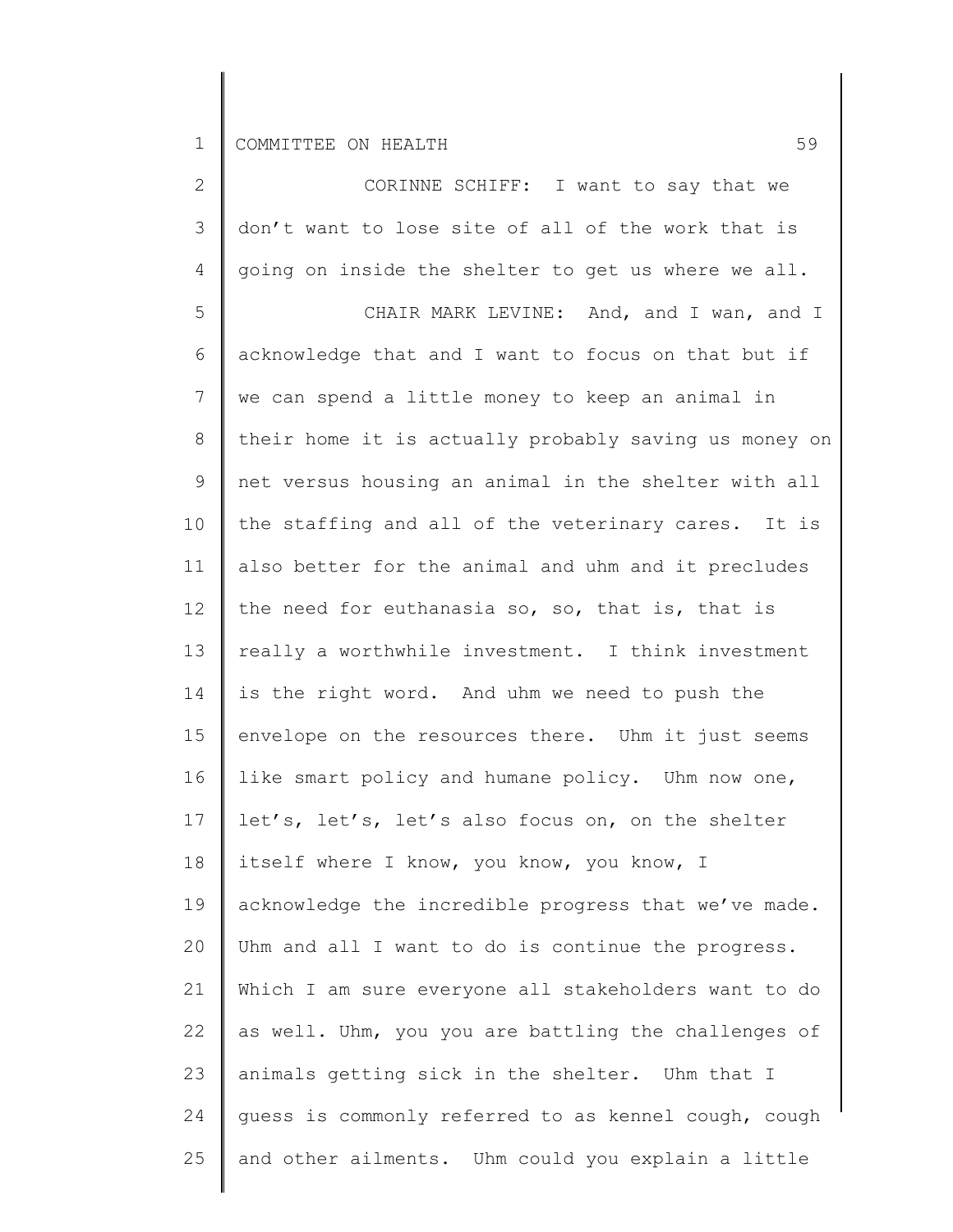| $\overline{2}$ | CORINNE SCHIFF: I want to say that we                 |
|----------------|-------------------------------------------------------|
| 3              | don't want to lose site of all of the work that is    |
| 4              | going on inside the shelter to get us where we all.   |
| 5              | CHAIR MARK LEVINE: And, and I wan, and I              |
| 6              | acknowledge that and I want to focus on that but if   |
| 7              | we can spend a little money to keep an animal in      |
| 8              | their home it is actually probably saving us money on |
| $\mathsf 9$    | net versus housing an animal in the shelter with all  |
| 10             | the staffing and all of the veterinary cares. It is   |
| 11             | also better for the animal and uhm and it precludes   |
| 12             | the need for euthanasia so, so, that is, that is      |
| 13             | really a worthwhile investment. I think investment    |
| 14             | is the right word. And uhm we need to push the        |
| 15             | envelope on the resources there. Uhm it just seems    |
| 16             | like smart policy and humane policy. Uhm now one,     |
| 17             | let's, let's, let's also focus on, on the shelter     |
| 18             | itself where I know, you know, you know, I            |
| 19             | acknowledge the incredible progress that we've made.  |
| 20             | Uhm and all I want to do is continue the progress.    |
| 21             | Which I am sure everyone all stakeholders want to do  |
| 22             | as well. Uhm, you you are battling the challenges of  |
| 23             | animals getting sick in the shelter. Uhm that I       |
| 24             | guess is commonly referred to as kennel cough, cough  |
| 25             | and other ailments. Uhm could you explain a little    |
|                |                                                       |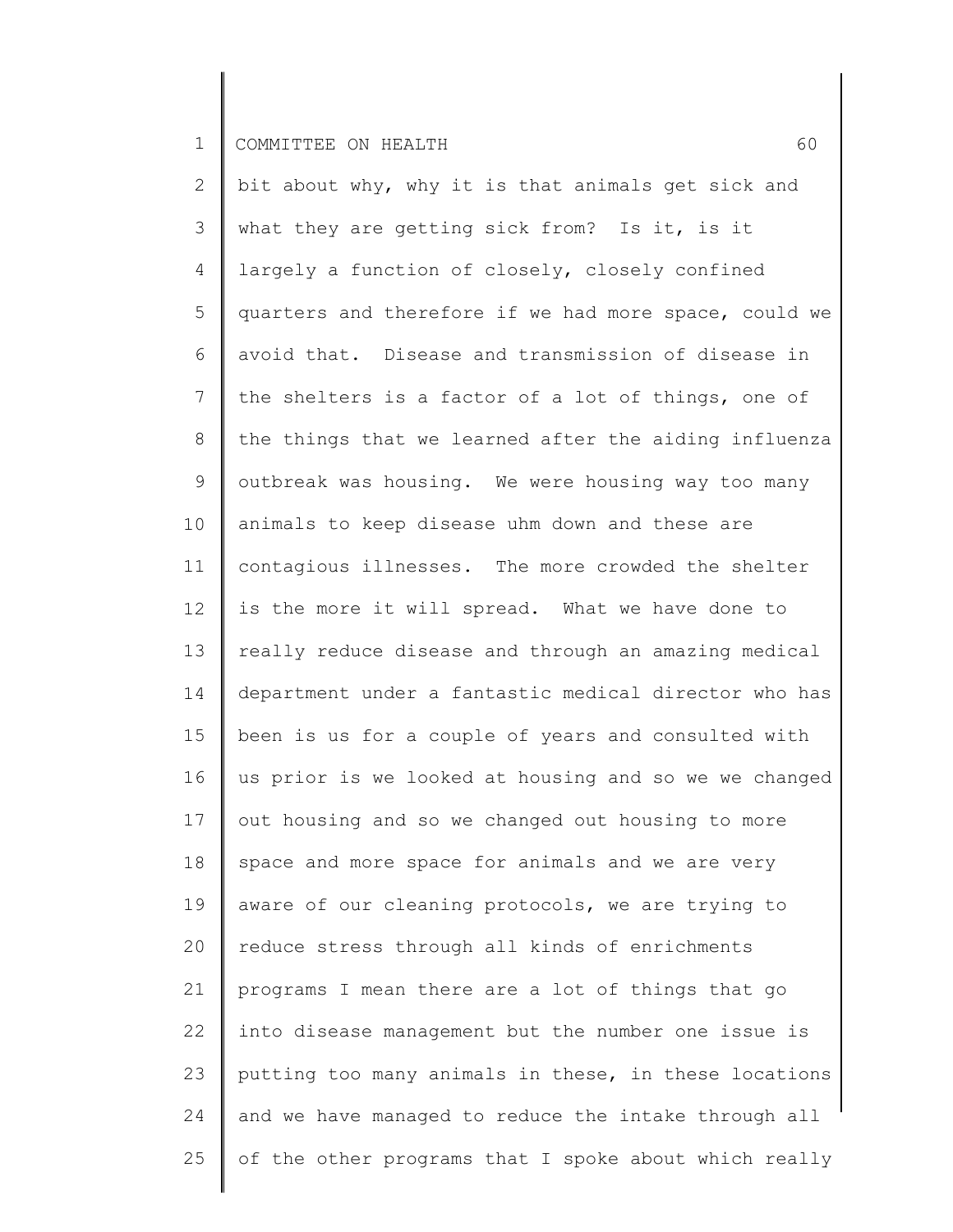2 3 4 5 6 7 8 9 10 11 12 13 14 15 16 17 18 19 20 21 22 23 24 25 bit about why, why it is that animals get sick and what they are getting sick from? Is it, is it largely a function of closely, closely confined quarters and therefore if we had more space, could we avoid that. Disease and transmission of disease in the shelters is a factor of a lot of things, one of the things that we learned after the aiding influenza outbreak was housing. We were housing way too many animals to keep disease uhm down and these are contagious illnesses. The more crowded the shelter is the more it will spread. What we have done to really reduce disease and through an amazing medical department under a fantastic medical director who has been is us for a couple of years and consulted with us prior is we looked at housing and so we we changed out housing and so we changed out housing to more space and more space for animals and we are very aware of our cleaning protocols, we are trying to reduce stress through all kinds of enrichments programs I mean there are a lot of things that go into disease management but the number one issue is putting too many animals in these, in these locations and we have managed to reduce the intake through all of the other programs that I spoke about which really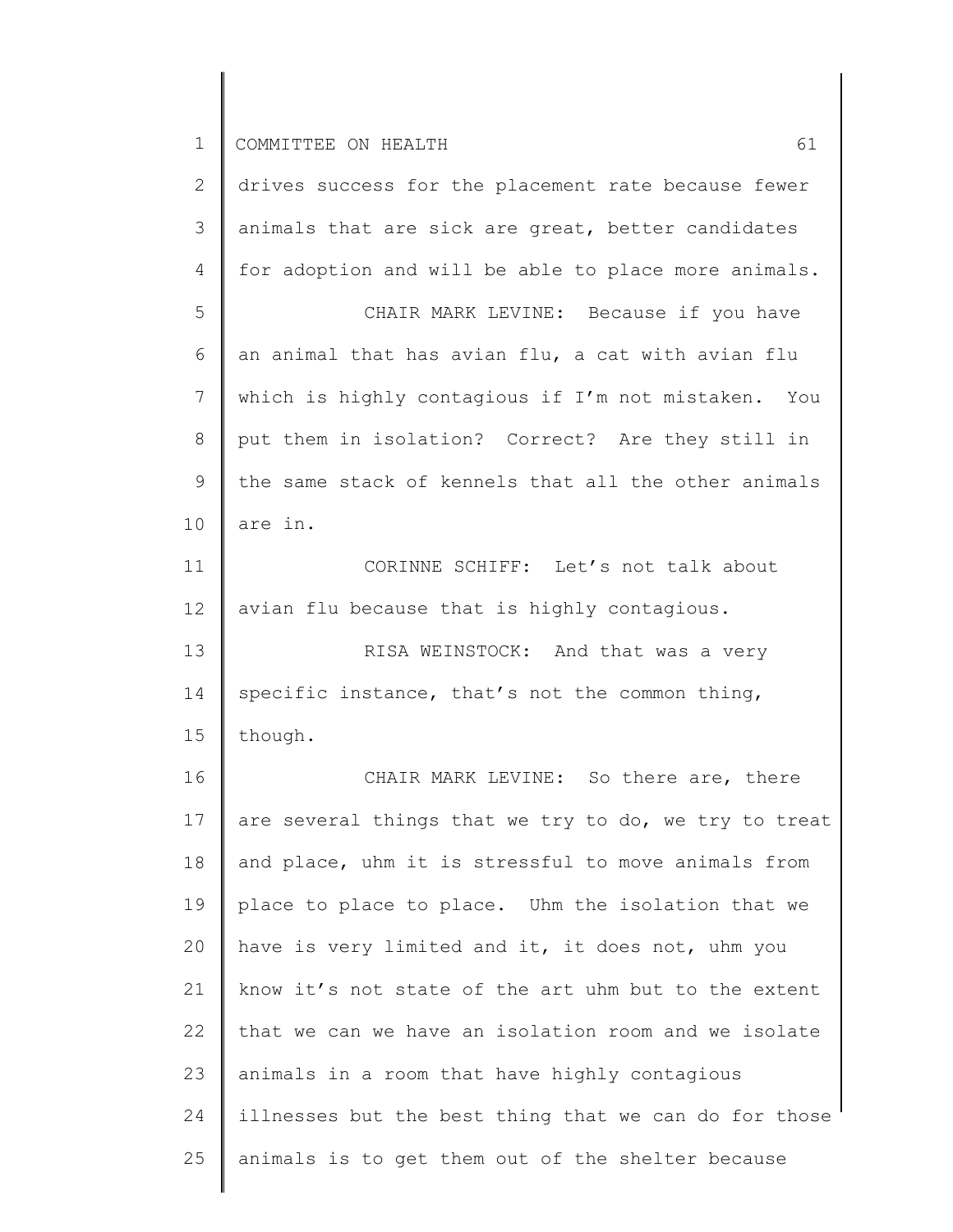| 2              | drives success for the placement rate because fewer   |
|----------------|-------------------------------------------------------|
| 3              | animals that are sick are great, better candidates    |
| $\overline{4}$ | for adoption and will be able to place more animals.  |
| 5              | CHAIR MARK LEVINE: Because if you have                |
| 6              | an animal that has avian flu, a cat with avian flu    |
| 7              | which is highly contagious if I'm not mistaken. You   |
| $8\,$          | put them in isolation? Correct? Are they still in     |
| $\mathsf 9$    | the same stack of kennels that all the other animals  |
| 10             | are in.                                               |
| 11             | CORINNE SCHIFF: Let's not talk about                  |
| 12             | avian flu because that is highly contagious.          |
| 13             | RISA WEINSTOCK: And that was a very                   |
| 14             | specific instance, that's not the common thing,       |
| 15             | though.                                               |
| 16             | CHAIR MARK LEVINE: So there are, there                |
| 17             | are several things that we try to do, we try to treat |
| 18             | and place, uhm it is stressful to move animals from   |
| 19             | place to place to place. Uhm the isolation that we    |
| 20             | have is very limited and it, it does not, uhm you     |
| 21             | know it's not state of the art uhm but to the extent  |
| 22             | that we can we have an isolation room and we isolate  |
| 23             | animals in a room that have highly contagious         |
| 24             | illnesses but the best thing that we can do for those |
| 25             | animals is to get them out of the shelter because     |
|                |                                                       |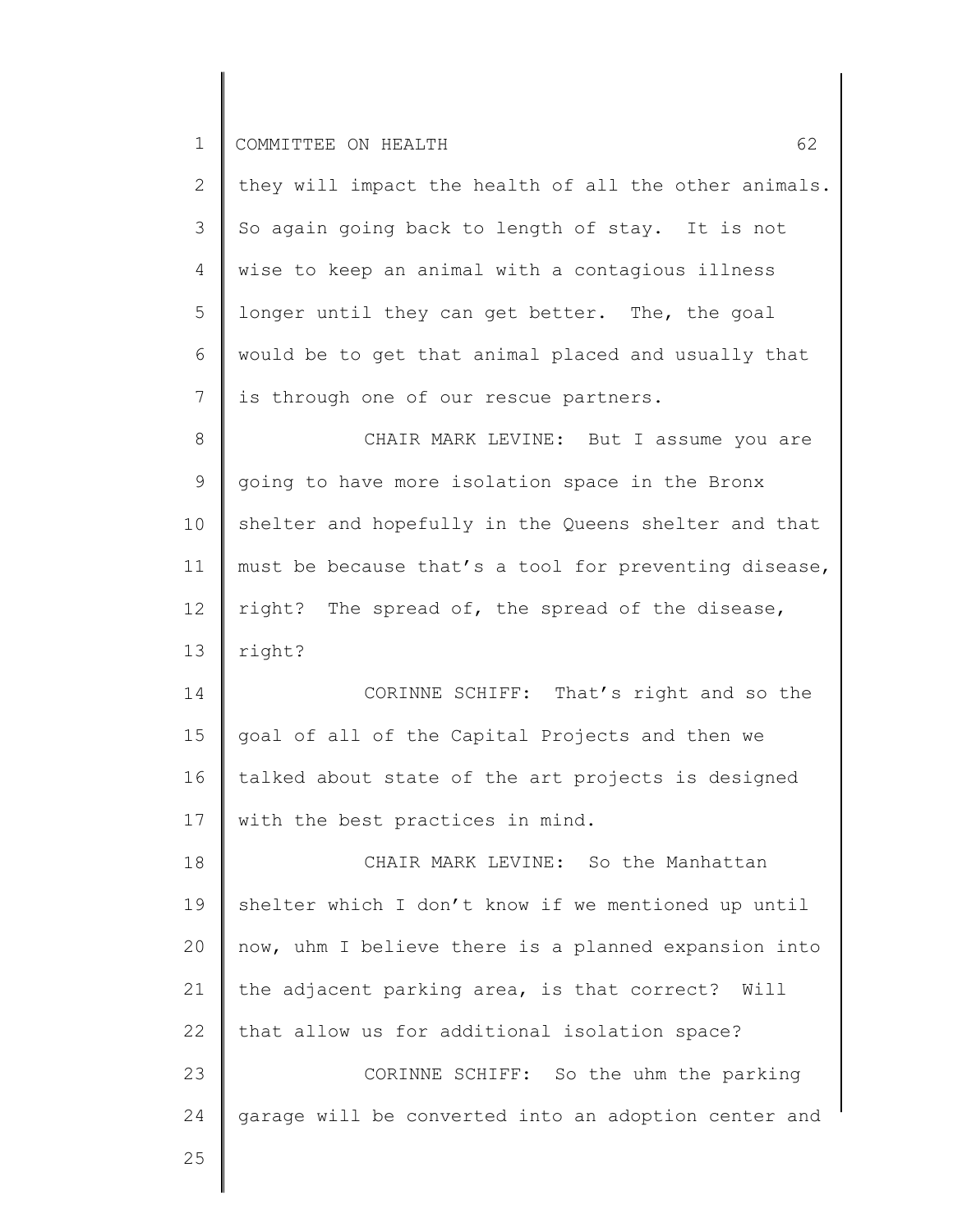| $\mathbf{2}^{\mathsf{I}}$                    | they will impact the health of all the other animals. |
|----------------------------------------------|-------------------------------------------------------|
| $\mathcal{S}$                                | So again going back to length of stay. It is not      |
| 4                                            | wise to keep an animal with a contagious illness      |
| 5                                            | longer until they can get better. The, the goal       |
| 6                                            | would be to get that animal placed and usually that   |
| 7                                            | is through one of our rescue partners.                |
| $8\,$                                        | CHAIR MARK LEVINE: But I assume you are               |
| $\mathsf 9$                                  | going to have more isolation space in the Bronx       |
| 10                                           | shelter and hopefully in the Queens shelter and that  |
| 11                                           | must be because that's a tool for preventing disease, |
| 12                                           | right? The spread of, the spread of the disease,      |
| 13                                           | right?                                                |
| 14                                           | CORINNE SCHIFF: That's right and so the               |
| 15                                           | goal of all of the Capital Projects and then we       |
| 16                                           |                                                       |
|                                              | talked about state of the art projects is designed    |
|                                              | with the best practices in mind.                      |
|                                              | CHAIR MARK LEVINE: So the Manhattan                   |
|                                              | shelter which I don't know if we mentioned up until   |
|                                              | now, uhm I believe there is a planned expansion into  |
|                                              | the adjacent parking area, is that correct? Will      |
|                                              | that allow us for additional isolation space?         |
|                                              | CORINNE SCHIFF: So the uhm the parking                |
| 17<br>18<br>19<br>20<br>21<br>22<br>23<br>24 | garage will be converted into an adoption center and  |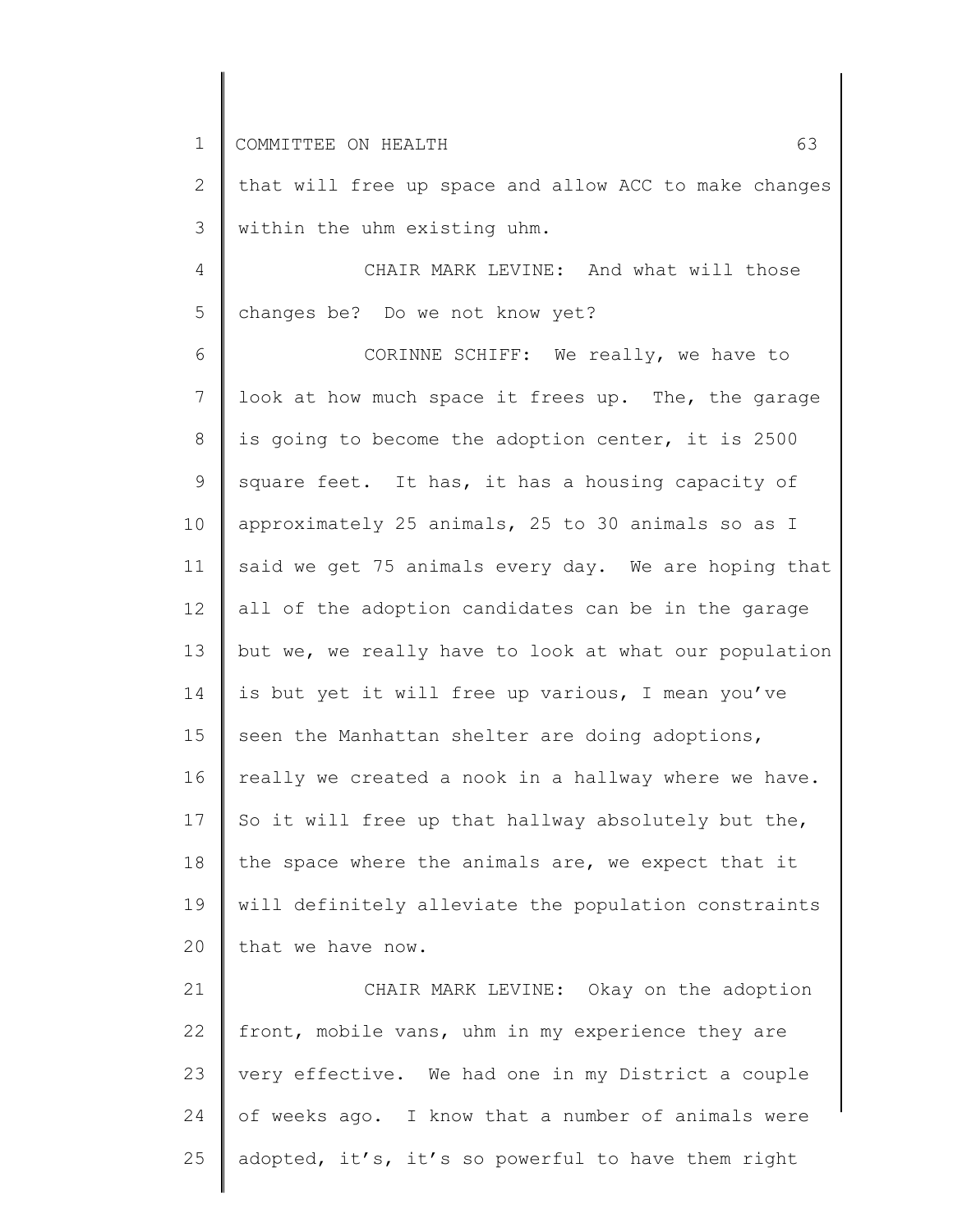2 3 that will free up space and allow ACC to make changes within the uhm existing uhm.

4 5 CHAIR MARK LEVINE: And what will those changes be? Do we not know yet?

6 7 8 9 10 11 12 13 14 15 16 17 18 19 20 CORINNE SCHIFF: We really, we have to look at how much space it frees up. The, the garage is going to become the adoption center, it is 2500 square feet. It has, it has a housing capacity of approximately 25 animals, 25 to 30 animals so as I said we get 75 animals every day. We are hoping that all of the adoption candidates can be in the garage but we, we really have to look at what our population is but yet it will free up various, I mean you've seen the Manhattan shelter are doing adoptions, really we created a nook in a hallway where we have. So it will free up that hallway absolutely but the, the space where the animals are, we expect that it will definitely alleviate the population constraints that we have now.

21 22 23 24 25 CHAIR MARK LEVINE: Okay on the adoption front, mobile vans, uhm in my experience they are very effective. We had one in my District a couple of weeks ago. I know that a number of animals were adopted, it's, it's so powerful to have them right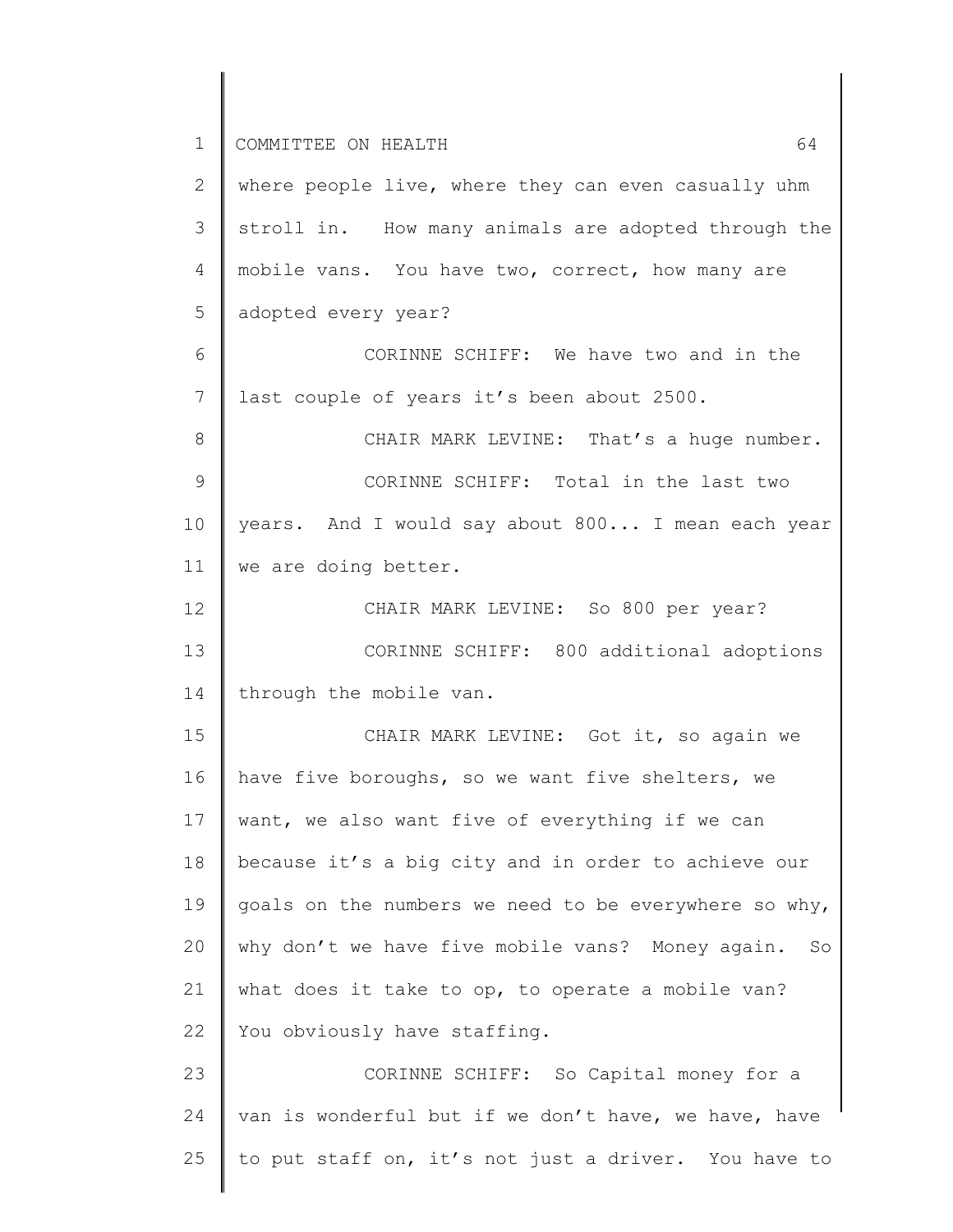1 2 3 4 5 6 7 8 9 10 11 12 13 14 15 16 17 18 19 20 21 22 23 24 25 COMMITTEE ON HEALTH 64 where people live, where they can even casually uhm stroll in. How many animals are adopted through the mobile vans. You have two, correct, how many are adopted every year? CORINNE SCHIFF: We have two and in the last couple of years it's been about 2500. CHAIR MARK LEVINE: That's a huge number. CORINNE SCHIFF: Total in the last two years. And I would say about 800... I mean each year we are doing better. CHAIR MARK LEVINE: So 800 per year? CORINNE SCHIFF: 800 additional adoptions through the mobile van. CHAIR MARK LEVINE: Got it, so again we have five boroughs, so we want five shelters, we want, we also want five of everything if we can because it's a big city and in order to achieve our goals on the numbers we need to be everywhere so why, why don't we have five mobile vans? Money again. So what does it take to op, to operate a mobile van? You obviously have staffing. CORINNE SCHIFF: So Capital money for a van is wonderful but if we don't have, we have, have to put staff on, it's not just a driver. You have to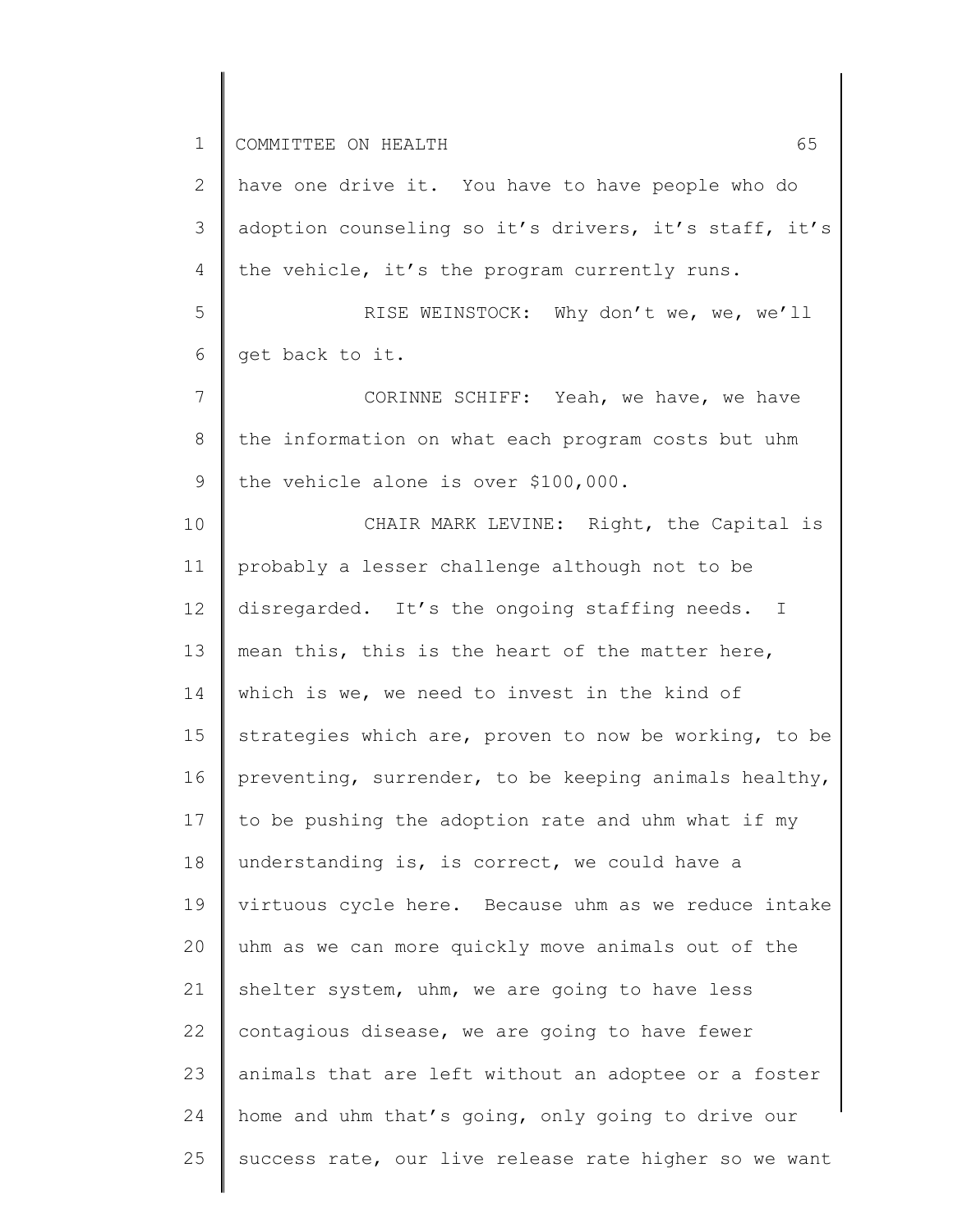2 3 4 have one drive it. You have to have people who do adoption counseling so it's drivers, it's staff, it's the vehicle, it's the program currently runs.

5 6 RISE WEINSTOCK: Why don't we, we, we'll get back to it.

7 8 9 CORINNE SCHIFF: Yeah, we have, we have the information on what each program costs but uhm the vehicle alone is over \$100,000.

10 11 12 13 14 15 16 17 18 19 20 21 22 23 24 25 CHAIR MARK LEVINE: Right, the Capital is probably a lesser challenge although not to be disregarded. It's the ongoing staffing needs. I mean this, this is the heart of the matter here, which is we, we need to invest in the kind of strategies which are, proven to now be working, to be preventing, surrender, to be keeping animals healthy, to be pushing the adoption rate and uhm what if my understanding is, is correct, we could have a virtuous cycle here. Because uhm as we reduce intake uhm as we can more quickly move animals out of the shelter system, uhm, we are going to have less contagious disease, we are going to have fewer animals that are left without an adoptee or a foster home and uhm that's going, only going to drive our success rate, our live release rate higher so we want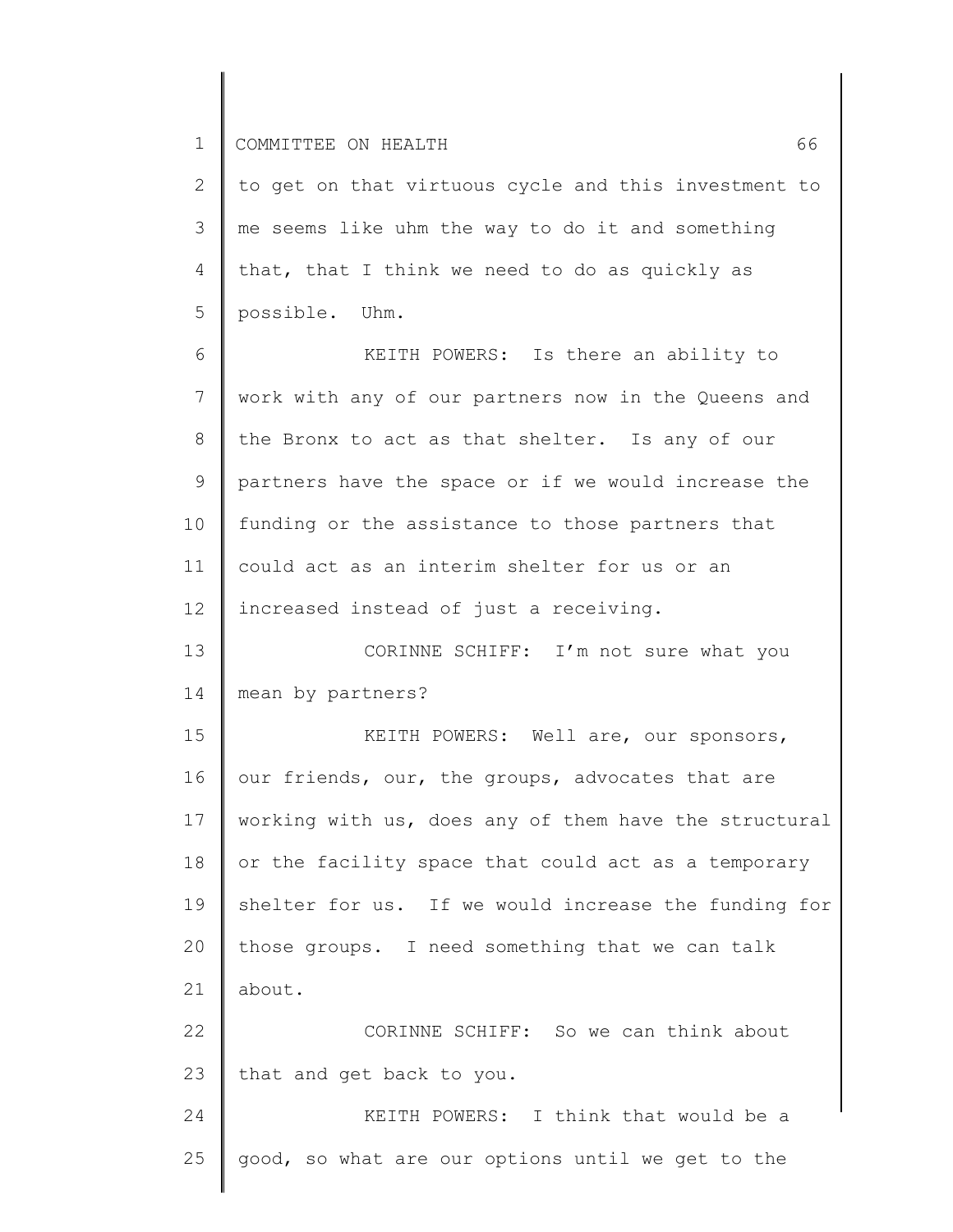| $\mathbf{2}$    | to get on that virtuous cycle and this investment to  |
|-----------------|-------------------------------------------------------|
| 3               | me seems like uhm the way to do it and something      |
| 4               | that, that I think we need to do as quickly as        |
| 5               | possible. Uhm.                                        |
| 6               | KEITH POWERS: Is there an ability to                  |
| $7\phantom{.0}$ | work with any of our partners now in the Queens and   |
| 8               | the Bronx to act as that shelter. Is any of our       |
| 9               | partners have the space or if we would increase the   |
| 10              | funding or the assistance to those partners that      |
| 11              | could act as an interim shelter for us or an          |
| 12              | increased instead of just a receiving.                |
| 13              | CORINNE SCHIFF: I'm not sure what you                 |
| 14              | mean by partners?                                     |
| 15              | KEITH POWERS: Well are, our sponsors,                 |
| 16              | our friends, our, the groups, advocates that are      |
| 17              | working with us, does any of them have the structural |
| 18              | or the facility space that could act as a temporary   |
| 19              | shelter for us. If we would increase the funding for  |
| 20              | those groups. I need something that we can talk       |
| 21              | about.                                                |
| 22              | CORINNE SCHIFF: So we can think about                 |
| 23              | that and get back to you.                             |
| 24              | KEITH POWERS: I think that would be a                 |
| 25              | good, so what are our options until we get to the     |
|                 |                                                       |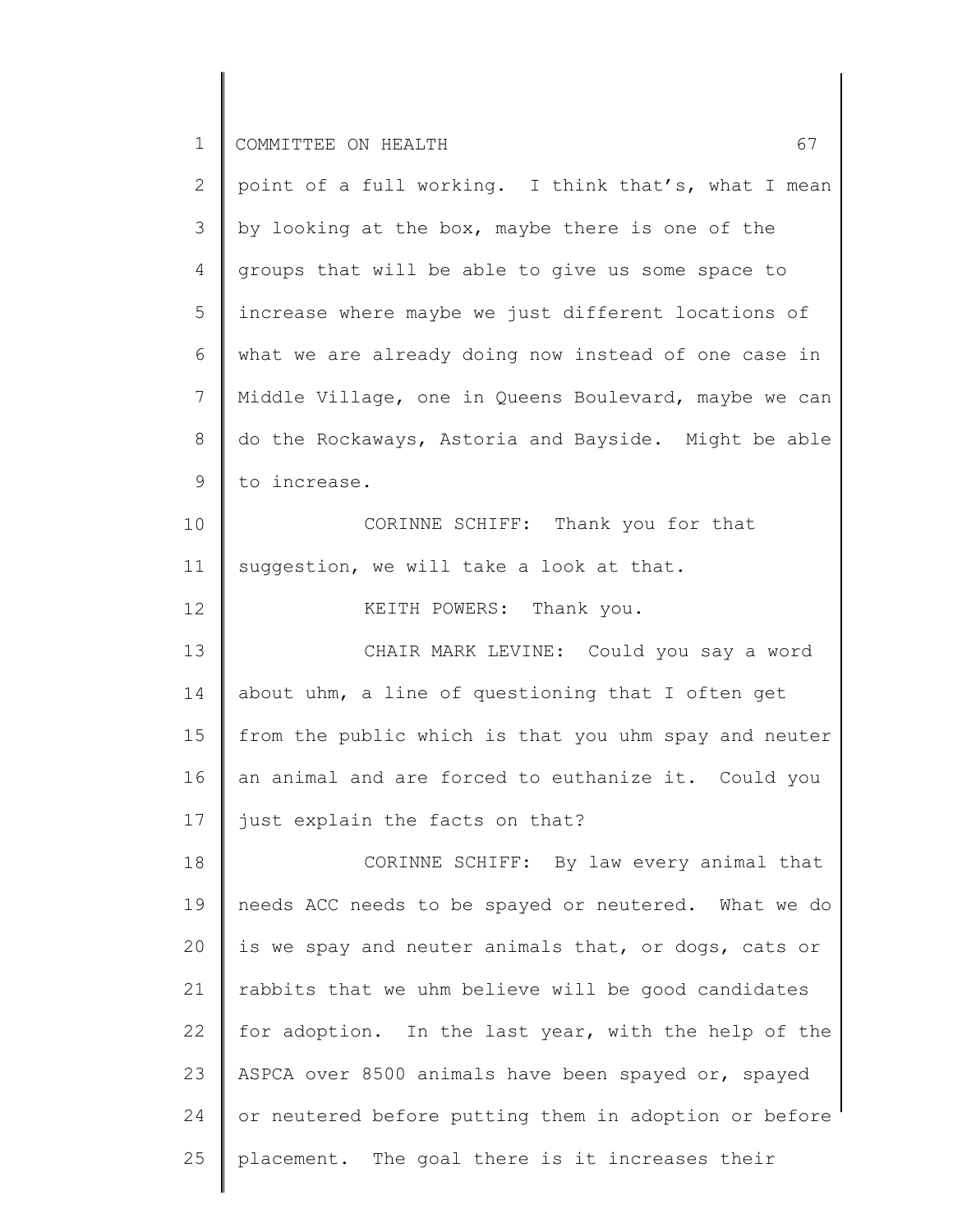| 2  | point of a full working. I think that's, what I mean  |
|----|-------------------------------------------------------|
| 3  | by looking at the box, maybe there is one of the      |
| 4  | groups that will be able to give us some space to     |
| 5  | increase where maybe we just different locations of   |
| 6  | what we are already doing now instead of one case in  |
| 7  | Middle Village, one in Queens Boulevard, maybe we can |
| 8  | do the Rockaways, Astoria and Bayside. Might be able  |
| 9  | to increase.                                          |
| 10 | CORINNE SCHIFF: Thank you for that                    |
| 11 | suggestion, we will take a look at that.              |
| 12 | KEITH POWERS: Thank you.                              |
| 13 | CHAIR MARK LEVINE: Could you say a word               |
| 14 | about uhm, a line of questioning that I often get     |
| 15 | from the public which is that you uhm spay and neuter |
| 16 | an animal and are forced to euthanize it. Could you   |
| 17 | just explain the facts on that?                       |
| 18 | CORINNE SCHIFF: By law every animal that              |
| 19 | needs ACC needs to be spayed or neutered. What we do  |
| 20 | is we spay and neuter animals that, or dogs, cats or  |
| 21 | rabbits that we uhm believe will be good candidates   |
| 22 | for adoption. In the last year, with the help of the  |
| 23 | ASPCA over 8500 animals have been spayed or, spayed   |
| 24 | or neutered before putting them in adoption or before |
| 25 | placement. The goal there is it increases their       |
|    |                                                       |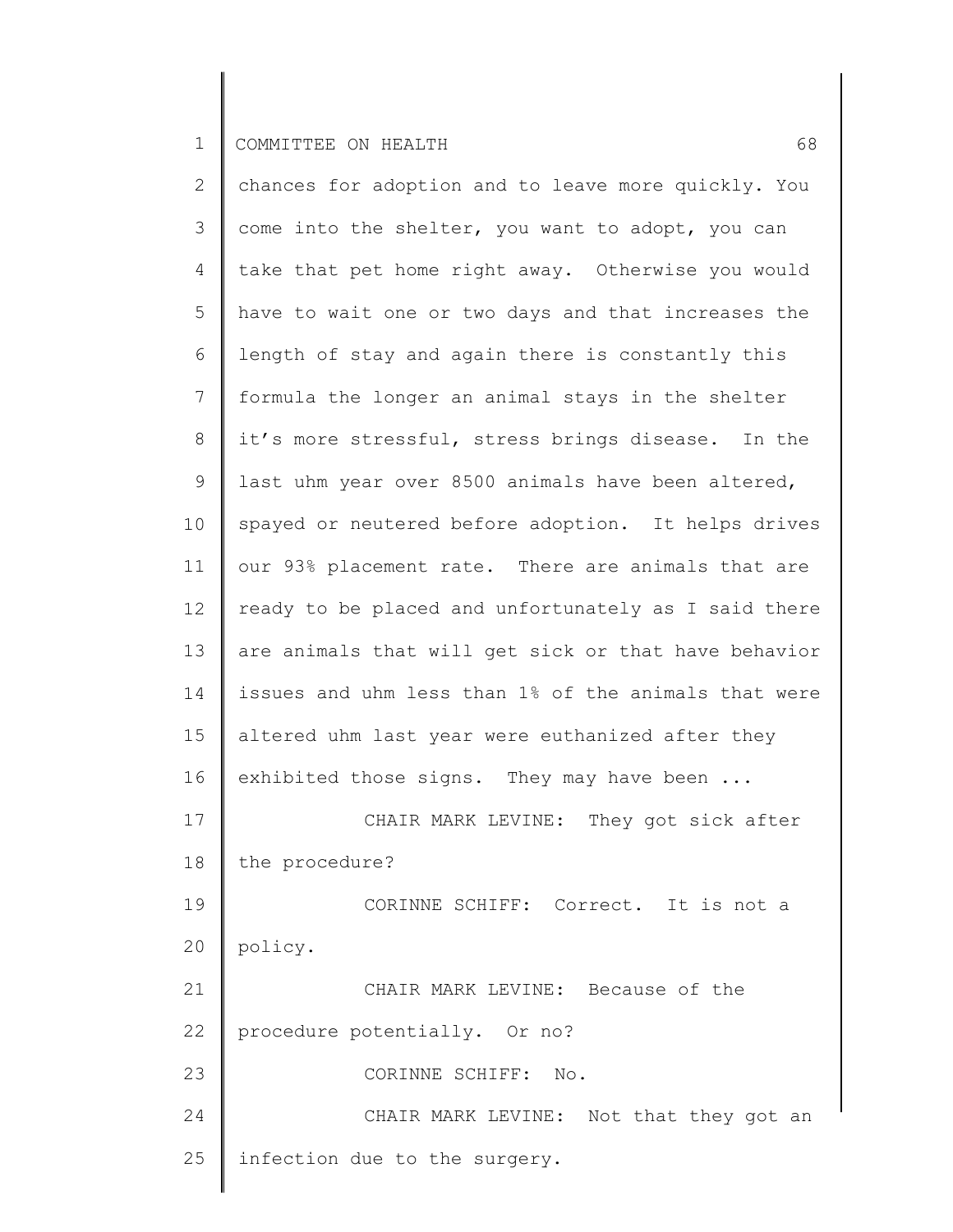2 3 4 5 6 7 8 9 10 11 12 13 14 15 16 17 18 19 20 21 22 23 24 25 chances for adoption and to leave more quickly. You come into the shelter, you want to adopt, you can take that pet home right away. Otherwise you would have to wait one or two days and that increases the length of stay and again there is constantly this formula the longer an animal stays in the shelter it's more stressful, stress brings disease. In the last uhm year over 8500 animals have been altered, spayed or neutered before adoption. It helps drives our 93% placement rate. There are animals that are ready to be placed and unfortunately as I said there are animals that will get sick or that have behavior issues and uhm less than 1% of the animals that were altered uhm last year were euthanized after they exhibited those signs. They may have been ... CHAIR MARK LEVINE: They got sick after the procedure? CORINNE SCHIFF: Correct. It is not a policy. CHAIR MARK LEVINE: Because of the procedure potentially. Or no? CORINNE SCHIFF: No. CHAIR MARK LEVINE: Not that they got an infection due to the surgery.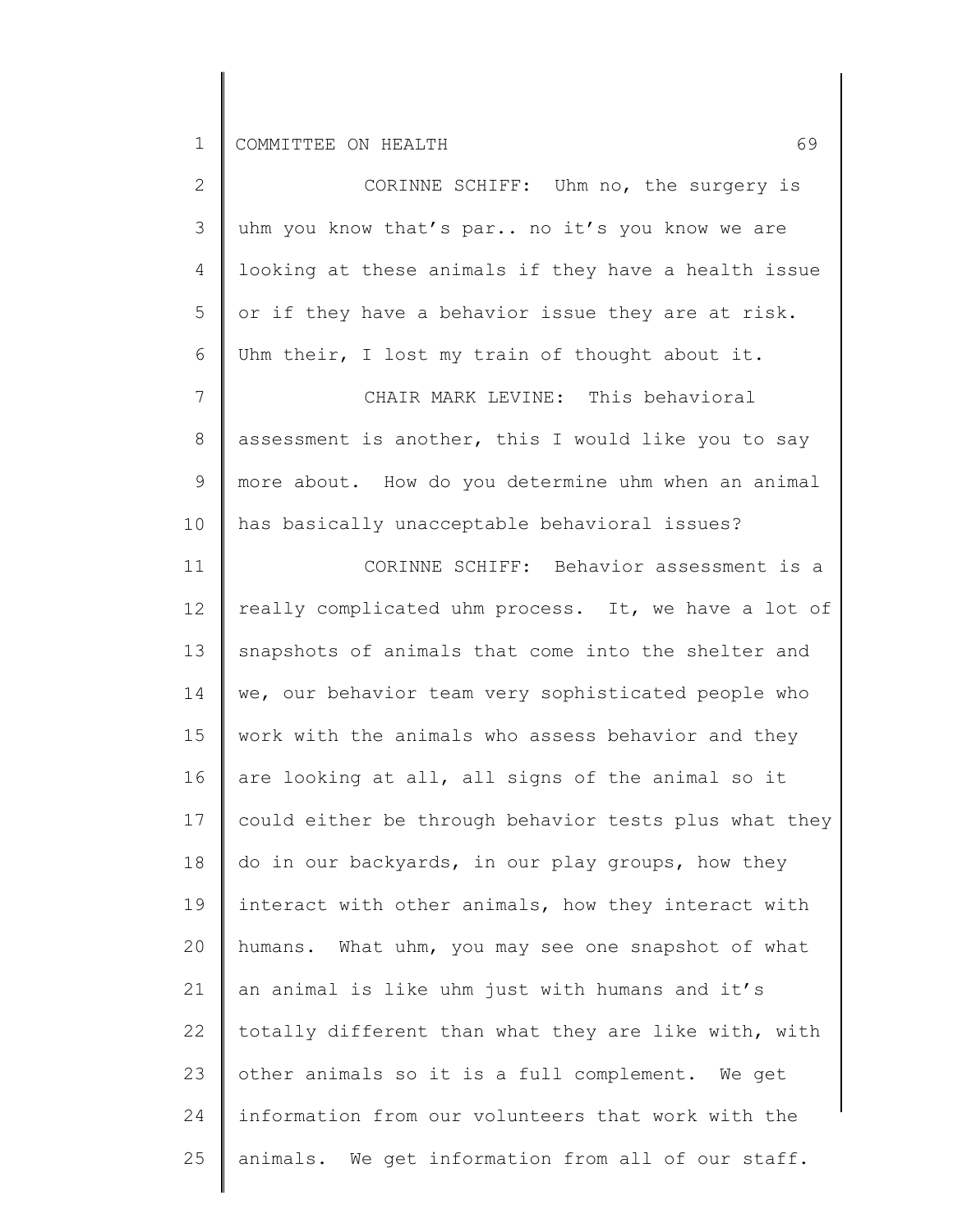| 2           | CORINNE SCHIFF: Uhm no, the surgery is                |
|-------------|-------------------------------------------------------|
| 3           | uhm you know that's par no it's you know we are       |
| 4           | looking at these animals if they have a health issue  |
| 5           | or if they have a behavior issue they are at risk.    |
| 6           | Uhm their, I lost my train of thought about it.       |
| 7           | CHAIR MARK LEVINE: This behavioral                    |
| $8\,$       | assessment is another, this I would like you to say   |
| $\mathsf 9$ | more about. How do you determine uhm when an animal   |
| 10          | has basically unacceptable behavioral issues?         |
| 11          | CORINNE SCHIFF: Behavior assessment is a              |
| 12          | really complicated uhm process. It, we have a lot of  |
| 13          | snapshots of animals that come into the shelter and   |
| 14          | we, our behavior team very sophisticated people who   |
| 15          | work with the animals who assess behavior and they    |
| 16          | are looking at all, all signs of the animal so it     |
| 17          | could either be through behavior tests plus what they |
| 18          | do in our backyards, in our play groups, how they     |
| 19          | interact with other animals, how they interact with   |
| 20          | humans. What uhm, you may see one snapshot of what    |
| 21          | an animal is like uhm just with humans and it's       |
| 22          | totally different than what they are like with, with  |
| 23          | other animals so it is a full complement. We get      |
| 24          | information from our volunteers that work with the    |
| 25          | animals. We get information from all of our staff.    |
|             |                                                       |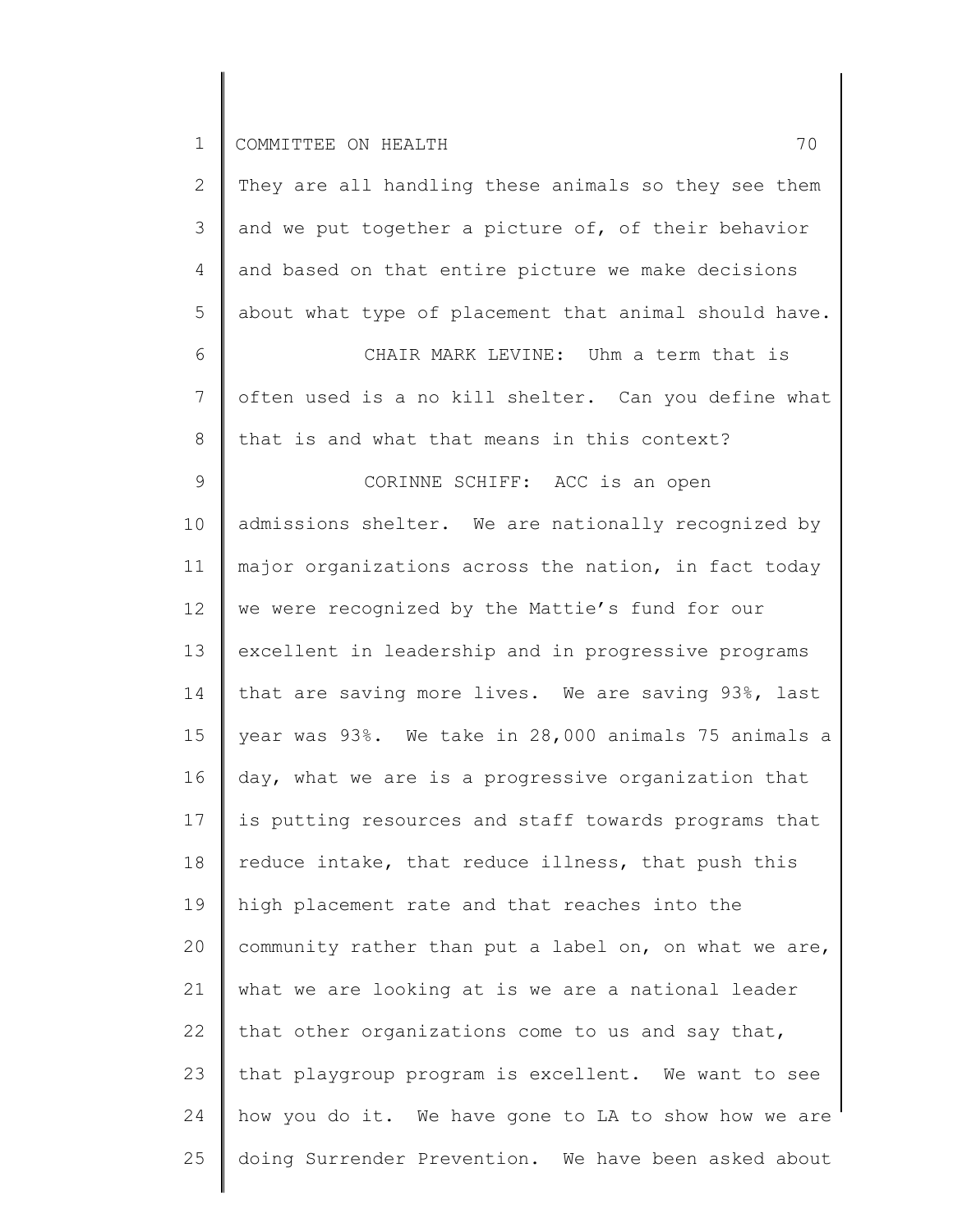25

2 3 4 5 6 7 8 9 10 11 12 13 14 15 16 17 18 19 20 21 22 23 24 They are all handling these animals so they see them and we put together a picture of, of their behavior and based on that entire picture we make decisions about what type of placement that animal should have. CHAIR MARK LEVINE: Uhm a term that is often used is a no kill shelter. Can you define what that is and what that means in this context? CORINNE SCHIFF: ACC is an open admissions shelter. We are nationally recognized by major organizations across the nation, in fact today we were recognized by the Mattie's fund for our excellent in leadership and in progressive programs that are saving more lives. We are saving 93%, last year was 93%. We take in 28,000 animals 75 animals a day, what we are is a progressive organization that is putting resources and staff towards programs that reduce intake, that reduce illness, that push this high placement rate and that reaches into the community rather than put a label on, on what we are, what we are looking at is we are a national leader that other organizations come to us and say that, that playgroup program is excellent. We want to see how you do it. We have gone to LA to show how we are

doing Surrender Prevention. We have been asked about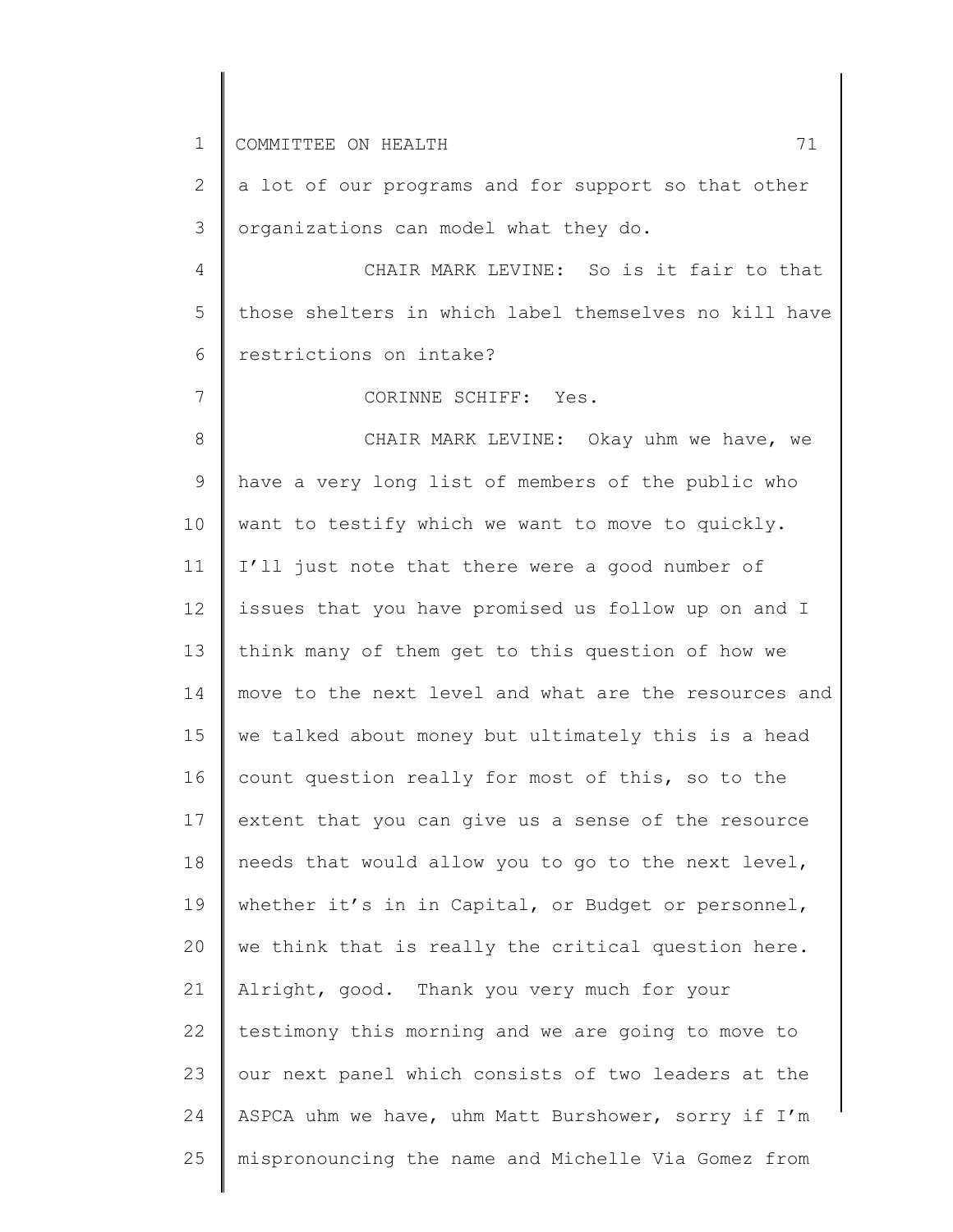1 2 3 4 5 6 7 8 9 10 11 12 13 14 15 16 17 18 19 20 21 22 23 24 25 COMMITTEE ON HEALTH 71 a lot of our programs and for support so that other organizations can model what they do. CHAIR MARK LEVINE: So is it fair to that those shelters in which label themselves no kill have restrictions on intake? CORINNE SCHIFF: Yes. CHAIR MARK LEVINE: Okay uhm we have, we have a very long list of members of the public who want to testify which we want to move to quickly. I'll just note that there were a good number of issues that you have promised us follow up on and I think many of them get to this question of how we move to the next level and what are the resources and we talked about money but ultimately this is a head count question really for most of this, so to the extent that you can give us a sense of the resource needs that would allow you to go to the next level, whether it's in in Capital, or Budget or personnel, we think that is really the critical question here. Alright, good. Thank you very much for your testimony this morning and we are going to move to our next panel which consists of two leaders at the ASPCA uhm we have, uhm Matt Burshower, sorry if I'm mispronouncing the name and Michelle Via Gomez from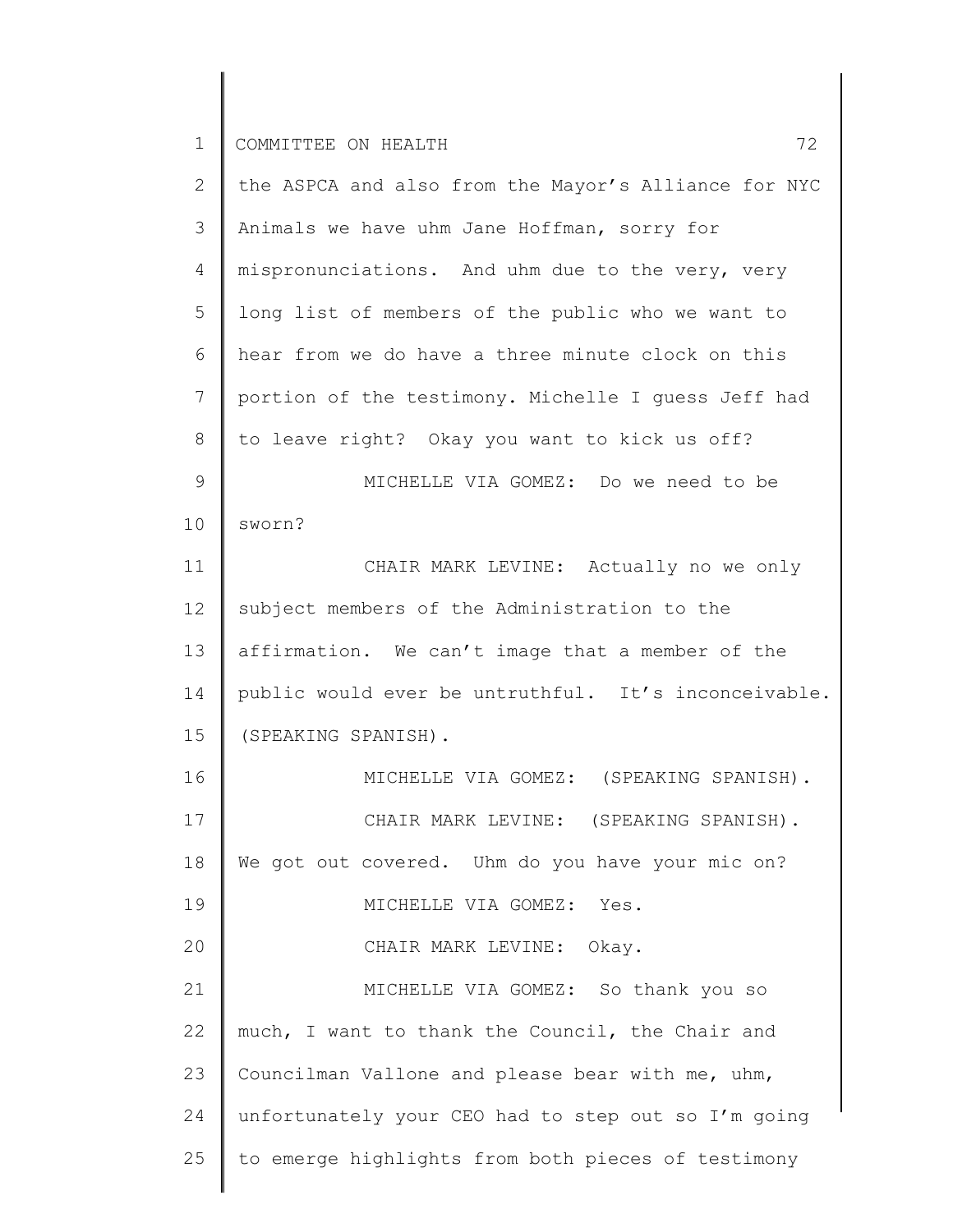| $\mathbf{2}^{\mathsf{I}}$ | the ASPCA and also from the Mayor's Alliance for NYC |
|---------------------------|------------------------------------------------------|
| 3                         | Animals we have uhm Jane Hoffman, sorry for          |
| 4                         | mispronunciations. And uhm due to the very, very     |
| 5                         | long list of members of the public who we want to    |
| 6                         | hear from we do have a three minute clock on this    |
| 7                         | portion of the testimony. Michelle I guess Jeff had  |
| 8                         | to leave right? Okay you want to kick us off?        |
| $\mathsf 9$               | MICHELLE VIA GOMEZ: Do we need to be                 |
| 10                        | sworn?                                               |
| 11                        | CHAIR MARK LEVINE: Actually no we only               |
| 12                        | subject members of the Administration to the         |
| 13                        | affirmation. We can't image that a member of the     |
| 14                        | public would ever be untruthful. It's inconceivable. |
| 15                        | (SPEAKING SPANISH).                                  |
| 16                        | MICHELLE VIA GOMEZ: (SPEAKING SPANISH).              |
| 17                        | CHAIR MARK LEVINE: (SPEAKING SPANISH).               |
| 18                        | We got out covered. Uhm do you have your mic on?     |
| 19                        | MICHELLE VIA GOMEZ: Yes.                             |
| 20                        | CHAIR MARK LEVINE: Okay.                             |
| 21                        | MICHELLE VIA GOMEZ: So thank you so                  |
| 22                        | much, I want to thank the Council, the Chair and     |
| 23                        | Councilman Vallone and please bear with me, uhm,     |
| 24                        | unfortunately your CEO had to step out so I'm going  |
| 25                        | to emerge highlights from both pieces of testimony   |
|                           |                                                      |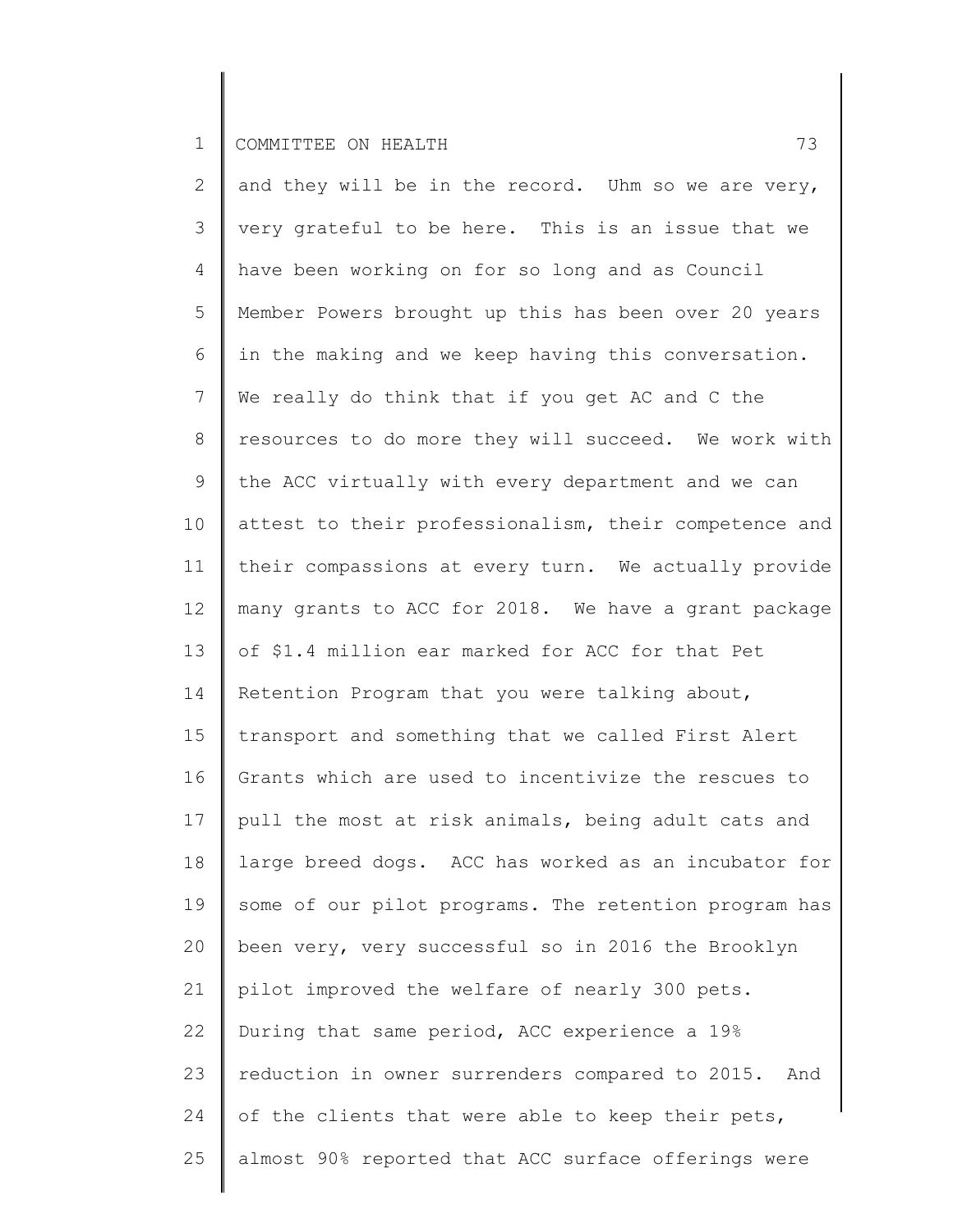| 2               | and they will be in the record. Uhm so we are very,    |
|-----------------|--------------------------------------------------------|
| 3               | very grateful to be here. This is an issue that we     |
| 4               | have been working on for so long and as Council        |
| 5               | Member Powers brought up this has been over 20 years   |
| 6               | in the making and we keep having this conversation.    |
| $7\overline{ }$ | We really do think that if you get AC and C the        |
| 8               | resources to do more they will succeed. We work with   |
| 9               | the ACC virtually with every department and we can     |
| 10              | attest to their professionalism, their competence and  |
| 11              | their compassions at every turn. We actually provide   |
| 12              | many grants to ACC for 2018. We have a grant package   |
| 13              | of \$1.4 million ear marked for ACC for that Pet       |
| 14              | Retention Program that you were talking about,         |
| 15              | transport and something that we called First Alert     |
| 16              | Grants which are used to incentivize the rescues to    |
| 17              | pull the most at risk animals, being adult cats and    |
| 18              | large breed dogs. ACC has worked as an incubator for   |
| 19              | some of our pilot programs. The retention program has  |
| 20              | been very, very successful so in 2016 the Brooklyn     |
| 21              | pilot improved the welfare of nearly 300 pets.         |
| 22              | During that same period, ACC experience a 19%          |
| 23              | reduction in owner surrenders compared to 2015.<br>And |
| 24              | of the clients that were able to keep their pets,      |
| 25              | almost 90% reported that ACC surface offerings were    |
|                 |                                                        |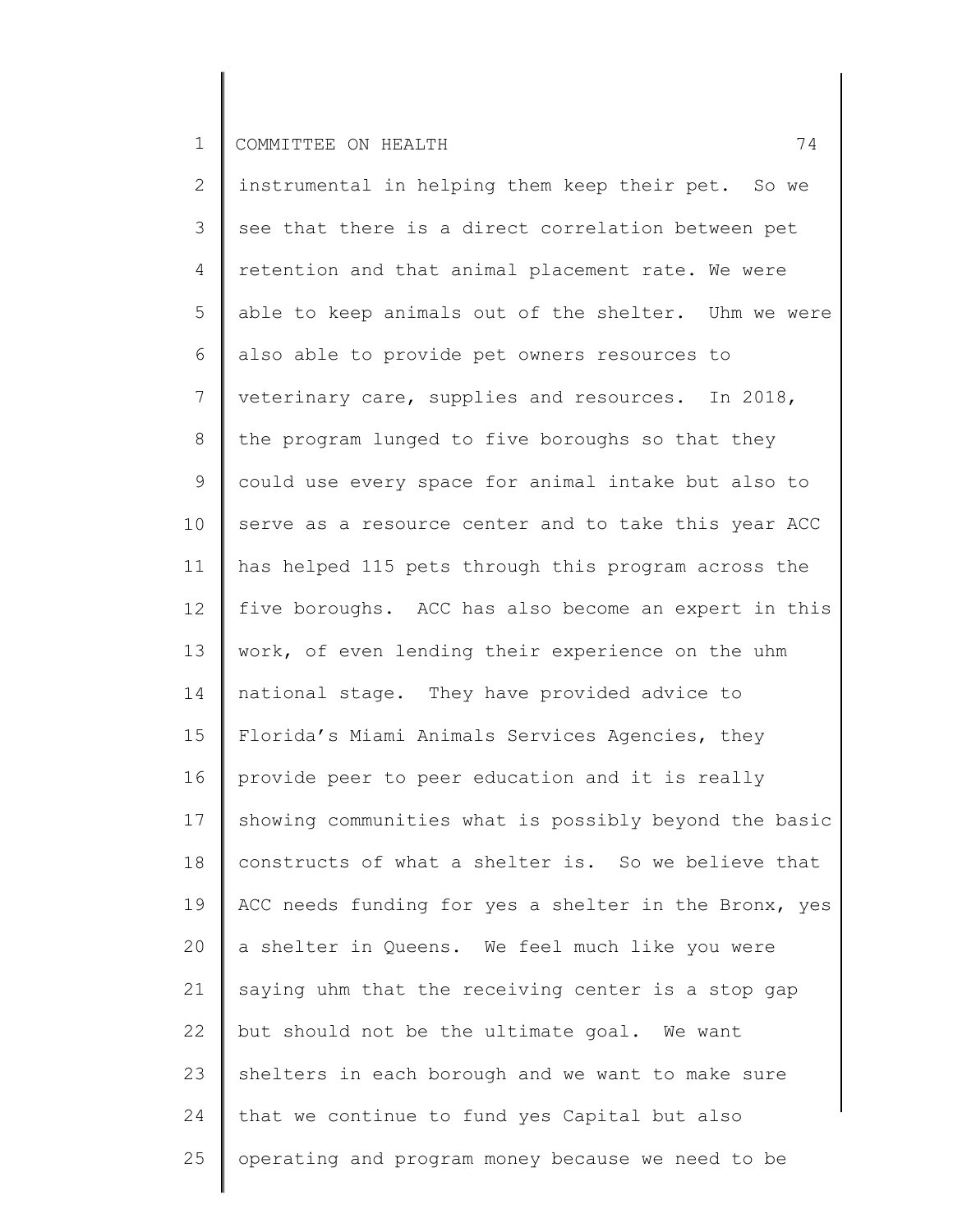2 3 4 5 6 7 8 9 10 11 12 13 14 15 16 17 18 19 20 21 22 23 24 25 instrumental in helping them keep their pet. So we see that there is a direct correlation between pet retention and that animal placement rate. We were able to keep animals out of the shelter. Uhm we were also able to provide pet owners resources to veterinary care, supplies and resources. In 2018, the program lunged to five boroughs so that they could use every space for animal intake but also to serve as a resource center and to take this year ACC has helped 115 pets through this program across the five boroughs. ACC has also become an expert in this work, of even lending their experience on the uhm national stage. They have provided advice to Florida's Miami Animals Services Agencies, they provide peer to peer education and it is really showing communities what is possibly beyond the basic constructs of what a shelter is. So we believe that ACC needs funding for yes a shelter in the Bronx, yes a shelter in Queens. We feel much like you were saying uhm that the receiving center is a stop gap but should not be the ultimate goal. We want shelters in each borough and we want to make sure that we continue to fund yes Capital but also operating and program money because we need to be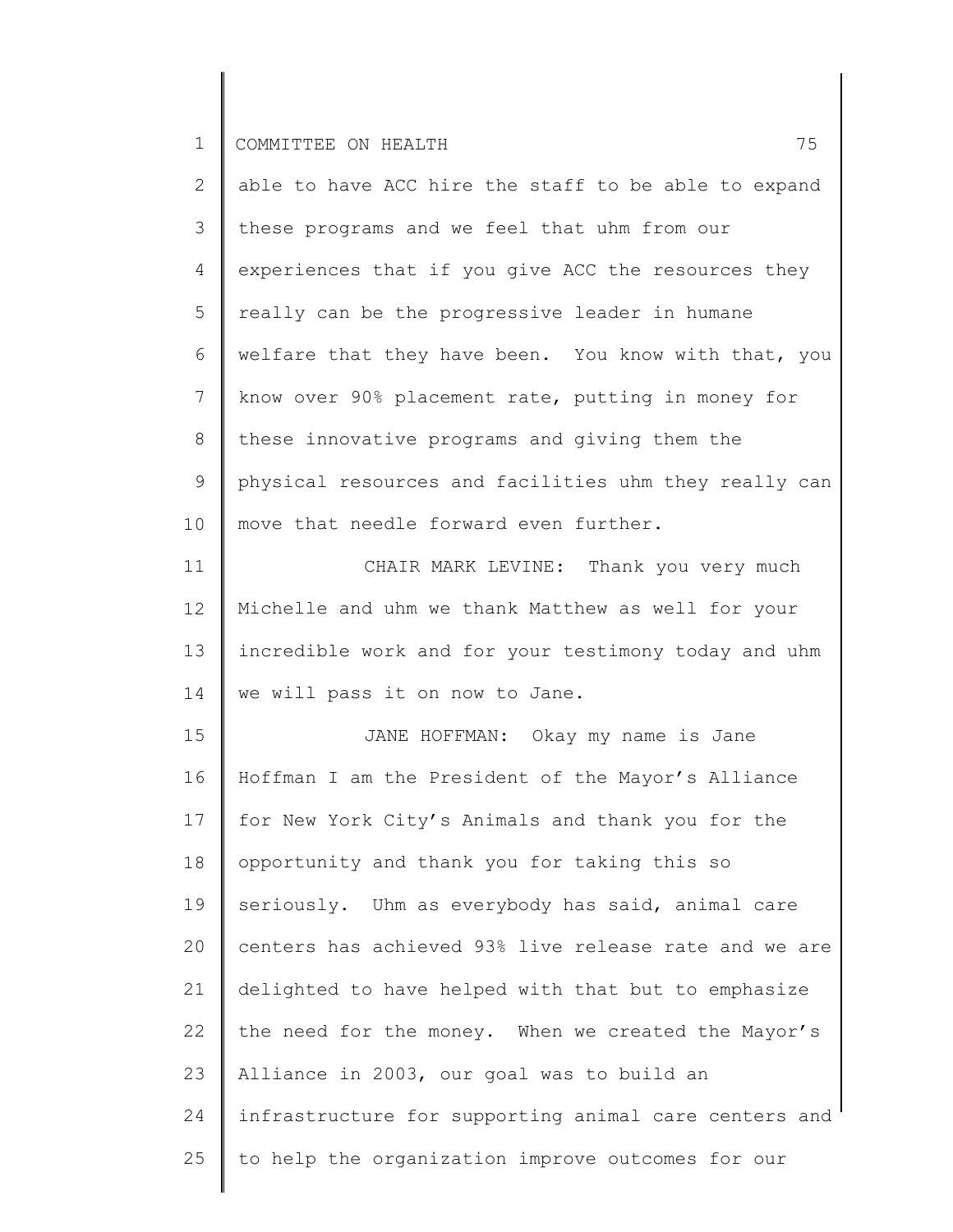2 3 4 5 6 7 8 9 10 able to have ACC hire the staff to be able to expand these programs and we feel that uhm from our experiences that if you give ACC the resources they really can be the progressive leader in humane welfare that they have been. You know with that, you know over 90% placement rate, putting in money for these innovative programs and giving them the physical resources and facilities uhm they really can move that needle forward even further.

11 12 13 14 CHAIR MARK LEVINE: Thank you very much Michelle and uhm we thank Matthew as well for your incredible work and for your testimony today and uhm we will pass it on now to Jane.

15 16 17 18 19 20 21 22 23 24 25 JANE HOFFMAN: Okay my name is Jane Hoffman I am the President of the Mayor's Alliance for New York City's Animals and thank you for the opportunity and thank you for taking this so seriously. Uhm as everybody has said, animal care centers has achieved 93% live release rate and we are delighted to have helped with that but to emphasize the need for the money. When we created the Mayor's Alliance in 2003, our goal was to build an infrastructure for supporting animal care centers and to help the organization improve outcomes for our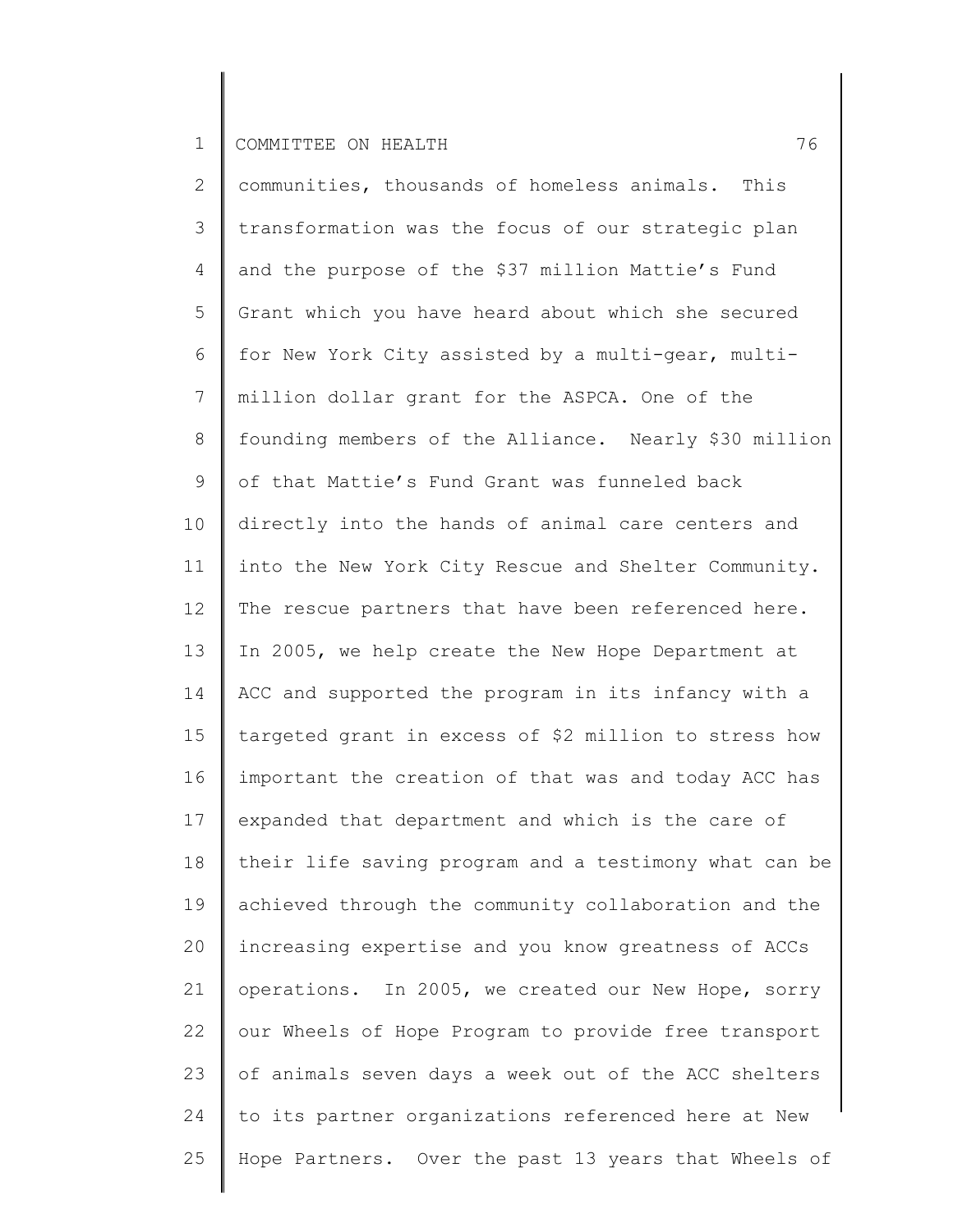2 3 4 5 6 7 8 9 10 11 12 13 14 15 16 17 18 19 20 21 22 23 24 25 communities, thousands of homeless animals. This transformation was the focus of our strategic plan and the purpose of the \$37 million Mattie's Fund Grant which you have heard about which she secured for New York City assisted by a multi-gear, multimillion dollar grant for the ASPCA. One of the founding members of the Alliance. Nearly \$30 million of that Mattie's Fund Grant was funneled back directly into the hands of animal care centers and into the New York City Rescue and Shelter Community. The rescue partners that have been referenced here. In 2005, we help create the New Hope Department at ACC and supported the program in its infancy with a targeted grant in excess of \$2 million to stress how important the creation of that was and today ACC has expanded that department and which is the care of their life saving program and a testimony what can be achieved through the community collaboration and the increasing expertise and you know greatness of ACCs operations. In 2005, we created our New Hope, sorry our Wheels of Hope Program to provide free transport of animals seven days a week out of the ACC shelters to its partner organizations referenced here at New Hope Partners. Over the past 13 years that Wheels of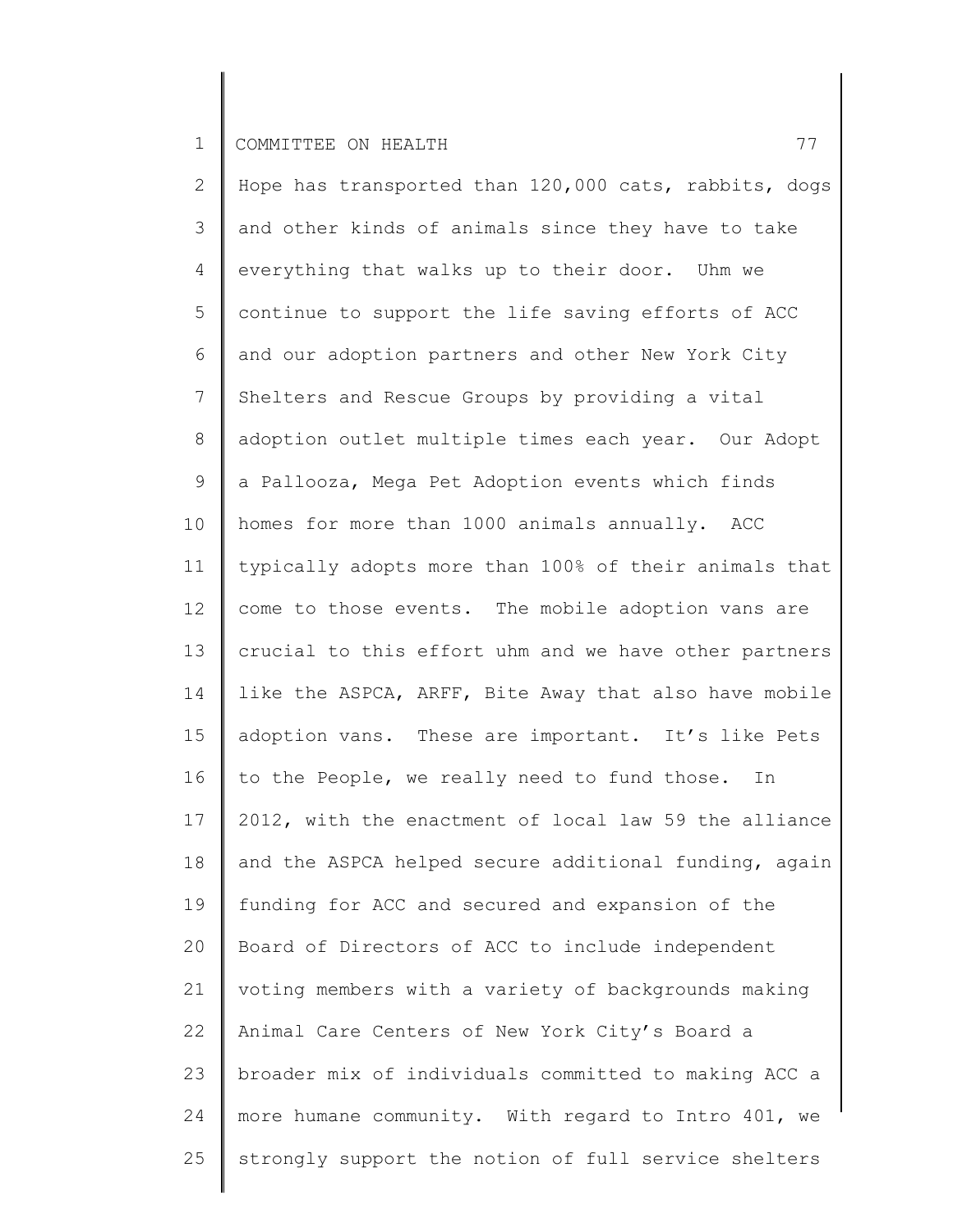2 3 4 5 6 7 8 9 10 11 12 13 14 15 16 17 18 19 20 21 22 23 24 25 Hope has transported than 120,000 cats, rabbits, dogs and other kinds of animals since they have to take everything that walks up to their door. Uhm we continue to support the life saving efforts of ACC and our adoption partners and other New York City Shelters and Rescue Groups by providing a vital adoption outlet multiple times each year. Our Adopt a Pallooza, Mega Pet Adoption events which finds homes for more than 1000 animals annually. ACC typically adopts more than 100% of their animals that come to those events. The mobile adoption vans are crucial to this effort uhm and we have other partners like the ASPCA, ARFF, Bite Away that also have mobile adoption vans. These are important. It's like Pets to the People, we really need to fund those. In 2012, with the enactment of local law 59 the alliance and the ASPCA helped secure additional funding, again funding for ACC and secured and expansion of the Board of Directors of ACC to include independent voting members with a variety of backgrounds making Animal Care Centers of New York City's Board a broader mix of individuals committed to making ACC a more humane community. With regard to Intro 401, we strongly support the notion of full service shelters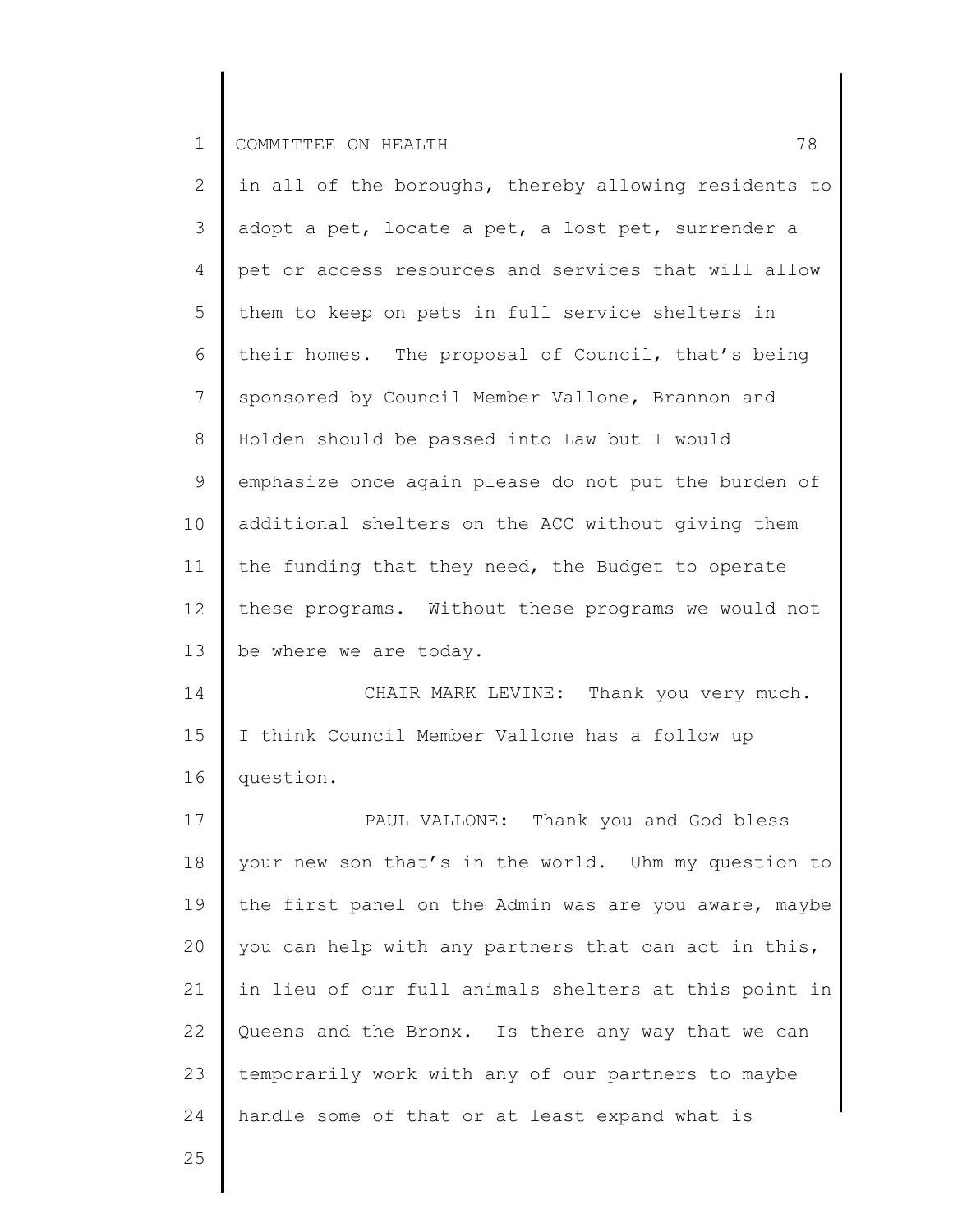| $\mathbf{2}$    | in all of the boroughs, thereby allowing residents to |
|-----------------|-------------------------------------------------------|
| 3               | adopt a pet, locate a pet, a lost pet, surrender a    |
| 4               | pet or access resources and services that will allow  |
| 5               | them to keep on pets in full service shelters in      |
| 6               | their homes. The proposal of Council, that's being    |
| $7\phantom{.0}$ | sponsored by Council Member Vallone, Brannon and      |
| 8               | Holden should be passed into Law but I would          |
| $\mathsf 9$     | emphasize once again please do not put the burden of  |
| 10              | additional shelters on the ACC without giving them    |
| 11              | the funding that they need, the Budget to operate     |
| 12              | these programs. Without these programs we would not   |
| 13              | be where we are today.                                |
| 14              | CHAIR MARK LEVINE: Thank you very much.               |
| 15              | I think Council Member Vallone has a follow up        |
| 16              | question.                                             |
| 17              | PAUL VALLONE: Thank you and God bless                 |
| 18              | your new son that's in the world. Uhm my question to  |
| 19              | the first panel on the Admin was are you aware, maybe |
| 20              | you can help with any partners that can act in this,  |
| 21              | in lieu of our full animals shelters at this point in |
| 22              | Queens and the Bronx. Is there any way that we can    |
| 23              | temporarily work with any of our partners to maybe    |
| 24              | handle some of that or at least expand what is        |
|                 |                                                       |

25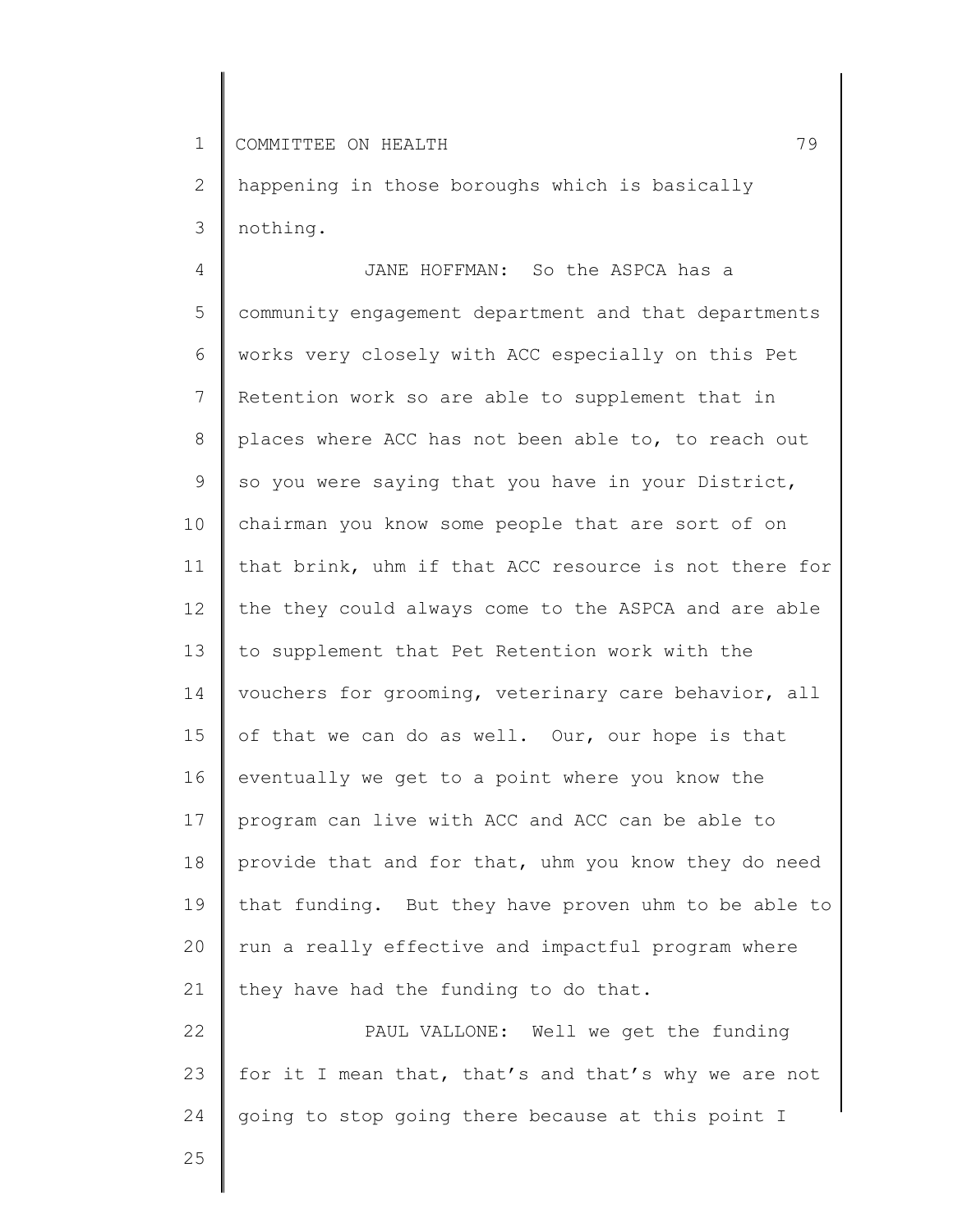2 3 happening in those boroughs which is basically nothing.

4 5 6 7 8 9 10 11 12 13 14 15 16 17 18 19 20 21 22 JANE HOFFMAN: So the ASPCA has a community engagement department and that departments works very closely with ACC especially on this Pet Retention work so are able to supplement that in places where ACC has not been able to, to reach out so you were saying that you have in your District, chairman you know some people that are sort of on that brink, uhm if that ACC resource is not there for the they could always come to the ASPCA and are able to supplement that Pet Retention work with the vouchers for grooming, veterinary care behavior, all of that we can do as well. Our, our hope is that eventually we get to a point where you know the program can live with ACC and ACC can be able to provide that and for that, uhm you know they do need that funding. But they have proven uhm to be able to run a really effective and impactful program where they have had the funding to do that. PAUL VALLONE: Well we get the funding

23 24 for it I mean that, that's and that's why we are not going to stop going there because at this point I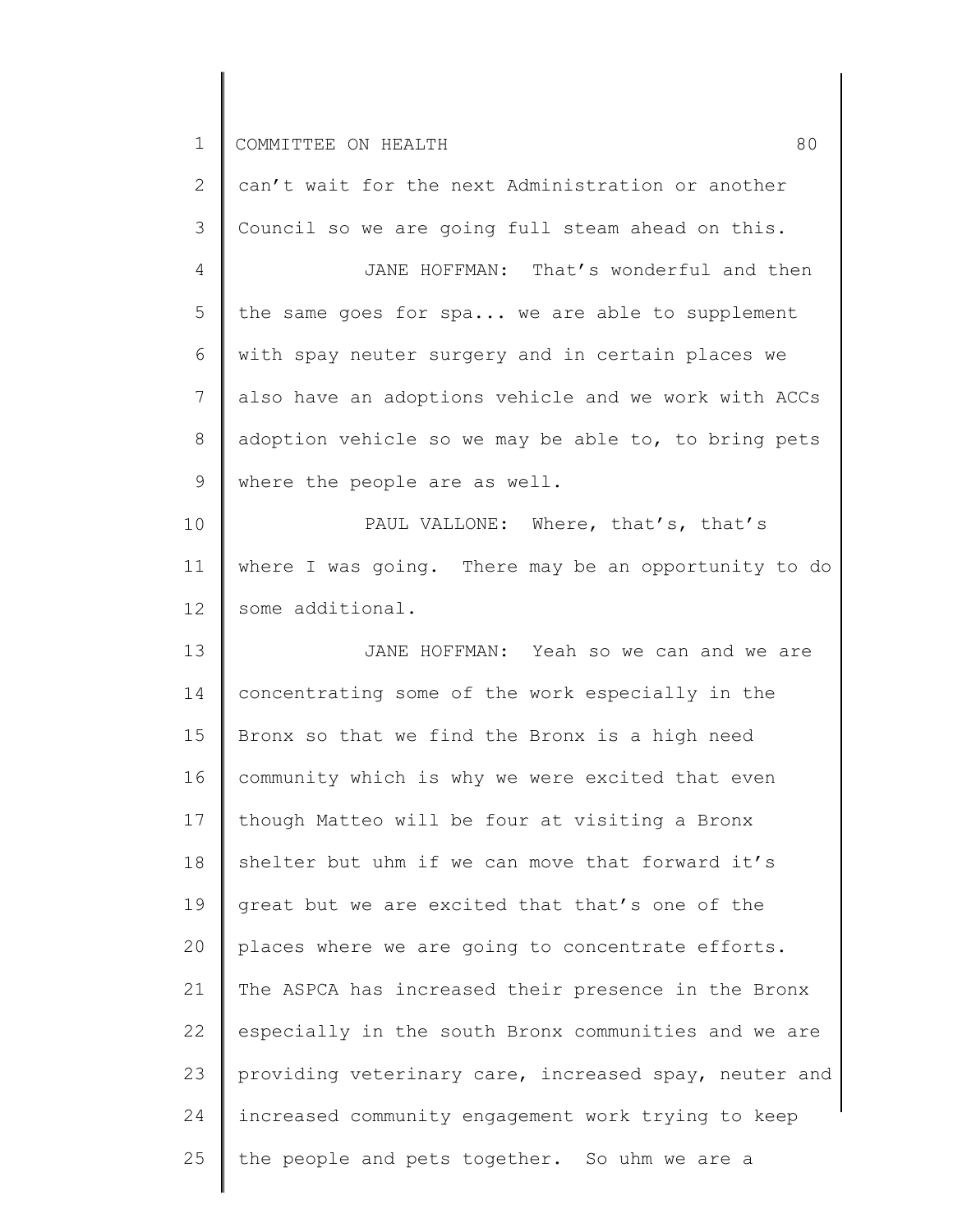| $\overline{2}$  | can't wait for the next Administration or another     |
|-----------------|-------------------------------------------------------|
| 3               | Council so we are going full steam ahead on this.     |
| 4               | JANE HOFFMAN: That's wonderful and then               |
| 5               | the same goes for spa we are able to supplement       |
| 6               | with spay neuter surgery and in certain places we     |
| $\overline{7}$  | also have an adoptions vehicle and we work with ACCs  |
| $8\,$           | adoption vehicle so we may be able to, to bring pets  |
| 9               | where the people are as well.                         |
| 10              | PAUL VALLONE: Where, that's, that's                   |
| 11              | where I was going. There may be an opportunity to do  |
| 12 <sup>°</sup> | some additional.                                      |
| 13              | JANE HOFFMAN: Yeah so we can and we are               |
| 14              | concentrating some of the work especially in the      |
| 15              | Bronx so that we find the Bronx is a high need        |
| 16              | community which is why we were excited that even      |
| 17              | though Matteo will be four at visiting a Bronx        |
| 18              | shelter but uhm if we can move that forward it's      |
| 19              | great but we are excited that that's one of the       |
| 20              | places where we are going to concentrate efforts.     |
| 21              | The ASPCA has increased their presence in the Bronx   |
| 22              | especially in the south Bronx communities and we are  |
| 23              | providing veterinary care, increased spay, neuter and |
| 24              | increased community engagement work trying to keep    |
| 25              | the people and pets together. So uhm we are a         |
|                 |                                                       |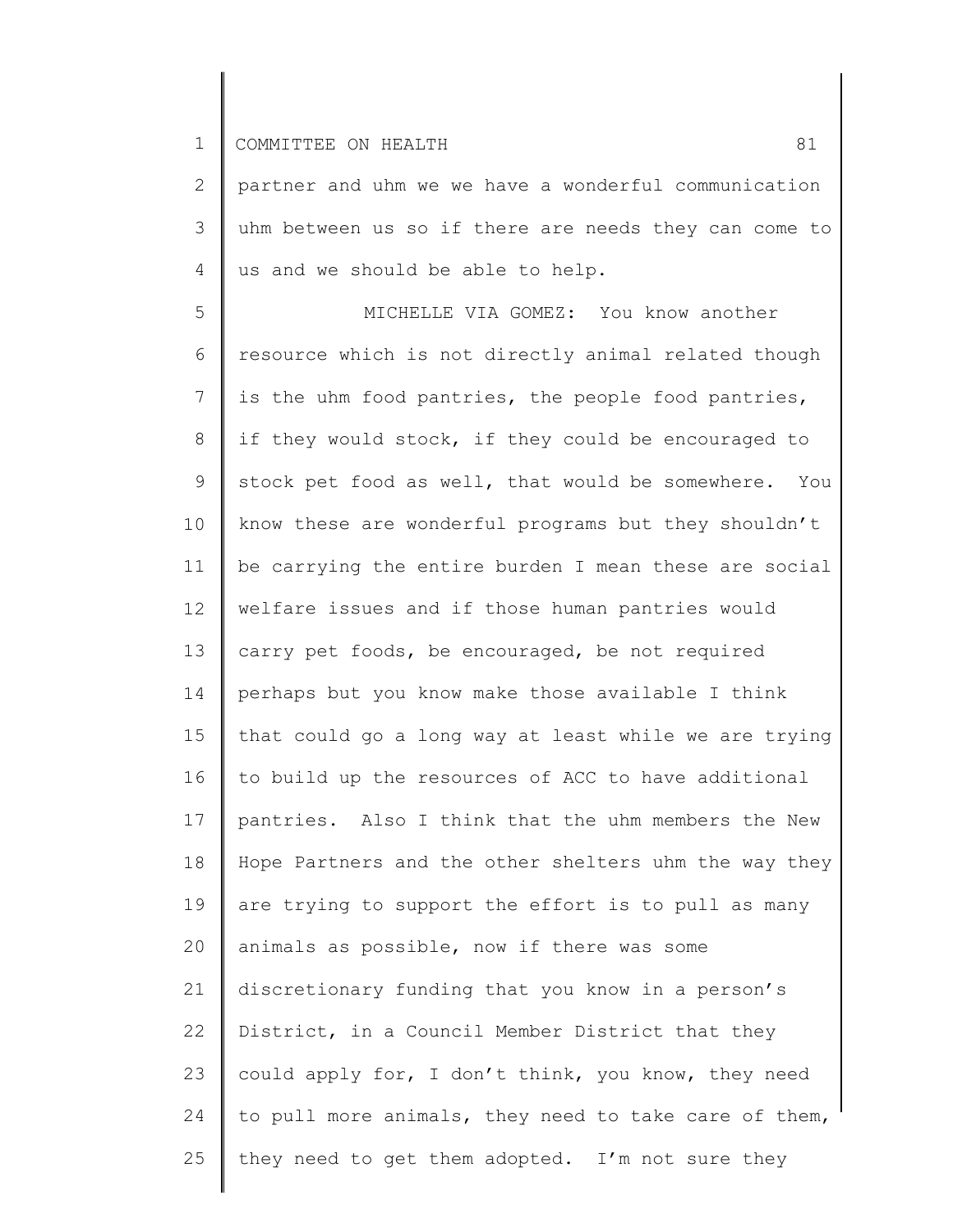2 3 4 partner and uhm we we have a wonderful communication uhm between us so if there are needs they can come to us and we should be able to help.

5 6 7 8 9 10 11 12 13 14 15 16 17 18 19 20 21 22 23 24 25 MICHELLE VIA GOMEZ: You know another resource which is not directly animal related though is the uhm food pantries, the people food pantries, if they would stock, if they could be encouraged to stock pet food as well, that would be somewhere. You know these are wonderful programs but they shouldn't be carrying the entire burden I mean these are social welfare issues and if those human pantries would carry pet foods, be encouraged, be not required perhaps but you know make those available I think that could go a long way at least while we are trying to build up the resources of ACC to have additional pantries. Also I think that the uhm members the New Hope Partners and the other shelters uhm the way they are trying to support the effort is to pull as many animals as possible, now if there was some discretionary funding that you know in a person's District, in a Council Member District that they could apply for, I don't think, you know, they need to pull more animals, they need to take care of them, they need to get them adopted. I'm not sure they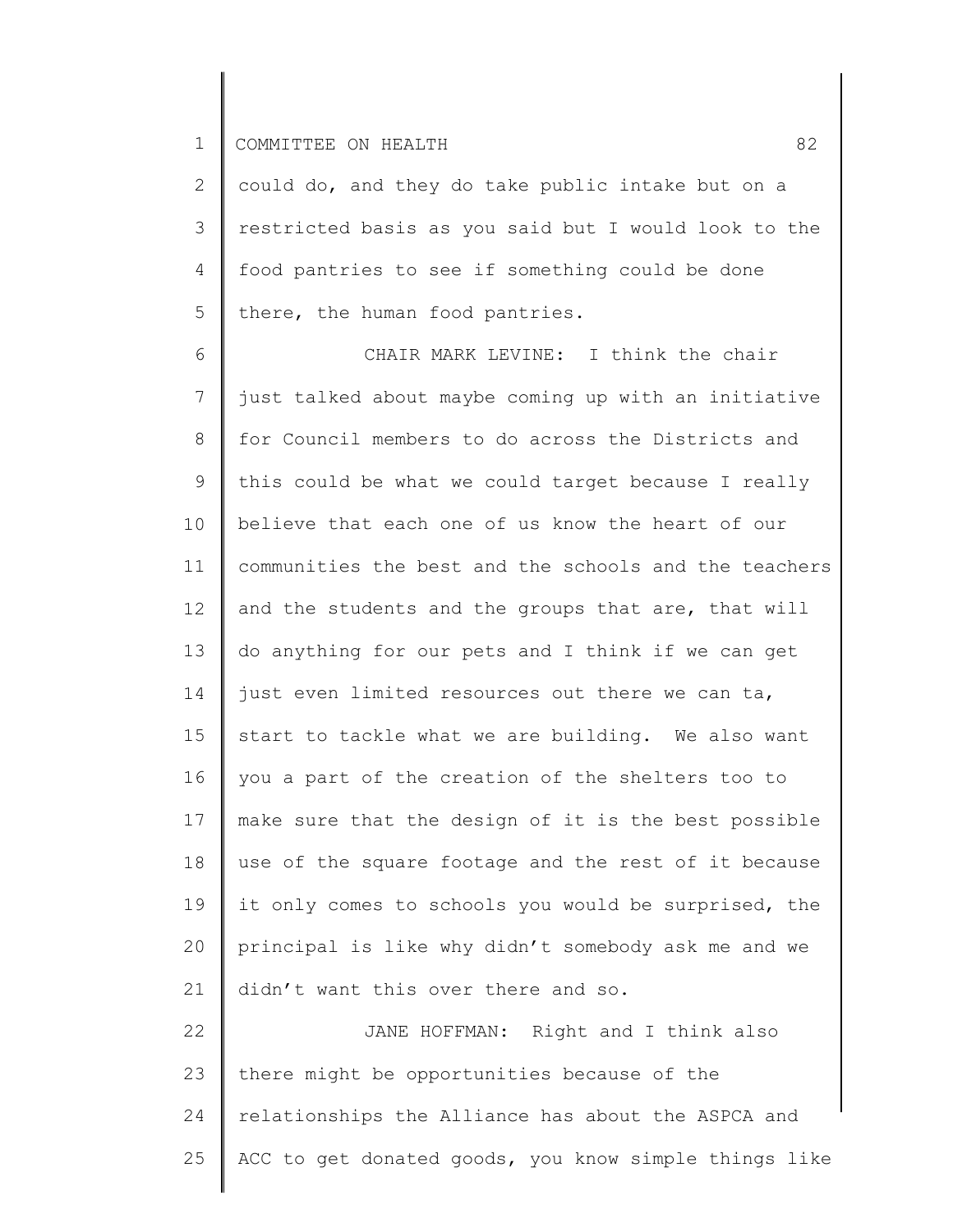2 3 4 5 could do, and they do take public intake but on a restricted basis as you said but I would look to the food pantries to see if something could be done there, the human food pantries.

6 7 8 9 10 11 12 13 14 15 16 17 18 19 20 21 22 CHAIR MARK LEVINE: I think the chair just talked about maybe coming up with an initiative for Council members to do across the Districts and this could be what we could target because I really believe that each one of us know the heart of our communities the best and the schools and the teachers and the students and the groups that are, that will do anything for our pets and I think if we can get just even limited resources out there we can ta, start to tackle what we are building. We also want you a part of the creation of the shelters too to make sure that the design of it is the best possible use of the square footage and the rest of it because it only comes to schools you would be surprised, the principal is like why didn't somebody ask me and we didn't want this over there and so. JANE HOFFMAN: Right and I think also

23 24 25 there might be opportunities because of the relationships the Alliance has about the ASPCA and ACC to get donated goods, you know simple things like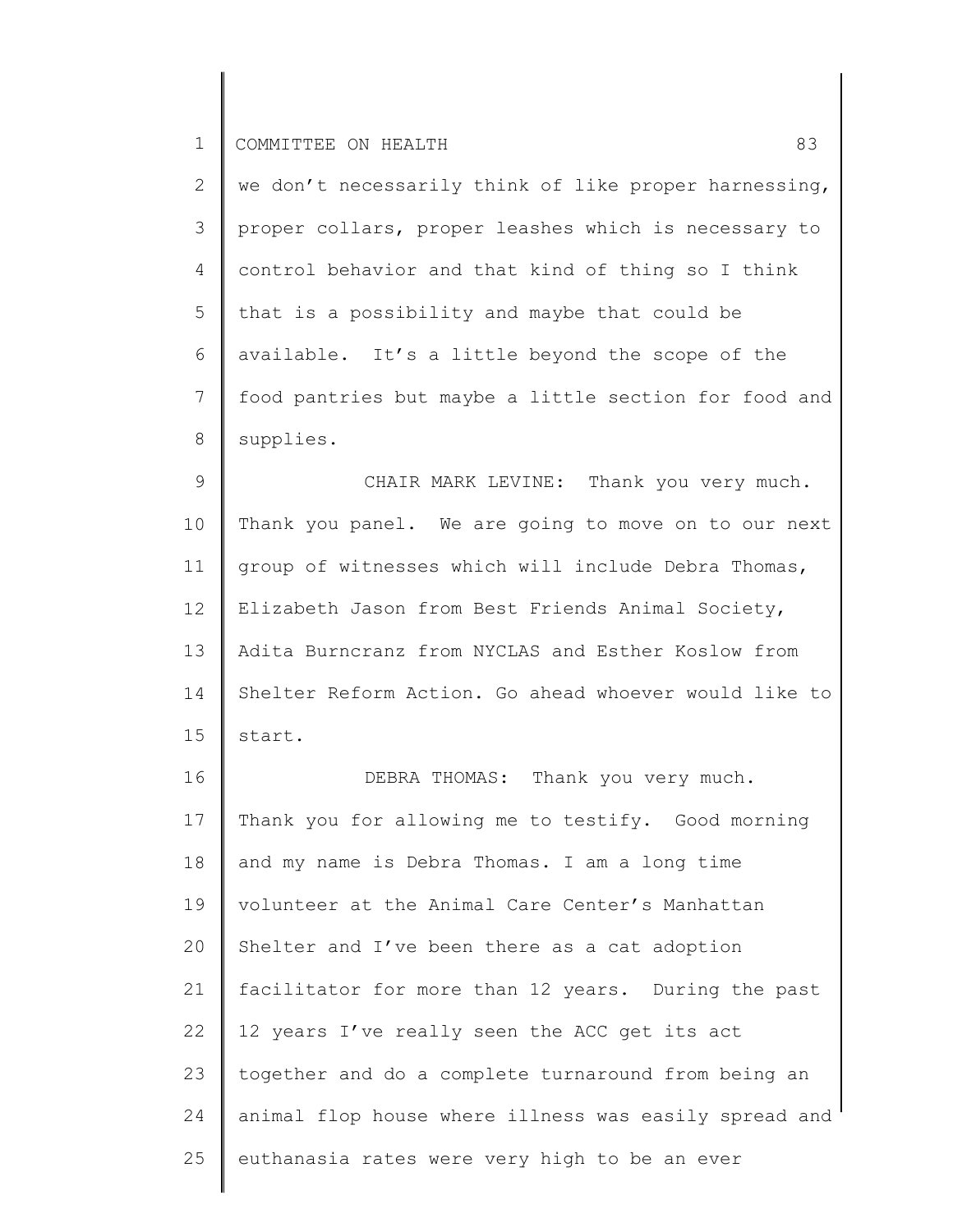2 3 4 5 6 7 8 we don't necessarily think of like proper harnessing, proper collars, proper leashes which is necessary to control behavior and that kind of thing so I think that is a possibility and maybe that could be available. It's a little beyond the scope of the food pantries but maybe a little section for food and supplies.

9 10 11 12 13 14 15 CHAIR MARK LEVINE: Thank you very much. Thank you panel. We are going to move on to our next group of witnesses which will include Debra Thomas, Elizabeth Jason from Best Friends Animal Society, Adita Burncranz from NYCLAS and Esther Koslow from Shelter Reform Action. Go ahead whoever would like to start.

16 17 18 19 20 21 22 23 24 25 DEBRA THOMAS: Thank you very much. Thank you for allowing me to testify. Good morning and my name is Debra Thomas. I am a long time volunteer at the Animal Care Center's Manhattan Shelter and I've been there as a cat adoption facilitator for more than 12 years. During the past 12 years I've really seen the ACC get its act together and do a complete turnaround from being an animal flop house where illness was easily spread and euthanasia rates were very high to be an ever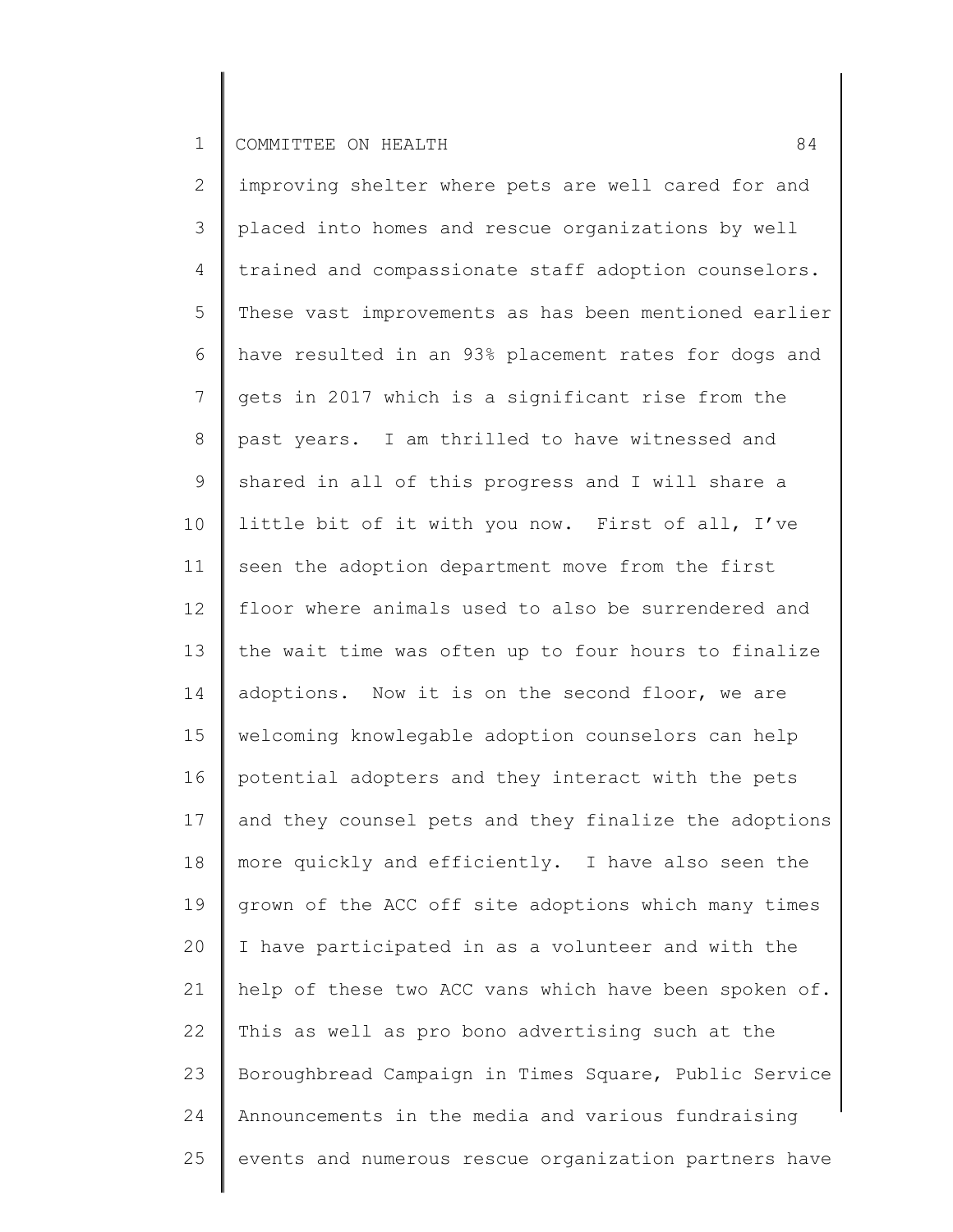2 3 4 5 6 7 8 9 10 11 12 13 14 15 16 17 18 19 20 21 22 23 24 25 improving shelter where pets are well cared for and placed into homes and rescue organizations by well trained and compassionate staff adoption counselors. These vast improvements as has been mentioned earlier have resulted in an 93% placement rates for dogs and gets in 2017 which is a significant rise from the past years. I am thrilled to have witnessed and shared in all of this progress and I will share a little bit of it with you now. First of all, I've seen the adoption department move from the first floor where animals used to also be surrendered and the wait time was often up to four hours to finalize adoptions. Now it is on the second floor, we are welcoming knowlegable adoption counselors can help potential adopters and they interact with the pets and they counsel pets and they finalize the adoptions more quickly and efficiently. I have also seen the grown of the ACC off site adoptions which many times I have participated in as a volunteer and with the help of these two ACC vans which have been spoken of. This as well as pro bono advertising such at the Boroughbread Campaign in Times Square, Public Service Announcements in the media and various fundraising events and numerous rescue organization partners have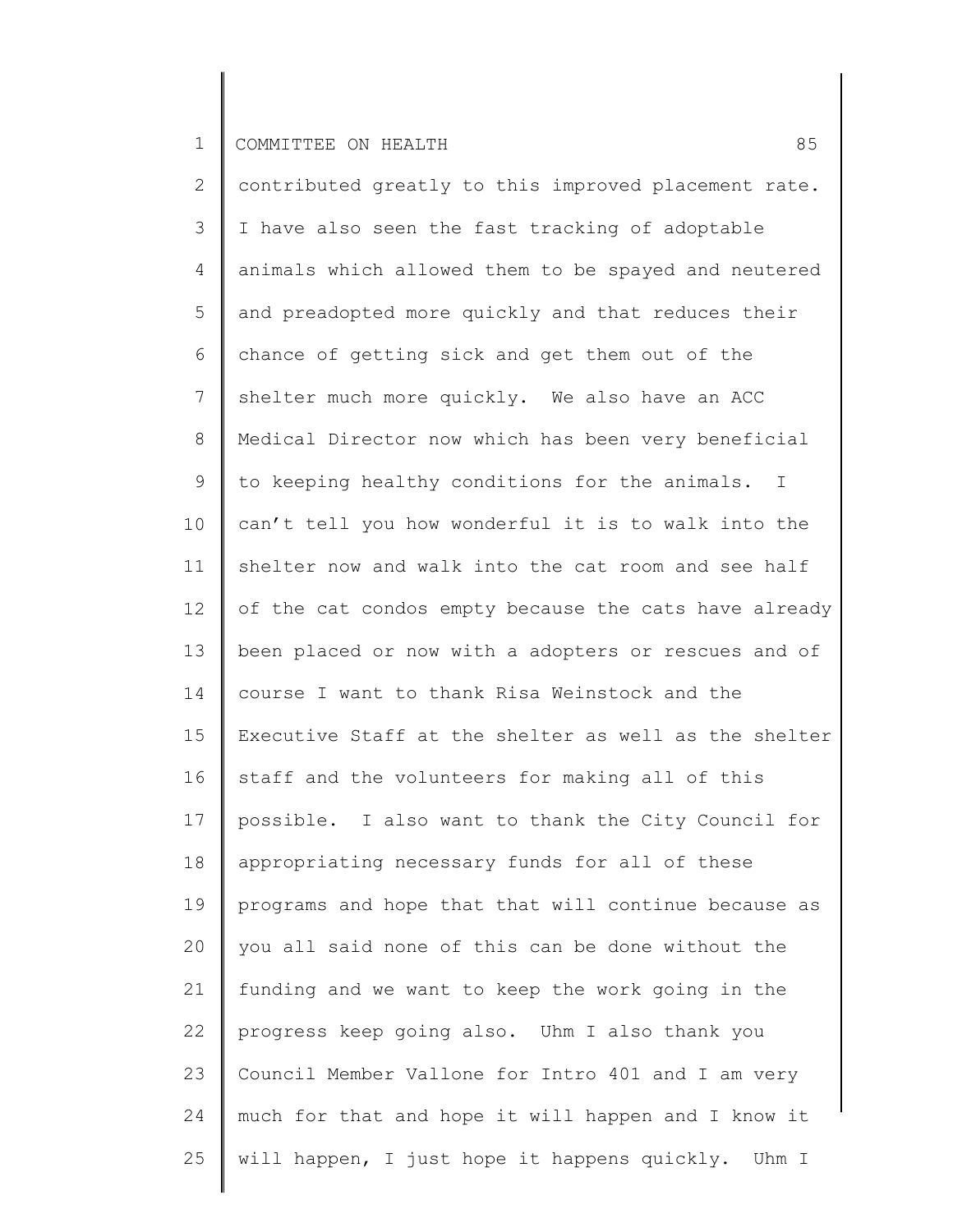2 3 4 5 6 7 8 9 10 11 12 13 14 15 16 17 18 19 20 21 22 23 24 25 contributed greatly to this improved placement rate. I have also seen the fast tracking of adoptable animals which allowed them to be spayed and neutered and preadopted more quickly and that reduces their chance of getting sick and get them out of the shelter much more quickly. We also have an ACC Medical Director now which has been very beneficial to keeping healthy conditions for the animals. I can't tell you how wonderful it is to walk into the shelter now and walk into the cat room and see half of the cat condos empty because the cats have already been placed or now with a adopters or rescues and of course I want to thank Risa Weinstock and the Executive Staff at the shelter as well as the shelter staff and the volunteers for making all of this possible. I also want to thank the City Council for appropriating necessary funds for all of these programs and hope that that will continue because as you all said none of this can be done without the funding and we want to keep the work going in the progress keep going also. Uhm I also thank you Council Member Vallone for Intro 401 and I am very much for that and hope it will happen and I know it will happen, I just hope it happens quickly. Uhm I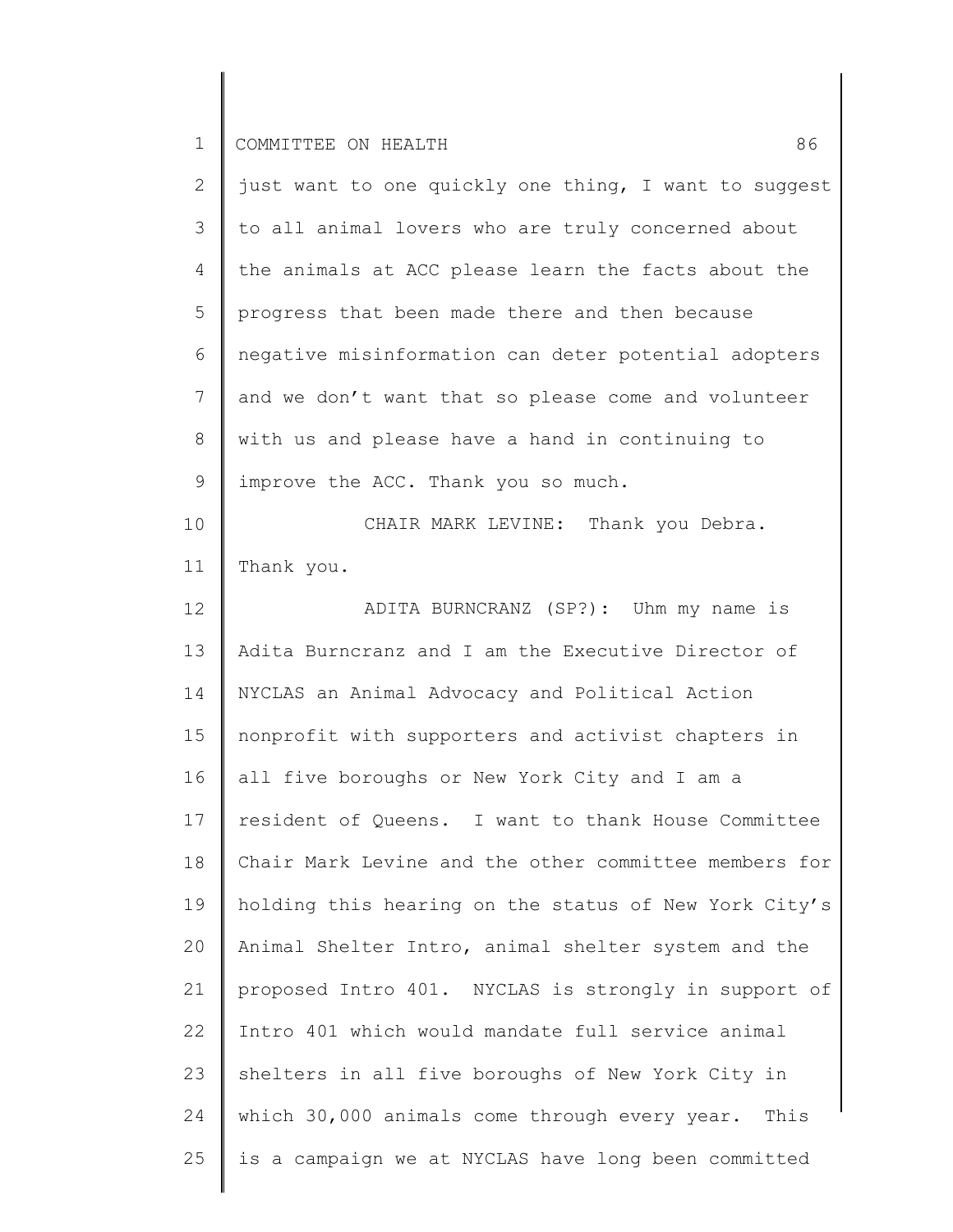| $\mathbf{2}$   | just want to one quickly one thing, I want to suggest |
|----------------|-------------------------------------------------------|
| 3              | to all animal lovers who are truly concerned about    |
| 4              | the animals at ACC please learn the facts about the   |
| 5              | progress that been made there and then because        |
| 6              | negative misinformation can deter potential adopters  |
| $\overline{7}$ | and we don't want that so please come and volunteer   |
| $8\,$          | with us and please have a hand in continuing to       |
| 9              | improve the ACC. Thank you so much.                   |
| 10             | CHAIR MARK LEVINE: Thank you Debra.                   |
| 11             | Thank you.                                            |
| 12             | ADITA BURNCRANZ (SP?): Uhm my name is                 |
| 13             | Adita Burncranz and I am the Executive Director of    |
| 14             | NYCLAS an Animal Advocacy and Political Action        |
| 15             | nonprofit with supporters and activist chapters in    |
| 16             | all five boroughs or New York City and I am a         |
| 17             | resident of Queens. I want to thank House Committee   |
| 18             | Chair Mark Levine and the other committee members for |
| 19             | holding this hearing on the status of New York City's |
| 20             | Animal Shelter Intro, animal shelter system and the   |
| 21             | proposed Intro 401. NYCLAS is strongly in support of  |
| 22             | Intro 401 which would mandate full service animal     |
| 23             | shelters in all five boroughs of New York City in     |
| 24             | which 30,000 animals come through every year. This    |
| 25             | is a campaign we at NYCLAS have long been committed   |
|                |                                                       |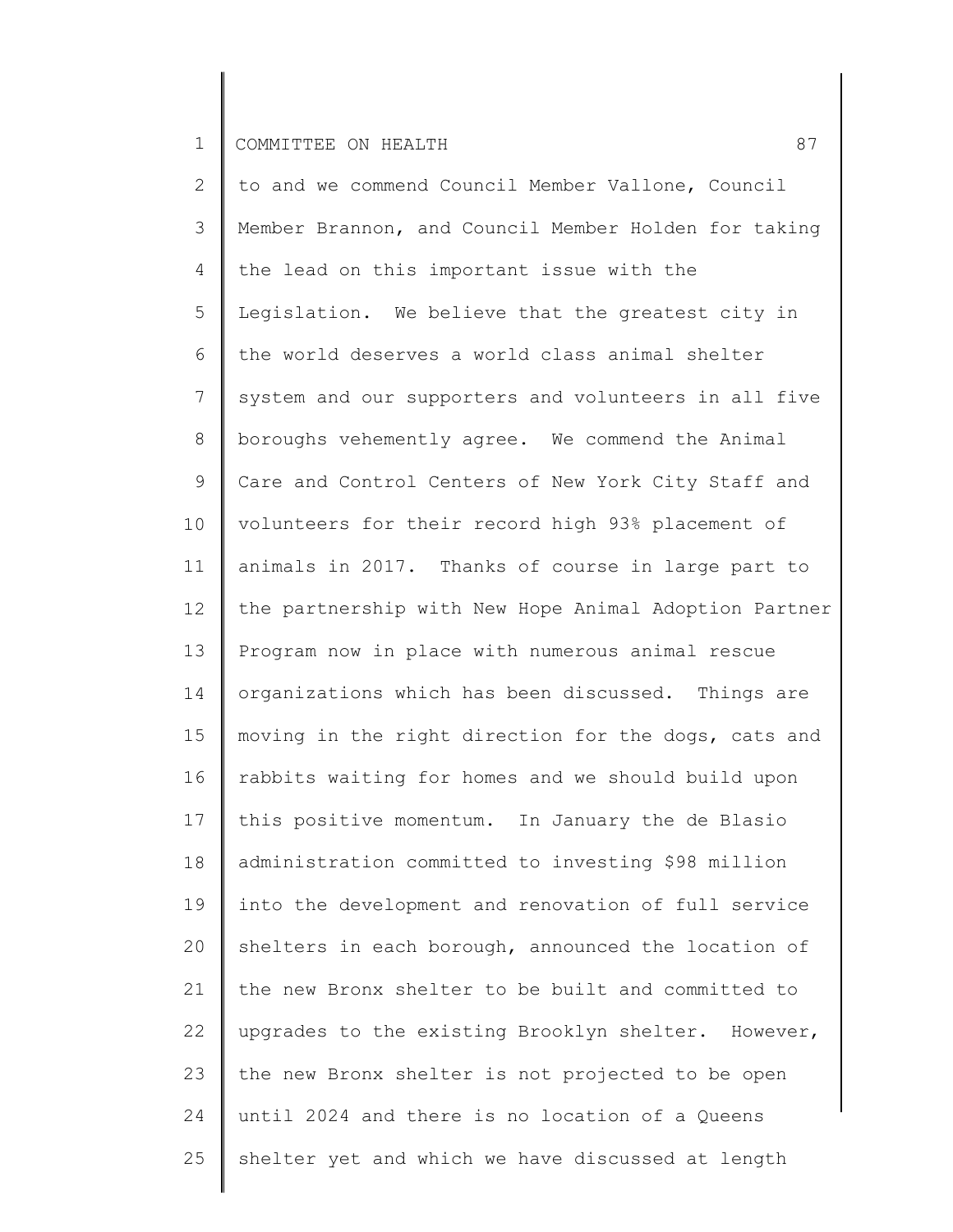2 3 4 5 6 7 8 9 10 11 12 13 14 15 16 17 18 19 20 21 22 23 24 25 to and we commend Council Member Vallone, Council Member Brannon, and Council Member Holden for taking the lead on this important issue with the Legislation. We believe that the greatest city in the world deserves a world class animal shelter system and our supporters and volunteers in all five boroughs vehemently agree. We commend the Animal Care and Control Centers of New York City Staff and volunteers for their record high 93% placement of animals in 2017. Thanks of course in large part to the partnership with New Hope Animal Adoption Partner Program now in place with numerous animal rescue organizations which has been discussed. Things are moving in the right direction for the dogs, cats and rabbits waiting for homes and we should build upon this positive momentum. In January the de Blasio administration committed to investing \$98 million into the development and renovation of full service shelters in each borough, announced the location of the new Bronx shelter to be built and committed to upgrades to the existing Brooklyn shelter. However, the new Bronx shelter is not projected to be open until 2024 and there is no location of a Queens shelter yet and which we have discussed at length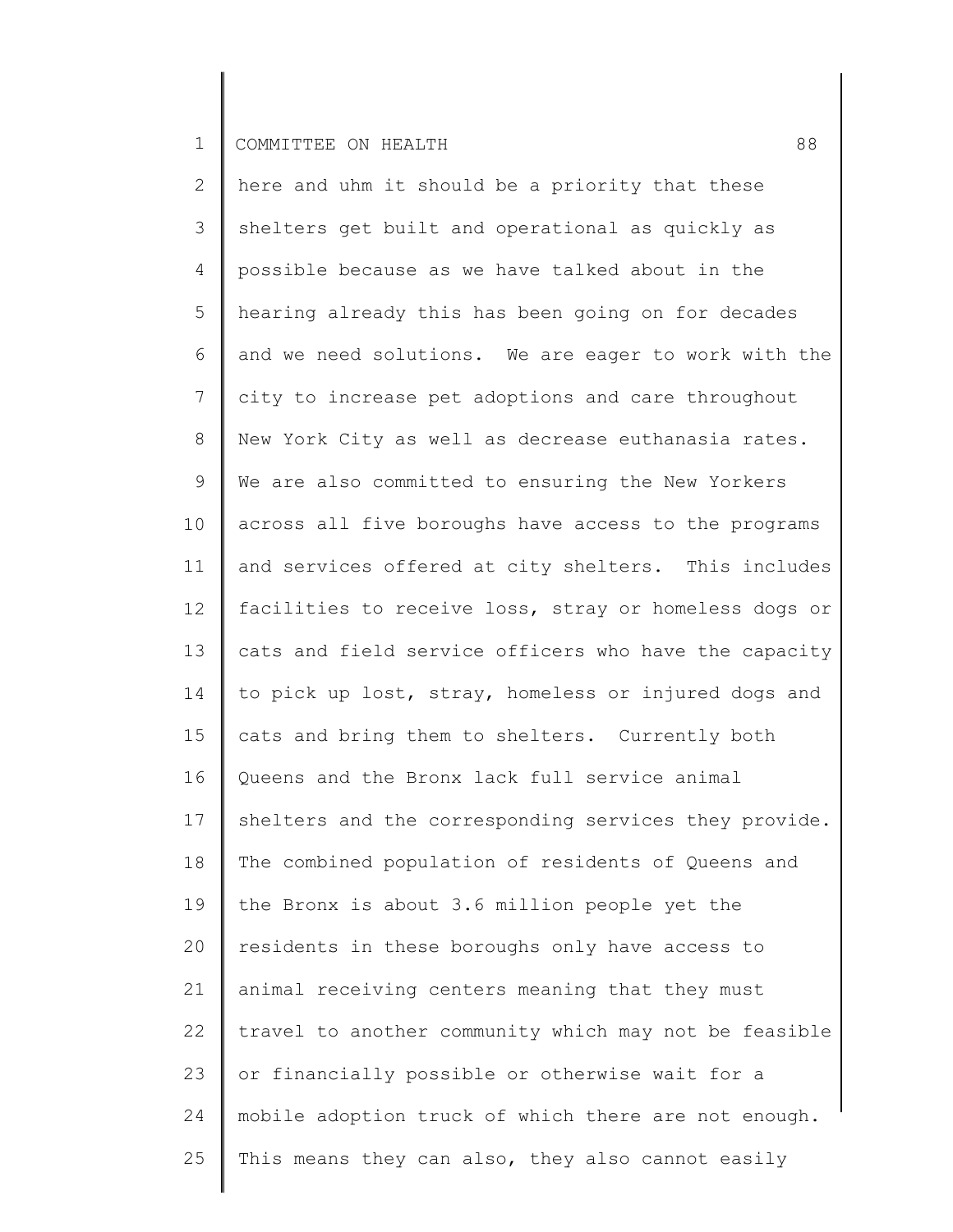| $\overline{2}$  | here and uhm it should be a priority that these       |
|-----------------|-------------------------------------------------------|
| 3               | shelters get built and operational as quickly as      |
| 4               | possible because as we have talked about in the       |
| 5               | hearing already this has been going on for decades    |
| 6               | and we need solutions. We are eager to work with the  |
| $7\phantom{.0}$ | city to increase pet adoptions and care throughout    |
| 8               | New York City as well as decrease euthanasia rates.   |
| 9               | We are also committed to ensuring the New Yorkers     |
| 10              | across all five boroughs have access to the programs  |
| 11              | and services offered at city shelters. This includes  |
| 12              | facilities to receive loss, stray or homeless dogs or |
| 13              | cats and field service officers who have the capacity |
| 14              | to pick up lost, stray, homeless or injured dogs and  |
| 15              | cats and bring them to shelters. Currently both       |
| 16              | Queens and the Bronx lack full service animal         |
| 17              | shelters and the corresponding services they provide. |
| 18              | The combined population of residents of Queens and    |
| 19              | the Bronx is about 3.6 million people yet the         |
| 20              | residents in these boroughs only have access to       |
| 21              | animal receiving centers meaning that they must       |
| 22              | travel to another community which may not be feasible |
| 23              | or financially possible or otherwise wait for a       |
| 24              | mobile adoption truck of which there are not enough.  |
| 25              | This means they can also, they also cannot easily     |
|                 |                                                       |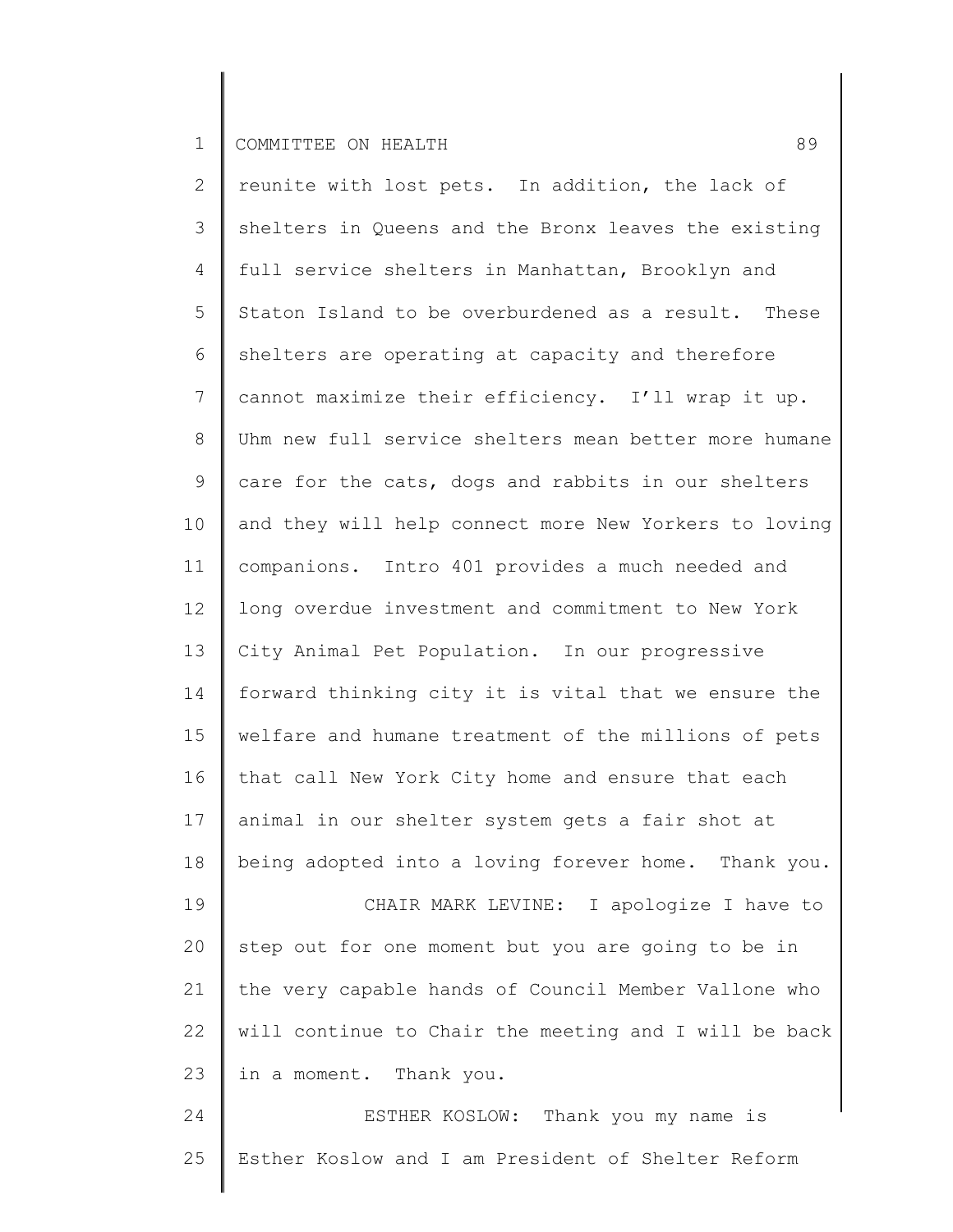25

2 3 4 5 6 7 8 9 10 11 12 13 14 15 16 17 18 19 20 21 22 23 24 reunite with lost pets. In addition, the lack of shelters in Queens and the Bronx leaves the existing full service shelters in Manhattan, Brooklyn and Staton Island to be overburdened as a result. These shelters are operating at capacity and therefore cannot maximize their efficiency. I'll wrap it up. Uhm new full service shelters mean better more humane care for the cats, dogs and rabbits in our shelters and they will help connect more New Yorkers to loving companions. Intro 401 provides a much needed and long overdue investment and commitment to New York City Animal Pet Population. In our progressive forward thinking city it is vital that we ensure the welfare and humane treatment of the millions of pets that call New York City home and ensure that each animal in our shelter system gets a fair shot at being adopted into a loving forever home. Thank you. CHAIR MARK LEVINE: I apologize I have to step out for one moment but you are going to be in the very capable hands of Council Member Vallone who will continue to Chair the meeting and I will be back in a moment. Thank you. ESTHER KOSLOW: Thank you my name is

Esther Koslow and I am President of Shelter Reform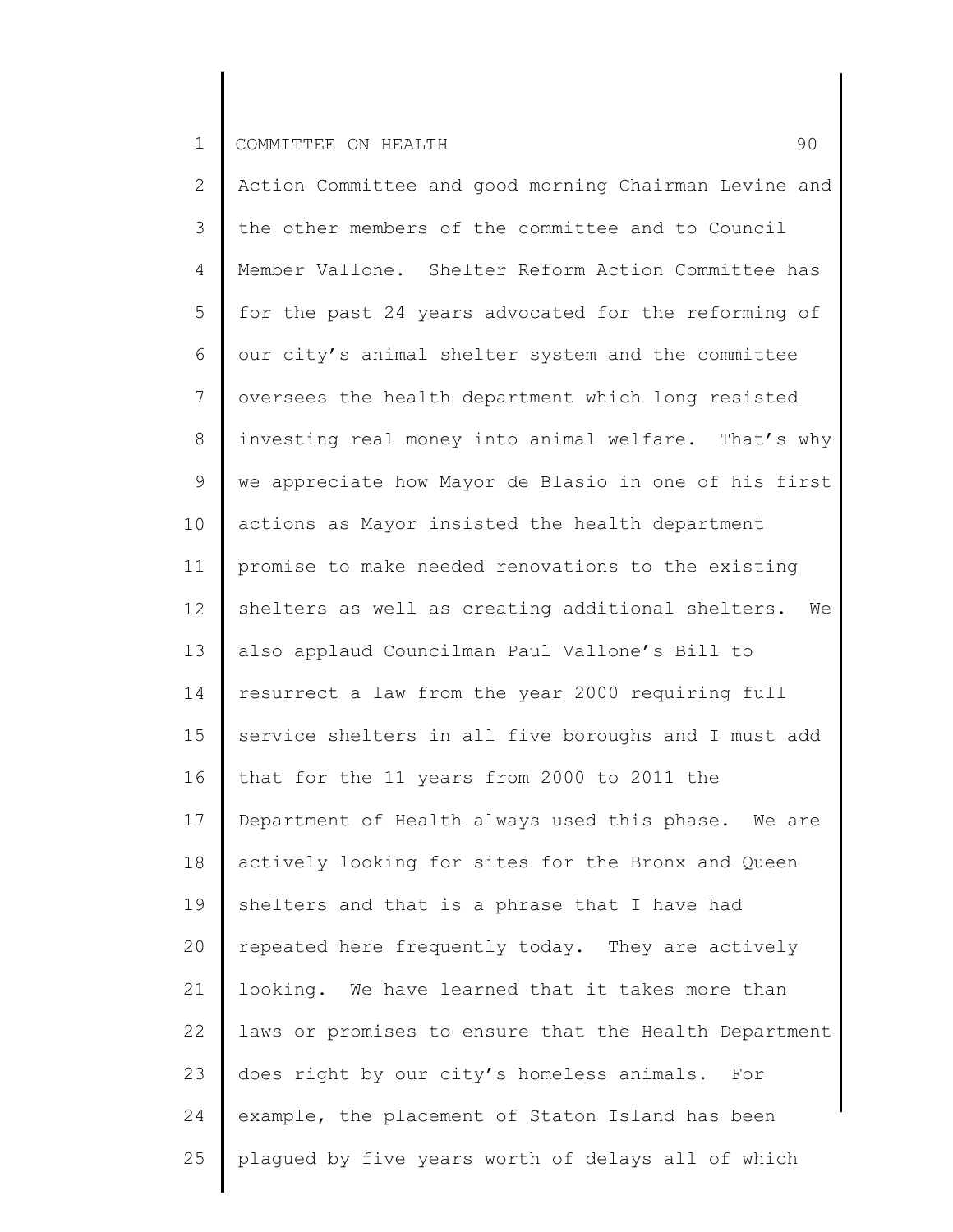2 3 4 5 6 7 8 9 10 11 12 13 14 15 16 17 18 19 20 21 22 23 24 25 Action Committee and good morning Chairman Levine and the other members of the committee and to Council Member Vallone. Shelter Reform Action Committee has for the past 24 years advocated for the reforming of our city's animal shelter system and the committee oversees the health department which long resisted investing real money into animal welfare. That's why we appreciate how Mayor de Blasio in one of his first actions as Mayor insisted the health department promise to make needed renovations to the existing shelters as well as creating additional shelters. We also applaud Councilman Paul Vallone's Bill to resurrect a law from the year 2000 requiring full service shelters in all five boroughs and I must add that for the 11 years from 2000 to 2011 the Department of Health always used this phase. We are actively looking for sites for the Bronx and Queen shelters and that is a phrase that I have had repeated here frequently today. They are actively looking. We have learned that it takes more than laws or promises to ensure that the Health Department does right by our city's homeless animals. For example, the placement of Staton Island has been plagued by five years worth of delays all of which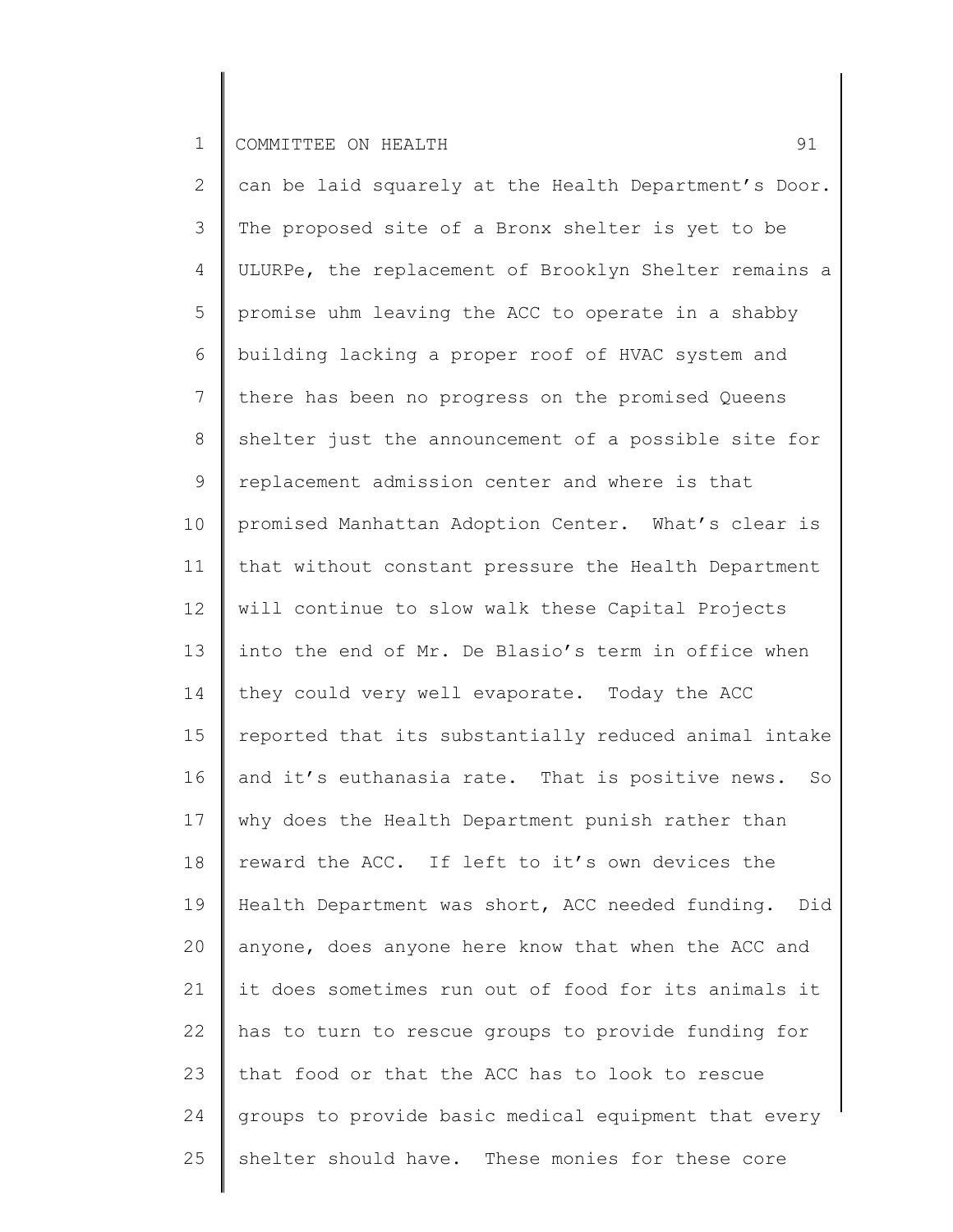2 3 4 5 6 7 8 9 10 11 12 13 14 15 16 17 18 19 20 21 22 23 24 25 can be laid squarely at the Health Department's Door. The proposed site of a Bronx shelter is yet to be ULURPe, the replacement of Brooklyn Shelter remains a promise uhm leaving the ACC to operate in a shabby building lacking a proper roof of HVAC system and there has been no progress on the promised Queens shelter just the announcement of a possible site for replacement admission center and where is that promised Manhattan Adoption Center. What's clear is that without constant pressure the Health Department will continue to slow walk these Capital Projects into the end of Mr. De Blasio's term in office when they could very well evaporate. Today the ACC reported that its substantially reduced animal intake and it's euthanasia rate. That is positive news. So why does the Health Department punish rather than reward the ACC. If left to it's own devices the Health Department was short, ACC needed funding. Did anyone, does anyone here know that when the ACC and it does sometimes run out of food for its animals it has to turn to rescue groups to provide funding for that food or that the ACC has to look to rescue groups to provide basic medical equipment that every shelter should have. These monies for these core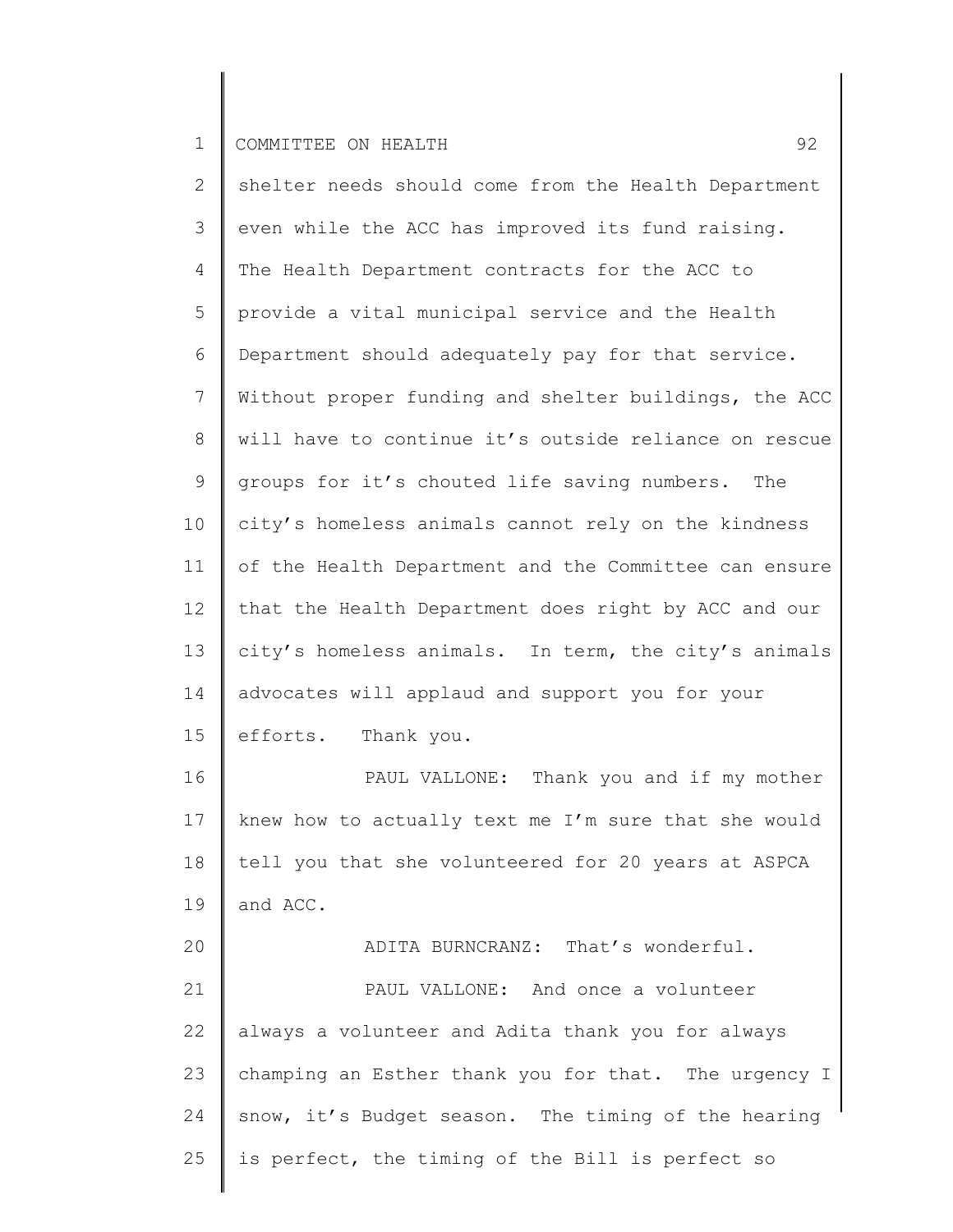| $\mathbf{2}$ | shelter needs should come from the Health Department  |
|--------------|-------------------------------------------------------|
| 3            | even while the ACC has improved its fund raising.     |
| 4            | The Health Department contracts for the ACC to        |
| 5            | provide a vital municipal service and the Health      |
| 6            | Department should adequately pay for that service.    |
| 7            | Without proper funding and shelter buildings, the ACC |
| 8            | will have to continue it's outside reliance on rescue |
| 9            | groups for it's chouted life saving numbers. The      |
| 10           | city's homeless animals cannot rely on the kindness   |
| 11           | of the Health Department and the Committee can ensure |
| 12           | that the Health Department does right by ACC and our  |
| 13           | city's homeless animals. In term, the city's animals  |
| 14           | advocates will applaud and support you for your       |
| 15           | efforts. Thank you.                                   |
| 16           | PAUL VALLONE: Thank you and if my mother              |
| 17           | knew how to actually text me I'm sure that she would  |
| 18           | tell you that she volunteered for 20 years at ASPCA   |
| 19           | and ACC.                                              |
| 20           | ADITA BURNCRANZ: That's wonderful.                    |
| 21           | PAUL VALLONE: And once a volunteer                    |
| 22           | always a volunteer and Adita thank you for always     |
| 23           | champing an Esther thank you for that. The urgency I  |
| 24           | snow, it's Budget season. The timing of the hearing   |
| 25           | is perfect, the timing of the Bill is perfect so      |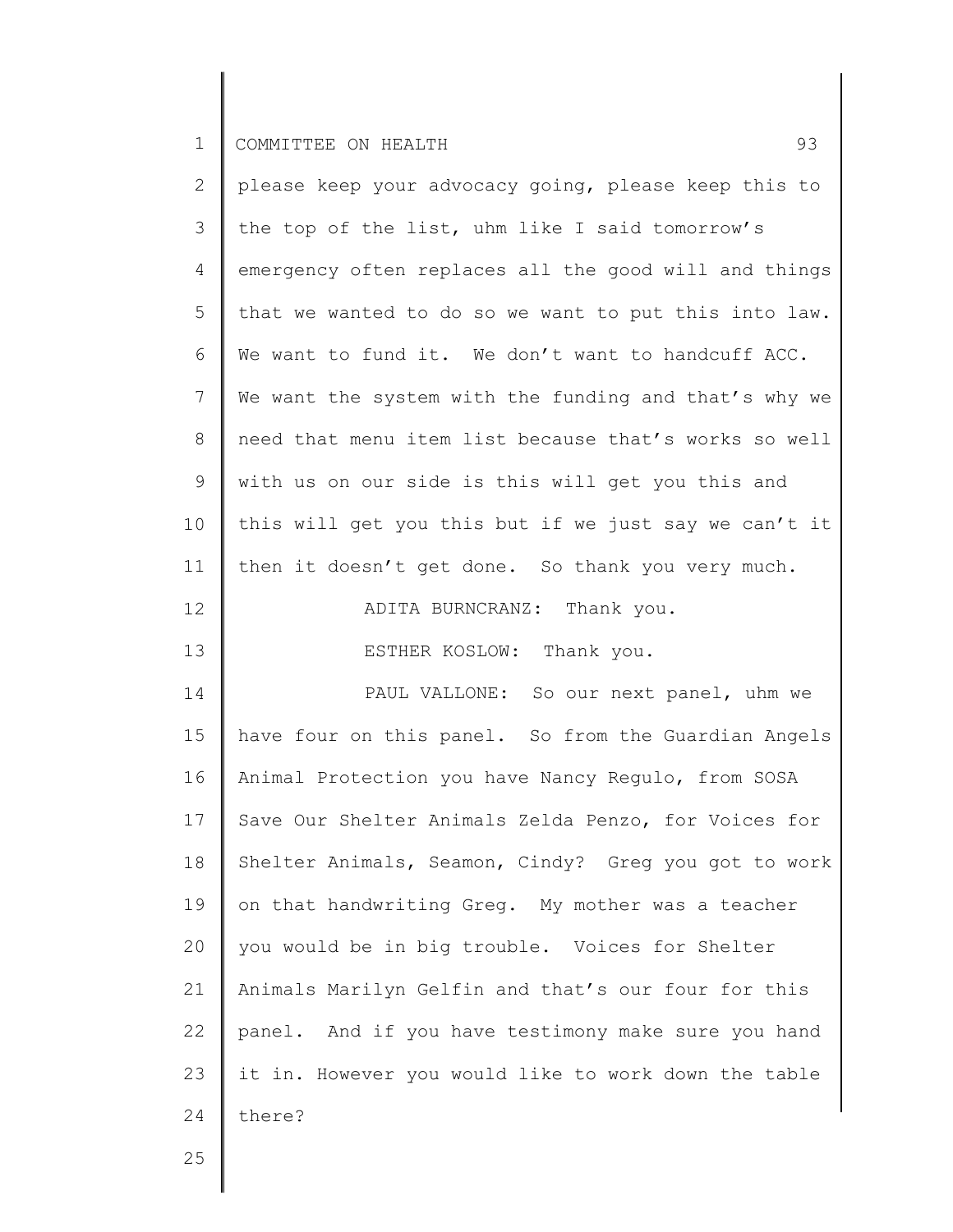| $\mathbf{2}^{\prime}$ | please keep your advocacy going, please keep this to  |
|-----------------------|-------------------------------------------------------|
| 3                     | the top of the list, uhm like I said tomorrow's       |
| 4                     | emergency often replaces all the good will and things |
| 5                     | that we wanted to do so we want to put this into law. |
| 6                     | We want to fund it. We don't want to handcuff ACC.    |
| 7                     | We want the system with the funding and that's why we |
| 8                     | need that menu item list because that's works so well |
| $\mathsf 9$           | with us on our side is this will get you this and     |
| 10                    | this will get you this but if we just say we can't it |
| 11                    | then it doesn't get done. So thank you very much.     |
| 12                    | ADITA BURNCRANZ: Thank you.                           |
| 13                    | ESTHER KOSLOW: Thank you.                             |
| 14                    | PAUL VALLONE: So our next panel, uhm we               |
| 15                    | have four on this panel. So from the Guardian Angels  |
| 16                    | Animal Protection you have Nancy Regulo, from SOSA    |
| 17                    | Save Our Shelter Animals Zelda Penzo, for Voices for  |
| 18                    | Shelter Animals, Seamon, Cindy? Greg you got to work  |
| 19                    | on that handwriting Greg. My mother was a teacher     |
| 20                    | you would be in big trouble. Voices for Shelter       |
| 21                    | Animals Marilyn Gelfin and that's our four for this   |
| 22                    | panel. And if you have testimony make sure you hand   |
| 23                    | it in. However you would like to work down the table  |
| 24                    | there?                                                |
|                       |                                                       |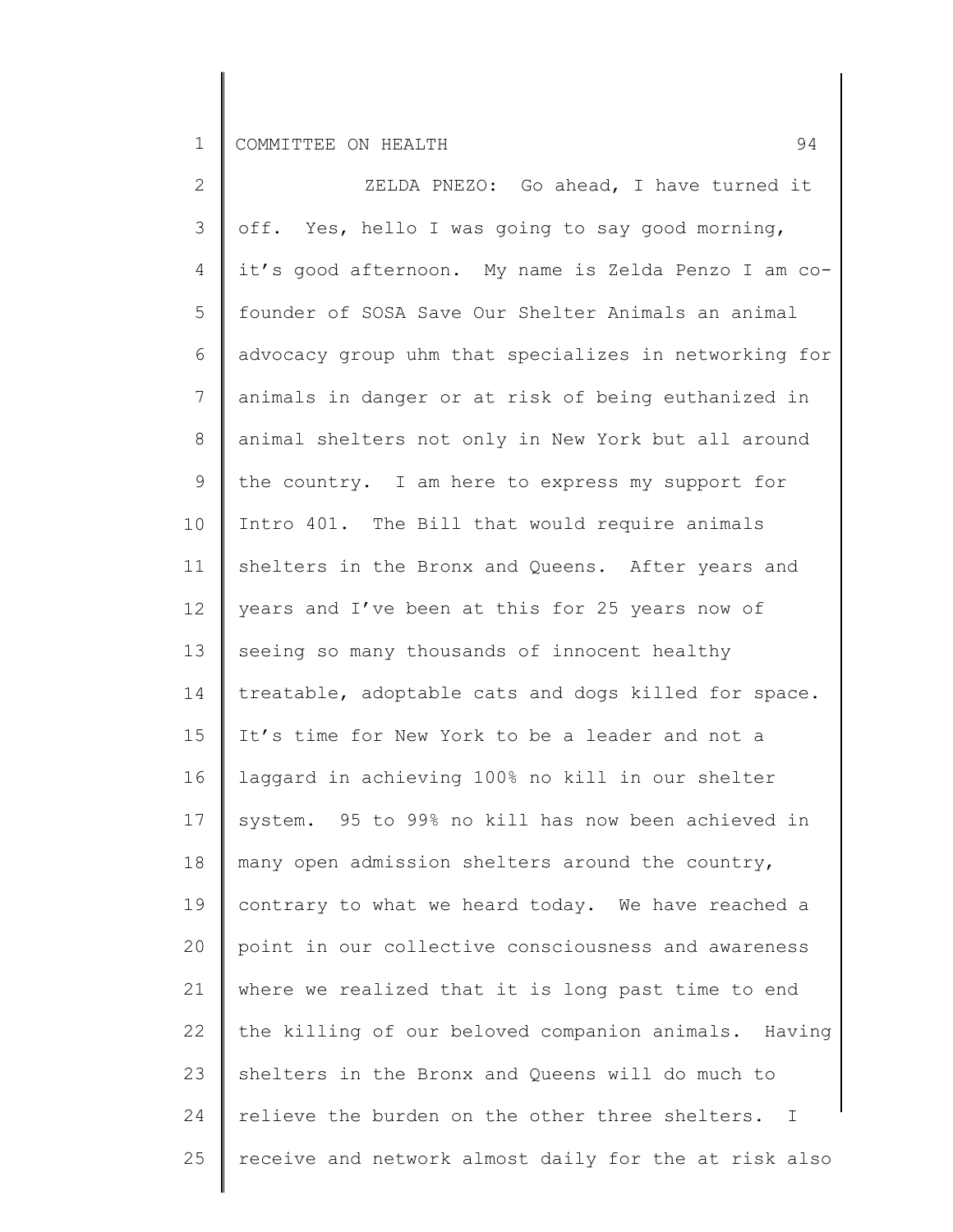2 3 4 5 6 7 8 9 10 11 12 13 14 15 16 17 18 19 20 21 22 23 24 25 ZELDA PNEZO: Go ahead, I have turned it off. Yes, hello I was going to say good morning, it's good afternoon. My name is Zelda Penzo I am cofounder of SOSA Save Our Shelter Animals an animal advocacy group uhm that specializes in networking for animals in danger or at risk of being euthanized in animal shelters not only in New York but all around the country. I am here to express my support for Intro 401. The Bill that would require animals shelters in the Bronx and Queens. After years and years and I've been at this for 25 years now of seeing so many thousands of innocent healthy treatable, adoptable cats and dogs killed for space. It's time for New York to be a leader and not a laggard in achieving 100% no kill in our shelter system. 95 to 99% no kill has now been achieved in many open admission shelters around the country, contrary to what we heard today. We have reached a point in our collective consciousness and awareness where we realized that it is long past time to end the killing of our beloved companion animals. Having shelters in the Bronx and Queens will do much to relieve the burden on the other three shelters. I receive and network almost daily for the at risk also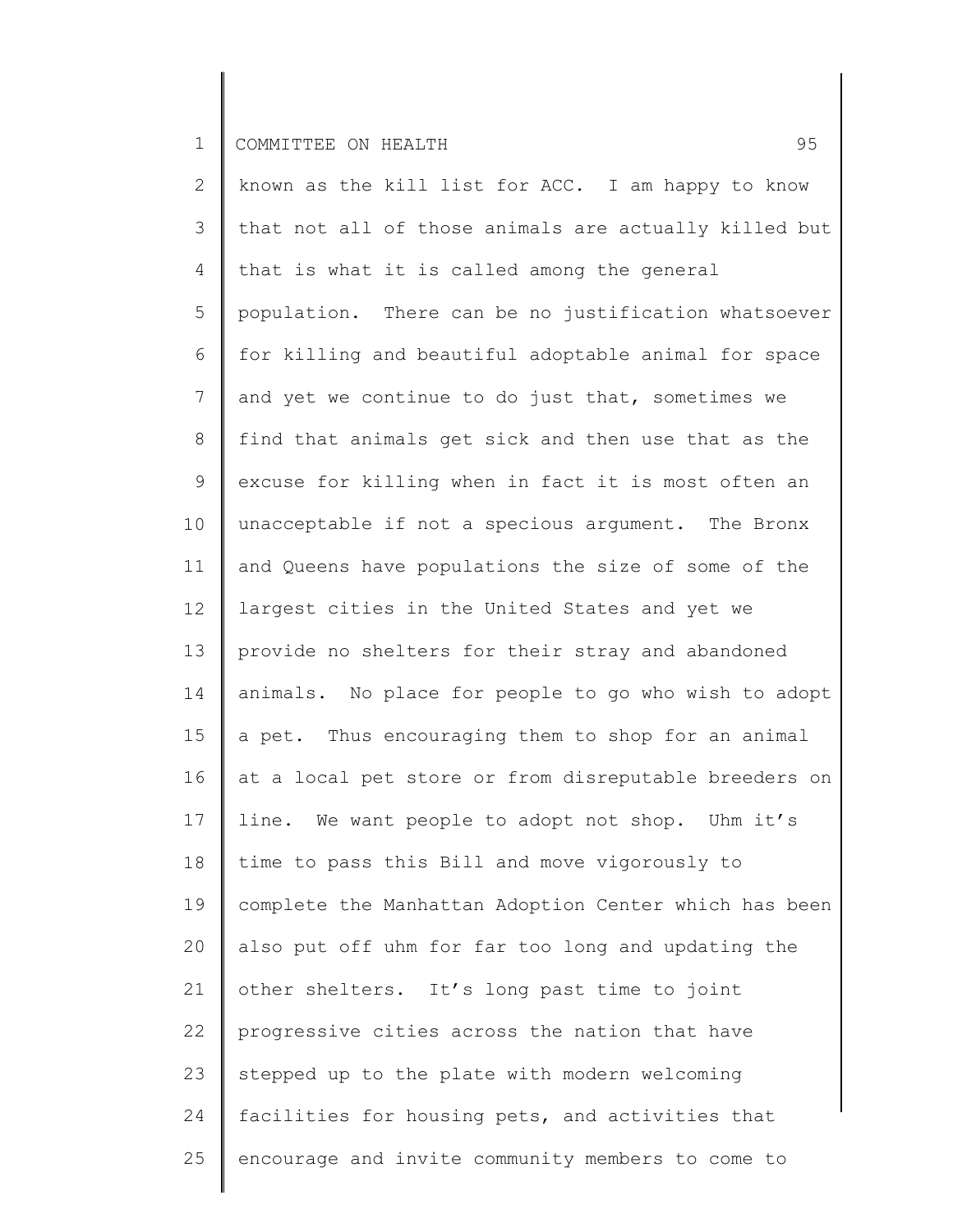2 3 4 5 6 7 8 9 10 11 12 13 14 15 16 17 18 19 20 21 22 23 24 25 known as the kill list for ACC. I am happy to know that not all of those animals are actually killed but that is what it is called among the general population. There can be no justification whatsoever for killing and beautiful adoptable animal for space and yet we continue to do just that, sometimes we find that animals get sick and then use that as the excuse for killing when in fact it is most often an unacceptable if not a specious argument. The Bronx and Queens have populations the size of some of the largest cities in the United States and yet we provide no shelters for their stray and abandoned animals. No place for people to go who wish to adopt a pet. Thus encouraging them to shop for an animal at a local pet store or from disreputable breeders on line. We want people to adopt not shop. Uhm it's time to pass this Bill and move vigorously to complete the Manhattan Adoption Center which has been also put off uhm for far too long and updating the other shelters. It's long past time to joint progressive cities across the nation that have stepped up to the plate with modern welcoming facilities for housing pets, and activities that encourage and invite community members to come to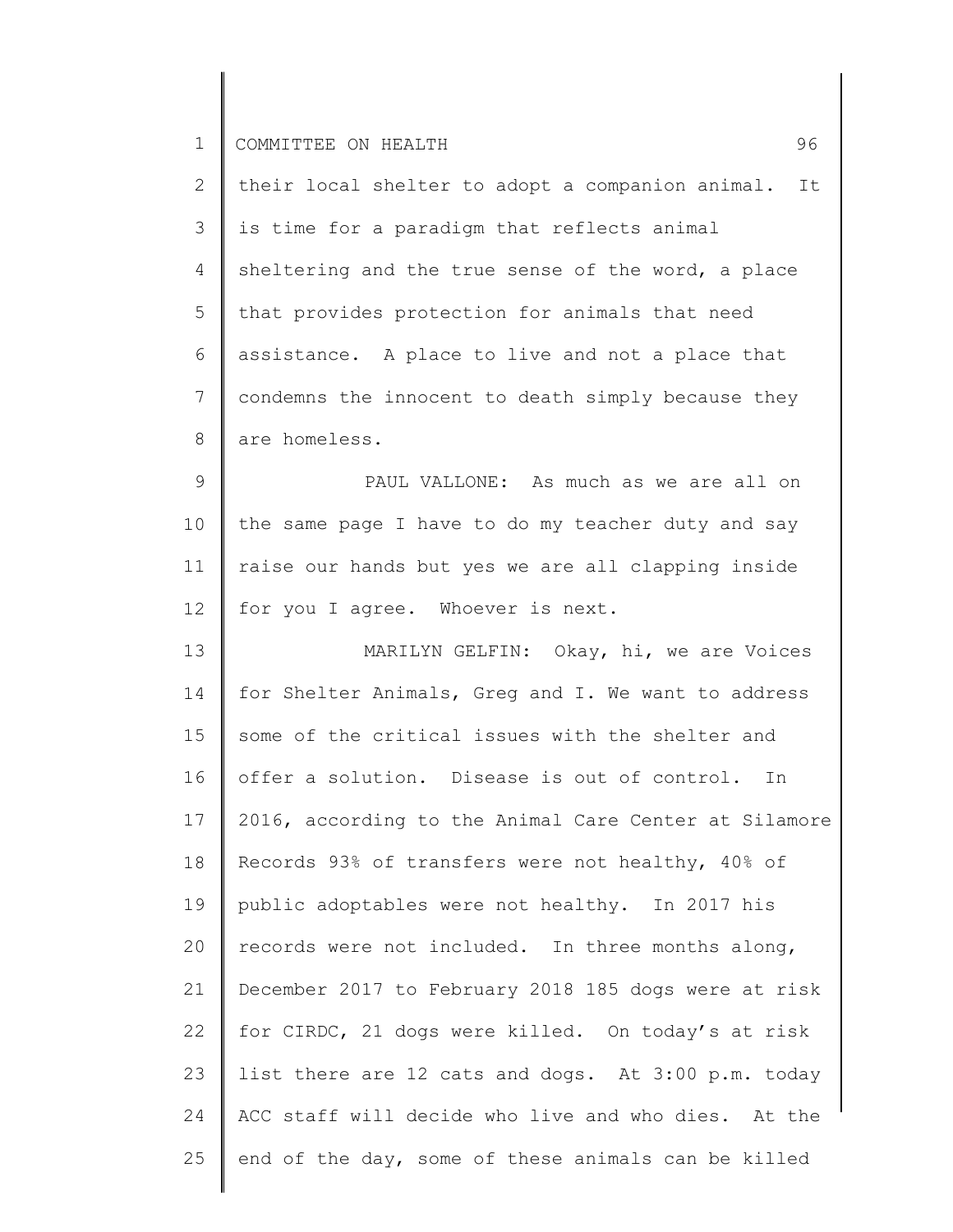2 3 4 5 6 7 8 their local shelter to adopt a companion animal. It is time for a paradigm that reflects animal sheltering and the true sense of the word, a place that provides protection for animals that need assistance. A place to live and not a place that condemns the innocent to death simply because they are homeless.

9 10 11 12 PAUL VALLONE: As much as we are all on the same page I have to do my teacher duty and say raise our hands but yes we are all clapping inside for you I agree. Whoever is next.

13 14 15 16 17 18 19 20 21 22 23 24 25 MARILYN GELFIN: Okay, hi, we are Voices for Shelter Animals, Greg and I. We want to address some of the critical issues with the shelter and offer a solution. Disease is out of control. In 2016, according to the Animal Care Center at Silamore Records 93% of transfers were not healthy, 40% of public adoptables were not healthy. In 2017 his records were not included. In three months along, December 2017 to February 2018 185 dogs were at risk for CIRDC, 21 dogs were killed. On today's at risk list there are 12 cats and dogs. At 3:00 p.m. today ACC staff will decide who live and who dies. At the end of the day, some of these animals can be killed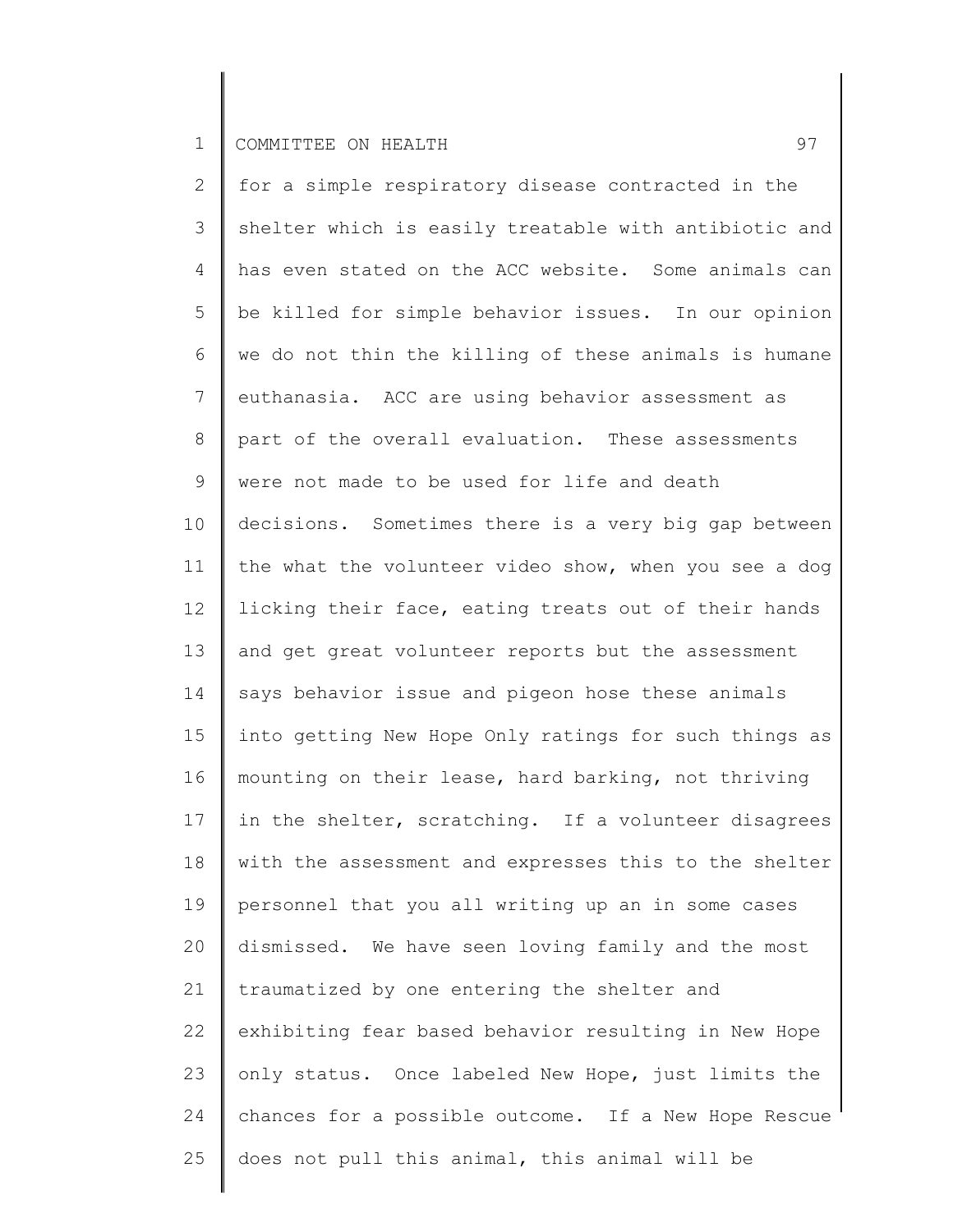2 3 4 5 6 7 8 9 10 11 12 13 14 15 16 17 18 19 20 21 22 23 24 25 for a simple respiratory disease contracted in the shelter which is easily treatable with antibiotic and has even stated on the ACC website. Some animals can be killed for simple behavior issues. In our opinion we do not thin the killing of these animals is humane euthanasia. ACC are using behavior assessment as part of the overall evaluation. These assessments were not made to be used for life and death decisions. Sometimes there is a very big gap between the what the volunteer video show, when you see a dog licking their face, eating treats out of their hands and get great volunteer reports but the assessment says behavior issue and pigeon hose these animals into getting New Hope Only ratings for such things as mounting on their lease, hard barking, not thriving in the shelter, scratching. If a volunteer disagrees with the assessment and expresses this to the shelter personnel that you all writing up an in some cases dismissed. We have seen loving family and the most traumatized by one entering the shelter and exhibiting fear based behavior resulting in New Hope only status. Once labeled New Hope, just limits the chances for a possible outcome. If a New Hope Rescue does not pull this animal, this animal will be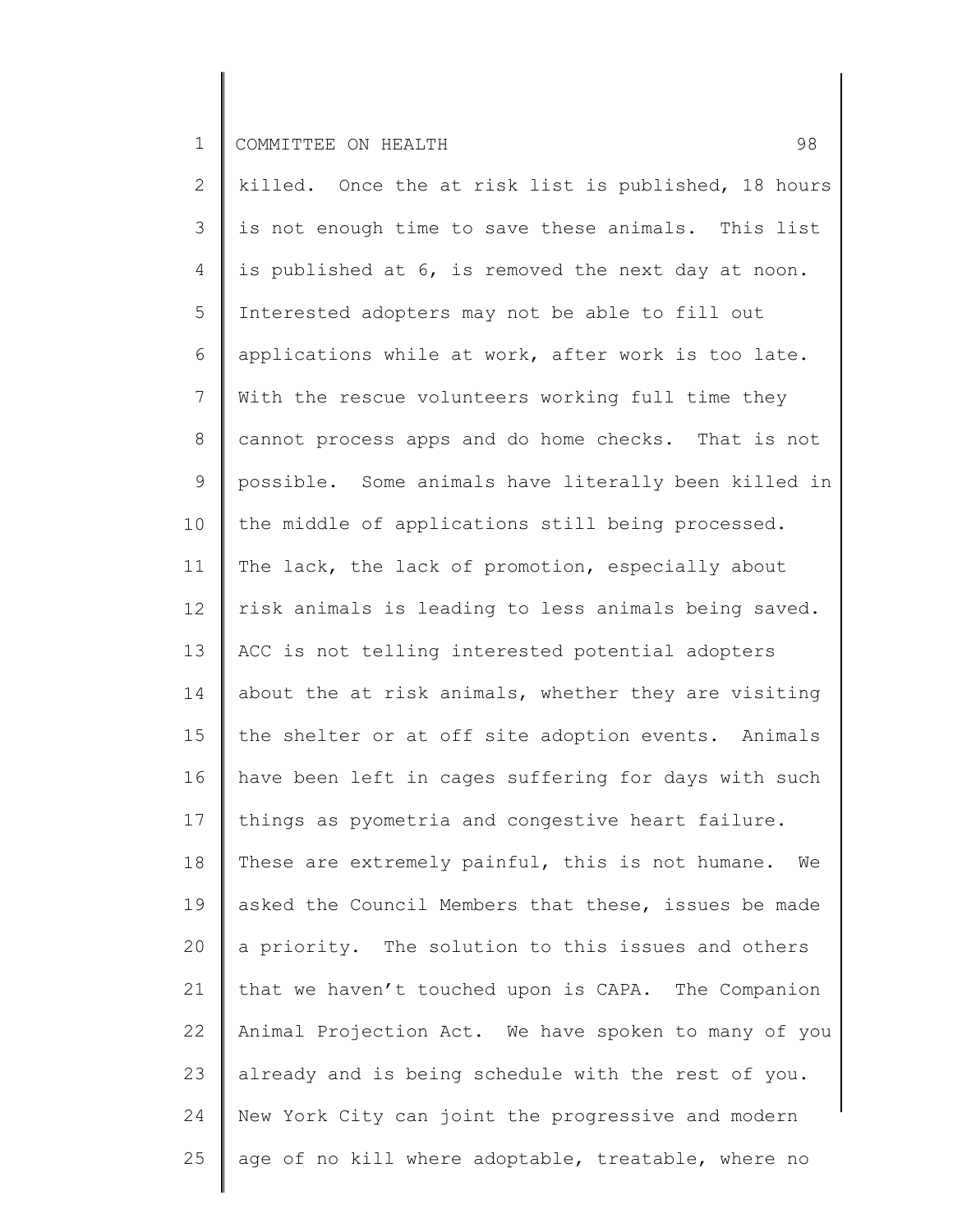2 3 4 5 6 7 8 9 10 11 12 13 14 15 16 17 18 19 20 21 22 23 24 25 killed. Once the at risk list is published, 18 hours is not enough time to save these animals. This list is published at 6, is removed the next day at noon. Interested adopters may not be able to fill out applications while at work, after work is too late. With the rescue volunteers working full time they cannot process apps and do home checks. That is not possible. Some animals have literally been killed in the middle of applications still being processed. The lack, the lack of promotion, especially about risk animals is leading to less animals being saved. ACC is not telling interested potential adopters about the at risk animals, whether they are visiting the shelter or at off site adoption events. Animals have been left in cages suffering for days with such things as pyometria and congestive heart failure. These are extremely painful, this is not humane. We asked the Council Members that these, issues be made a priority. The solution to this issues and others that we haven't touched upon is CAPA. The Companion Animal Projection Act. We have spoken to many of you already and is being schedule with the rest of you. New York City can joint the progressive and modern age of no kill where adoptable, treatable, where no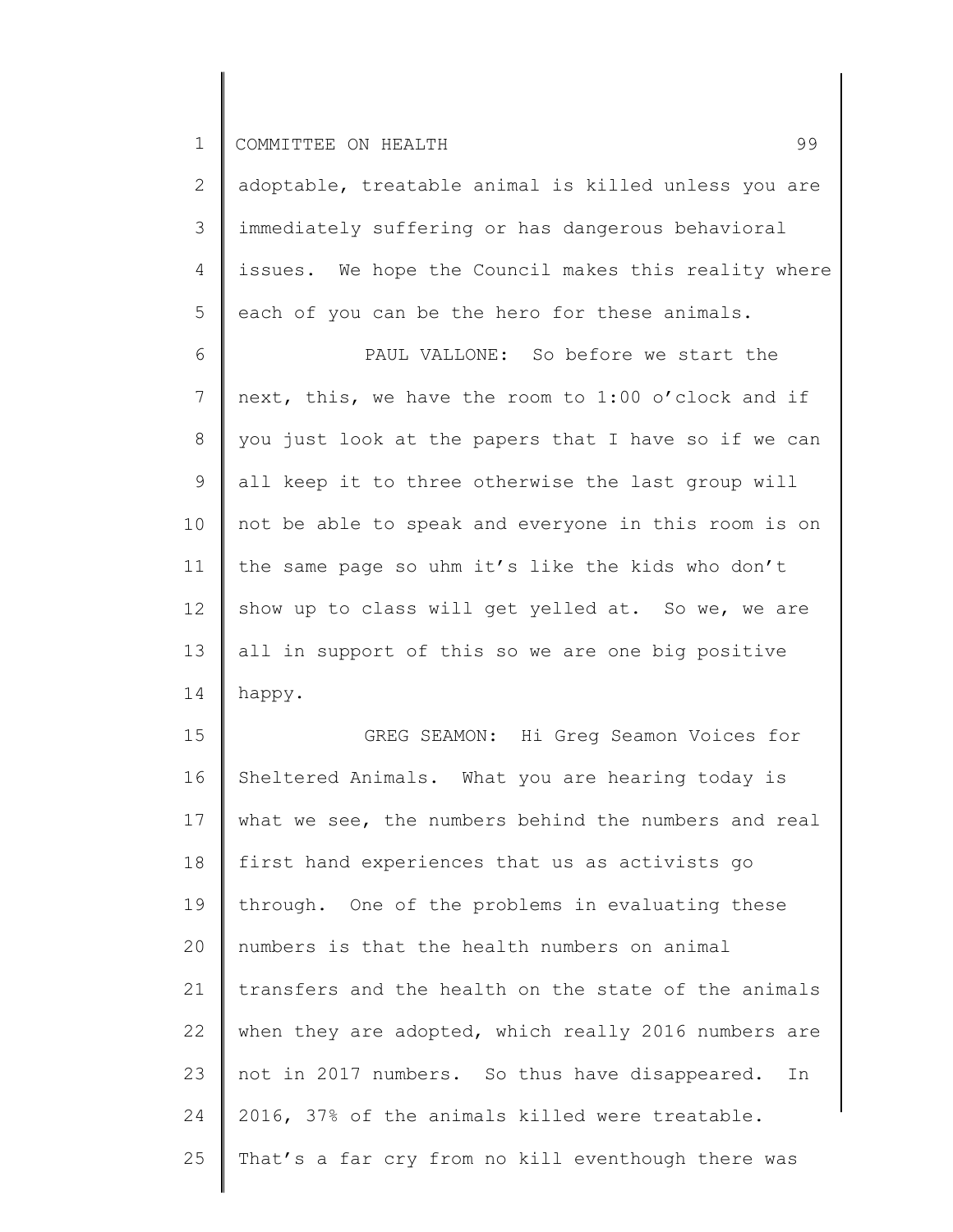| $\mathbf{2}$   | adoptable, treatable animal is killed unless you are |
|----------------|------------------------------------------------------|
| 3              | immediately suffering or has dangerous behavioral    |
| 4              | issues. We hope the Council makes this reality where |
| 5              | each of you can be the hero for these animals.       |
| 6              | PAUL VALLONE: So before we start the                 |
| $7\phantom{.}$ | next, this, we have the room to 1:00 o'clock and if  |
| $8\,$          | you just look at the papers that I have so if we can |
| 9              | all keep it to three otherwise the last group will   |
| 10             | not be able to speak and everyone in this room is on |
| 11             | the same page so uhm it's like the kids who don't    |
| 12             | show up to class will get yelled at. So we, we are   |
| 13             | all in support of this so we are one big positive    |
| 14             | happy.                                               |
| 15             | GREG SEAMON: Hi Greg Seamon Voices for               |
| 16             | Sheltered Animals. What you are hearing today is     |
| 17             | what we see, the numbers behind the numbers and real |
| 18             | first hand experiences that us as activists go       |
| 19             | through. One of the problems in evaluating these     |
| 20             | numbers is that the health numbers on animal         |
| 21             | transfers and the health on the state of the animals |
| 22             | when they are adopted, which really 2016 numbers are |
| 23             | not in 2017 numbers. So thus have disappeared.<br>In |
| 24             | 2016, 37% of the animals killed were treatable.      |
| 25             | That's a far cry from no kill eventhough there was   |
|                |                                                      |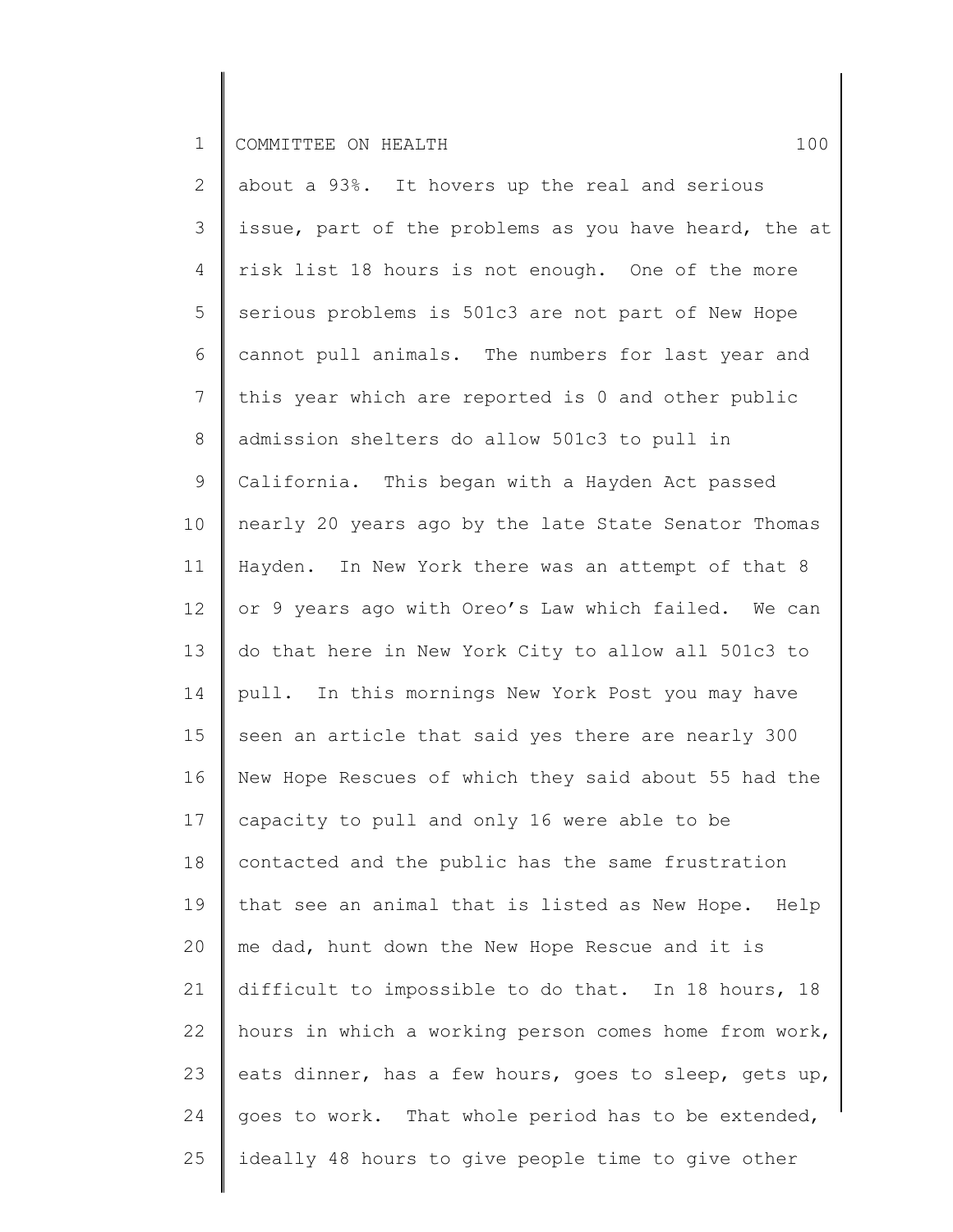2 3 4 5 6 7 8 9 10 11 12 13 14 15 16 17 18 19 20 21 22 23 24 25 about a 93%. It hovers up the real and serious issue, part of the problems as you have heard, the at risk list 18 hours is not enough. One of the more serious problems is 501c3 are not part of New Hope cannot pull animals. The numbers for last year and this year which are reported is 0 and other public admission shelters do allow 501c3 to pull in California. This began with a Hayden Act passed nearly 20 years ago by the late State Senator Thomas Hayden. In New York there was an attempt of that 8 or 9 years ago with Oreo's Law which failed. We can do that here in New York City to allow all 501c3 to pull. In this mornings New York Post you may have seen an article that said yes there are nearly 300 New Hope Rescues of which they said about 55 had the capacity to pull and only 16 were able to be contacted and the public has the same frustration that see an animal that is listed as New Hope. Help me dad, hunt down the New Hope Rescue and it is difficult to impossible to do that. In 18 hours, 18 hours in which a working person comes home from work, eats dinner, has a few hours, goes to sleep, gets up, goes to work. That whole period has to be extended, ideally 48 hours to give people time to give other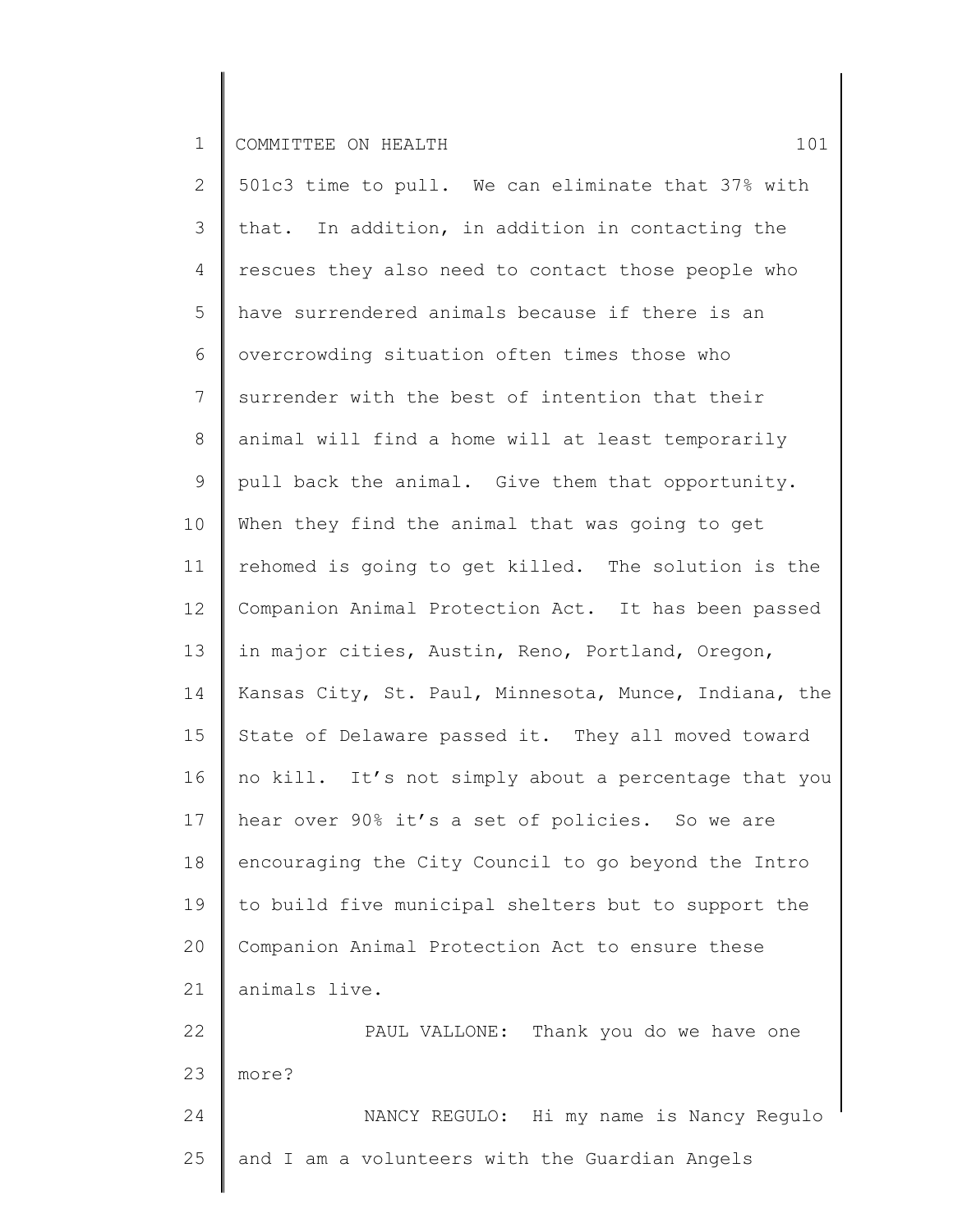2 3 4 5 6 7 8 9 10 11 12 13 14 15 16 17 18 19 20 21 22 23 24 25 501c3 time to pull. We can eliminate that 37% with that. In addition, in addition in contacting the rescues they also need to contact those people who have surrendered animals because if there is an overcrowding situation often times those who surrender with the best of intention that their animal will find a home will at least temporarily pull back the animal. Give them that opportunity. When they find the animal that was going to get rehomed is going to get killed. The solution is the Companion Animal Protection Act. It has been passed in major cities, Austin, Reno, Portland, Oregon, Kansas City, St. Paul, Minnesota, Munce, Indiana, the State of Delaware passed it. They all moved toward no kill. It's not simply about a percentage that you hear over 90% it's a set of policies. So we are encouraging the City Council to go beyond the Intro to build five municipal shelters but to support the Companion Animal Protection Act to ensure these animals live. PAUL VALLONE: Thank you do we have one more? NANCY REGULO: Hi my name is Nancy Regulo and I am a volunteers with the Guardian Angels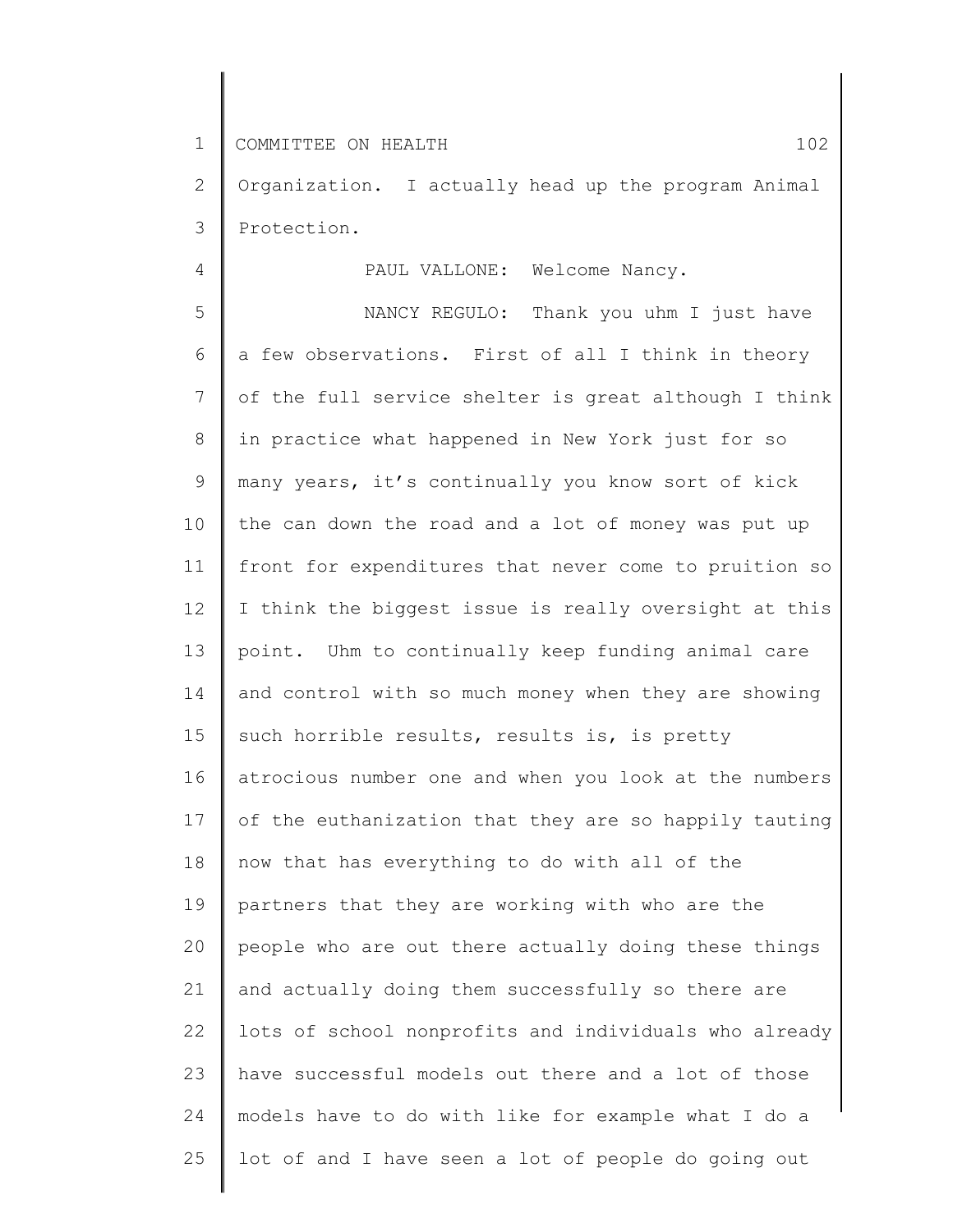4

2 3 Organization. I actually head up the program Animal Protection.

PAUL VALLONE: Welcome Nancy.

5 6 7 8 9 10 11 12 13 14 15 16 17 18 19 20 21 22 23 24 25 NANCY REGULO: Thank you uhm I just have a few observations. First of all I think in theory of the full service shelter is great although I think in practice what happened in New York just for so many years, it's continually you know sort of kick the can down the road and a lot of money was put up front for expenditures that never come to pruition so I think the biggest issue is really oversight at this point. Uhm to continually keep funding animal care and control with so much money when they are showing such horrible results, results is, is pretty atrocious number one and when you look at the numbers of the euthanization that they are so happily tauting now that has everything to do with all of the partners that they are working with who are the people who are out there actually doing these things and actually doing them successfully so there are lots of school nonprofits and individuals who already have successful models out there and a lot of those models have to do with like for example what I do a lot of and I have seen a lot of people do going out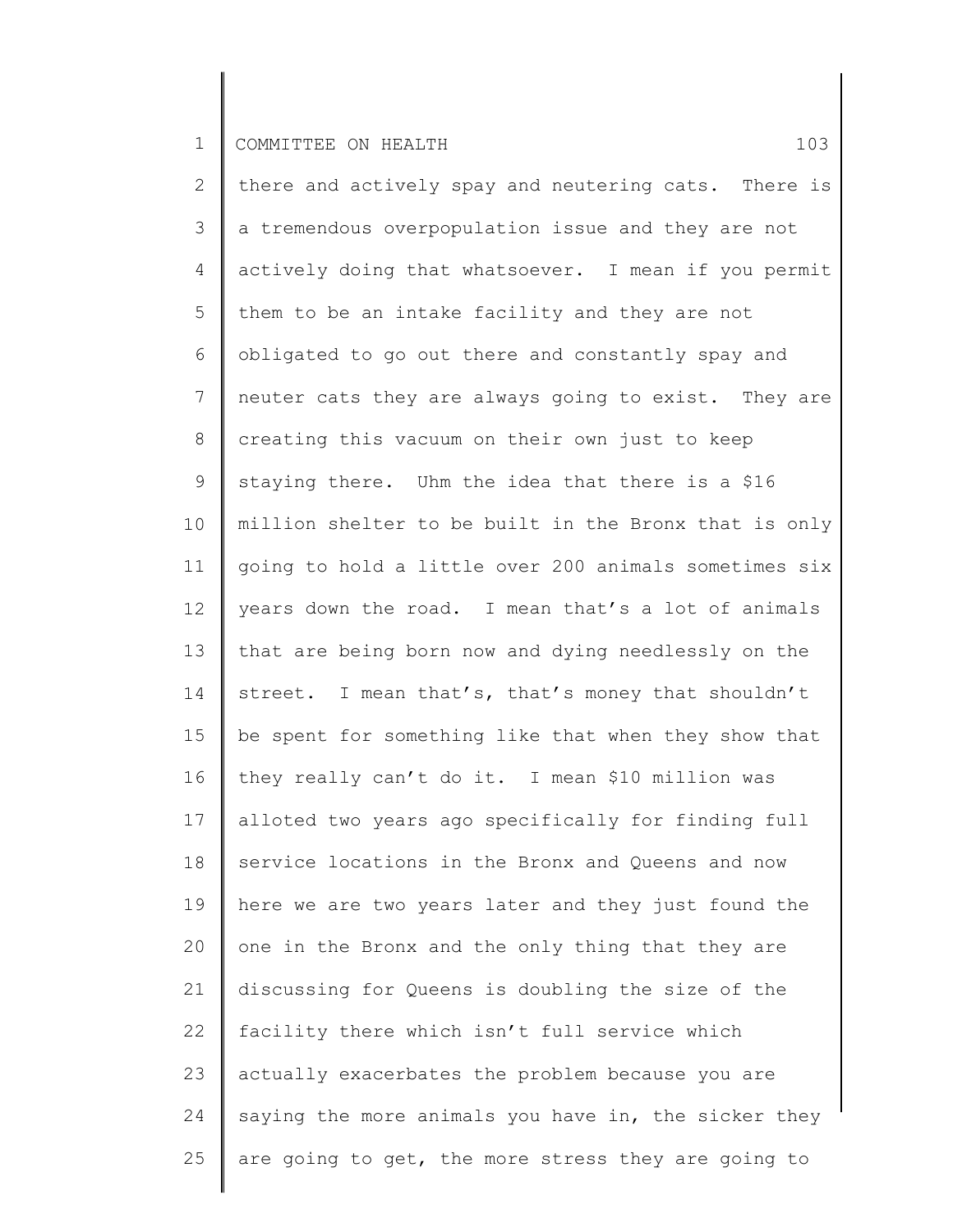2 3 4 5 6 7 8 9 10 11 12 13 14 15 16 17 18 19 20 21 22 23 24 25 there and actively spay and neutering cats. There is a tremendous overpopulation issue and they are not actively doing that whatsoever. I mean if you permit them to be an intake facility and they are not obligated to go out there and constantly spay and neuter cats they are always going to exist. They are creating this vacuum on their own just to keep staying there. Uhm the idea that there is a \$16 million shelter to be built in the Bronx that is only going to hold a little over 200 animals sometimes six years down the road. I mean that's a lot of animals that are being born now and dying needlessly on the street. I mean that's, that's money that shouldn't be spent for something like that when they show that they really can't do it. I mean \$10 million was alloted two years ago specifically for finding full service locations in the Bronx and Queens and now here we are two years later and they just found the one in the Bronx and the only thing that they are discussing for Queens is doubling the size of the facility there which isn't full service which actually exacerbates the problem because you are saying the more animals you have in, the sicker they are going to get, the more stress they are going to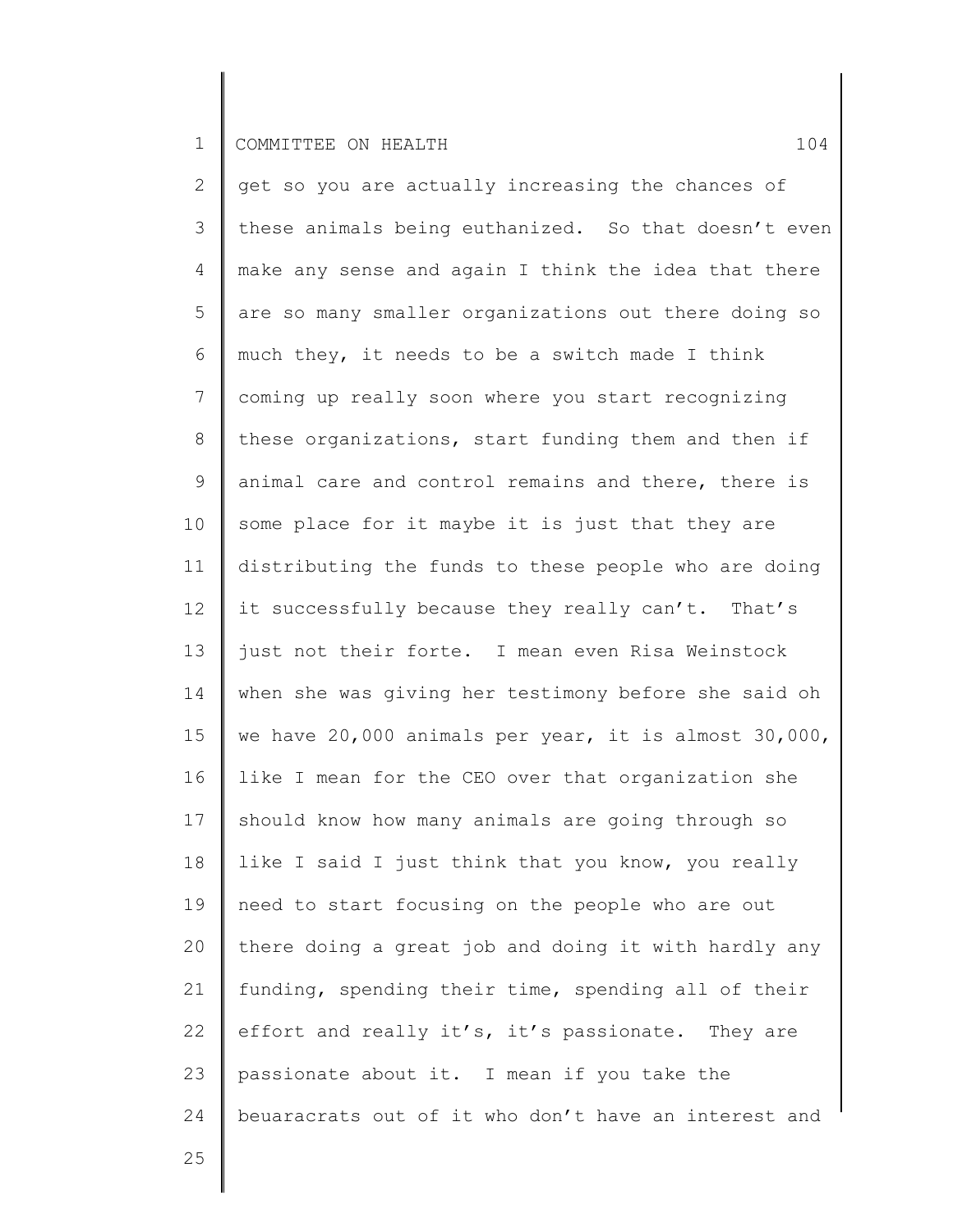2 3 4 5 6 7 8 9 10 11 12 13 14 15 16 17 18 19 20 21 22 23 24 get so you are actually increasing the chances of these animals being euthanized. So that doesn't even make any sense and again I think the idea that there are so many smaller organizations out there doing so much they, it needs to be a switch made I think coming up really soon where you start recognizing these organizations, start funding them and then if animal care and control remains and there, there is some place for it maybe it is just that they are distributing the funds to these people who are doing it successfully because they really can't. That's just not their forte. I mean even Risa Weinstock when she was giving her testimony before she said oh we have 20,000 animals per year, it is almost 30,000, like I mean for the CEO over that organization she should know how many animals are going through so like I said I just think that you know, you really need to start focusing on the people who are out there doing a great job and doing it with hardly any funding, spending their time, spending all of their effort and really it's, it's passionate. They are passionate about it. I mean if you take the beuaracrats out of it who don't have an interest and

25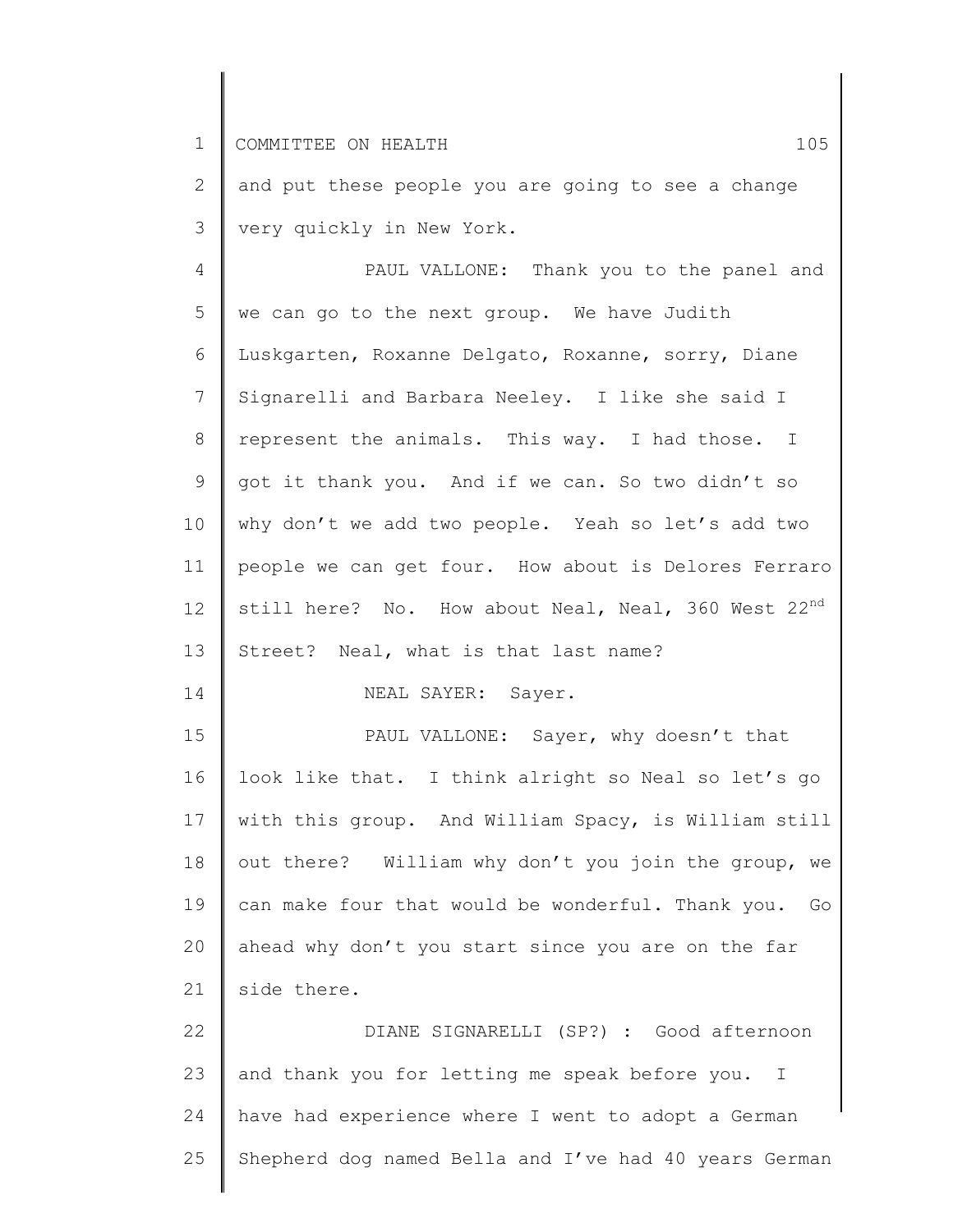2 3 and put these people you are going to see a change very quickly in New York.

4 5 6 7 8 9 10 11 12 13 14 PAUL VALLONE: Thank you to the panel and we can go to the next group. We have Judith Luskgarten, Roxanne Delgato, Roxanne, sorry, Diane Signarelli and Barbara Neeley. I like she said I represent the animals. This way. I had those. I got it thank you. And if we can. So two didn't so why don't we add two people. Yeah so let's add two people we can get four. How about is Delores Ferraro still here? No. How about Neal, Neal, 360 West 22<sup>nd</sup> Street? Neal, what is that last name? NEAL SAYER: Sayer.

15 16 17 18 19 20 21 PAUL VALLONE: Sayer, why doesn't that look like that. I think alright so Neal so let's go with this group. And William Spacy, is William still out there? William why don't you join the group, we can make four that would be wonderful. Thank you. Go ahead why don't you start since you are on the far side there.

22 23 24 25 DIANE SIGNARELLI (SP?) : Good afternoon and thank you for letting me speak before you. I have had experience where I went to adopt a German Shepherd dog named Bella and I've had 40 years German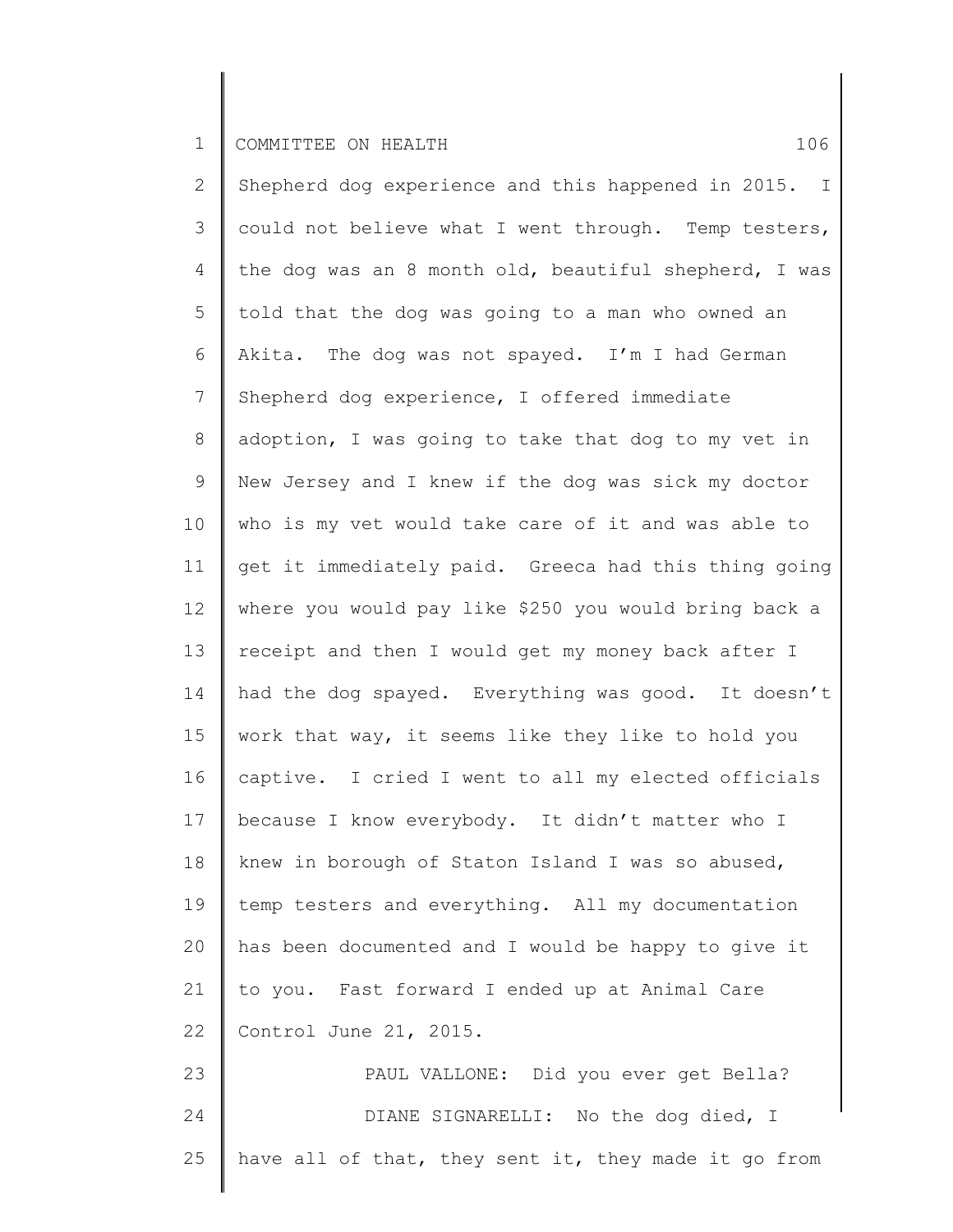2 3 4 5 6 7 8 9 10 11 12 13 14 15 16 17 18 19 20 21 22 23 24 25 Shepherd dog experience and this happened in 2015. I could not believe what I went through. Temp testers, the dog was an 8 month old, beautiful shepherd, I was told that the dog was going to a man who owned an Akita. The dog was not spayed. I'm I had German Shepherd dog experience, I offered immediate adoption, I was going to take that dog to my vet in New Jersey and I knew if the dog was sick my doctor who is my vet would take care of it and was able to get it immediately paid. Greeca had this thing going where you would pay like \$250 you would bring back a receipt and then I would get my money back after I had the dog spayed. Everything was good. It doesn't work that way, it seems like they like to hold you captive. I cried I went to all my elected officials because I know everybody. It didn't matter who I knew in borough of Staton Island I was so abused, temp testers and everything. All my documentation has been documented and I would be happy to give it to you. Fast forward I ended up at Animal Care Control June 21, 2015. PAUL VALLONE: Did you ever get Bella? DIANE SIGNARELLI: No the dog died, I have all of that, they sent it, they made it go from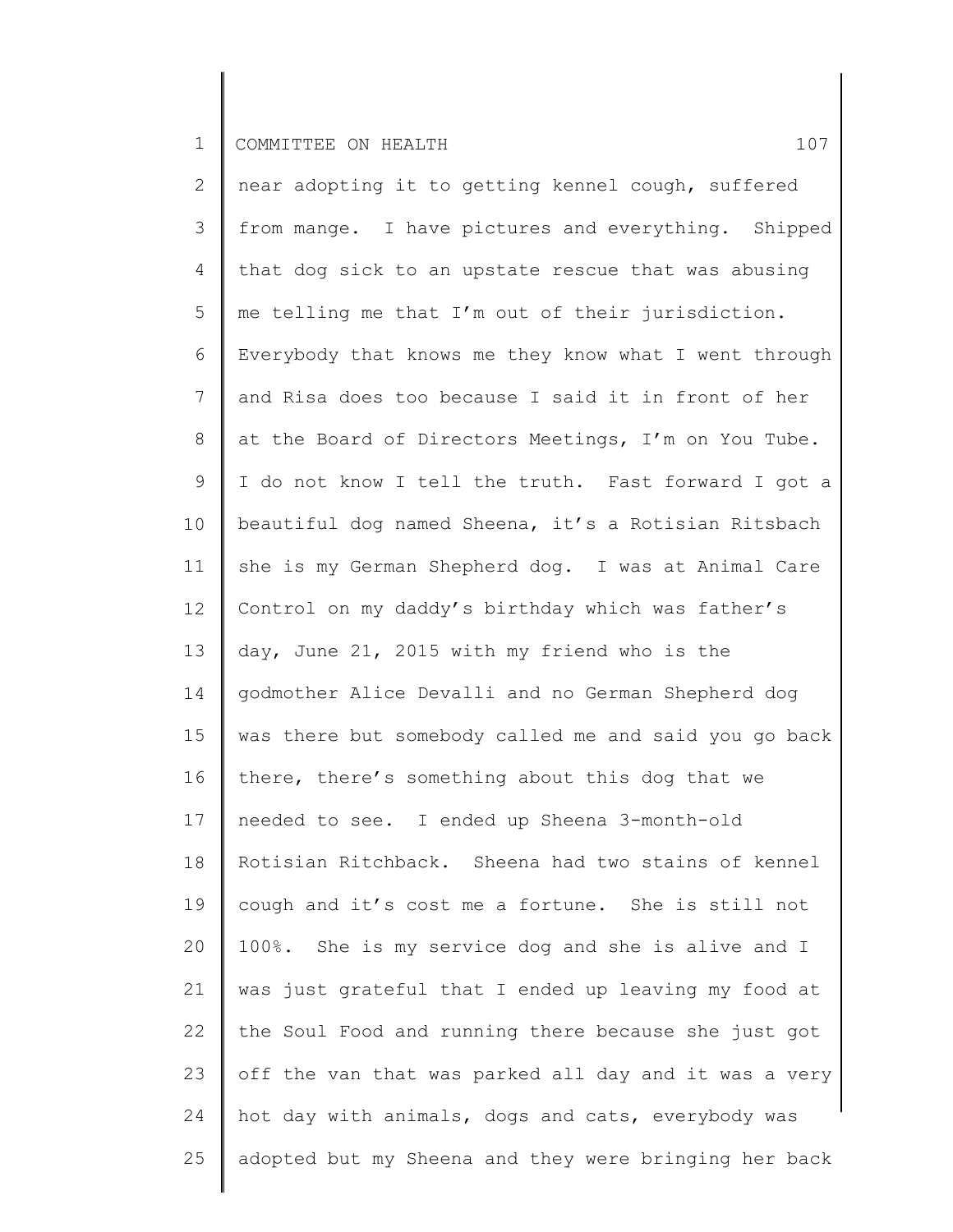2 3 4 5 6 7 8 9 10 11 12 13 14 15 16 17 18 19 20 21 22 23 24 25 near adopting it to getting kennel cough, suffered from mange. I have pictures and everything. Shipped that dog sick to an upstate rescue that was abusing me telling me that I'm out of their jurisdiction. Everybody that knows me they know what I went through and Risa does too because I said it in front of her at the Board of Directors Meetings, I'm on You Tube. I do not know I tell the truth. Fast forward I got a beautiful dog named Sheena, it's a Rotisian Ritsbach she is my German Shepherd dog. I was at Animal Care Control on my daddy's birthday which was father's day, June 21, 2015 with my friend who is the godmother Alice Devalli and no German Shepherd dog was there but somebody called me and said you go back there, there's something about this dog that we needed to see. I ended up Sheena 3-month-old Rotisian Ritchback. Sheena had two stains of kennel cough and it's cost me a fortune. She is still not 100%. She is my service dog and she is alive and I was just grateful that I ended up leaving my food at the Soul Food and running there because she just got off the van that was parked all day and it was a very hot day with animals, dogs and cats, everybody was adopted but my Sheena and they were bringing her back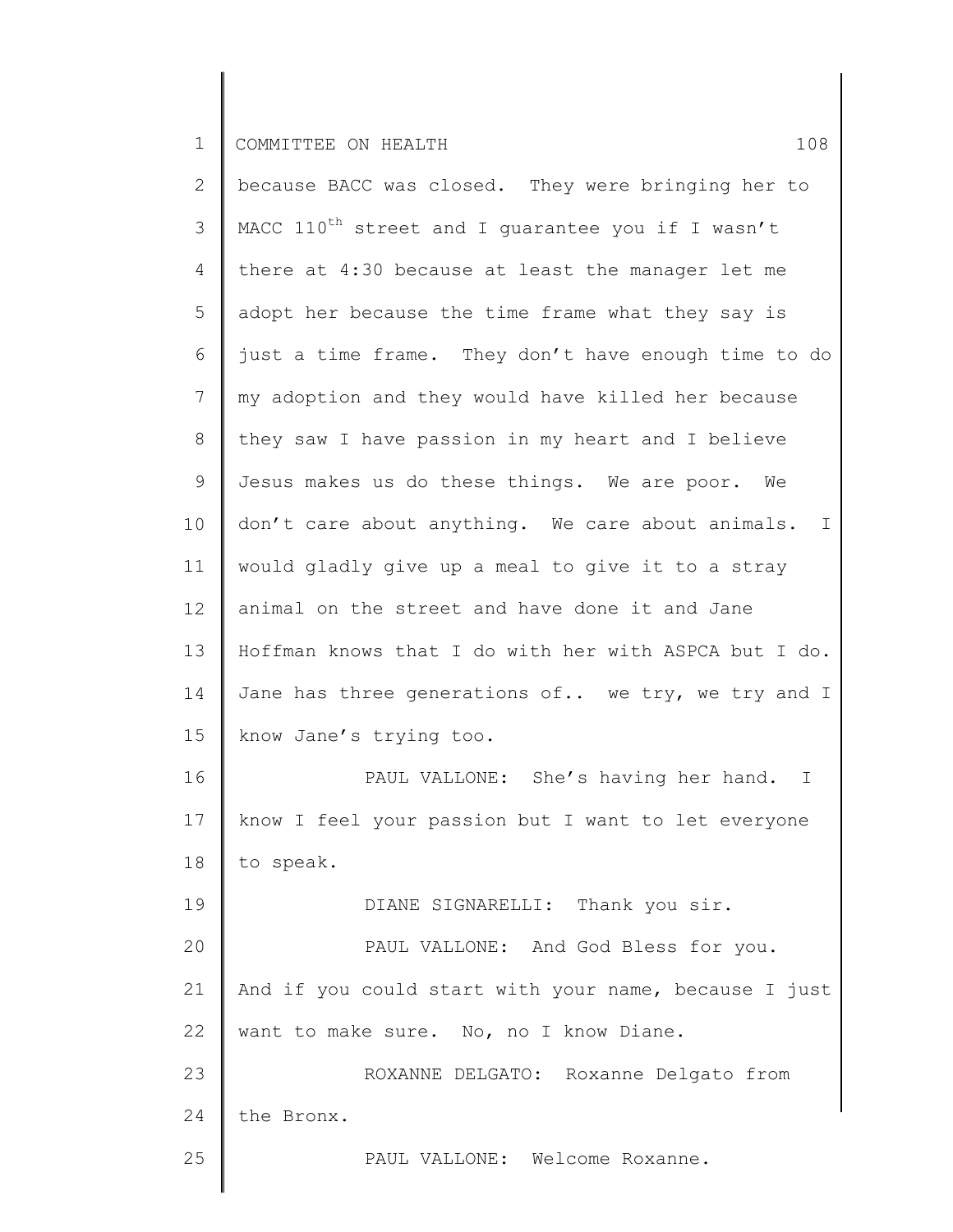| $\overline{2}$  | because BACC was closed. They were bringing her to            |
|-----------------|---------------------------------------------------------------|
| 3               | MACC 110 <sup>th</sup> street and I guarantee you if I wasn't |
| $\overline{4}$  | there at 4:30 because at least the manager let me             |
| 5               | adopt her because the time frame what they say is             |
| 6               | just a time frame. They don't have enough time to do          |
| 7               | my adoption and they would have killed her because            |
| 8               | they saw I have passion in my heart and I believe             |
| 9               | Jesus makes us do these things. We are poor. We               |
| 10 <sub>o</sub> | don't care about anything. We care about animals.<br>Ι.       |
| 11              | would gladly give up a meal to give it to a stray             |
| 12              | animal on the street and have done it and Jane                |
| 13              | Hoffman knows that I do with her with ASPCA but I do.         |
| 14              | Jane has three generations of we try, we try and I            |
| 15              | know Jane's trying too.                                       |
| 16              | PAUL VALLONE: She's having her hand. I                        |
| 17              | know I feel your passion but I want to let everyone           |
|                 | 18   to speak.                                                |
| 19              | DIANE SIGNARELLI: Thank you sir.                              |
| 20              | PAUL VALLONE: And God Bless for you.                          |
| 21              | And if you could start with your name, because I just         |
| 22              | want to make sure. No, no I know Diane.                       |
| 23              | ROXANNE DELGATO: Roxanne Delgato from                         |
| 24              | the Bronx.                                                    |
| 25              | PAUL VALLONE: Welcome Roxanne.                                |
|                 |                                                               |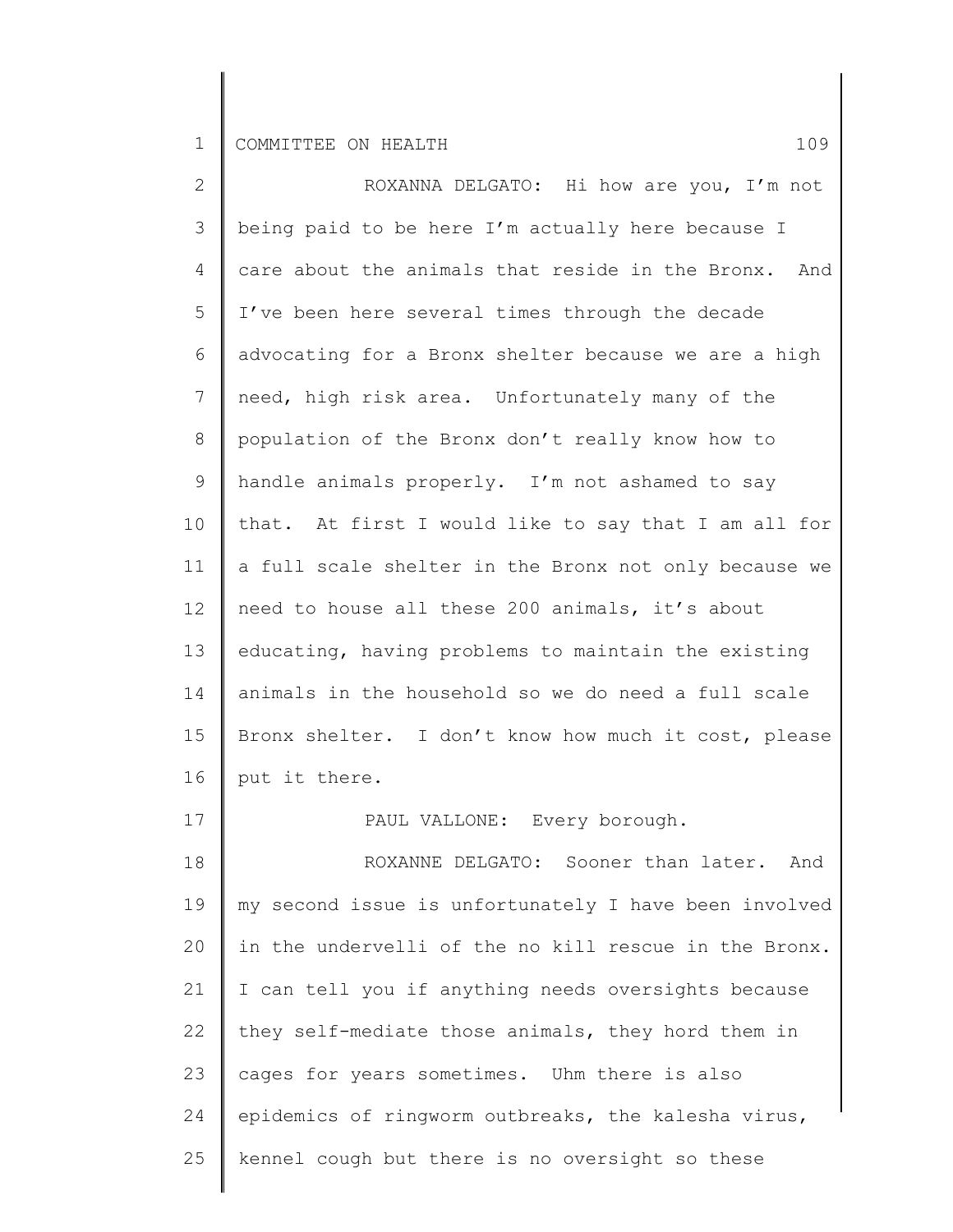| $\mathbf{2}$    | ROXANNA DELGATO: Hi how are you, I'm not              |
|-----------------|-------------------------------------------------------|
| 3               | being paid to be here I'm actually here because I     |
| 4               | care about the animals that reside in the Bronx. And  |
| 5               | I've been here several times through the decade       |
| 6               | advocating for a Bronx shelter because we are a high  |
| $7\phantom{.0}$ | need, high risk area. Unfortunately many of the       |
| 8               | population of the Bronx don't really know how to      |
| 9               | handle animals properly. I'm not ashamed to say       |
| 10 <sub>o</sub> | that. At first I would like to say that I am all for  |
| 11              | a full scale shelter in the Bronx not only because we |
| 12              | need to house all these 200 animals, it's about       |
| 13              | educating, having problems to maintain the existing   |
| 14              | animals in the household so we do need a full scale   |
| 15              | Bronx shelter. I don't know how much it cost, please  |
| 16              | put it there.                                         |
| 17              | PAUL VALLONE: Every borough.                          |
| 18              | ROXANNE DELGATO: Sooner than later.<br>And            |
| 19              | my second issue is unfortunately I have been involved |
| 20              | in the undervelli of the no kill rescue in the Bronx. |
| 21              | I can tell you if anything needs oversights because   |
| 22              | they self-mediate those animals, they hord them in    |
| 23              | cages for years sometimes. Uhm there is also          |
| 24              | epidemics of ringworm outbreaks, the kalesha virus,   |
| 25              | kennel cough but there is no oversight so these       |
|                 |                                                       |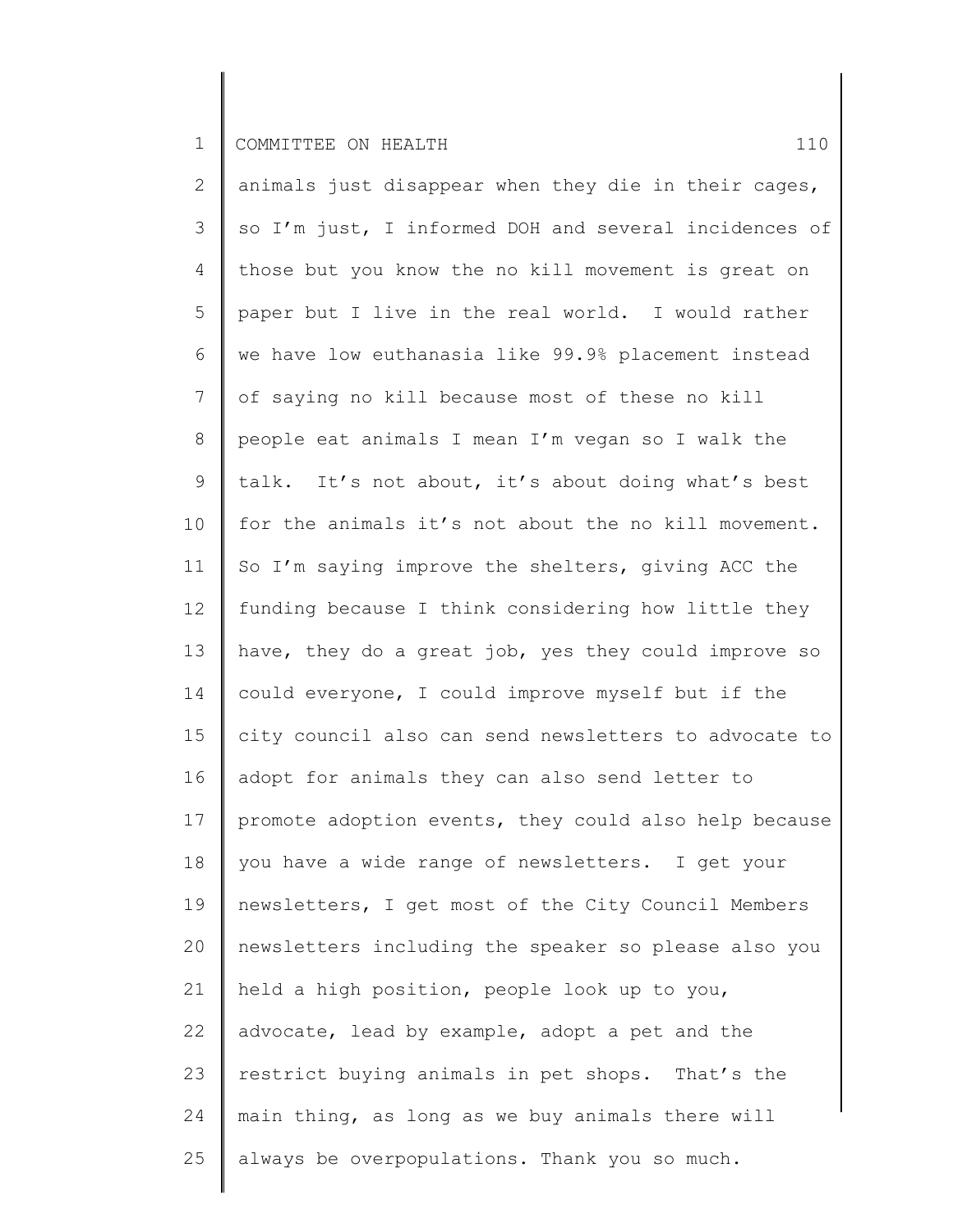2 3 4 5 6 7 8 9 10 11 12 13 14 15 16 17 18 19 20 21 22 23 24 25 animals just disappear when they die in their cages, so I'm just, I informed DOH and several incidences of those but you know the no kill movement is great on paper but I live in the real world. I would rather we have low euthanasia like 99.9% placement instead of saying no kill because most of these no kill people eat animals I mean I'm vegan so I walk the talk. It's not about, it's about doing what's best for the animals it's not about the no kill movement. So I'm saying improve the shelters, giving ACC the funding because I think considering how little they have, they do a great job, yes they could improve so could everyone, I could improve myself but if the city council also can send newsletters to advocate to adopt for animals they can also send letter to promote adoption events, they could also help because you have a wide range of newsletters. I get your newsletters, I get most of the City Council Members newsletters including the speaker so please also you held a high position, people look up to you, advocate, lead by example, adopt a pet and the restrict buying animals in pet shops. That's the main thing, as long as we buy animals there will always be overpopulations. Thank you so much.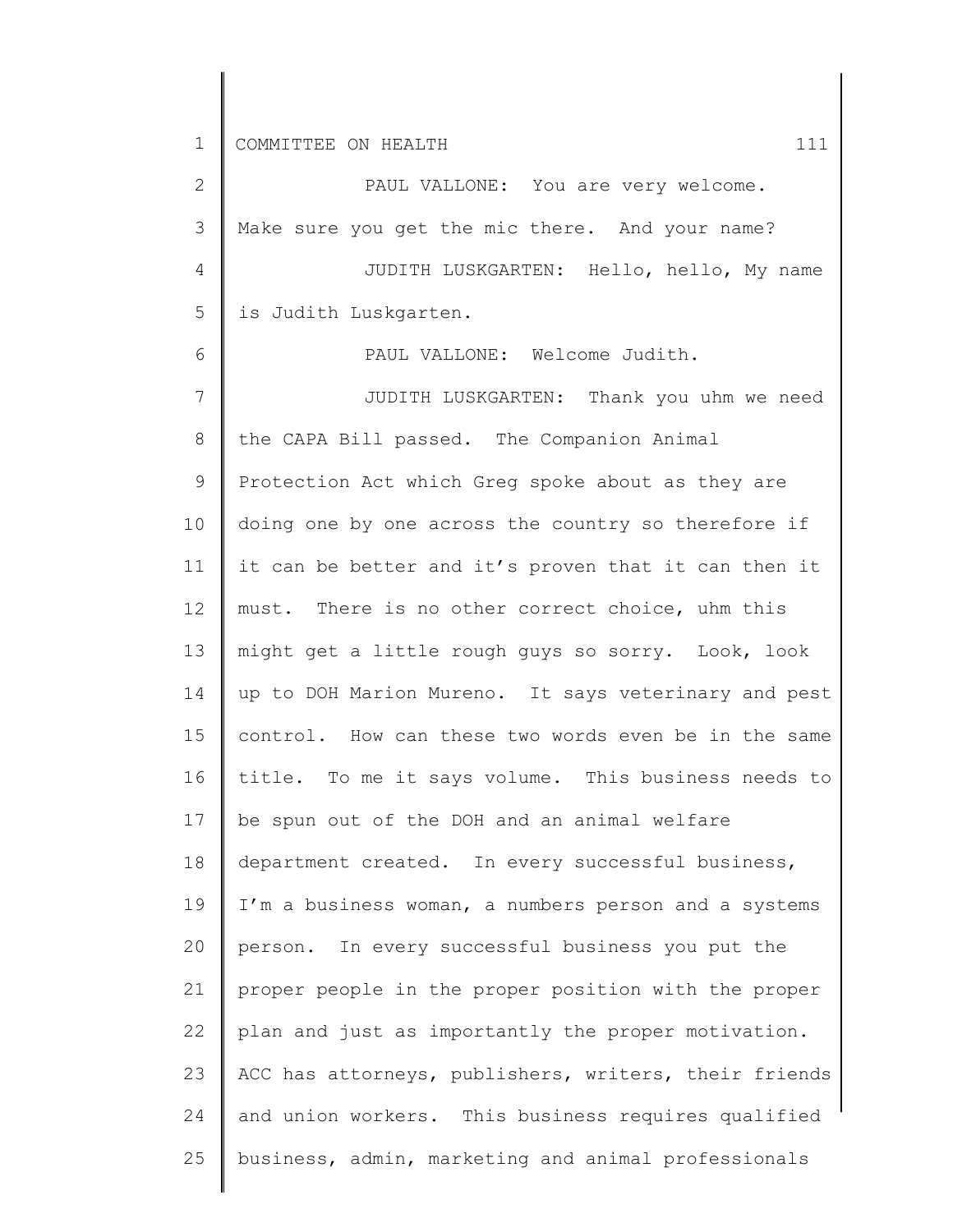2 3 4 5 6 7 8 9 10 11 12 13 14 15 16 17 18 19 20 21 22 23 24 25 PAUL VALLONE: You are very welcome. Make sure you get the mic there. And your name? JUDITH LUSKGARTEN: Hello, hello, My name is Judith Luskgarten. PAUL VALLONE: Welcome Judith. JUDITH LUSKGARTEN: Thank you uhm we need the CAPA Bill passed. The Companion Animal Protection Act which Greg spoke about as they are doing one by one across the country so therefore if it can be better and it's proven that it can then it must. There is no other correct choice, uhm this might get a little rough guys so sorry. Look, look up to DOH Marion Mureno. It says veterinary and pest control. How can these two words even be in the same title. To me it says volume. This business needs to be spun out of the DOH and an animal welfare department created. In every successful business, I'm a business woman, a numbers person and a systems person. In every successful business you put the proper people in the proper position with the proper plan and just as importantly the proper motivation. ACC has attorneys, publishers, writers, their friends and union workers. This business requires qualified business, admin, marketing and animal professionals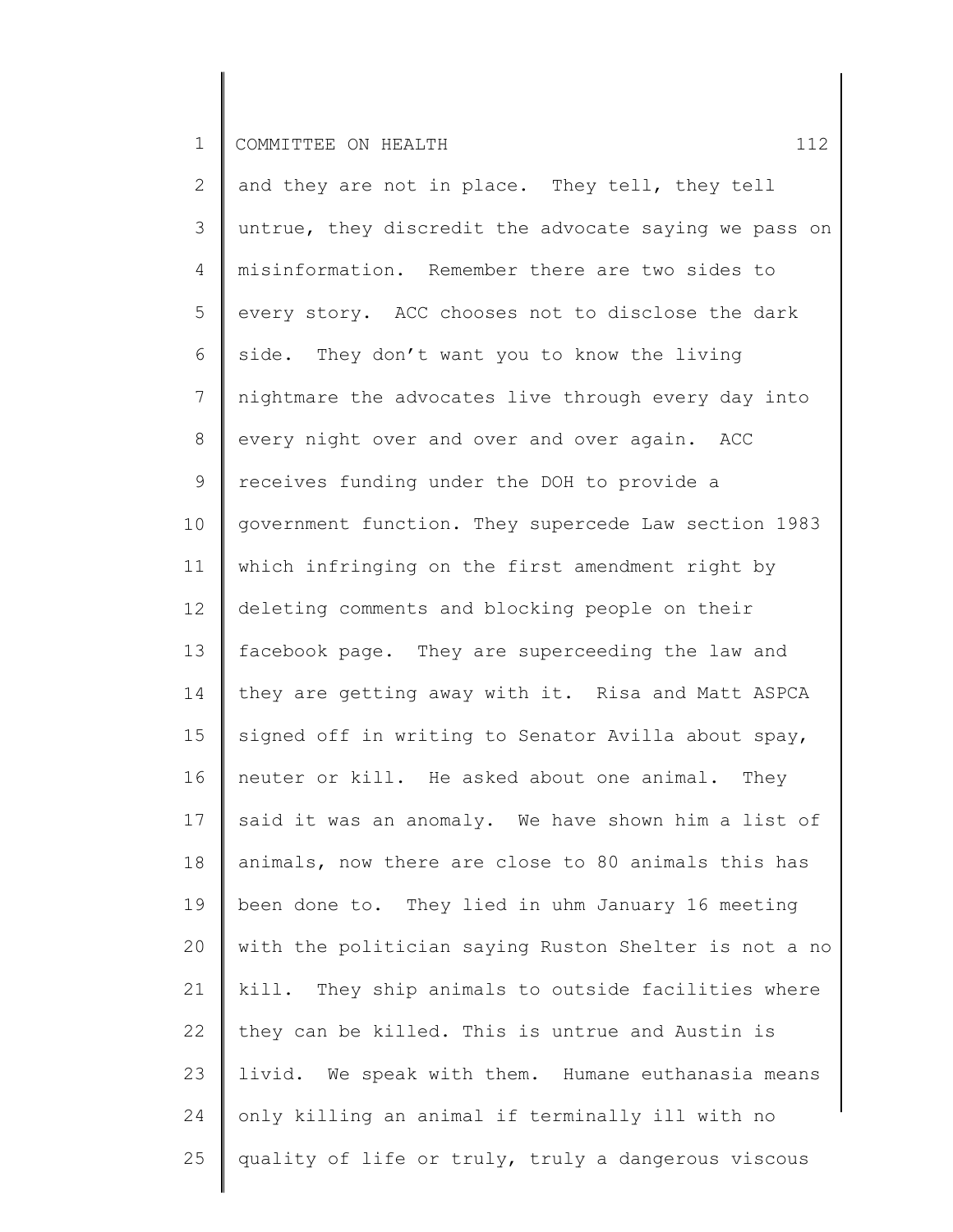| $\mathbf{2}$    | and they are not in place. They tell, they tell       |
|-----------------|-------------------------------------------------------|
| 3               | untrue, they discredit the advocate saying we pass on |
| 4               | misinformation. Remember there are two sides to       |
| 5               | every story. ACC chooses not to disclose the dark     |
| 6               | side. They don't want you to know the living          |
| $\overline{7}$  | nightmare the advocates live through every day into   |
| 8               | every night over and over and over again. ACC         |
| 9               | receives funding under the DOH to provide a           |
| 10 <sub>o</sub> | government function. They supercede Law section 1983  |
| 11              | which infringing on the first amendment right by      |
| 12 <sup>°</sup> | deleting comments and blocking people on their        |
| 13              | facebook page. They are superceeding the law and      |
| 14              | they are getting away with it. Risa and Matt ASPCA    |
| 15              | signed off in writing to Senator Avilla about spay,   |
| 16              | neuter or kill. He asked about one animal. They       |
| 17              | said it was an anomaly. We have shown him a list of   |
| 18              | animals, now there are close to 80 animals this has   |
| 19              | been done to. They lied in uhm January 16 meeting     |
| 20              | with the politician saying Ruston Shelter is not a no |
| 21              | kill. They ship animals to outside facilities where   |
| 22              | they can be killed. This is untrue and Austin is      |
| 23              | livid. We speak with them. Humane euthanasia means    |
| 24              | only killing an animal if terminally ill with no      |
| 25              | quality of life or truly, truly a dangerous viscous   |
|                 |                                                       |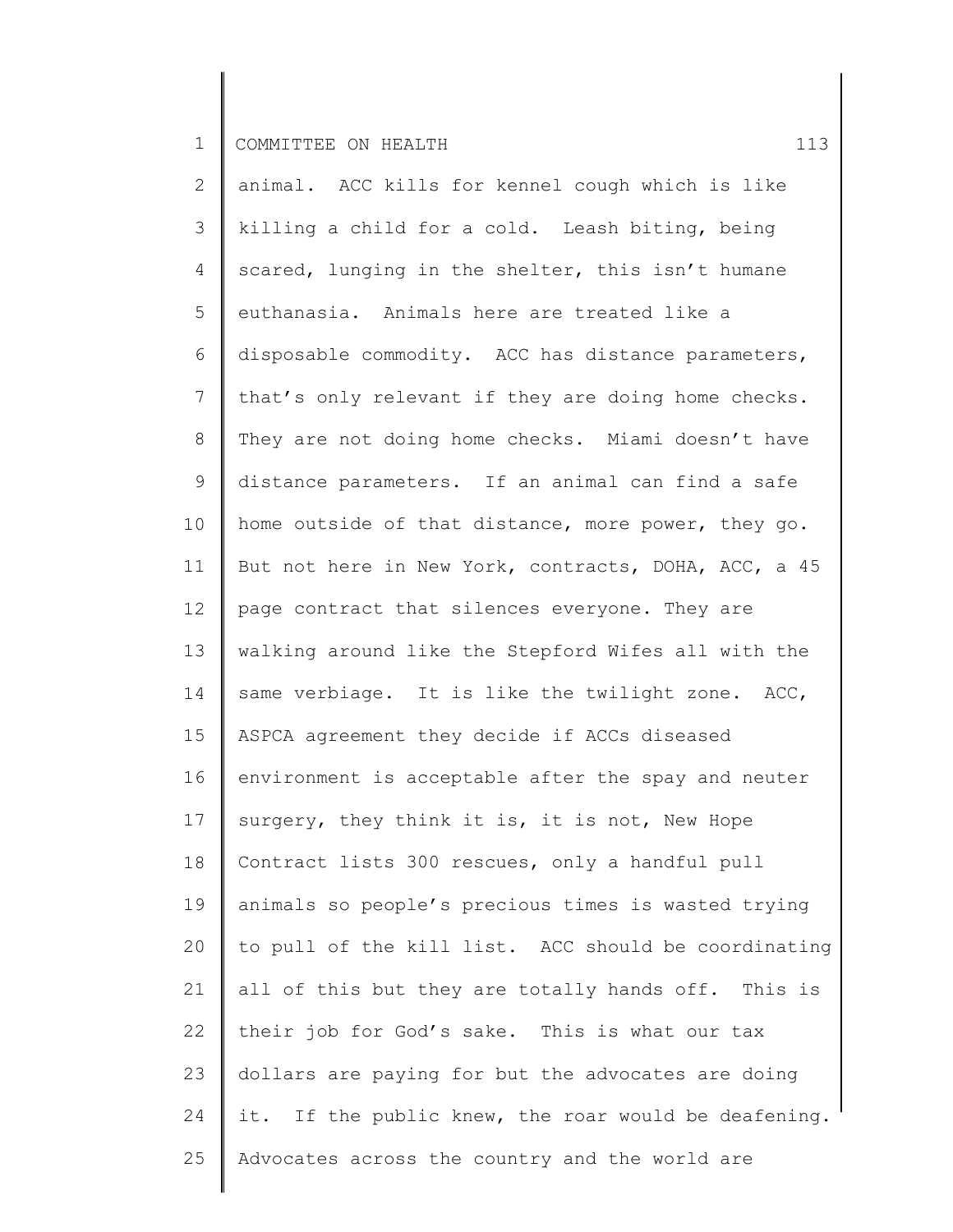| $\mathbf{2}$ | animal. ACC kills for kennel cough which is like     |
|--------------|------------------------------------------------------|
| 3            | killing a child for a cold. Leash biting, being      |
| 4            | scared, lunging in the shelter, this isn't humane    |
| 5            | euthanasia. Animals here are treated like a          |
| 6            | disposable commodity. ACC has distance parameters,   |
| 7            | that's only relevant if they are doing home checks.  |
| 8            | They are not doing home checks. Miami doesn't have   |
| 9            | distance parameters. If an animal can find a safe    |
| 10           | home outside of that distance, more power, they go.  |
| 11           | But not here in New York, contracts, DOHA, ACC, a 45 |
| 12           | page contract that silences everyone. They are       |
| 13           | walking around like the Stepford Wifes all with the  |
| 14           | same verbiage. It is like the twilight zone. ACC,    |
| 15           | ASPCA agreement they decide if ACCs diseased         |
| 16           | environment is acceptable after the spay and neuter  |
| 17           | surgery, they think it is, it is not, New Hope       |
| 18           | Contract lists 300 rescues, only a handful pull      |
| 19           | animals so people's precious times is wasted trying  |
| 20           | to pull of the kill list. ACC should be coordinating |
| 21           | all of this but they are totally hands off. This is  |
| 22           | their job for God's sake. This is what our tax       |
| 23           | dollars are paying for but the advocates are doing   |
| 24           | it. If the public knew, the roar would be deafening. |
| 25           | Advocates across the country and the world are       |
|              |                                                      |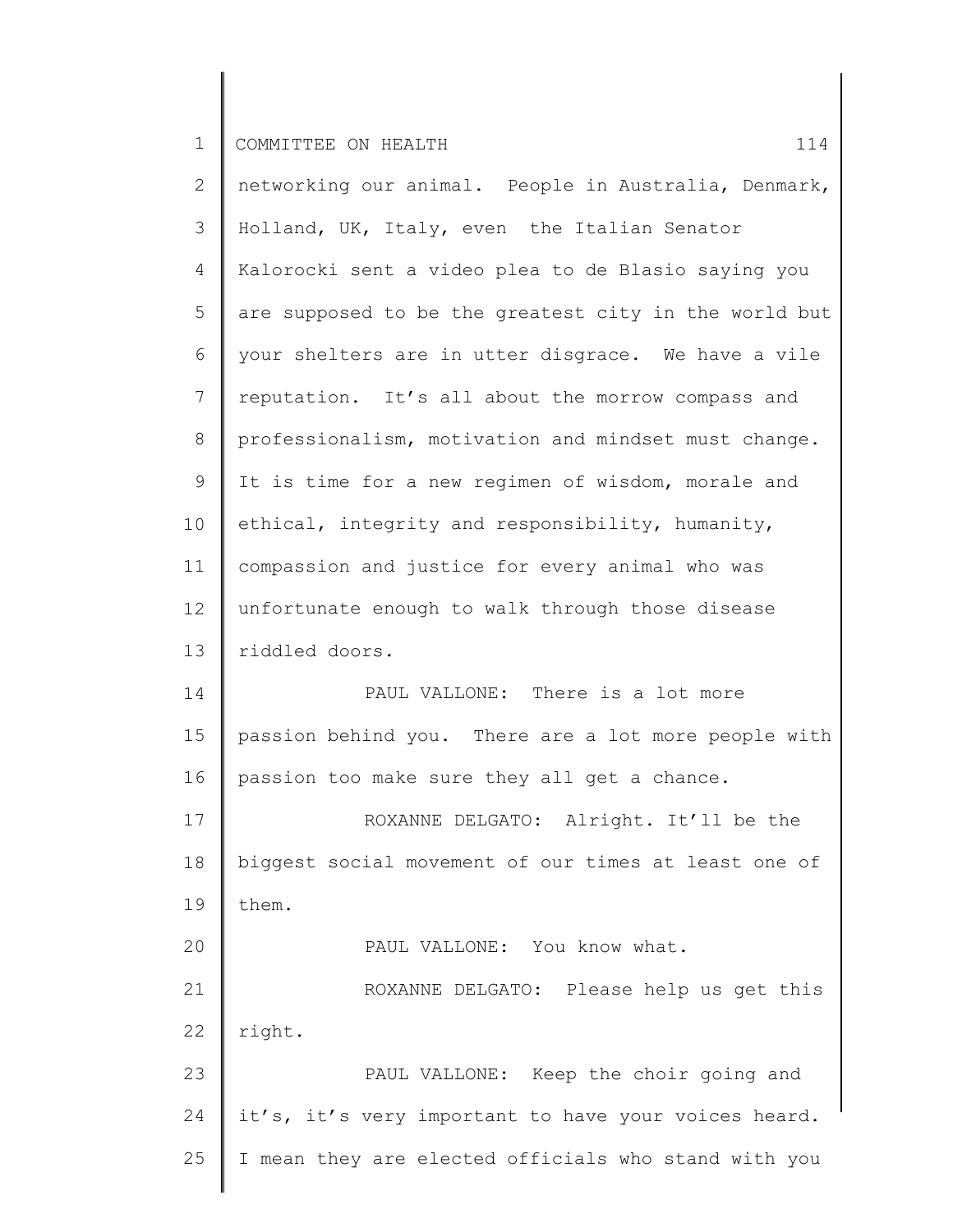2 3 4 5 6 7 8 9 10 11 12 13 14 15 16 17 18 19 20 21 22 23 24 25 networking our animal. People in Australia, Denmark, Holland, UK, Italy, even the Italian Senator Kalorocki sent a video plea to de Blasio saying you are supposed to be the greatest city in the world but your shelters are in utter disgrace. We have a vile reputation. It's all about the morrow compass and professionalism, motivation and mindset must change. It is time for a new regimen of wisdom, morale and ethical, integrity and responsibility, humanity, compassion and justice for every animal who was unfortunate enough to walk through those disease riddled doors. PAUL VALLONE: There is a lot more passion behind you. There are a lot more people with passion too make sure they all get a chance. ROXANNE DELGATO: Alright. It'll be the biggest social movement of our times at least one of them. PAUL VALLONE: You know what. ROXANNE DELGATO: Please help us get this right. PAUL VALLONE: Keep the choir going and it's, it's very important to have your voices heard. I mean they are elected officials who stand with you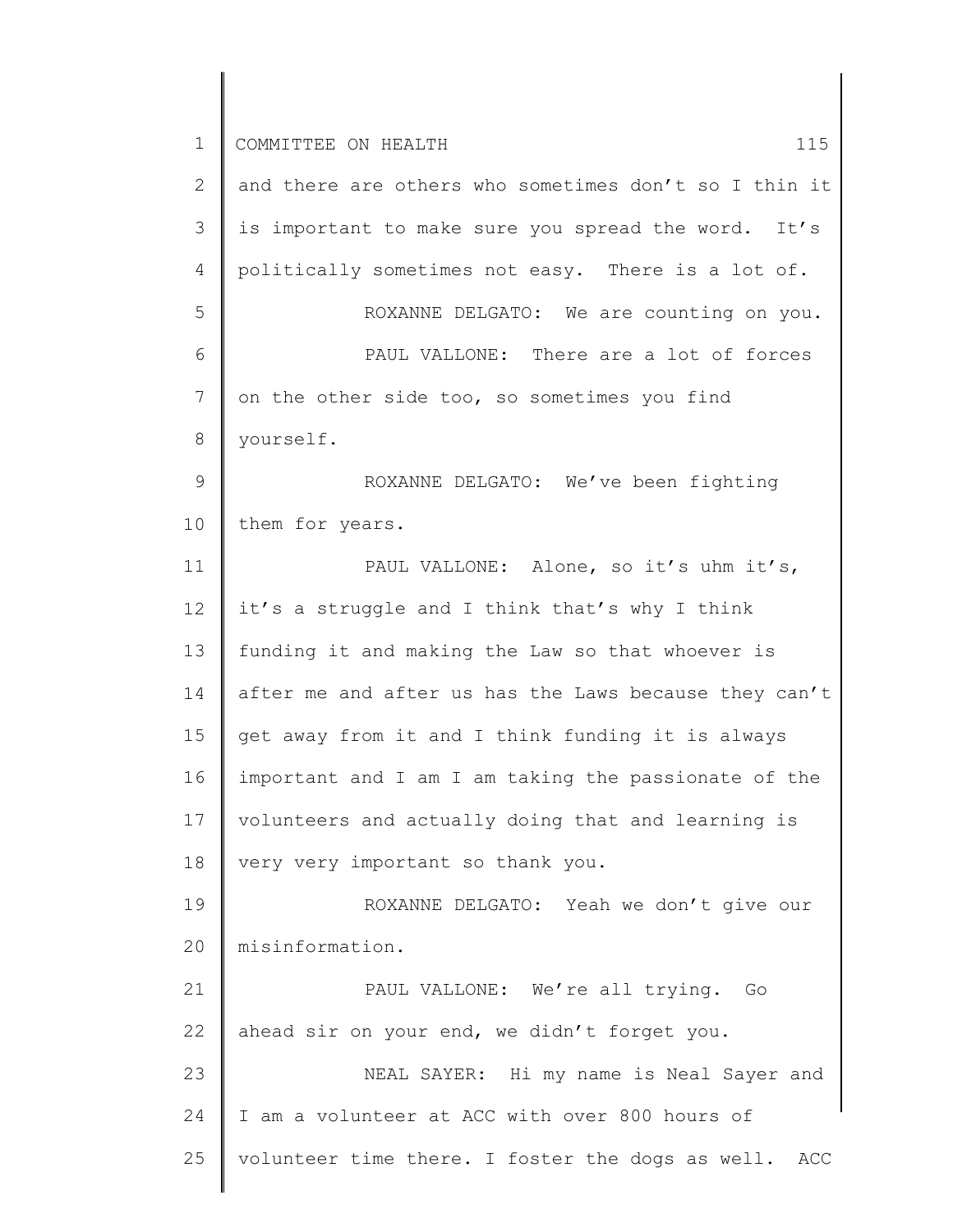1 2 3 4 5 6 7 8 9 10 11 12 13 14 15 16 17 18 19 20 21 22 23 24 25 COMMITTEE ON HEALTH 15 and there are others who sometimes don't so I thin it is important to make sure you spread the word. It's politically sometimes not easy. There is a lot of. ROXANNE DELGATO: We are counting on you. PAUL VALLONE: There are a lot of forces on the other side too, so sometimes you find yourself. ROXANNE DELGATO: We've been fighting them for years. PAUL VALLONE: Alone, so it's uhm it's, it's a struggle and I think that's why I think funding it and making the Law so that whoever is after me and after us has the Laws because they can't get away from it and I think funding it is always important and I am I am taking the passionate of the volunteers and actually doing that and learning is very very important so thank you. ROXANNE DELGATO: Yeah we don't give our misinformation. PAUL VALLONE: We're all trying. Go ahead sir on your end, we didn't forget you. NEAL SAYER: Hi my name is Neal Sayer and I am a volunteer at ACC with over 800 hours of volunteer time there. I foster the dogs as well. ACC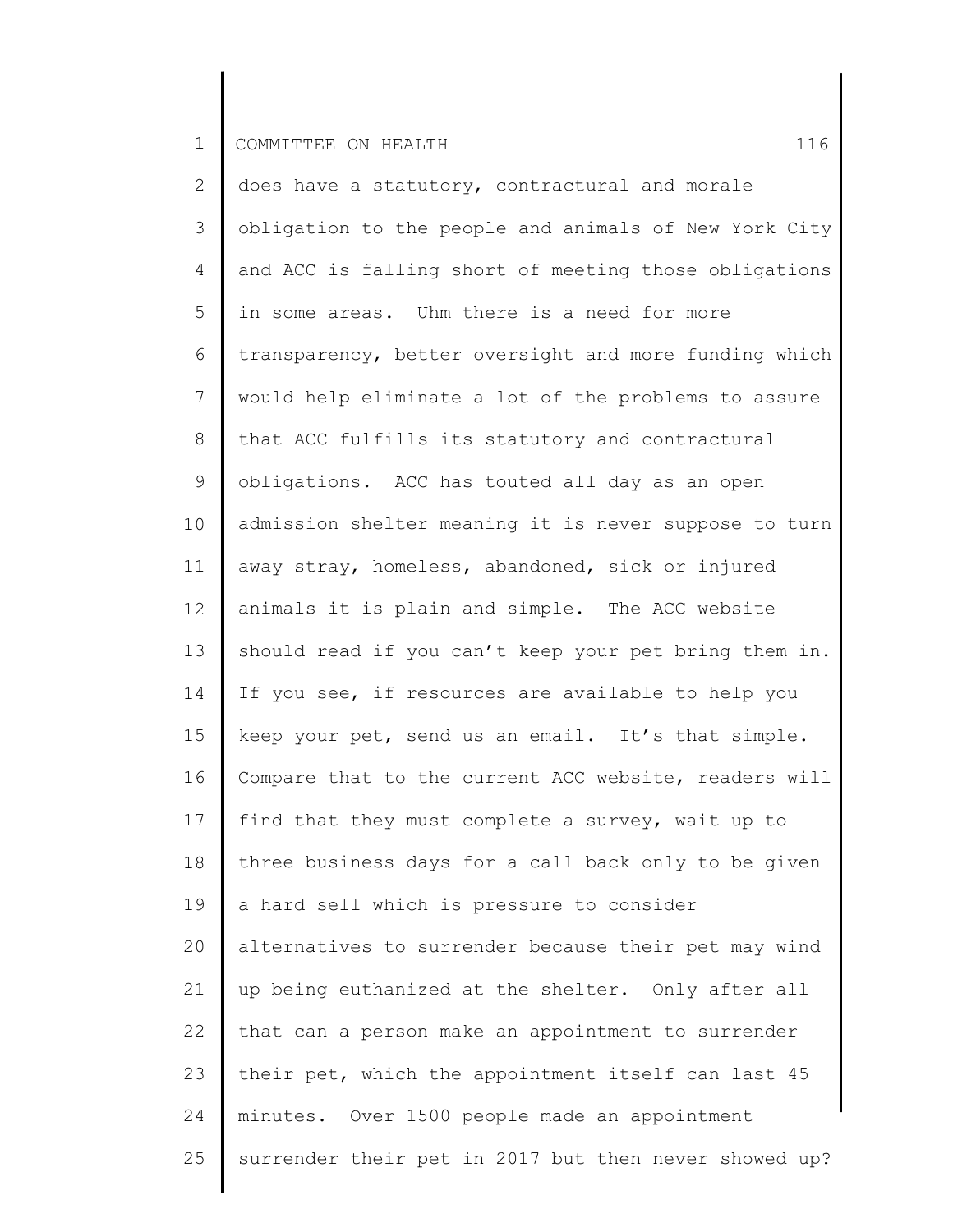2 3 4 5 6 7 8 9 10 11 12 13 14 15 16 17 18 19 20 21 22 23 24 25 does have a statutory, contractural and morale obligation to the people and animals of New York City and ACC is falling short of meeting those obligations in some areas. Uhm there is a need for more transparency, better oversight and more funding which would help eliminate a lot of the problems to assure that ACC fulfills its statutory and contractural obligations. ACC has touted all day as an open admission shelter meaning it is never suppose to turn away stray, homeless, abandoned, sick or injured animals it is plain and simple. The ACC website should read if you can't keep your pet bring them in. If you see, if resources are available to help you keep your pet, send us an email. It's that simple. Compare that to the current ACC website, readers will find that they must complete a survey, wait up to three business days for a call back only to be given a hard sell which is pressure to consider alternatives to surrender because their pet may wind up being euthanized at the shelter. Only after all that can a person make an appointment to surrender their pet, which the appointment itself can last 45 minutes. Over 1500 people made an appointment surrender their pet in 2017 but then never showed up?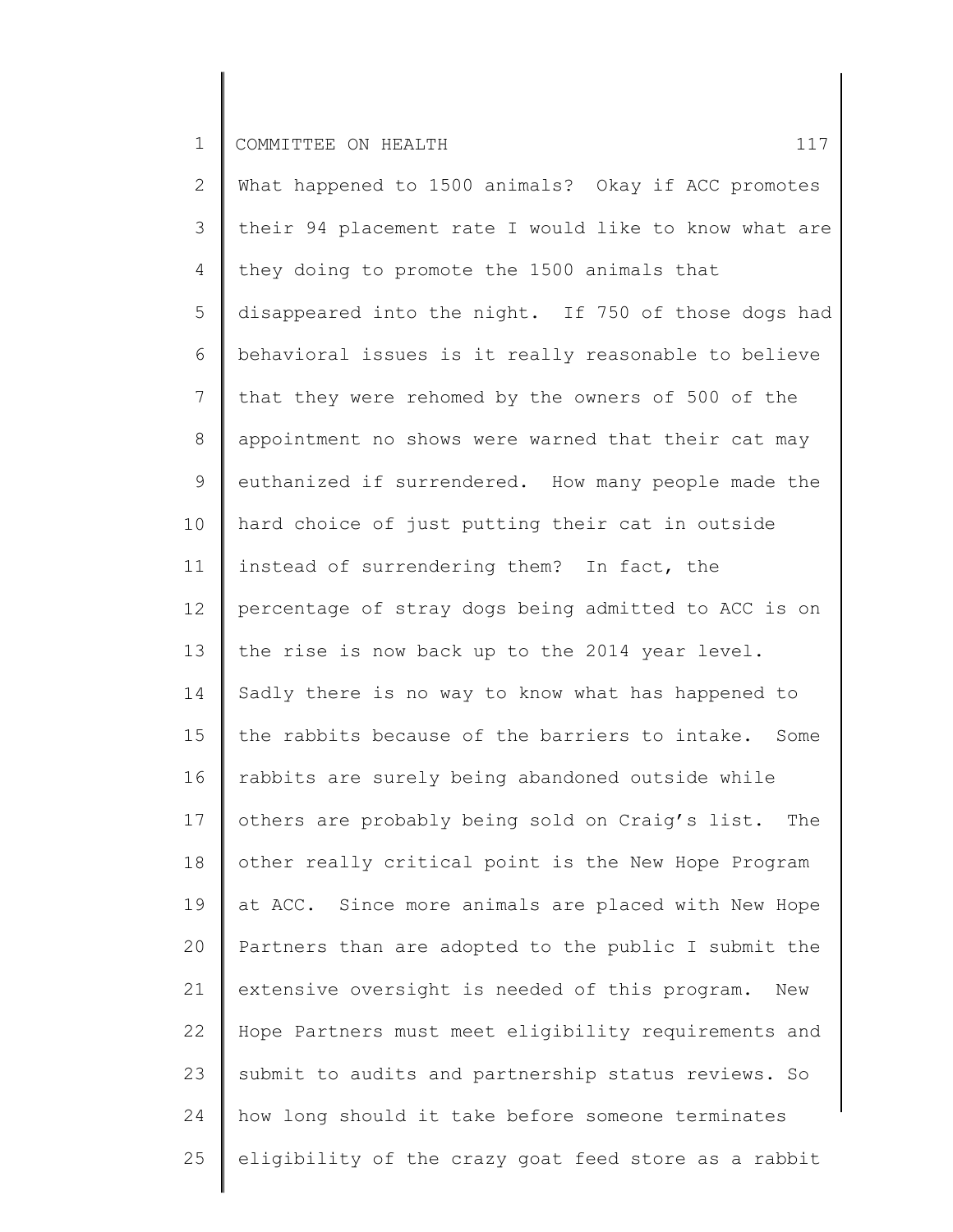2 3 4 5 6 7 8 9 10 11 12 13 14 15 16 17 18 19 20 21 22 23 24 25 What happened to 1500 animals? Okay if ACC promotes their 94 placement rate I would like to know what are they doing to promote the 1500 animals that disappeared into the night. If 750 of those dogs had behavioral issues is it really reasonable to believe that they were rehomed by the owners of 500 of the appointment no shows were warned that their cat may euthanized if surrendered. How many people made the hard choice of just putting their cat in outside instead of surrendering them? In fact, the percentage of stray dogs being admitted to ACC is on the rise is now back up to the 2014 year level. Sadly there is no way to know what has happened to the rabbits because of the barriers to intake. Some rabbits are surely being abandoned outside while others are probably being sold on Craig's list. The other really critical point is the New Hope Program at ACC. Since more animals are placed with New Hope Partners than are adopted to the public I submit the extensive oversight is needed of this program. New Hope Partners must meet eligibility requirements and submit to audits and partnership status reviews. So how long should it take before someone terminates eligibility of the crazy goat feed store as a rabbit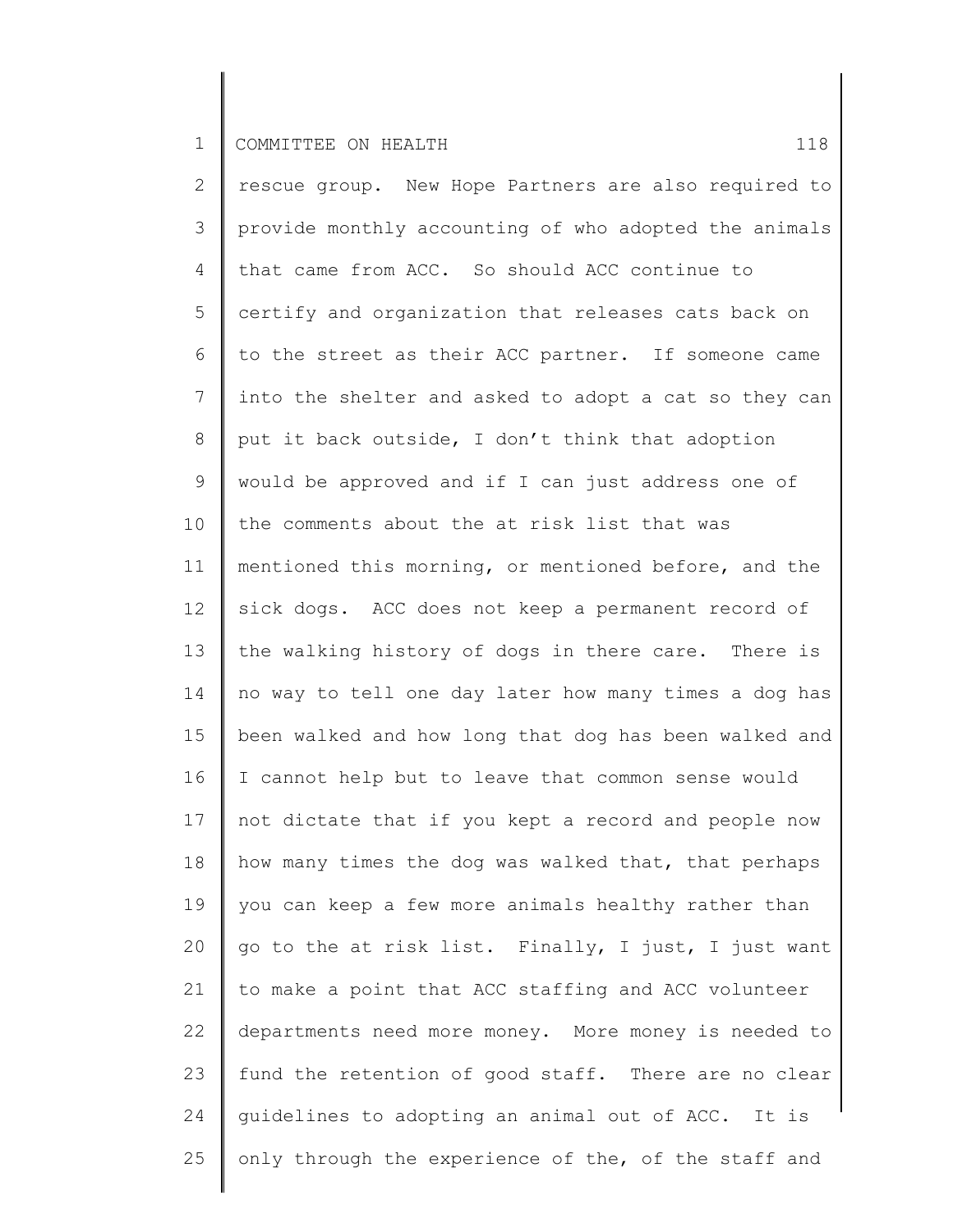2 3 4 5 6 7 8 9 10 11 12 13 14 15 16 17 18 19 20 21 22 23 24 25 rescue group. New Hope Partners are also required to provide monthly accounting of who adopted the animals that came from ACC. So should ACC continue to certify and organization that releases cats back on to the street as their ACC partner. If someone came into the shelter and asked to adopt a cat so they can put it back outside, I don't think that adoption would be approved and if I can just address one of the comments about the at risk list that was mentioned this morning, or mentioned before, and the sick dogs. ACC does not keep a permanent record of the walking history of dogs in there care. There is no way to tell one day later how many times a dog has been walked and how long that dog has been walked and I cannot help but to leave that common sense would not dictate that if you kept a record and people now how many times the dog was walked that, that perhaps you can keep a few more animals healthy rather than go to the at risk list. Finally, I just, I just want to make a point that ACC staffing and ACC volunteer departments need more money. More money is needed to fund the retention of good staff. There are no clear guidelines to adopting an animal out of ACC. It is only through the experience of the, of the staff and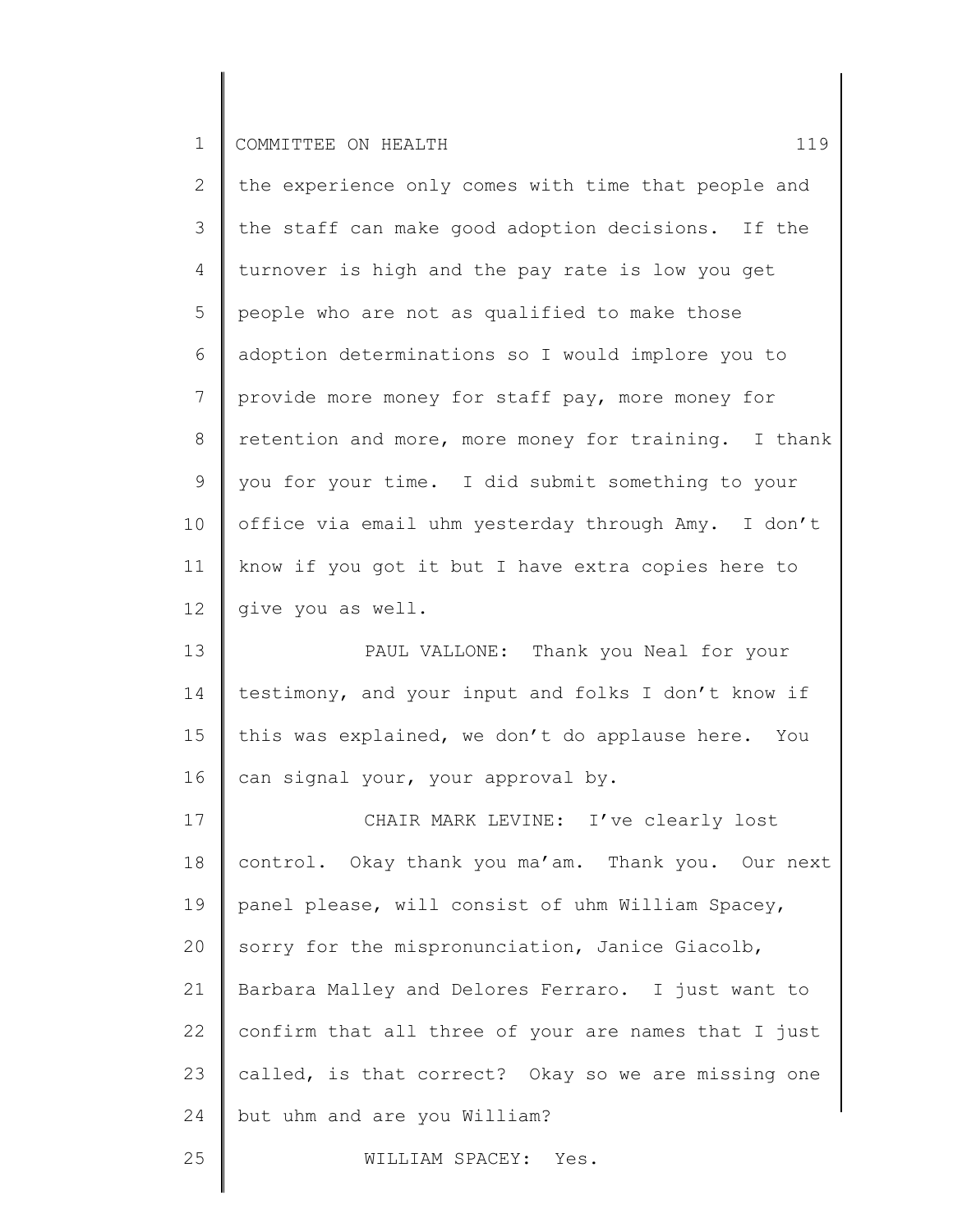| $\overline{2}$ | the experience only comes with time that people and  |
|----------------|------------------------------------------------------|
| 3              | the staff can make good adoption decisions. If the   |
| 4              | turnover is high and the pay rate is low you get     |
| 5              | people who are not as qualified to make those        |
| 6              | adoption determinations so I would implore you to    |
| 7              | provide more money for staff pay, more money for     |
| 8              | retention and more, more money for training. I thank |
| 9              | you for your time. I did submit something to your    |
| 10             | office via email uhm yesterday through Amy. I don't  |
| 11             | know if you got it but I have extra copies here to   |
| 12             | give you as well.                                    |
| 13             | PAUL VALLONE: Thank you Neal for your                |
| 14             | testimony, and your input and folks I don't know if  |
| 15             | this was explained, we don't do applause here. You   |
| 16             | can signal your, your approval by.                   |
| 17             | CHAIR MARK LEVINE: I've clearly lost                 |
| 18             | control. Okay thank you ma'am. Thank you. Our next   |
| 19             | panel please, will consist of uhm William Spacey,    |
| 20             | sorry for the mispronunciation, Janice Giacolb,      |
| 21             | Barbara Malley and Delores Ferraro. I just want to   |
| 22             | confirm that all three of your are names that I just |

23 24 called, is that correct? Okay so we are missing one but uhm and are you William?

WILLIAM SPACEY: Yes.

25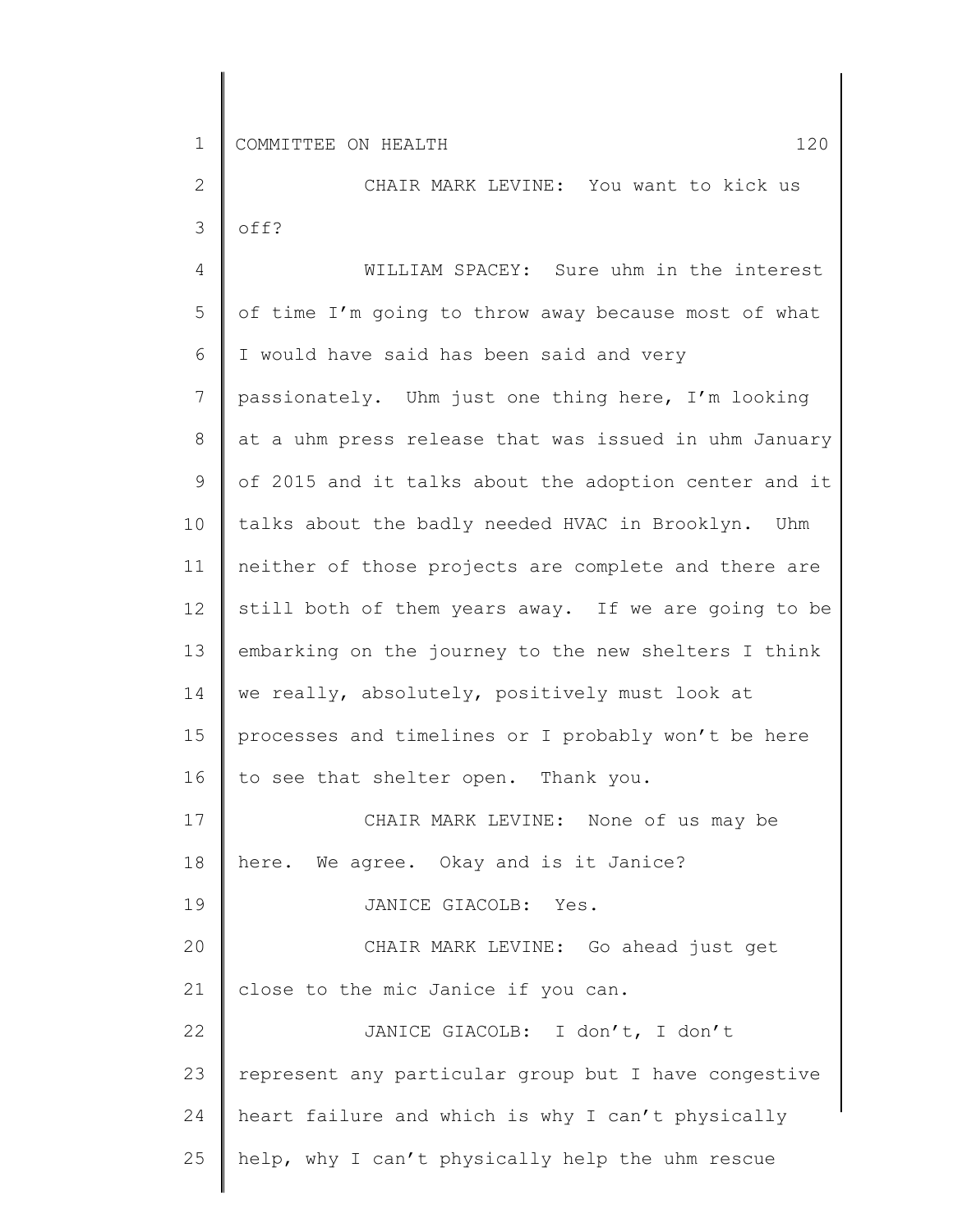2 3 CHAIR MARK LEVINE: You want to kick us off?

4 5 6 7 8 9 10 11 12 13 14 15 16 17 18 19 20 21 22 23 24 25 WILLIAM SPACEY: Sure uhm in the interest of time I'm going to throw away because most of what I would have said has been said and very passionately. Uhm just one thing here, I'm looking at a uhm press release that was issued in uhm January of 2015 and it talks about the adoption center and it talks about the badly needed HVAC in Brooklyn. Uhm neither of those projects are complete and there are still both of them years away. If we are going to be embarking on the journey to the new shelters I think we really, absolutely, positively must look at processes and timelines or I probably won't be here to see that shelter open. Thank you. CHAIR MARK LEVINE: None of us may be here. We agree. Okay and is it Janice? JANICE GIACOLB: Yes. CHAIR MARK LEVINE: Go ahead just get close to the mic Janice if you can. JANICE GIACOLB: I don't, I don't represent any particular group but I have congestive heart failure and which is why I can't physically help, why I can't physically help the uhm rescue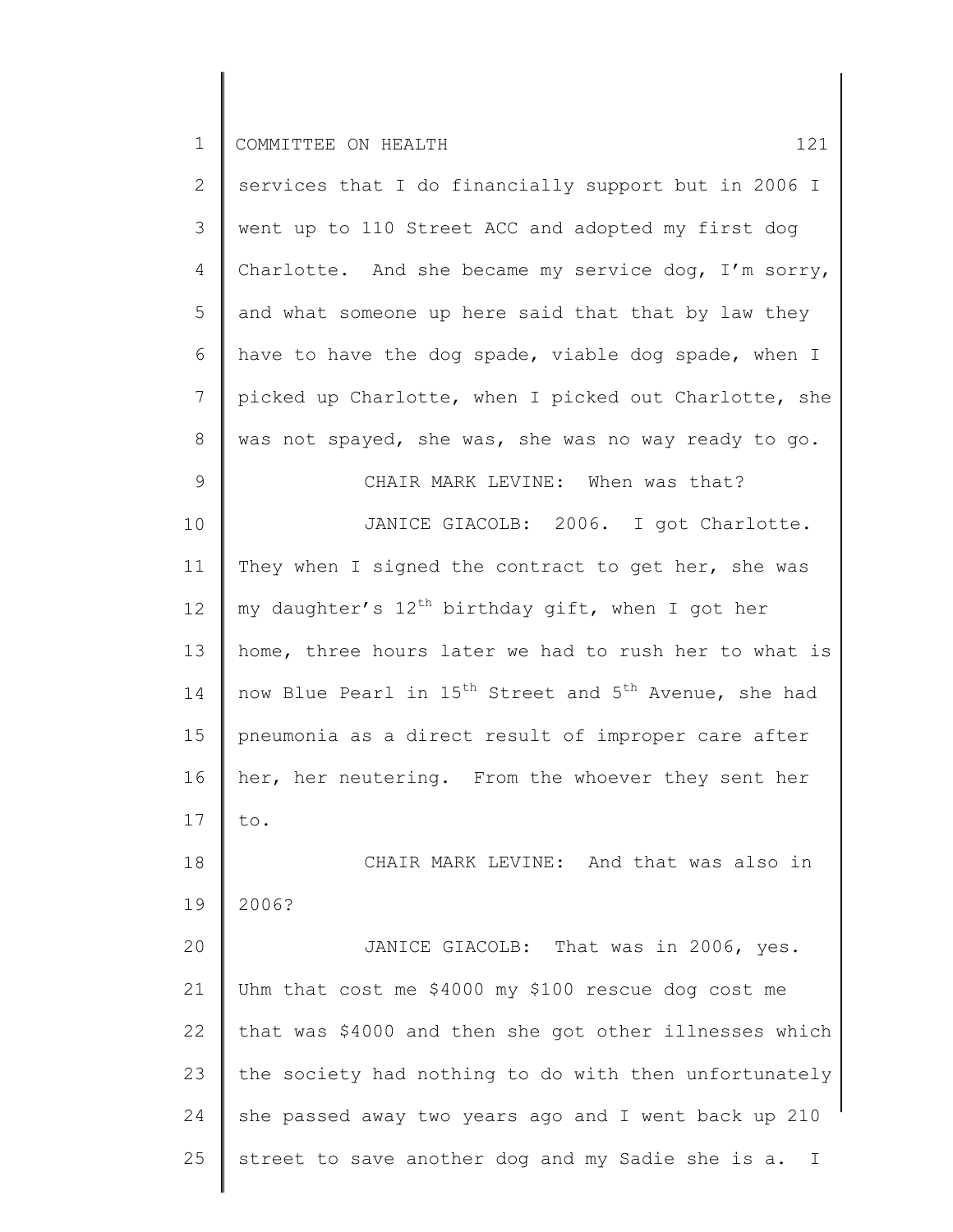| $\mathbf{2}$ | services that I do financially support but in 2006 I                          |
|--------------|-------------------------------------------------------------------------------|
| 3            | went up to 110 Street ACC and adopted my first dog                            |
| 4            | Charlotte. And she became my service dog, I'm sorry,                          |
| 5            | and what someone up here said that that by law they                           |
| 6            | have to have the dog spade, viable dog spade, when I                          |
| 7            | picked up Charlotte, when I picked out Charlotte, she                         |
| 8            | was not spayed, she was, she was no way ready to go.                          |
| 9            | CHAIR MARK LEVINE: When was that?                                             |
| 10           | JANICE GIACOLB: 2006. I got Charlotte.                                        |
| 11           | They when I signed the contract to get her, she was                           |
| 12           | my daughter's 12 <sup>th</sup> birthday gift, when I got her                  |
| 13           | home, three hours later we had to rush her to what is                         |
| 14           | now Blue Pearl in 15 <sup>th</sup> Street and 5 <sup>th</sup> Avenue, she had |
| 15           | pneumonia as a direct result of improper care after                           |
| 16           | her, her neutering. From the whoever they sent her                            |
| 17           | to.                                                                           |
| 18           | CHAIR MARK LEVINE: And that was also in                                       |
| 19           | 2006?                                                                         |
| 20           | JANICE GIACOLB: That was in 2006, yes.                                        |
| 21           | Uhm that cost me \$4000 my \$100 rescue dog cost me                           |
| 22           | that was \$4000 and then she got other illnesses which                        |
| 23           | the society had nothing to do with then unfortunately                         |
| 24           | she passed away two years ago and I went back up 210                          |
| 25           | street to save another dog and my Sadie she is a.<br>I                        |
|              |                                                                               |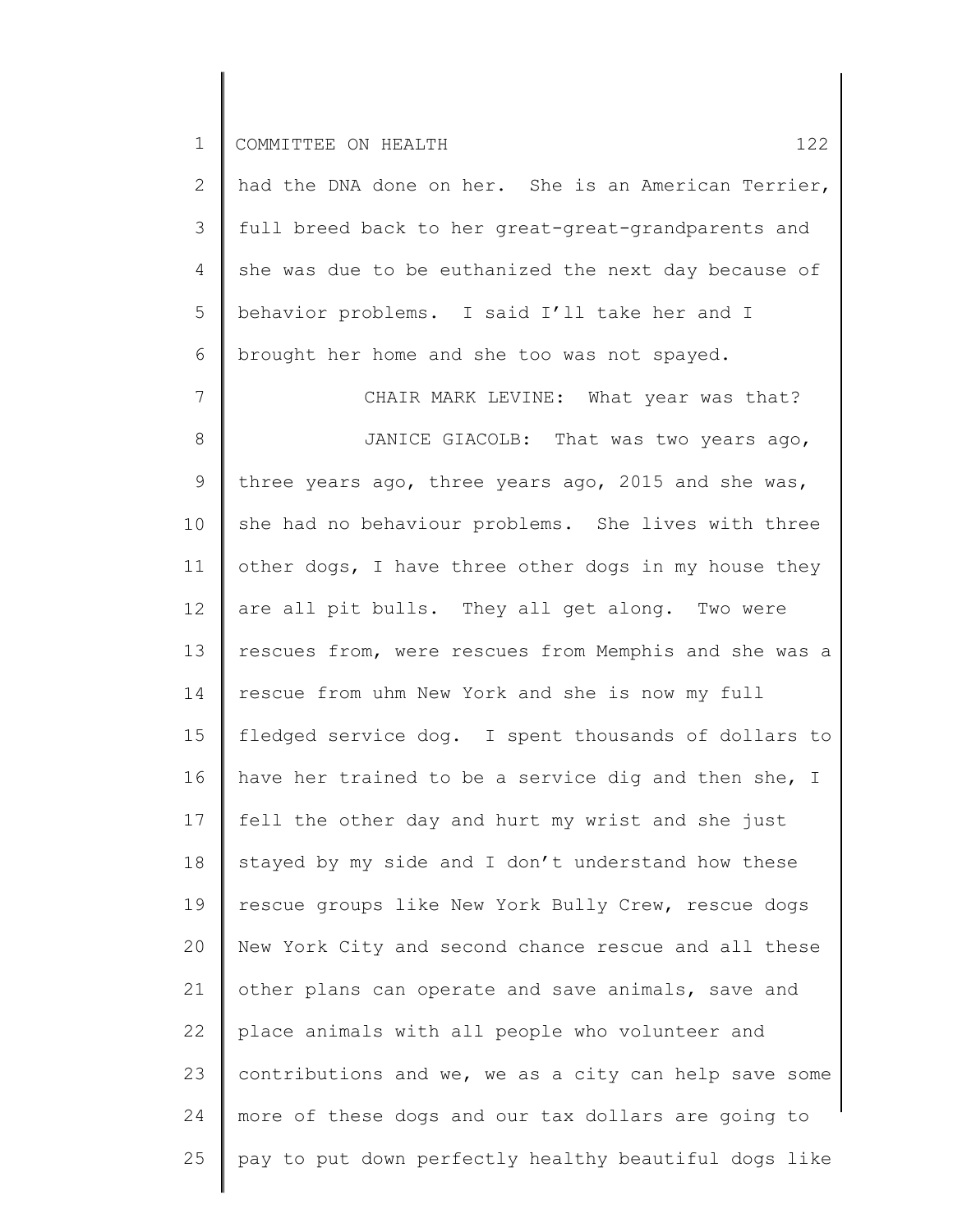25

2 3 4 5 6 7 8 9 10 11 12 13 14 15 16 17 18 19 20 21 22 23 24 had the DNA done on her. She is an American Terrier, full breed back to her great-great-grandparents and she was due to be euthanized the next day because of behavior problems. I said I'll take her and I brought her home and she too was not spayed. CHAIR MARK LEVINE: What year was that? JANICE GIACOLB: That was two years ago, three years ago, three years ago, 2015 and she was, she had no behaviour problems. She lives with three other dogs, I have three other dogs in my house they are all pit bulls. They all get along. Two were rescues from, were rescues from Memphis and she was a rescue from uhm New York and she is now my full fledged service dog. I spent thousands of dollars to have her trained to be a service dig and then she, I fell the other day and hurt my wrist and she just stayed by my side and I don't understand how these rescue groups like New York Bully Crew, rescue dogs New York City and second chance rescue and all these other plans can operate and save animals, save and place animals with all people who volunteer and contributions and we, we as a city can help save some more of these dogs and our tax dollars are going to

pay to put down perfectly healthy beautiful dogs like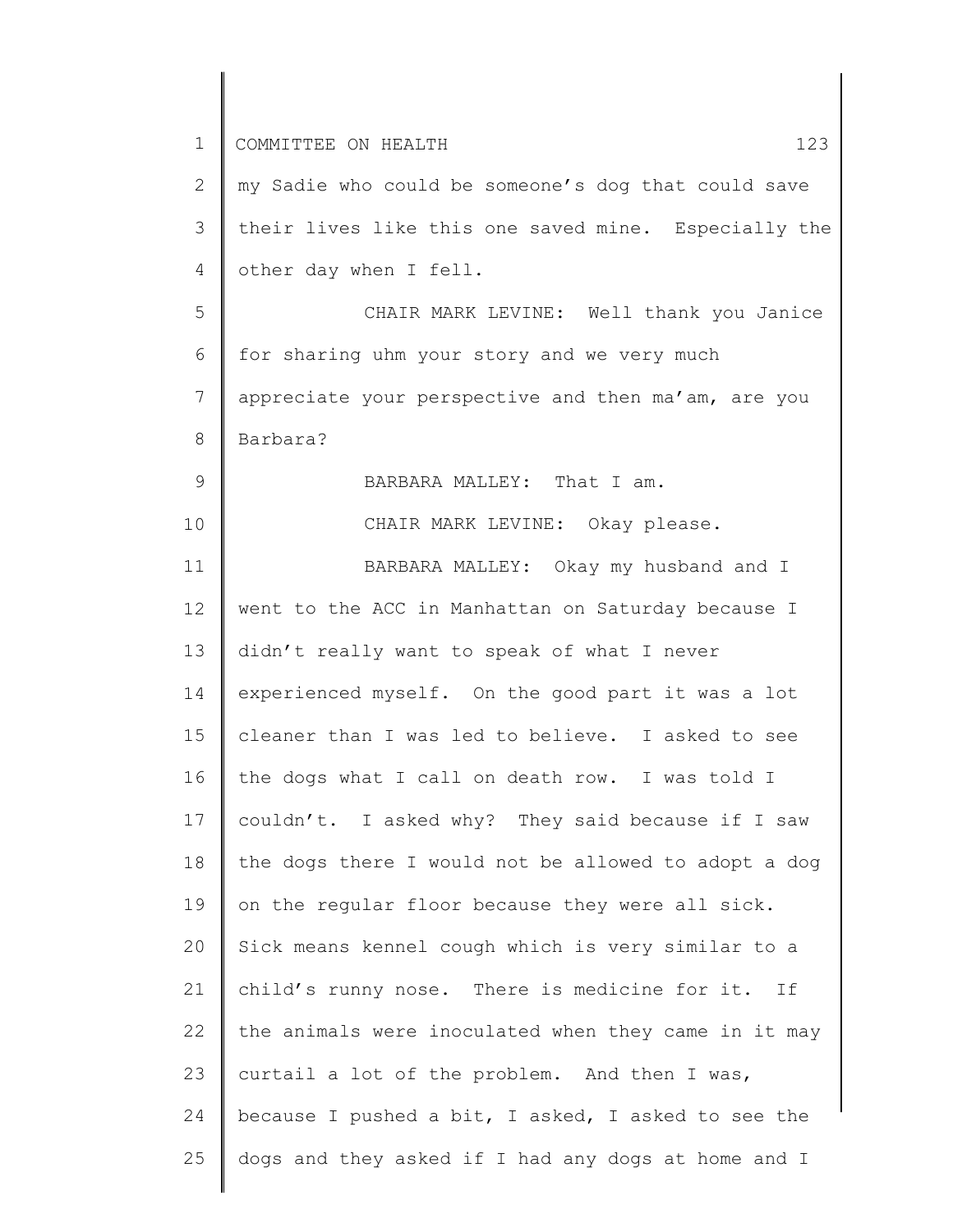1 2 3 4 5 6 7 8 9 10 11 12 13 14 15 16 17 18 19 20 21 22 23 24 25 COMMITTEE ON HEALTH 123 my Sadie who could be someone's dog that could save their lives like this one saved mine. Especially the other day when I fell. CHAIR MARK LEVINE: Well thank you Janice for sharing uhm your story and we very much appreciate your perspective and then ma'am, are you Barbara? BARBARA MALLEY: That I am. CHAIR MARK LEVINE: Okay please. BARBARA MALLEY: Okay my husband and I went to the ACC in Manhattan on Saturday because I didn't really want to speak of what I never experienced myself. On the good part it was a lot cleaner than I was led to believe. I asked to see the dogs what I call on death row. I was told I couldn't. I asked why? They said because if I saw the dogs there I would not be allowed to adopt a dog on the regular floor because they were all sick. Sick means kennel cough which is very similar to a child's runny nose. There is medicine for it. If the animals were inoculated when they came in it may curtail a lot of the problem. And then I was, because I pushed a bit, I asked, I asked to see the dogs and they asked if I had any dogs at home and I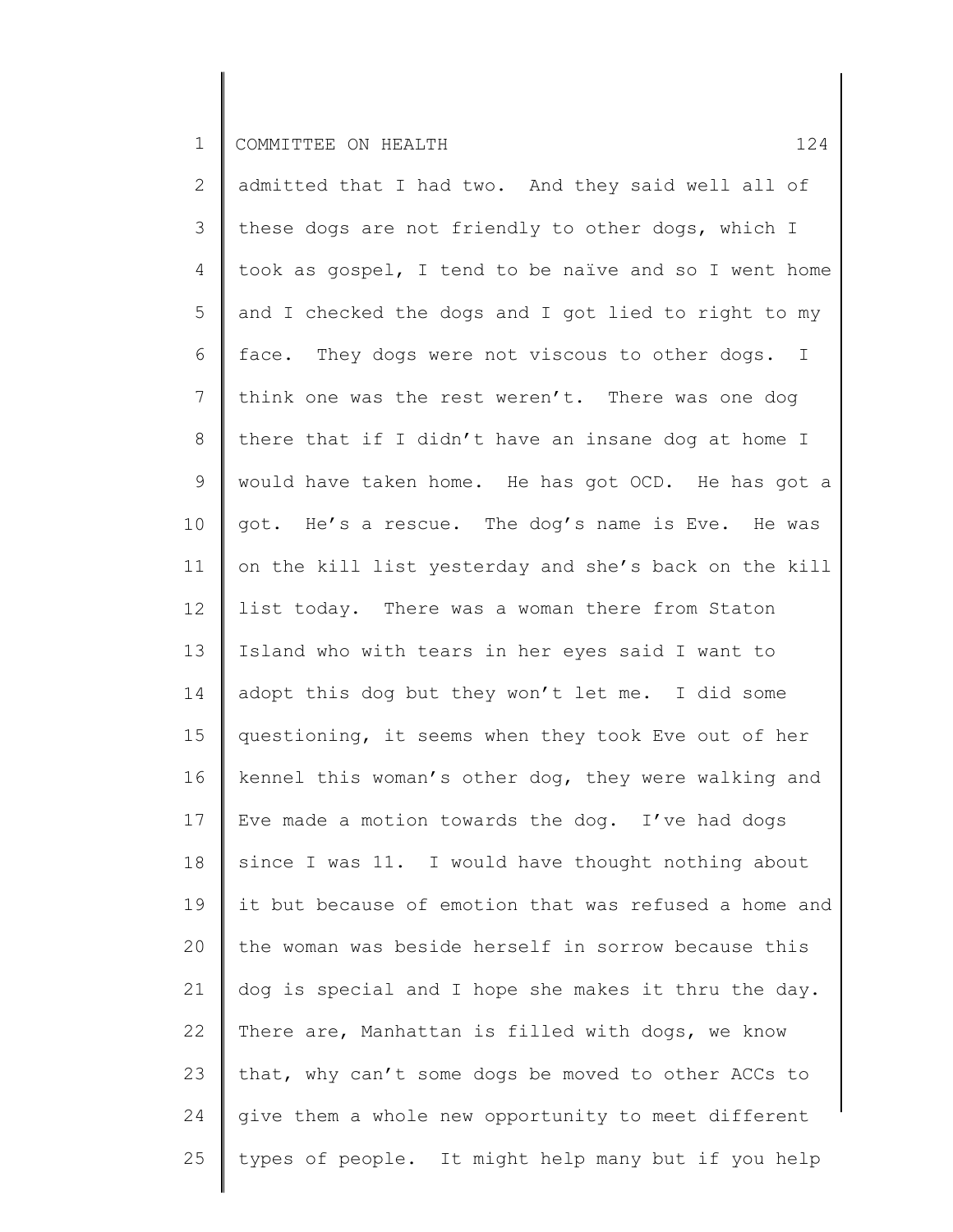2 3 4 5 6 7 8 9 10 11 12 13 14 15 16 17 18 19 20 21 22 23 24 25 admitted that I had two. And they said well all of these dogs are not friendly to other dogs, which I took as gospel, I tend to be naïve and so I went home and I checked the dogs and I got lied to right to my face. They dogs were not viscous to other dogs. I think one was the rest weren't. There was one dog there that if I didn't have an insane dog at home I would have taken home. He has got OCD. He has got a got. He's a rescue. The dog's name is Eve. He was on the kill list yesterday and she's back on the kill list today. There was a woman there from Staton Island who with tears in her eyes said I want to adopt this dog but they won't let me. I did some questioning, it seems when they took Eve out of her kennel this woman's other dog, they were walking and Eve made a motion towards the dog. I've had dogs since I was 11. I would have thought nothing about it but because of emotion that was refused a home and the woman was beside herself in sorrow because this dog is special and I hope she makes it thru the day. There are, Manhattan is filled with dogs, we know that, why can't some dogs be moved to other ACCs to give them a whole new opportunity to meet different types of people. It might help many but if you help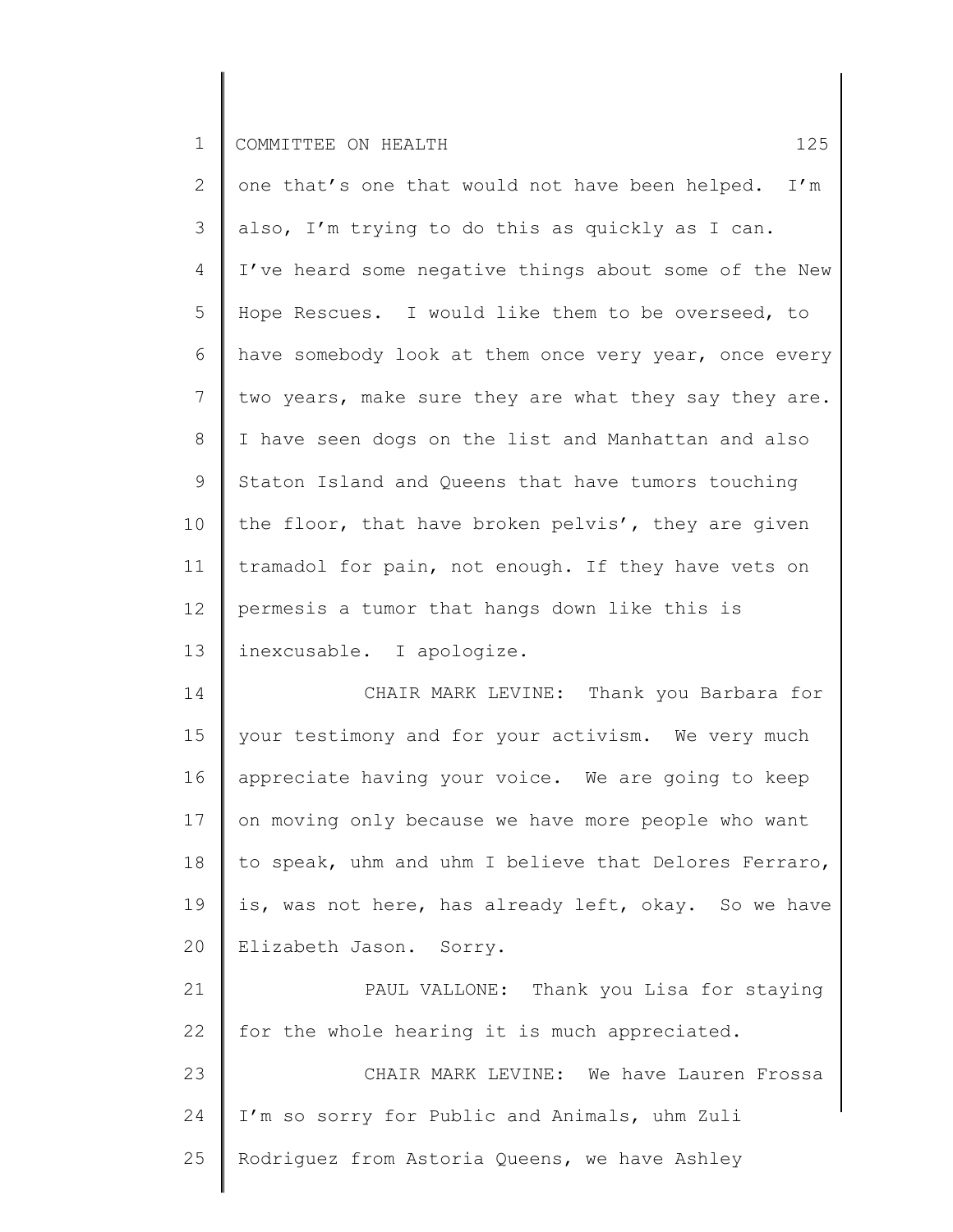2 3 4 5 6 7 8 9 10 11 12 13 one that's one that would not have been helped. I'm also, I'm trying to do this as quickly as I can. I've heard some negative things about some of the New Hope Rescues. I would like them to be overseed, to have somebody look at them once very year, once every two years, make sure they are what they say they are. I have seen dogs on the list and Manhattan and also Staton Island and Queens that have tumors touching the floor, that have broken pelvis', they are given tramadol for pain, not enough. If they have vets on permesis a tumor that hangs down like this is inexcusable. I apologize.

14 15 16 17 18 19 20 CHAIR MARK LEVINE: Thank you Barbara for your testimony and for your activism. We very much appreciate having your voice. We are going to keep on moving only because we have more people who want to speak, uhm and uhm I believe that Delores Ferraro, is, was not here, has already left, okay. So we have Elizabeth Jason. Sorry.

21 22 PAUL VALLONE: Thank you Lisa for staying for the whole hearing it is much appreciated.

23 24 25 CHAIR MARK LEVINE: We have Lauren Frossa I'm so sorry for Public and Animals, uhm Zuli Rodriguez from Astoria Queens, we have Ashley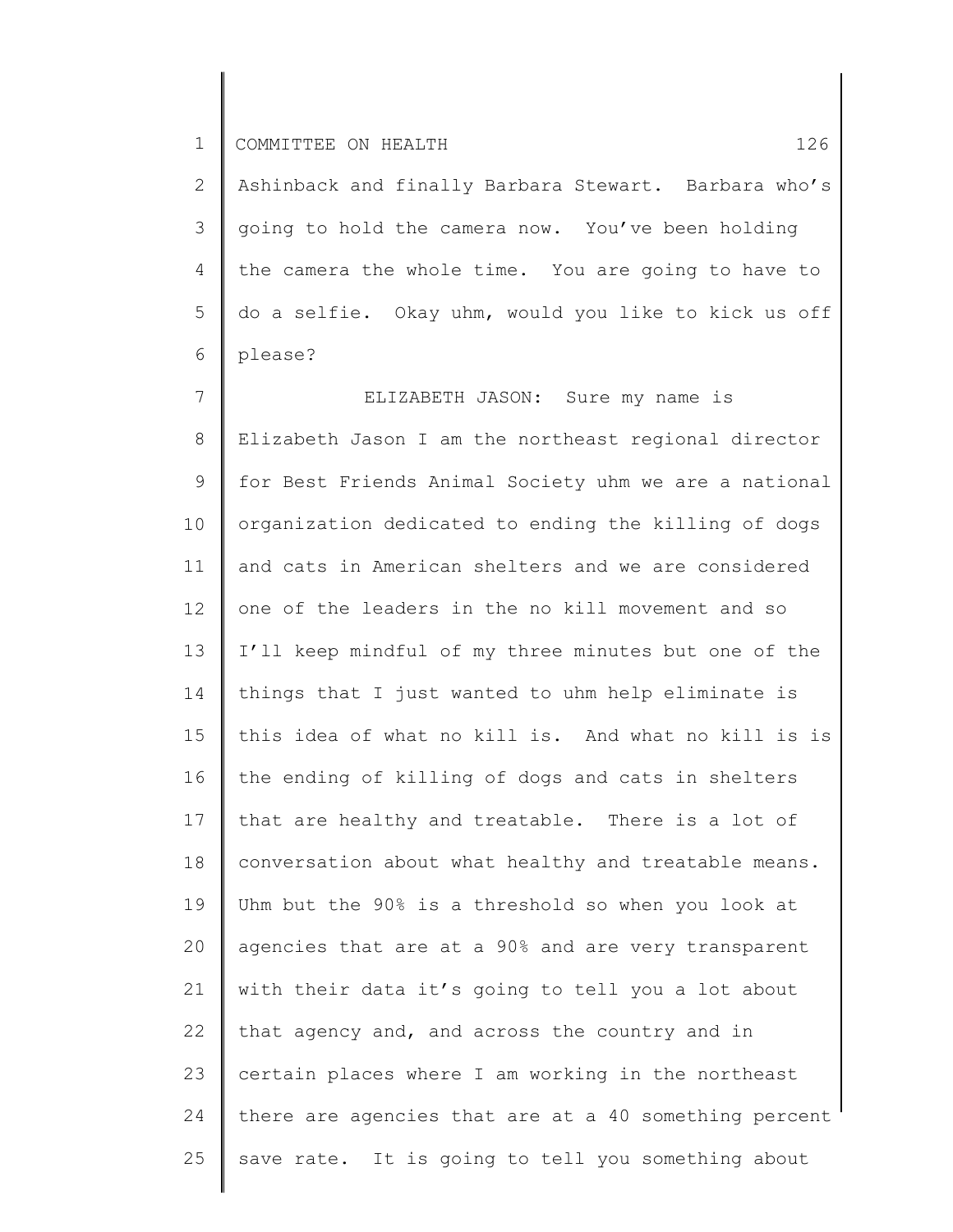2 3 4 5 6 Ashinback and finally Barbara Stewart. Barbara who's going to hold the camera now. You've been holding the camera the whole time. You are going to have to do a selfie. Okay uhm, would you like to kick us off please?

7 8 9 10 11 12 13 14 15 16 17 18 19 20 21 22 23 24 25 ELIZABETH JASON: Sure my name is Elizabeth Jason I am the northeast regional director for Best Friends Animal Society uhm we are a national organization dedicated to ending the killing of dogs and cats in American shelters and we are considered one of the leaders in the no kill movement and so I'll keep mindful of my three minutes but one of the things that I just wanted to uhm help eliminate is this idea of what no kill is. And what no kill is is the ending of killing of dogs and cats in shelters that are healthy and treatable. There is a lot of conversation about what healthy and treatable means. Uhm but the 90% is a threshold so when you look at agencies that are at a 90% and are very transparent with their data it's going to tell you a lot about that agency and, and across the country and in certain places where I am working in the northeast there are agencies that are at a 40 something percent save rate. It is going to tell you something about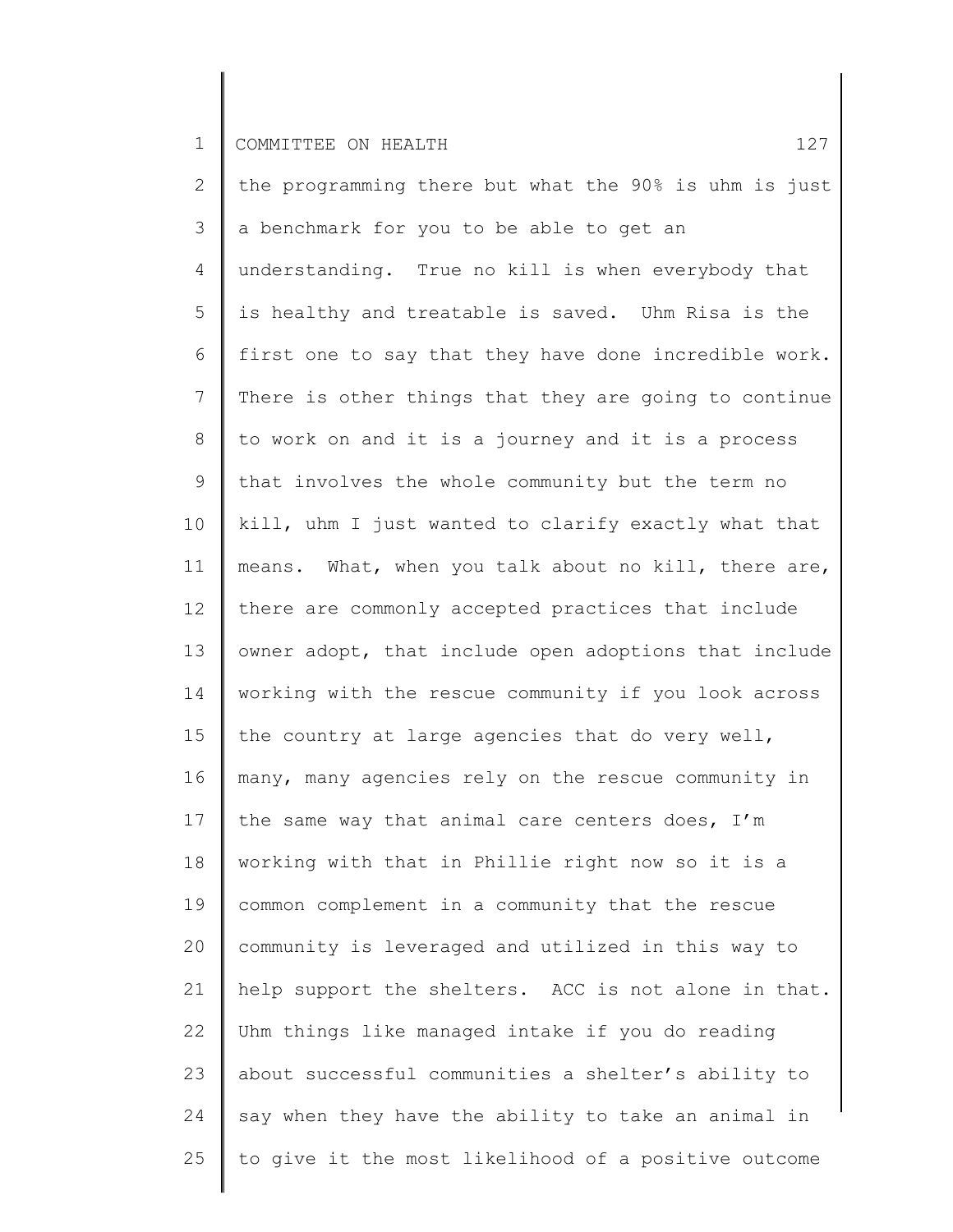2 3 4 5 6 7 8 9 10 11 12 13 14 15 16 17 18 19 20 21 22 23 24 25 the programming there but what the 90% is uhm is just a benchmark for you to be able to get an understanding. True no kill is when everybody that is healthy and treatable is saved. Uhm Risa is the first one to say that they have done incredible work. There is other things that they are going to continue to work on and it is a journey and it is a process that involves the whole community but the term no kill, uhm I just wanted to clarify exactly what that means. What, when you talk about no kill, there are, there are commonly accepted practices that include owner adopt, that include open adoptions that include working with the rescue community if you look across the country at large agencies that do very well, many, many agencies rely on the rescue community in the same way that animal care centers does, I'm working with that in Phillie right now so it is a common complement in a community that the rescue community is leveraged and utilized in this way to help support the shelters. ACC is not alone in that. Uhm things like managed intake if you do reading about successful communities a shelter's ability to say when they have the ability to take an animal in to give it the most likelihood of a positive outcome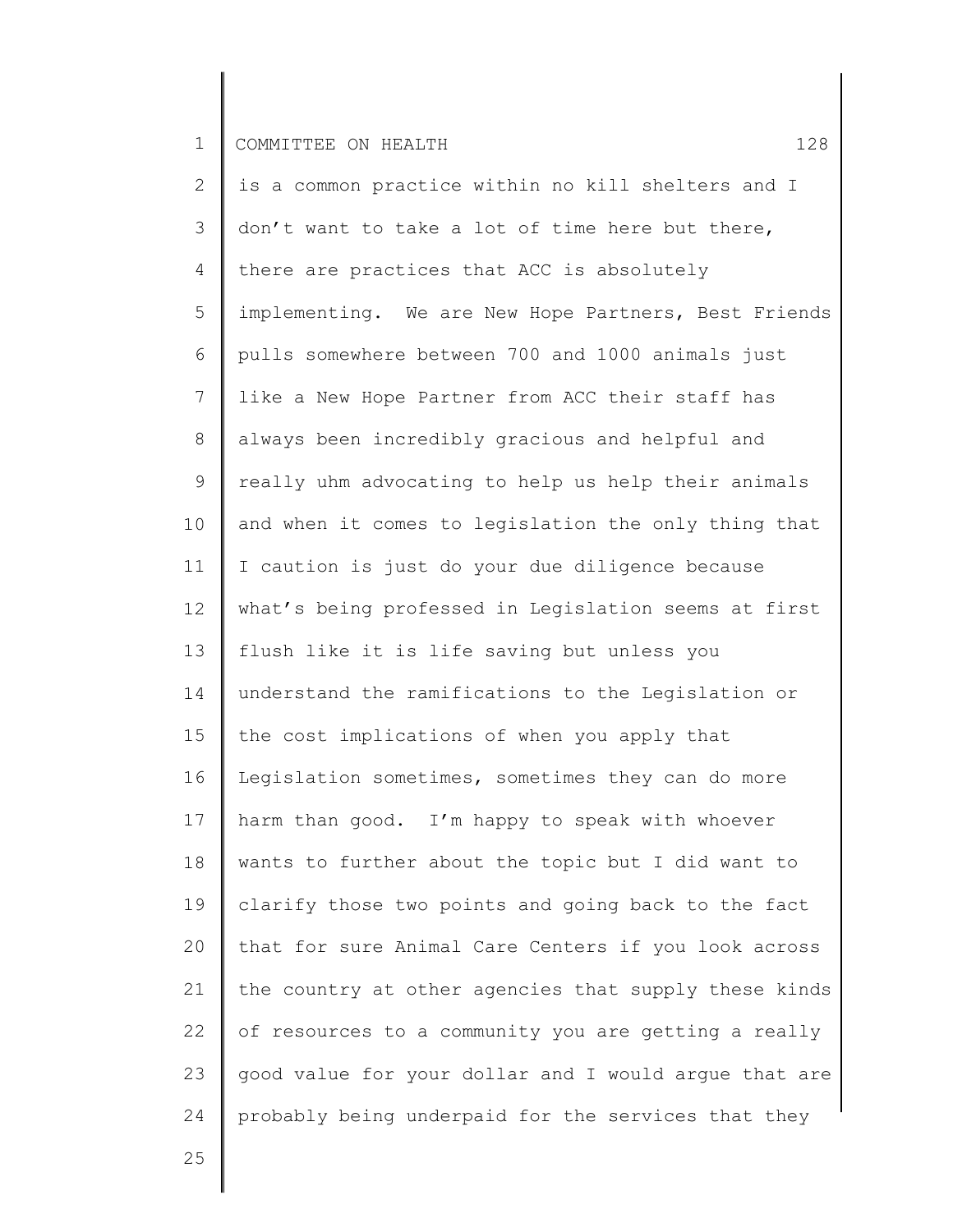2 3 4 5 6 7 8 9 10 11 12 13 14 15 16 17 18 19 20 21 22 23 24 is a common practice within no kill shelters and I don't want to take a lot of time here but there, there are practices that ACC is absolutely implementing. We are New Hope Partners, Best Friends pulls somewhere between 700 and 1000 animals just like a New Hope Partner from ACC their staff has always been incredibly gracious and helpful and really uhm advocating to help us help their animals and when it comes to legislation the only thing that I caution is just do your due diligence because what's being professed in Legislation seems at first flush like it is life saving but unless you understand the ramifications to the Legislation or the cost implications of when you apply that Legislation sometimes, sometimes they can do more harm than good. I'm happy to speak with whoever wants to further about the topic but I did want to clarify those two points and going back to the fact that for sure Animal Care Centers if you look across the country at other agencies that supply these kinds of resources to a community you are getting a really good value for your dollar and I would argue that are probably being underpaid for the services that they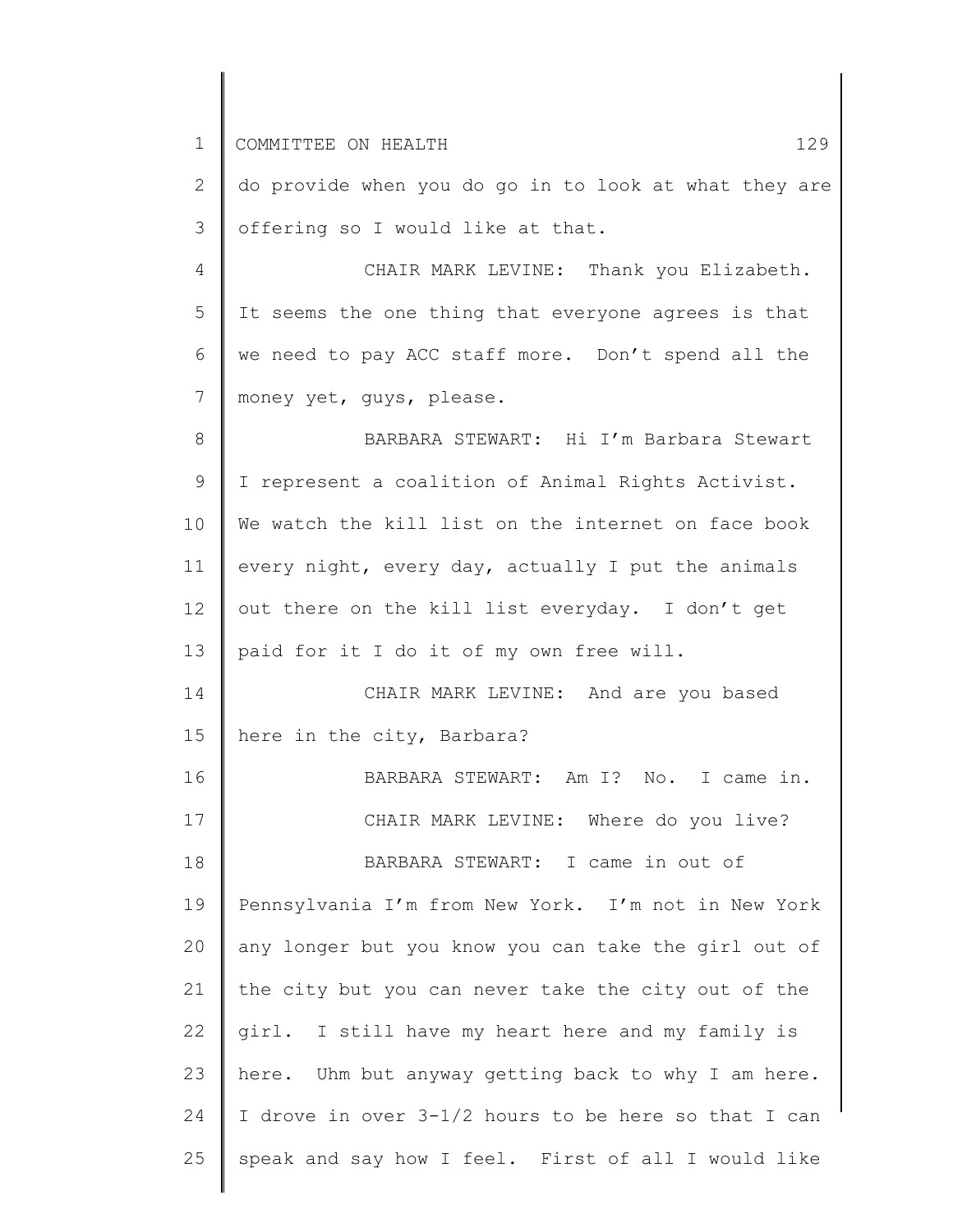1 2 3 4 5 6 7 8 9 10 11 12 13 14 15 16 17 18 19 20 21 22 23 24 25 COMMITTEE ON HEALTH 129 do provide when you do go in to look at what they are offering so I would like at that. CHAIR MARK LEVINE: Thank you Elizabeth. It seems the one thing that everyone agrees is that we need to pay ACC staff more. Don't spend all the money yet, guys, please. BARBARA STEWART: Hi I'm Barbara Stewart I represent a coalition of Animal Rights Activist. We watch the kill list on the internet on face book every night, every day, actually I put the animals out there on the kill list everyday. I don't get paid for it I do it of my own free will. CHAIR MARK LEVINE: And are you based here in the city, Barbara? BARBARA STEWART: Am I? No. I came in. CHAIR MARK LEVINE: Where do you live? BARBARA STEWART: I came in out of Pennsylvania I'm from New York. I'm not in New York any longer but you know you can take the girl out of the city but you can never take the city out of the girl. I still have my heart here and my family is here. Uhm but anyway getting back to why I am here. I drove in over 3-1/2 hours to be here so that I can speak and say how I feel. First of all I would like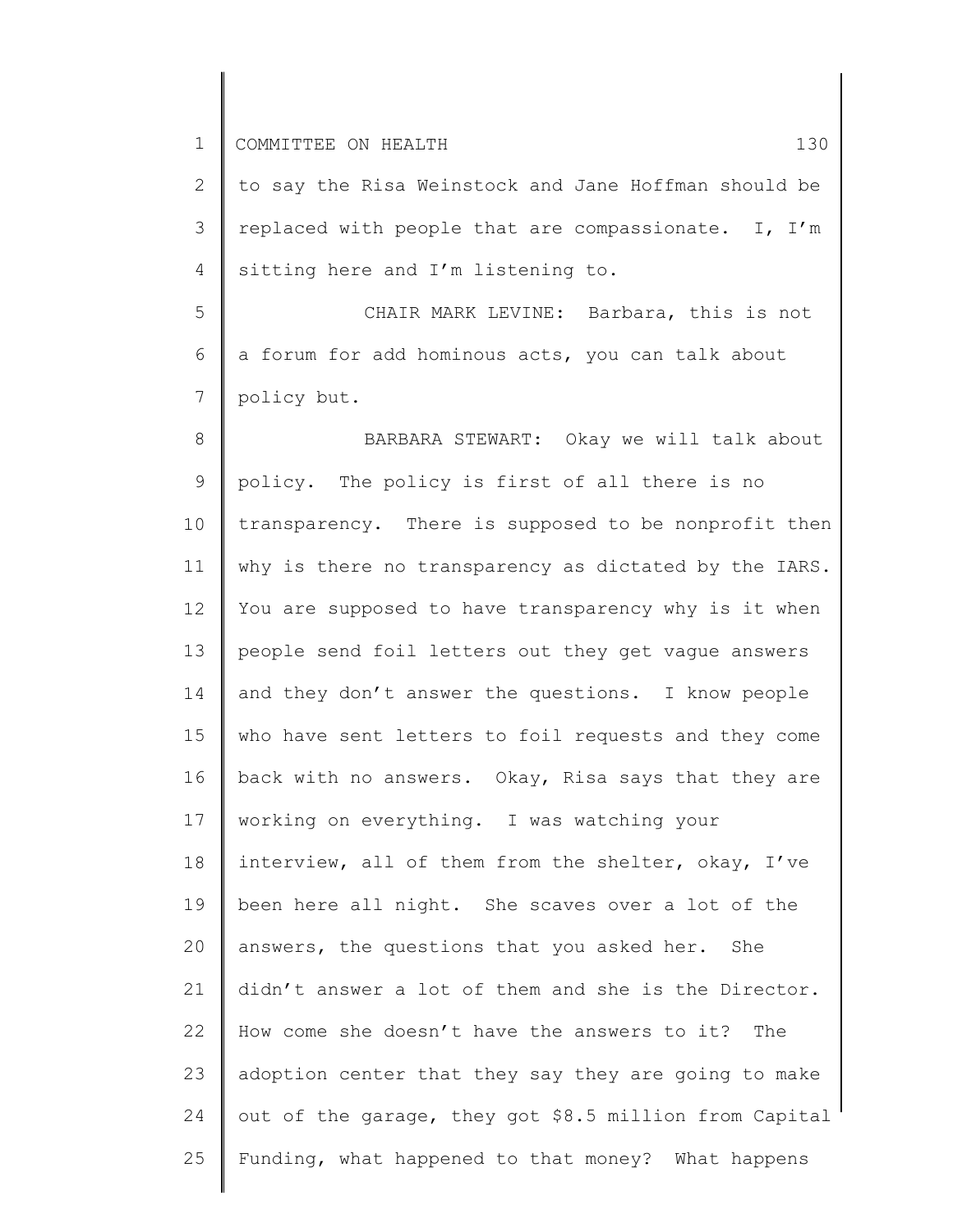2 3 4 to say the Risa Weinstock and Jane Hoffman should be replaced with people that are compassionate. I, I'm sitting here and I'm listening to.

5 6 7 CHAIR MARK LEVINE: Barbara, this is not a forum for add hominous acts, you can talk about policy but.

8 9 10 11 12 13 14 15 16 17 18 19 20 21 22 23 24 25 BARBARA STEWART: Okay we will talk about policy. The policy is first of all there is no transparency. There is supposed to be nonprofit then why is there no transparency as dictated by the IARS. You are supposed to have transparency why is it when people send foil letters out they get vague answers and they don't answer the questions. I know people who have sent letters to foil requests and they come back with no answers. Okay, Risa says that they are working on everything. I was watching your interview, all of them from the shelter, okay, I've been here all night. She scaves over a lot of the answers, the questions that you asked her. She didn't answer a lot of them and she is the Director. How come she doesn't have the answers to it? The adoption center that they say they are going to make out of the garage, they got \$8.5 million from Capital Funding, what happened to that money? What happens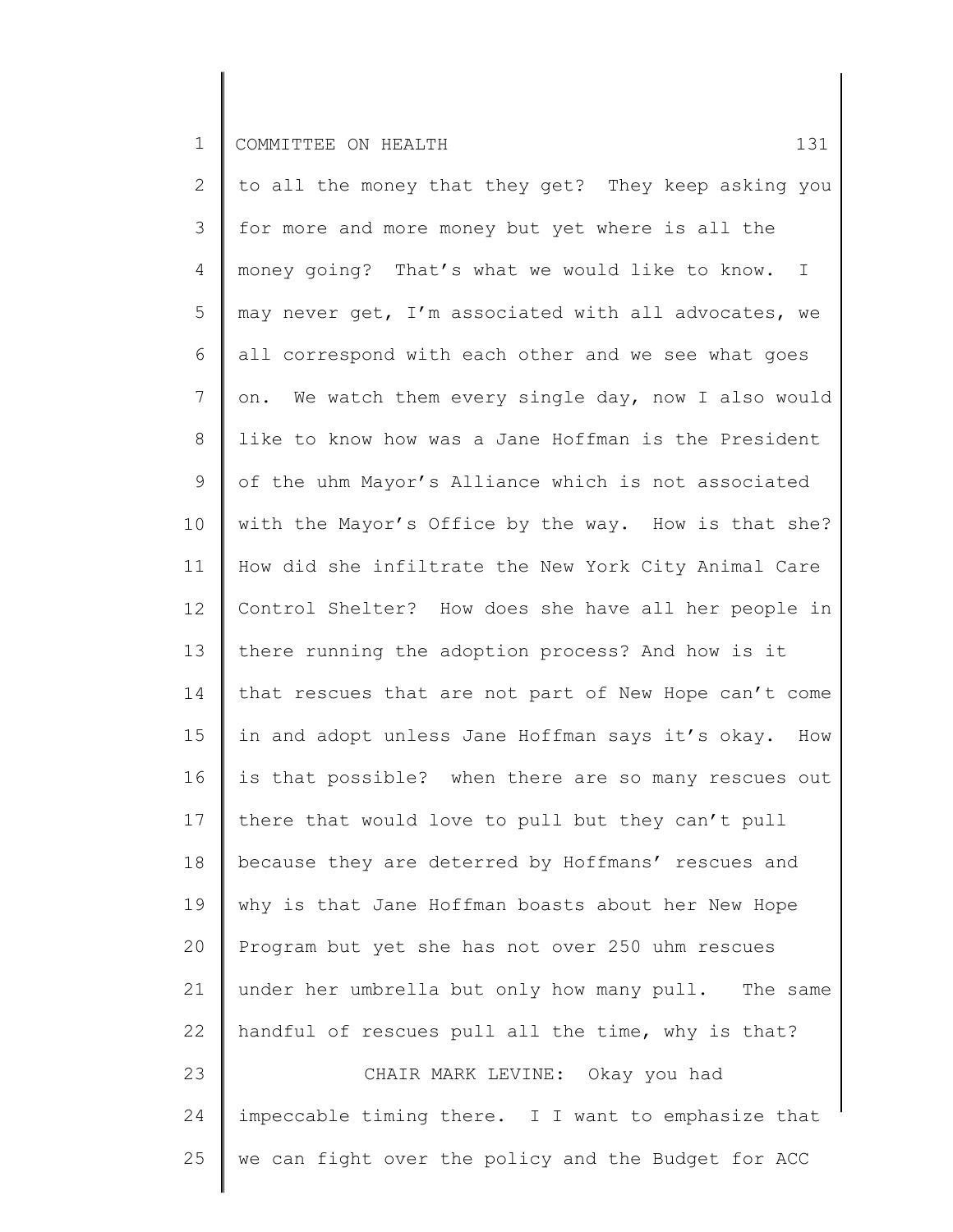2 3 4 5 6 7 8 9 10 11 12 13 14 15 16 17 18 19 20 21 22 23 24 25 to all the money that they get? They keep asking you for more and more money but yet where is all the money going? That's what we would like to know. I may never get, I'm associated with all advocates, we all correspond with each other and we see what goes on. We watch them every single day, now I also would like to know how was a Jane Hoffman is the President of the uhm Mayor's Alliance which is not associated with the Mayor's Office by the way. How is that she? How did she infiltrate the New York City Animal Care Control Shelter? How does she have all her people in there running the adoption process? And how is it that rescues that are not part of New Hope can't come in and adopt unless Jane Hoffman says it's okay. How is that possible? when there are so many rescues out there that would love to pull but they can't pull because they are deterred by Hoffmans' rescues and why is that Jane Hoffman boasts about her New Hope Program but yet she has not over 250 uhm rescues under her umbrella but only how many pull. The same handful of rescues pull all the time, why is that? CHAIR MARK LEVINE: Okay you had impeccable timing there. I I want to emphasize that we can fight over the policy and the Budget for ACC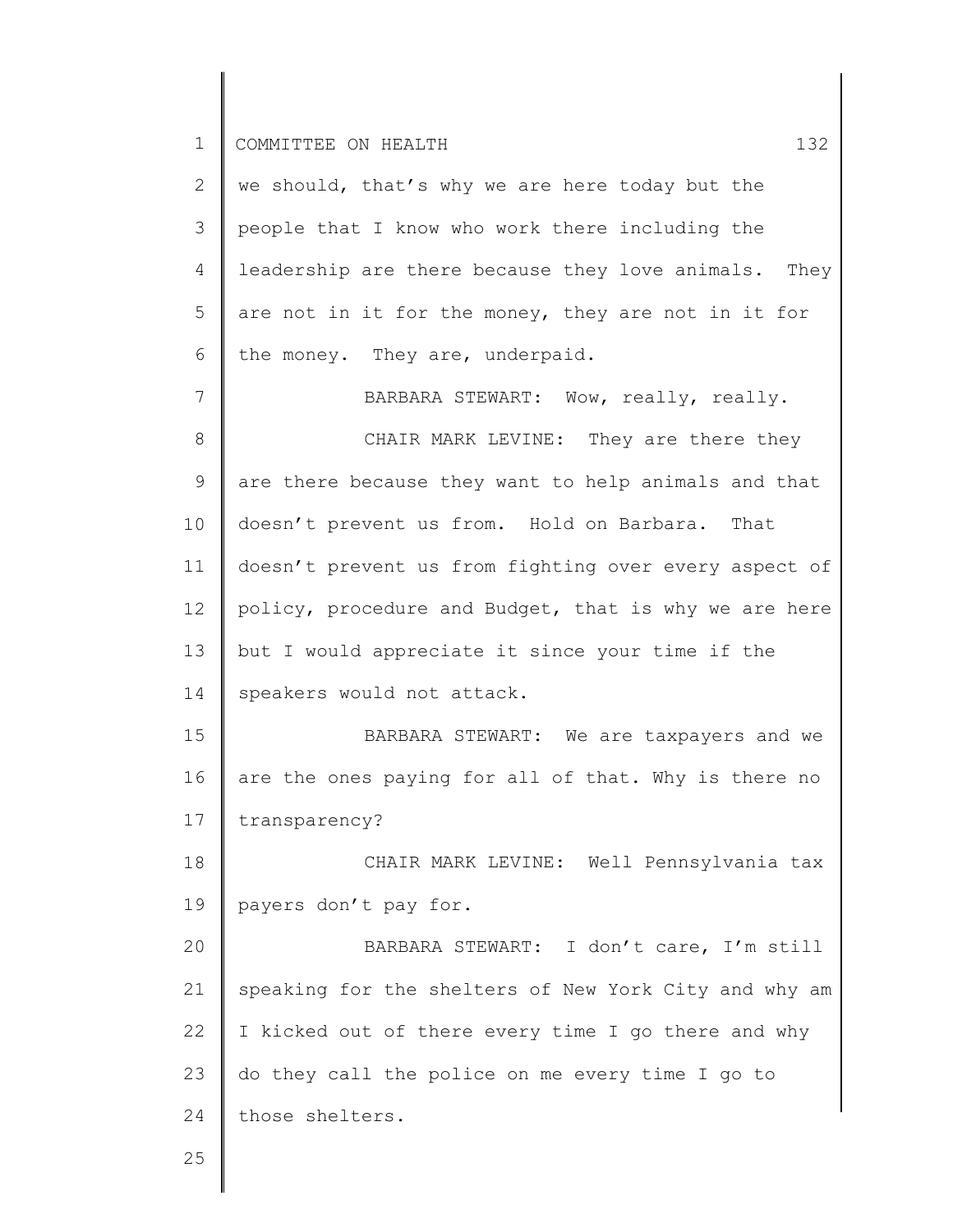| $\overline{2}$ | we should, that's why we are here today but the       |
|----------------|-------------------------------------------------------|
| 3              | people that I know who work there including the       |
| 4              | leadership are there because they love animals. They  |
| 5              | are not in it for the money, they are not in it for   |
| 6              | the money. They are, underpaid.                       |
| 7              | BARBARA STEWART: Wow, really, really.                 |
| $8\,$          | CHAIR MARK LEVINE: They are there they                |
| $\mathsf 9$    | are there because they want to help animals and that  |
| 10             | doesn't prevent us from. Hold on Barbara.<br>That     |
| 11             | doesn't prevent us from fighting over every aspect of |
| 12             | policy, procedure and Budget, that is why we are here |
| 13             | but I would appreciate it since your time if the      |
| 14             | speakers would not attack.                            |
| 15             | BARBARA STEWART: We are taxpayers and we              |
| 16             | are the ones paying for all of that. Why is there no  |
| 17             | transparency?                                         |
| 18             | CHAIR MARK LEVINE: Well Pennsylvania tax              |
| 19             | payers don't pay for.                                 |
| 20             | BARBARA STEWART: I don't care, I'm still              |
| 21             | speaking for the shelters of New York City and why am |
| 22             | I kicked out of there every time I go there and why   |
| 23             | do they call the police on me every time I go to      |
| 24             | those shelters.                                       |
| つら             |                                                       |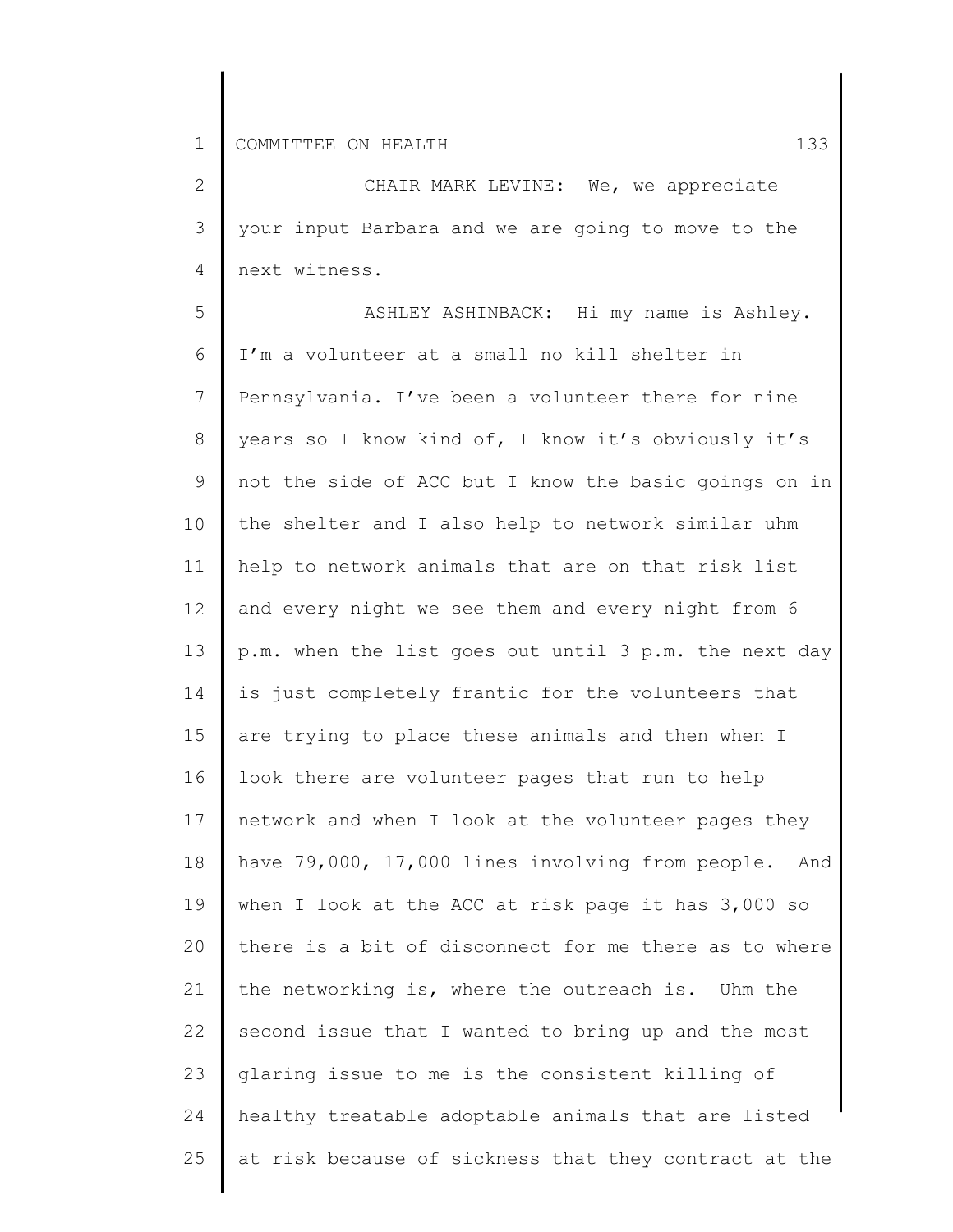2 3 4 CHAIR MARK LEVINE: We, we appreciate your input Barbara and we are going to move to the next witness.

5 6 7 8 9 10 11 12 13 14 15 16 17 18 19 20 21 22 23 24 25 ASHLEY ASHINBACK: Hi my name is Ashley. I'm a volunteer at a small no kill shelter in Pennsylvania. I've been a volunteer there for nine years so I know kind of, I know it's obviously it's not the side of ACC but I know the basic goings on in the shelter and I also help to network similar uhm help to network animals that are on that risk list and every night we see them and every night from 6 p.m. when the list goes out until 3 p.m. the next day is just completely frantic for the volunteers that are trying to place these animals and then when I look there are volunteer pages that run to help network and when I look at the volunteer pages they have 79,000, 17,000 lines involving from people. And when I look at the ACC at risk page it has 3,000 so there is a bit of disconnect for me there as to where the networking is, where the outreach is. Uhm the second issue that I wanted to bring up and the most glaring issue to me is the consistent killing of healthy treatable adoptable animals that are listed at risk because of sickness that they contract at the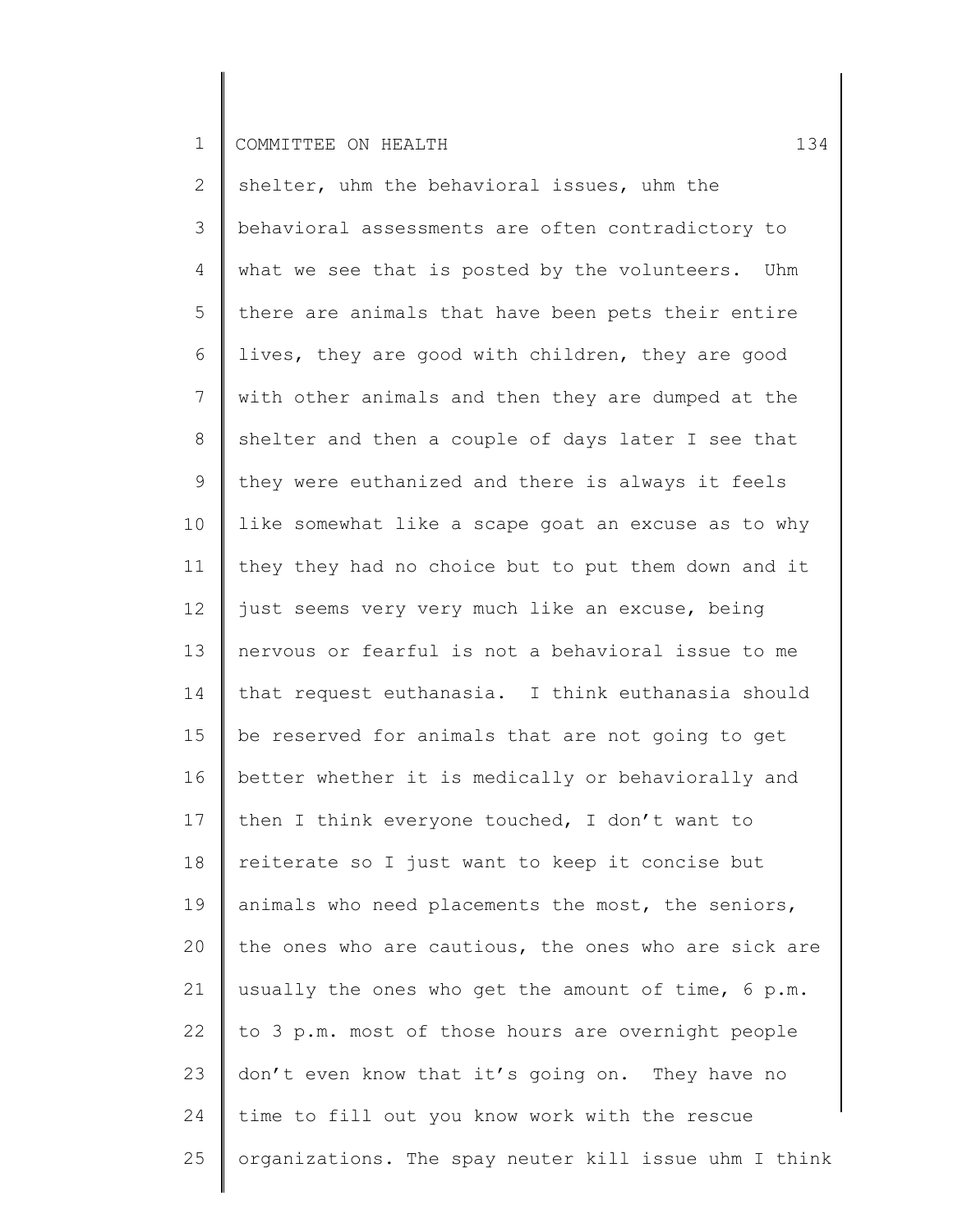2 3 4 5 6 7 8 9 10 11 12 13 14 15 16 17 18 19 20 21 22 23 24 25 shelter, uhm the behavioral issues, uhm the behavioral assessments are often contradictory to what we see that is posted by the volunteers. Uhm there are animals that have been pets their entire lives, they are good with children, they are good with other animals and then they are dumped at the shelter and then a couple of days later I see that they were euthanized and there is always it feels like somewhat like a scape goat an excuse as to why they they had no choice but to put them down and it just seems very very much like an excuse, being nervous or fearful is not a behavioral issue to me that request euthanasia. I think euthanasia should be reserved for animals that are not going to get better whether it is medically or behaviorally and then I think everyone touched, I don't want to reiterate so I just want to keep it concise but animals who need placements the most, the seniors, the ones who are cautious, the ones who are sick are usually the ones who get the amount of time, 6 p.m. to 3 p.m. most of those hours are overnight people don't even know that it's going on. They have no time to fill out you know work with the rescue organizations. The spay neuter kill issue uhm I think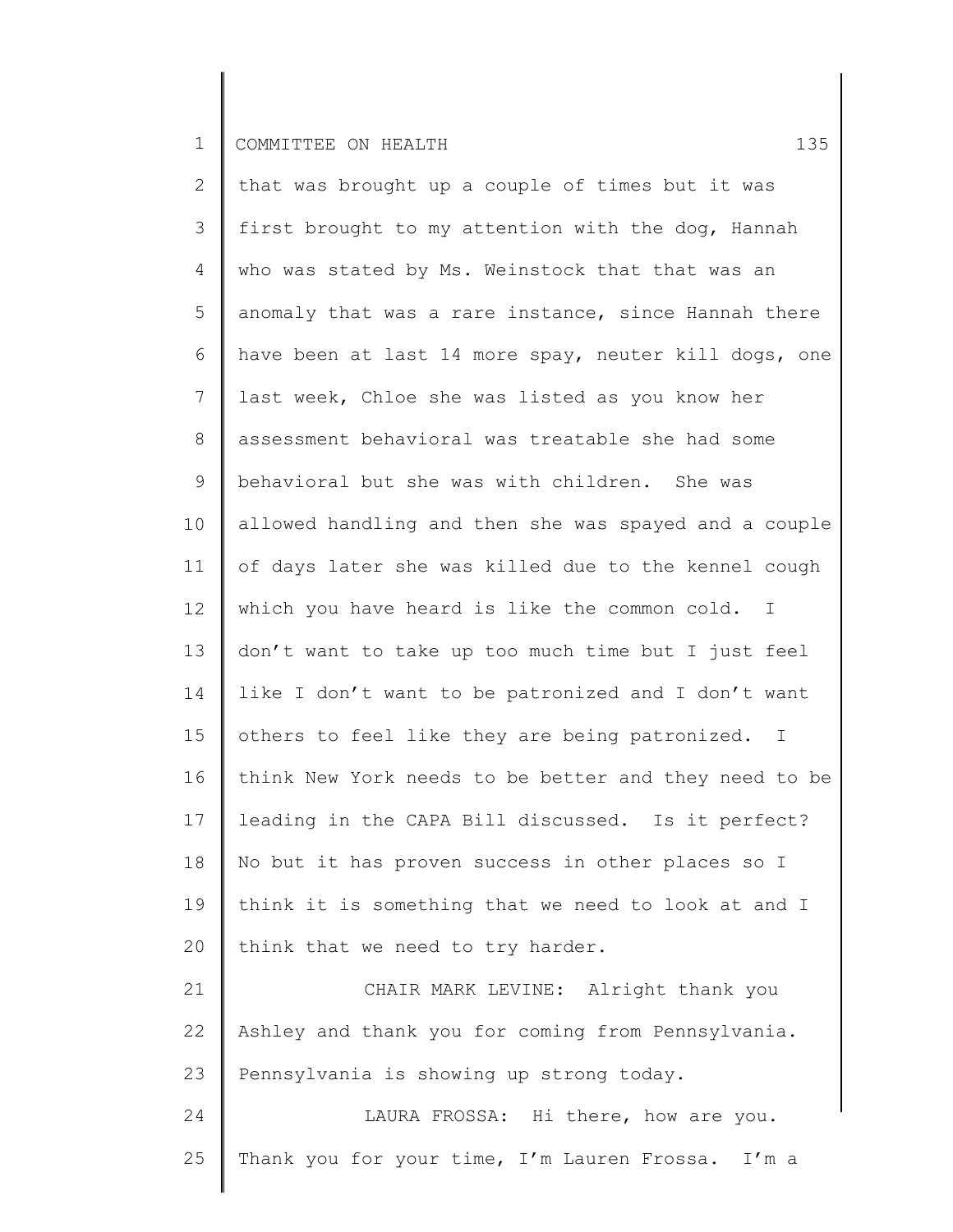2 3 4 5 6 7 8 9 10 11 12 13 14 15 16 17 18 19 20 21 22 23 24 that was brought up a couple of times but it was first brought to my attention with the dog, Hannah who was stated by Ms. Weinstock that that was an anomaly that was a rare instance, since Hannah there have been at last 14 more spay, neuter kill dogs, one last week, Chloe she was listed as you know her assessment behavioral was treatable she had some behavioral but she was with children. She was allowed handling and then she was spayed and a couple of days later she was killed due to the kennel cough which you have heard is like the common cold. I don't want to take up too much time but I just feel like I don't want to be patronized and I don't want others to feel like they are being patronized. I think New York needs to be better and they need to be leading in the CAPA Bill discussed. Is it perfect? No but it has proven success in other places so I think it is something that we need to look at and I think that we need to try harder. CHAIR MARK LEVINE: Alright thank you Ashley and thank you for coming from Pennsylvania. Pennsylvania is showing up strong today. LAURA FROSSA: Hi there, how are you.

25 Thank you for your time, I'm Lauren Frossa. I'm a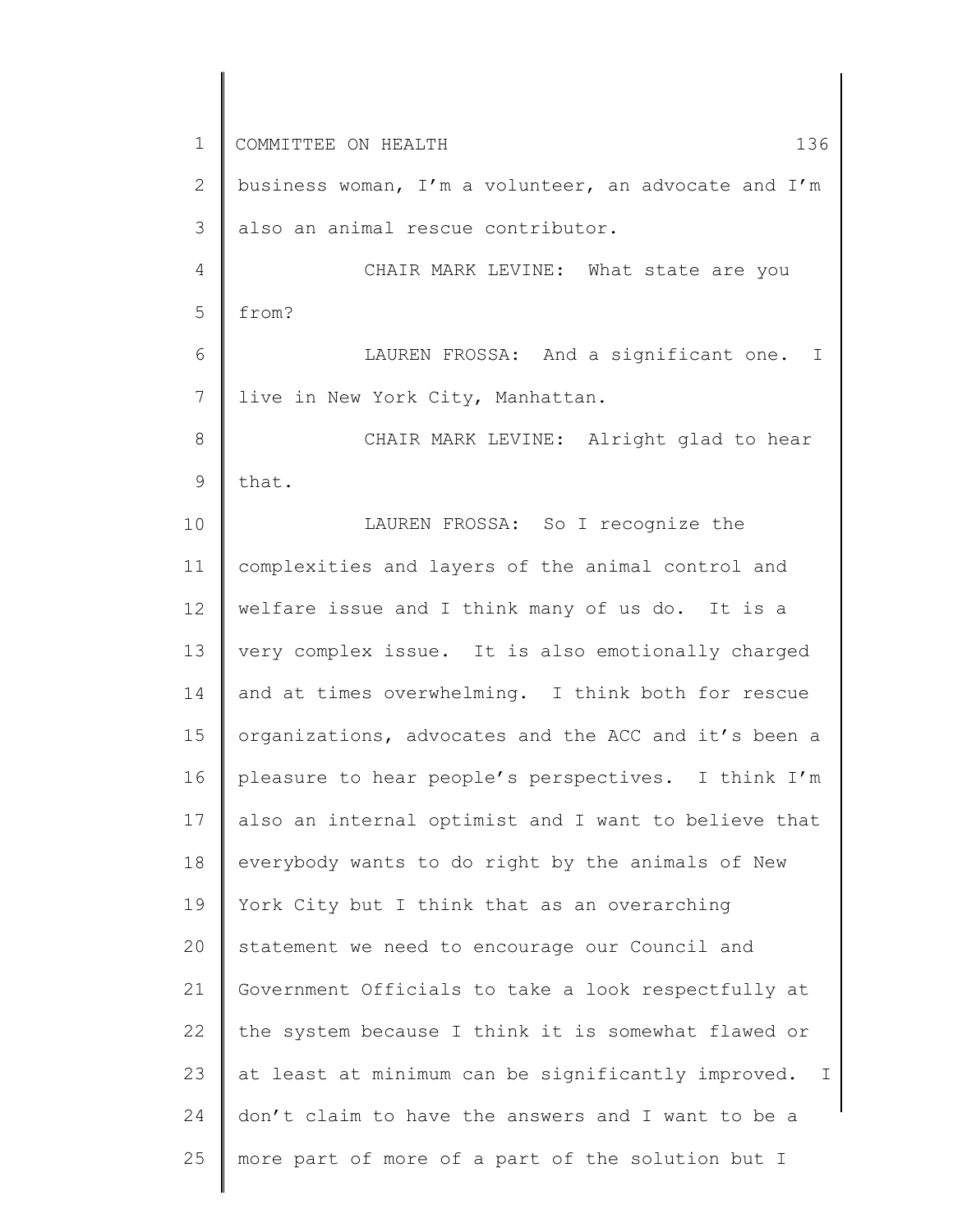1 2 3 4 5 6 7 8 9 10 11 12 13 14 15 16 17 18 19 20 21 22 23 24 25 COMMITTEE ON HEALTH 136 business woman, I'm a volunteer, an advocate and I'm also an animal rescue contributor. CHAIR MARK LEVINE: What state are you from? LAUREN FROSSA: And a significant one. I live in New York City, Manhattan. CHAIR MARK LEVINE: Alright glad to hear that. LAUREN FROSSA: So I recognize the complexities and layers of the animal control and welfare issue and I think many of us do. It is a very complex issue. It is also emotionally charged and at times overwhelming. I think both for rescue organizations, advocates and the ACC and it's been a pleasure to hear people's perspectives. I think I'm also an internal optimist and I want to believe that everybody wants to do right by the animals of New York City but I think that as an overarching statement we need to encourage our Council and Government Officials to take a look respectfully at the system because I think it is somewhat flawed or at least at minimum can be significantly improved. I don't claim to have the answers and I want to be a more part of more of a part of the solution but I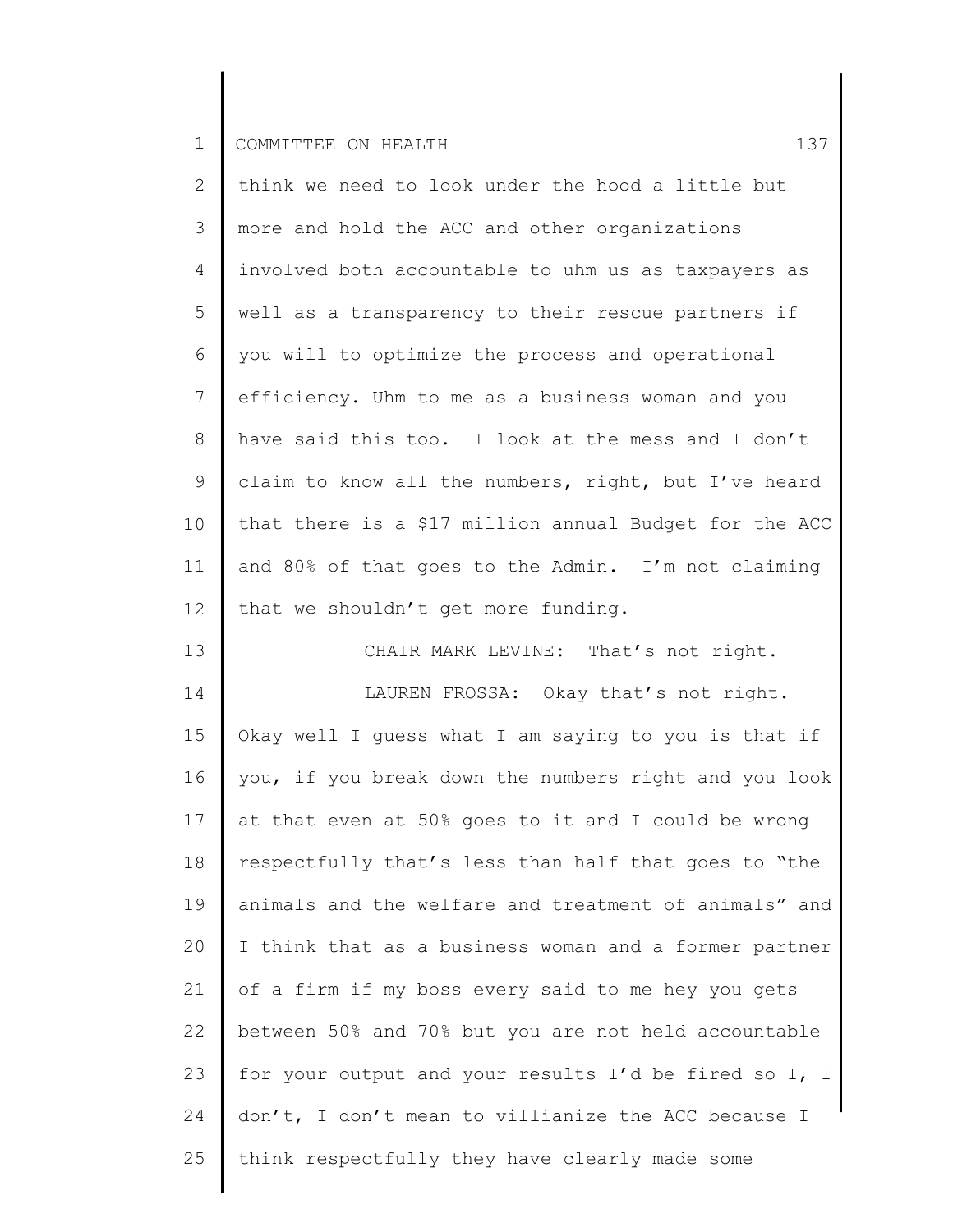| $\mathbf{2}^{\prime}$ | think we need to look under the hood a little but      |
|-----------------------|--------------------------------------------------------|
| 3                     | more and hold the ACC and other organizations          |
| $\overline{4}$        | involved both accountable to uhm us as taxpayers as    |
| 5                     | well as a transparency to their rescue partners if     |
| 6                     | you will to optimize the process and operational       |
| $7\overline{ }$       | efficiency. Uhm to me as a business woman and you      |
| 8                     | have said this too. I look at the mess and I don't     |
| 9                     | claim to know all the numbers, right, but I've heard   |
| 10 <sub>o</sub>       | that there is a \$17 million annual Budget for the ACC |
| 11                    | and 80% of that goes to the Admin. I'm not claiming    |
| 12                    | that we shouldn't get more funding.                    |

13 14 15 16 17 18 19 20 21 22 23 24 25 CHAIR MARK LEVINE: That's not right. LAUREN FROSSA: Okay that's not right. Okay well I guess what I am saying to you is that if you, if you break down the numbers right and you look at that even at 50% goes to it and I could be wrong respectfully that's less than half that goes to "the animals and the welfare and treatment of animals" and I think that as a business woman and a former partner of a firm if my boss every said to me hey you gets between 50% and 70% but you are not held accountable for your output and your results I'd be fired so I, I don't, I don't mean to villianize the ACC because I think respectfully they have clearly made some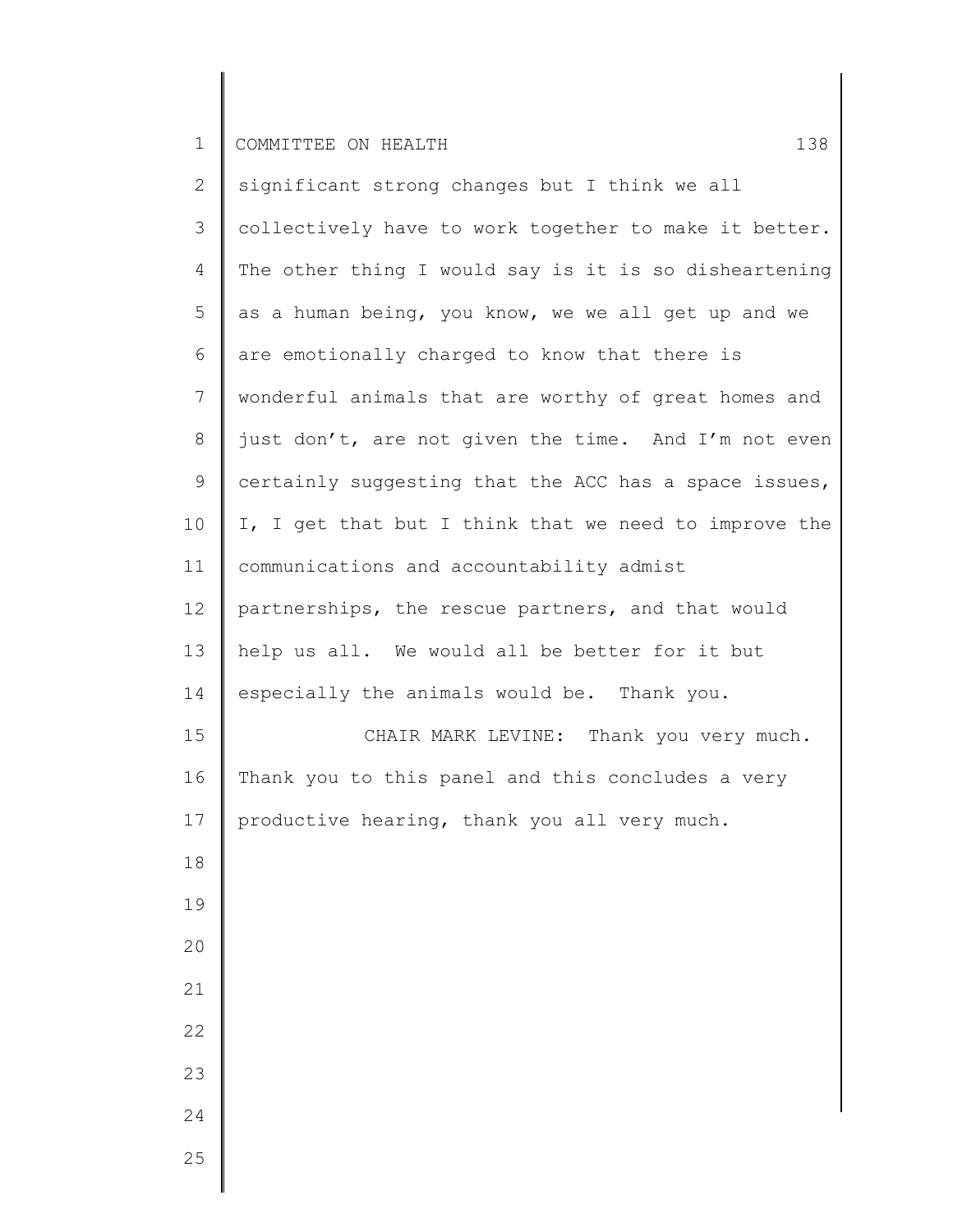| $\mathbf{2}$ | significant strong changes but I think we all         |
|--------------|-------------------------------------------------------|
| 3            | collectively have to work together to make it better. |
| 4            | The other thing I would say is it is so disheartening |
| 5            | as a human being, you know, we we all get up and we   |
| 6            | are emotionally charged to know that there is         |
| 7            | wonderful animals that are worthy of great homes and  |
| 8            | just don't, are not given the time. And I'm not even  |
| $\mathsf 9$  | certainly suggesting that the ACC has a space issues, |
| 10           | I, I get that but I think that we need to improve the |
| 11           | communications and accountability admist              |
| 12           | partnerships, the rescue partners, and that would     |
| 13           | help us all. We would all be better for it but        |
| 14           | especially the animals would be. Thank you.           |
| 15           | CHAIR MARK LEVINE: Thank you very much.               |
| 16           | Thank you to this panel and this concludes a very     |
| 17           | productive hearing, thank you all very much.          |
| 18           |                                                       |
| 19           |                                                       |
| 20           |                                                       |
| 21           |                                                       |
| 22           |                                                       |
| 23           |                                                       |
| 24           |                                                       |
| 25           |                                                       |
|              |                                                       |